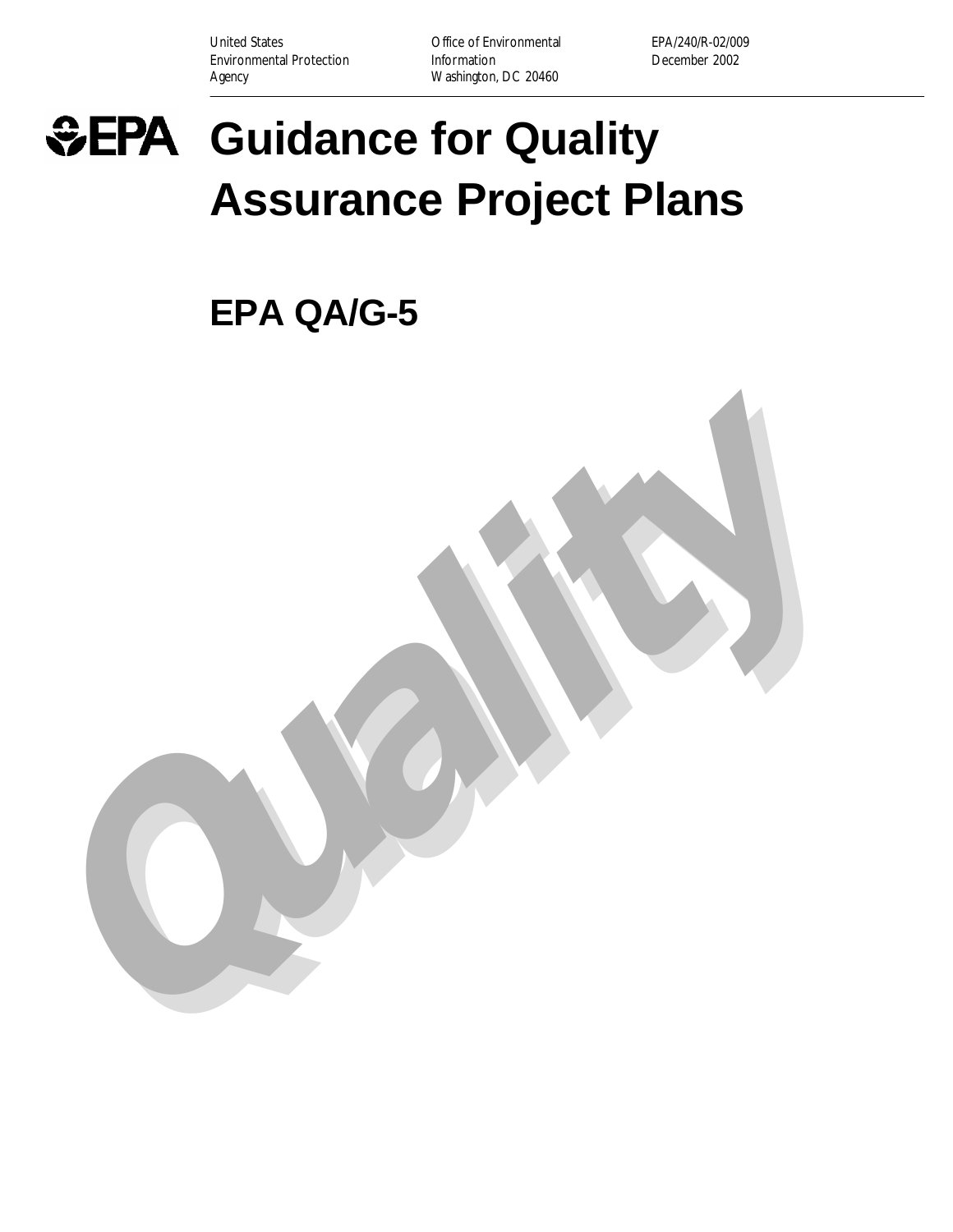United States **Office of Environmental** EPA/240/R-02/009 Environmental Protection **Information** Information December 2002 Agency **Mashington, DC 20460** 



# **Guidance for Quality Assurance Project Plans**

**Quality**

**EPA QA/G-5**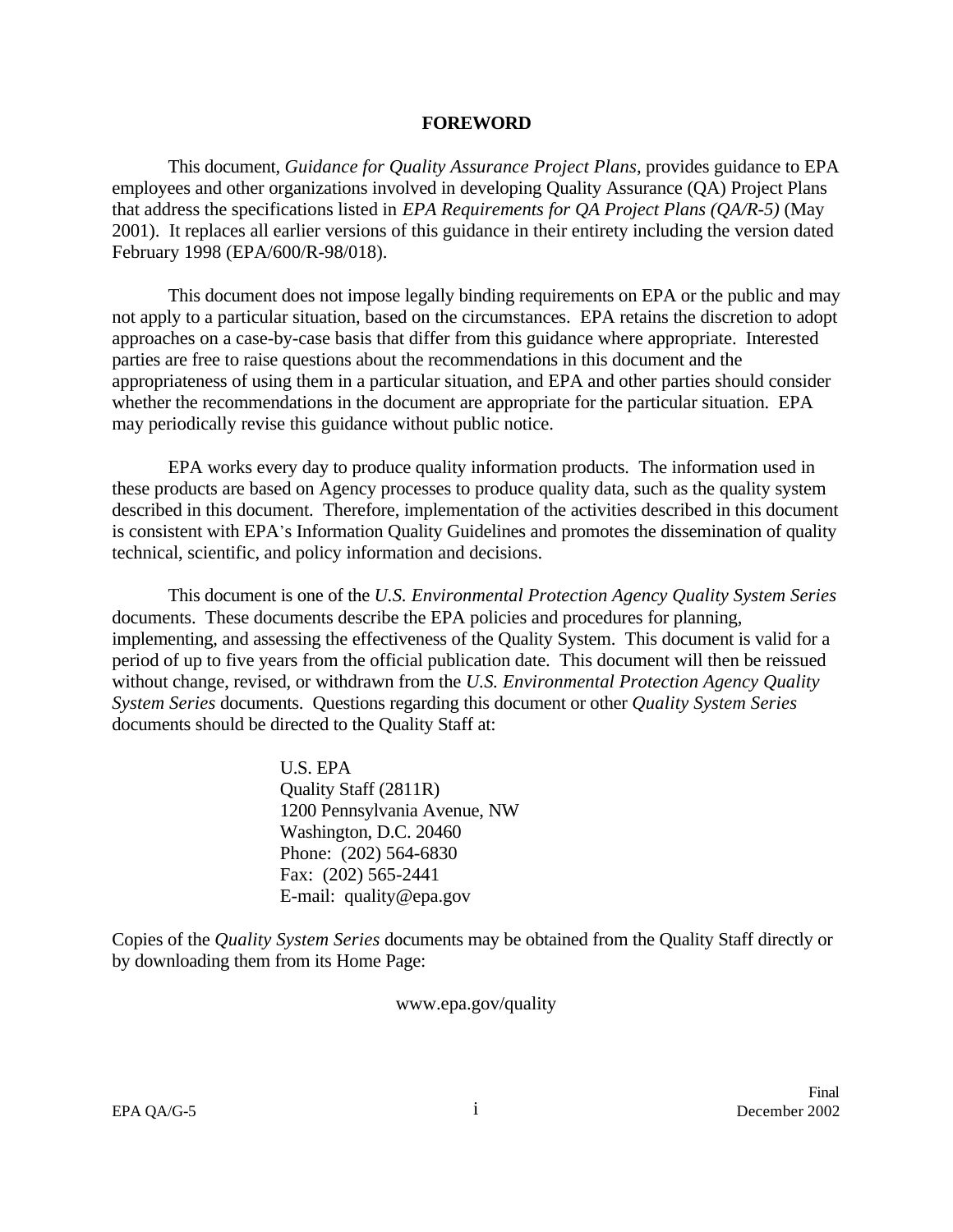#### **FOREWORD**

This document, *Guidance for Quality Assurance Project Plans*, provides guidance to EPA employees and other organizations involved in developing Quality Assurance (QA) Project Plans that address the specifications listed in *EPA Requirements for QA Project Plans (QA/R-5)* (May 2001). It replaces all earlier versions of this guidance in their entirety including the version dated February 1998 (EPA/600/R-98/018).

This document does not impose legally binding requirements on EPA or the public and may not apply to a particular situation, based on the circumstances. EPA retains the discretion to adopt approaches on a case-by-case basis that differ from this guidance where appropriate. Interested parties are free to raise questions about the recommendations in this document and the appropriateness of using them in a particular situation, and EPA and other parties should consider whether the recommendations in the document are appropriate for the particular situation. EPA may periodically revise this guidance without public notice.

EPA works every day to produce quality information products. The information used in these products are based on Agency processes to produce quality data, such as the quality system described in this document. Therefore, implementation of the activities described in this document is consistent with EPA\*s Information Quality Guidelines and promotes the dissemination of quality technical, scientific, and policy information and decisions.

This document is one of the *U.S. Environmental Protection Agency Quality System Series* documents. These documents describe the EPA policies and procedures for planning, implementing, and assessing the effectiveness of the Quality System. This document is valid for a period of up to five years from the official publication date. This document will then be reissued without change, revised, or withdrawn from the *U.S. Environmental Protection Agency Quality System Series* documents. Questions regarding this document or other *Quality System Series* documents should be directed to the Quality Staff at:

> U.S. EPA Quality Staff (2811R) 1200 Pennsylvania Avenue, NW Washington, D.C. 20460 Phone: (202) 564-6830 Fax: (202) 565-2441 E-mail: quality@epa.gov

Copies of the *Quality System Series* documents may be obtained from the Quality Staff directly or by downloading them from its Home Page:

www.epa.gov/quality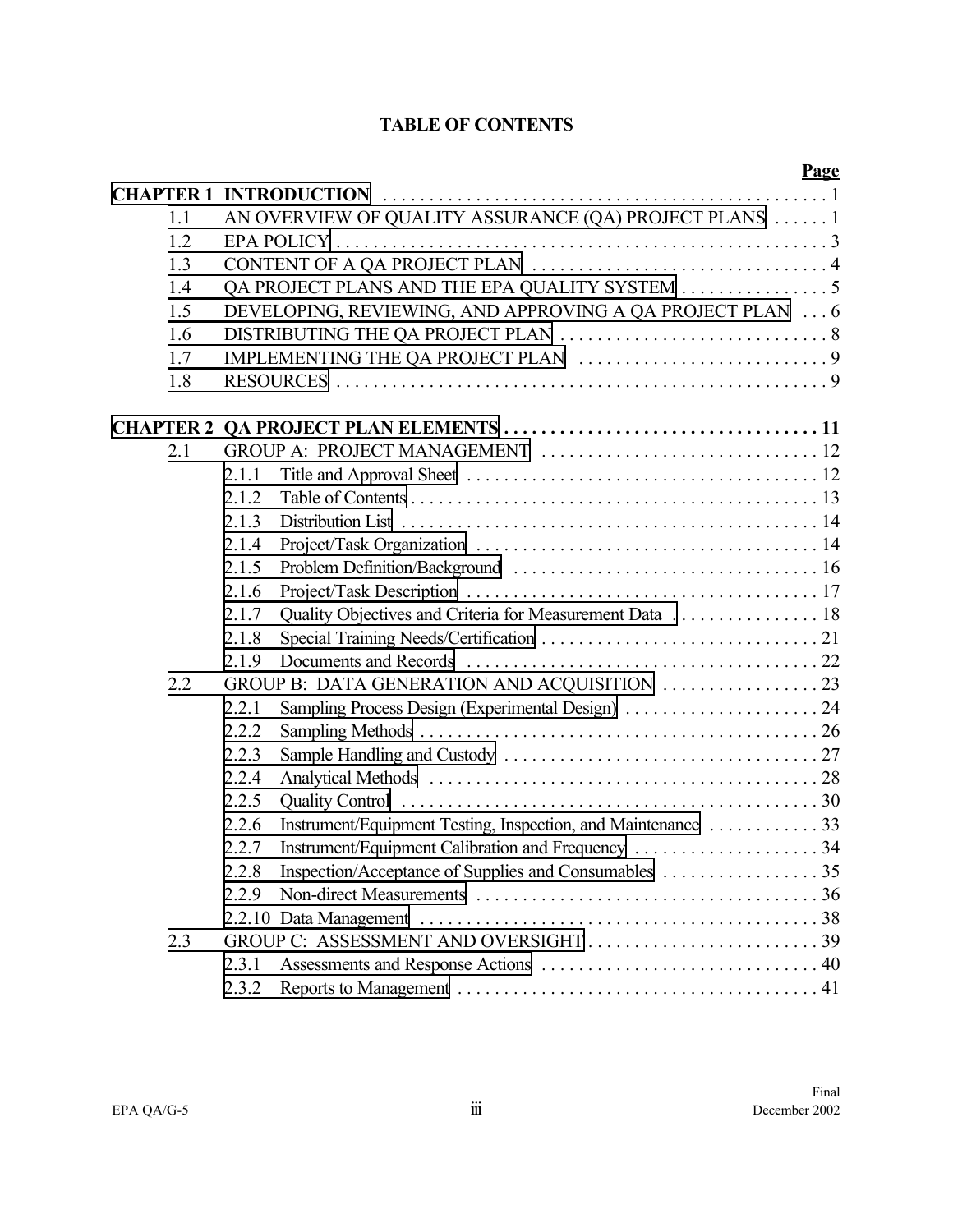# **TABLE OF CONTENTS**

|     |                                                                   | <b>Page</b> |
|-----|-------------------------------------------------------------------|-------------|
|     |                                                                   |             |
| 1.1 | AN OVERVIEW OF QUALITY ASSURANCE (QA) PROJECT PLANS  1            |             |
| 1.2 |                                                                   |             |
| 1.3 |                                                                   |             |
| 1.4 | QA PROJECT PLANS AND THE EPA QUALITY SYSTEM 5                     |             |
| 1.5 | DEVELOPING, REVIEWING, AND APPROVING A QA PROJECT PLAN  6         |             |
| 1.6 |                                                                   |             |
| 1.7 |                                                                   |             |
| 1.8 |                                                                   |             |
|     |                                                                   |             |
| 2.1 |                                                                   |             |
|     | 2.1.1                                                             |             |
|     | 2.1.2                                                             |             |
|     | 2.1.3                                                             |             |
|     | 2.1.4                                                             |             |
|     | 2.1.5                                                             |             |
|     | 2.1.6                                                             |             |
|     | Quality Objectives and Criteria for Measurement Data  18<br>2.1.7 |             |
|     | 2.1.8                                                             |             |
|     | 2.1.9                                                             |             |
| 2.2 |                                                                   |             |
|     | 2.2.1                                                             |             |
|     | 2.2.2                                                             |             |
|     | 2.2.3                                                             |             |
|     | 2.2.4                                                             |             |
|     | 2.2.5                                                             |             |
|     | 2.2.6                                                             |             |
|     | Instrument/Equipment Calibration and Frequency 34<br>2.2.7        |             |
|     | 2.2.8                                                             |             |
|     | 2.2.9                                                             |             |
|     |                                                                   |             |
| 2.3 |                                                                   |             |
|     | 2.3.1                                                             |             |
|     | 2.3.2                                                             |             |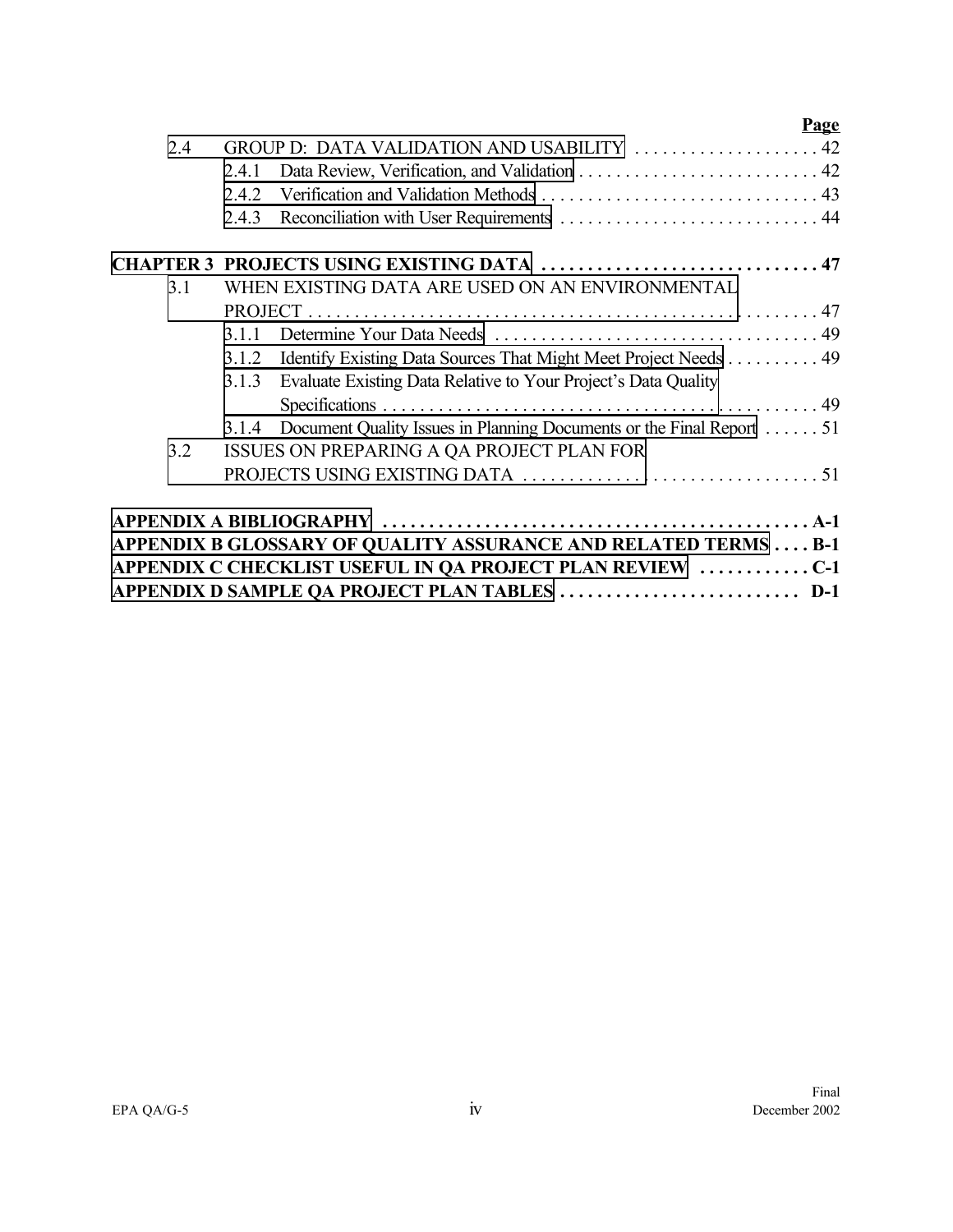|     | <b>Page</b>                                                                   |
|-----|-------------------------------------------------------------------------------|
| 2.4 | GROUP D: DATA VALIDATION AND USABILITY  42                                    |
|     | 2.4.1                                                                         |
|     | 2.4.2                                                                         |
|     | 2.4.3                                                                         |
|     | CHAPTER 3 PROJECTS USING EXISTING DATA  47                                    |
| 3.1 | WHEN EXISTING DATA ARE USED ON AN ENVIRONMENTAL                               |
|     |                                                                               |
|     | 311                                                                           |
|     | Identify Existing Data Sources That Might Meet Project Needs 49<br>3.1.2      |
|     | Evaluate Existing Data Relative to Your Project's Data Quality<br>3.1.3       |
|     |                                                                               |
|     | Document Quality Issues in Planning Documents or the Final Report 51<br>3.1.4 |
| 3.2 | ISSUES ON PREPARING A QA PROJECT PLAN FOR                                     |
|     |                                                                               |
|     |                                                                               |
|     |                                                                               |
|     | APPENDIX B GLOSSARY OF QUALITY ASSURANCE AND RELATED TERMS  B-1               |
|     | APPENDIX C CHECKLIST USEFUL IN QA PROJECT PLAN REVIEW C-1                     |
|     | APPENDIX D SAMPLE QA PROJECT PLAN TABLES  D-1                                 |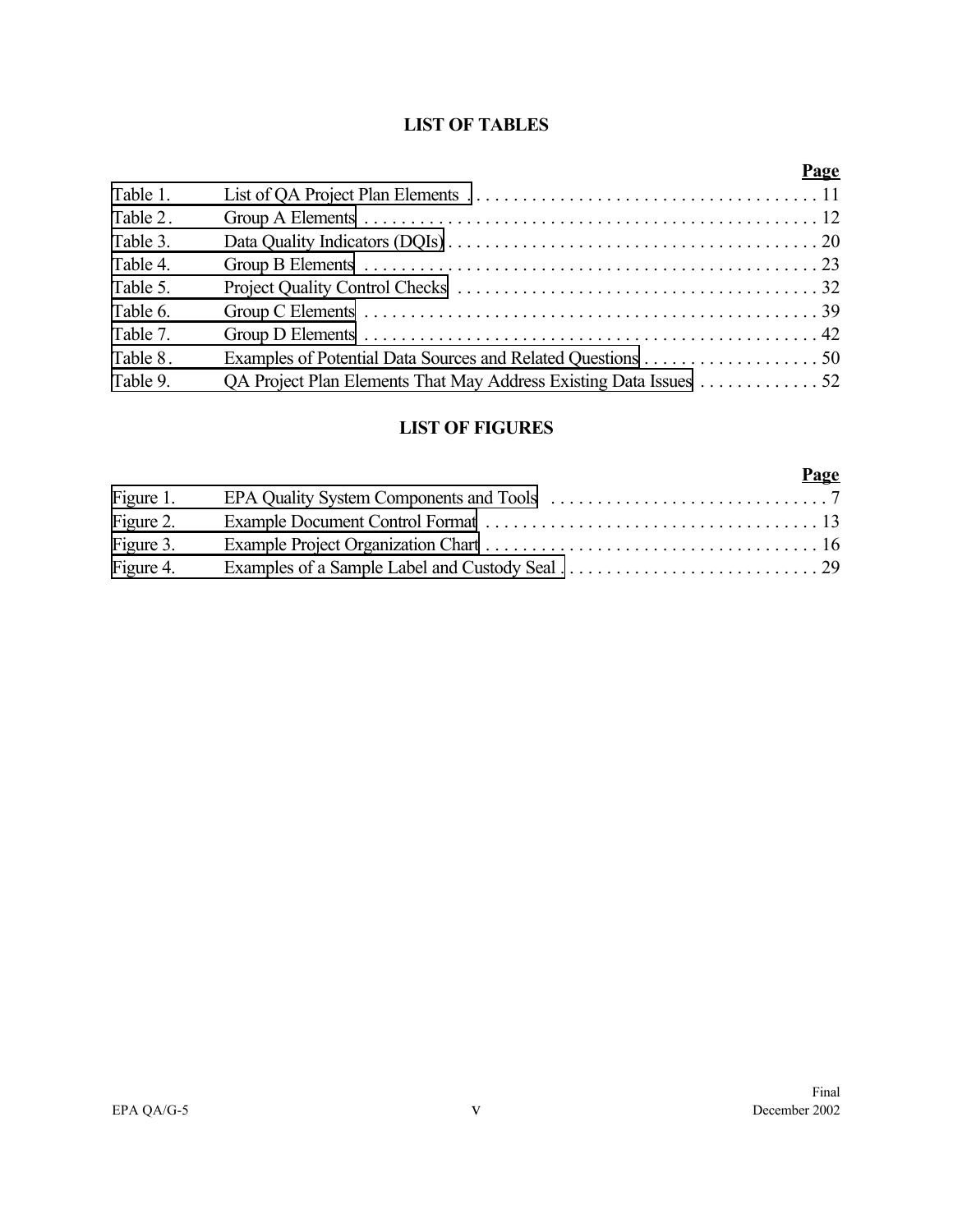# **LIST OF TABLES**

|          |                                                                   | <b>Page</b> |
|----------|-------------------------------------------------------------------|-------------|
| Table 1. |                                                                   |             |
| Table 2. |                                                                   |             |
| Table 3. |                                                                   |             |
| Table 4. |                                                                   |             |
| Table 5. |                                                                   |             |
| Table 6. |                                                                   |             |
| Table 7. |                                                                   |             |
| Table 8. |                                                                   |             |
| Table 9. | QA Project Plan Elements That May Address Existing Data Issues 52 |             |

# **LIST OF FIGURES**

|           | Page |
|-----------|------|
| Figure 1. |      |
| Figure 2. |      |
| Figure 3. |      |
| Figure 4. |      |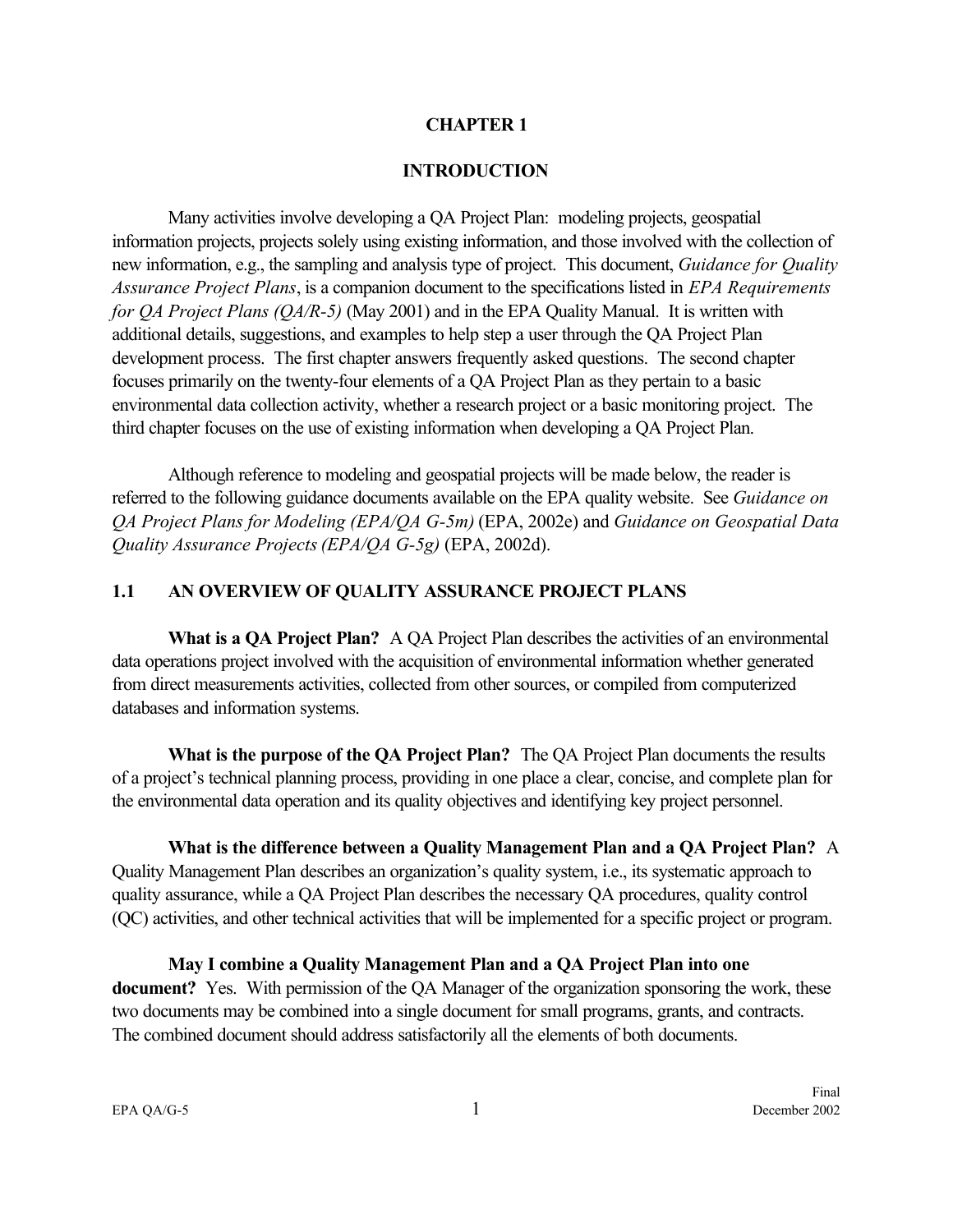#### **CHAPTER 1**

#### **INTRODUCTION**

<span id="page-8-0"></span>Many activities involve developing a QA Project Plan: modeling projects, geospatial information projects, projects solely using existing information, and those involved with the collection of new information, e.g., the sampling and analysis type of project. This document, *Guidance for Quality Assurance Project Plans*, is a companion document to the specifications listed in *EPA Requirements for QA Project Plans (QA/R-5)* (May 2001) and in the EPA Quality Manual. It is written with additional details, suggestions, and examples to help step a user through the QA Project Plan development process. The first chapter answers frequently asked questions. The second chapter focuses primarily on the twenty-four elements of a QA Project Plan as they pertain to a basic environmental data collection activity, whether a research project or a basic monitoring project. The third chapter focuses on the use of existing information when developing a QA Project Plan.

Although reference to modeling and geospatial projects will be made below, the reader is referred to the following guidance documents available on the EPA quality website. See *Guidance on QA Project Plans for Modeling (EPA/QA G-5m)* (EPA, 2002e) and *Guidance on Geospatial Data Quality Assurance Projects(EPA/QA G-5g)* (EPA, 2002d).

#### **1.1 AN OVERVIEW OF QUALITY ASSURANCE PROJECT PLANS**

**What is a QA Project Plan?** A QA Project Plan describes the activities of an environmental data operations project involved with the acquisition of environmental information whether generated from direct measurements activities, collected from other sources, or compiled from computerized databases and information systems.

**What is the purpose of the QA Project Plan?** The QA Project Plan documents the results of a project's technical planning process, providing in one place a clear, concise, and complete plan for the environmental data operation and its quality objectives and identifying key project personnel.

**What is the difference between a Quality Management Plan and a QA Project Plan?** A Quality Management Plan describes an organization's quality system, i.e., its systematic approach to quality assurance, while a QA Project Plan describes the necessary QA procedures, quality control

(QC) activities, and other technical activities that will be implemented for a specific project or program.

**May I combine a Quality Management Plan and a QA Project Plan into one document?** Yes. With permission of the QA Manager of the organization sponsoring the work, these two documents may be combined into a single document for small programs, grants, and contracts. The combined document should address satisfactorily all the elements of both documents.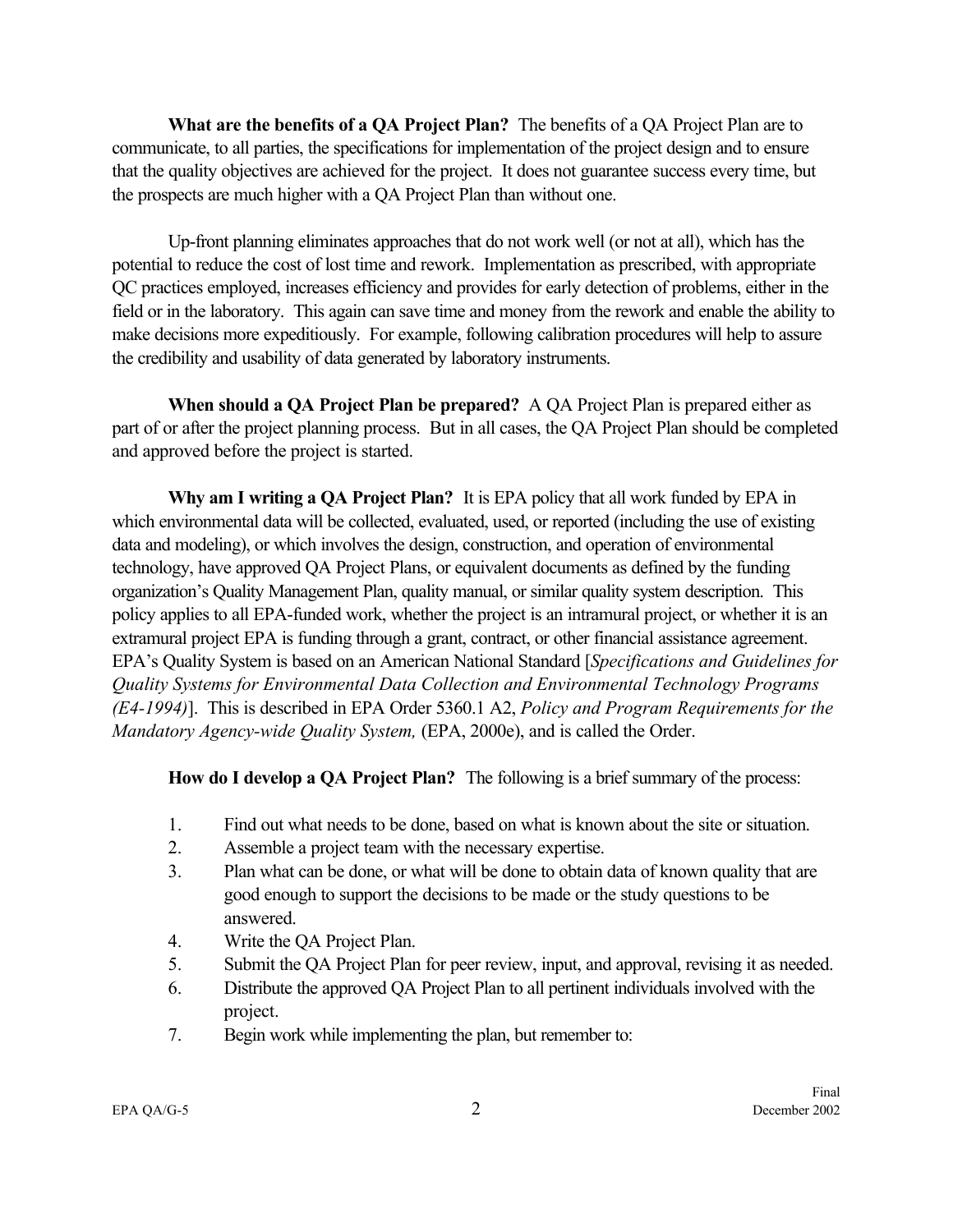**What are the benefits of a QA Project Plan?** The benefits of a QA Project Plan are to communicate, to all parties, the specifications for implementation of the project design and to ensure that the quality objectives are achieved for the project. It does not guarantee success every time, but the prospects are much higher with a QA Project Plan than without one.

Up-front planning eliminates approaches that do not work well (or not at all), which has the potential to reduce the cost of lost time and rework. Implementation as prescribed, with appropriate QC practices employed, increases efficiency and provides for early detection of problems, either in the field or in the laboratory. This again can save time and money from the rework and enable the ability to make decisions more expeditiously. For example, following calibration procedures will help to assure the credibility and usability of data generated by laboratory instruments.

**When should a QA Project Plan be prepared?** A QA Project Plan is prepared either as part of or after the project planning process. But in all cases, the QA Project Plan should be completed and approved before the project is started.

**Why am I writing a QA Project Plan?** It is EPA policy that all work funded by EPA in which environmental data will be collected, evaluated, used, or reported (including the use of existing data and modeling), or which involves the design, construction, and operation of environmental technology, have approved QA Project Plans, or equivalent documents as defined by the funding organization's Quality Management Plan, quality manual, or similar quality system description. This policy applies to all EPA-funded work, whether the project is an intramural project, or whether it is an extramural project EPA is funding through a grant, contract, or other financial assistance agreement. EPA's Quality System is based on an American National Standard [*Specifications and Guidelines for Quality Systems for Environmental Data Collection and Environmental Technology Programs (E4-1994)*]. This is described in EPA Order 5360.1 A2, *Policy and Program Requirements for the Mandatory Agency-wide Quality System,* (EPA, 2000e), and is called the Order.

**How do I develop a QA Project Plan?** The following is a brief summary of the process:

- 1. Find out what needs to be done, based on what is known about the site or situation.
- 2. Assemble a project team with the necessary expertise.
- 3. Plan what can be done, or what will be done to obtain data of known quality that are good enough to support the decisions to be made or the study questions to be answered.
- 4. Write the QA Project Plan.
- 5. Submit the QA Project Plan for peer review, input, and approval, revising it as needed.
- 6. Distribute the approved QA Project Plan to all pertinent individuals involved with the project.
- 7. Begin work while implementing the plan, but remember to: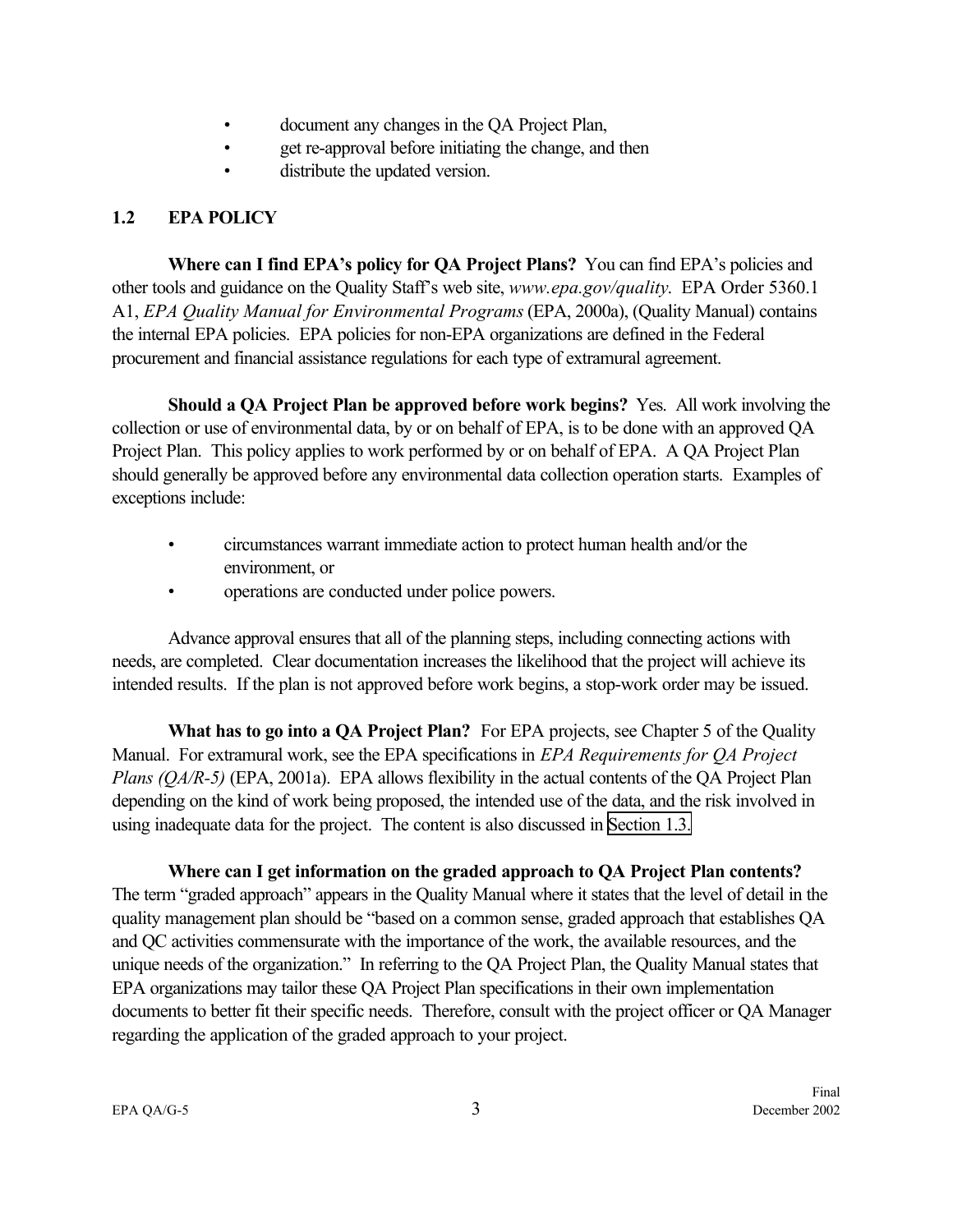- document any changes in the QA Project Plan,
- get re-approval before initiating the change, and then
- distribute the updated version.

# <span id="page-10-0"></span>**1.2 EPA POLICY**

**Where can I find EPA's policy for QA Project Plans?** You can find EPA's policies and other tools and guidance on the Quality Staff's web site, *www.epa.gov/quality*. EPA Order 5360.1 A1, *EPA Quality Manual for Environmental Programs* (EPA, 2000a), (Quality Manual) contains the internal EPA policies. EPA policies for non-EPA organizations are defined in the Federal procurement and financial assistance regulations for each type of extramural agreement.

**Should a QA Project Plan be approved before work begins?** Yes. All work involving the collection or use of environmental data, by or on behalf of EPA, is to be done with an approved QA Project Plan. This policy applies to work performed by or on behalf of EPA. A QA Project Plan should generally be approved before any environmental data collection operation starts. Examples of exceptions include:

- circumstances warrant immediate action to protect human health and/or the environment, or
- operations are conducted under police powers.

Advance approval ensures that all of the planning steps, including connecting actions with needs, are completed. Clear documentation increases the likelihood that the project will achieve its intended results. If the plan is not approved before work begins, a stop-work order may be issued.

**What has to go into a QA Project Plan?** For EPA projects, see Chapter 5 of the Quality Manual. For extramural work, see the EPA specifications in *EPA Requirements for QA Project Plans (QA/R-5)* (EPA, 2001a). EPA allows flexibility in the actual contents of the QA Project Plan depending on the kind of work being proposed, the intended use of the data, and the risk involved in using inadequate data for the project. The content is also discussed in [Section 1.3.](#page-11-0)

**Where can I get information on the graded approach to QA Project Plan contents?**  The term "graded approach" appears in the Quality Manual where it states that the level of detail in the quality management plan should be "based on a common sense, graded approach that establishes QA and QC activities commensurate with the importance of the work, the available resources, and the unique needs of the organization." In referring to the QA Project Plan, the Quality Manual states that EPA organizations may tailor these QA Project Plan specifications in their own implementation documents to better fit their specific needs. Therefore, consult with the project officer or QA Manager regarding the application of the graded approach to your project.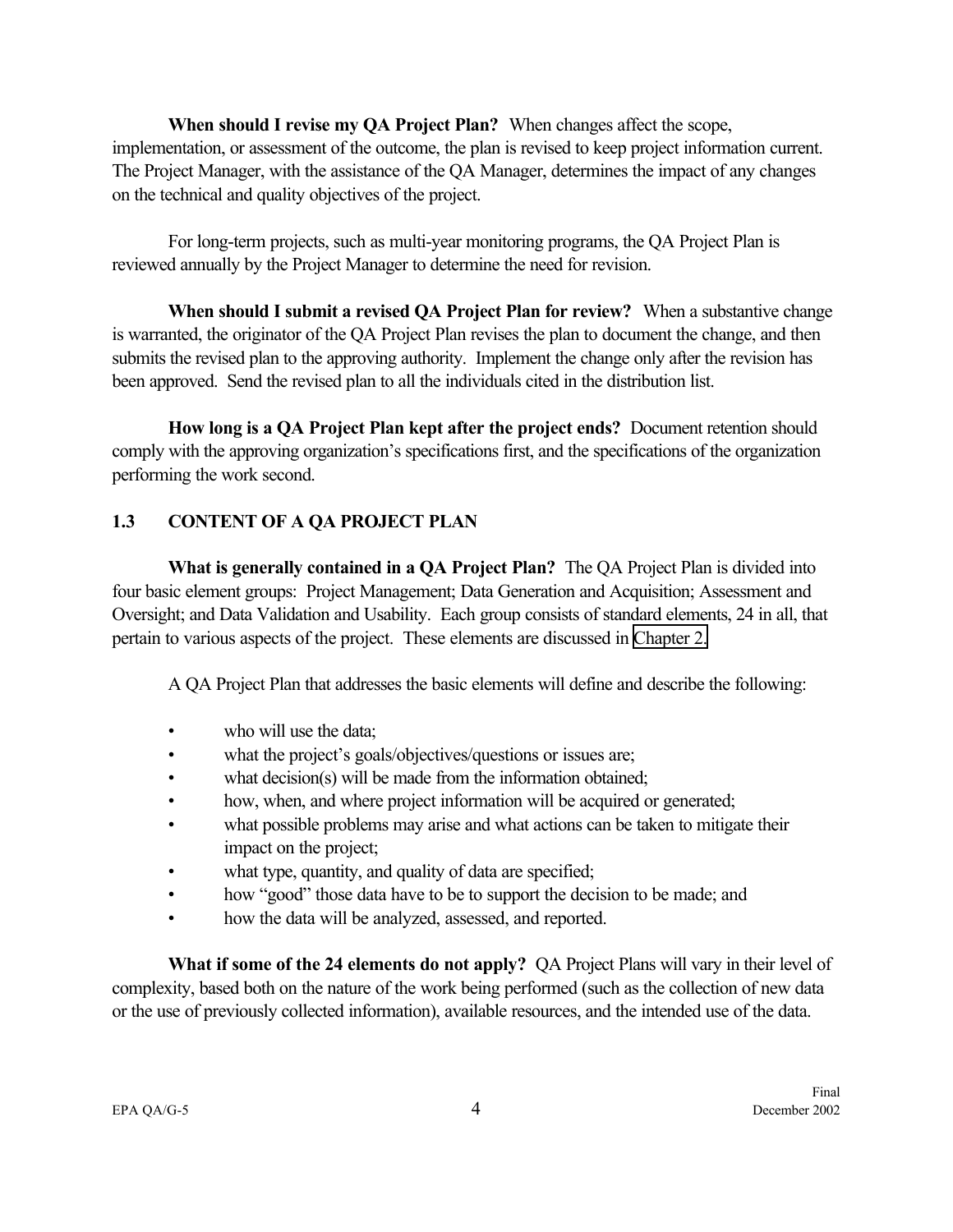<span id="page-11-0"></span>**When should I revise my QA Project Plan?** When changes affect the scope, implementation, or assessment of the outcome, the plan is revised to keep project information current. The Project Manager, with the assistance of the QA Manager, determines the impact of any changes on the technical and quality objectives of the project.

For long-term projects, such as multi-year monitoring programs, the QA Project Plan is reviewed annually by the Project Manager to determine the need for revision.

**When should I submit a revised QA Project Plan for review?** When a substantive change is warranted, the originator of the QA Project Plan revises the plan to document the change, and then submits the revised plan to the approving authority. Implement the change only after the revision has been approved. Send the revised plan to all the individuals cited in the distribution list.

**How long is a QA Project Plan kept after the project ends?** Document retention should comply with the approving organization's specifications first, and the specifications of the organization performing the work second.

## **1.3 CONTENT OF A QA PROJECT PLAN**

**What is generally contained in a QA Project Plan?** The QA Project Plan is divided into four basic element groups: Project Management; Data Generation and Acquisition; Assessment and Oversight; and Data Validation and Usability. Each group consists of standard elements, 24 in all, that pertain to various aspects of the project. These elements are discussed in [Chapter 2.](#page-18-0) 

A QA Project Plan that addresses the basic elements will define and describe the following:

- who will use the data;
- what the project's goals/objectives/questions or issues are;
- what decision(s) will be made from the information obtained;
- how, when, and where project information will be acquired or generated;
- what possible problems may arise and what actions can be taken to mitigate their impact on the project;
- what type, quantity, and quality of data are specified;
- how "good" those data have to be to support the decision to be made; and
- how the data will be analyzed, assessed, and reported.

**What if some of the 24 elements do not apply?** QA Project Plans will vary in their level of complexity, based both on the nature of the work being performed (such as the collection of new data or the use of previously collected information), available resources, and the intended use of the data.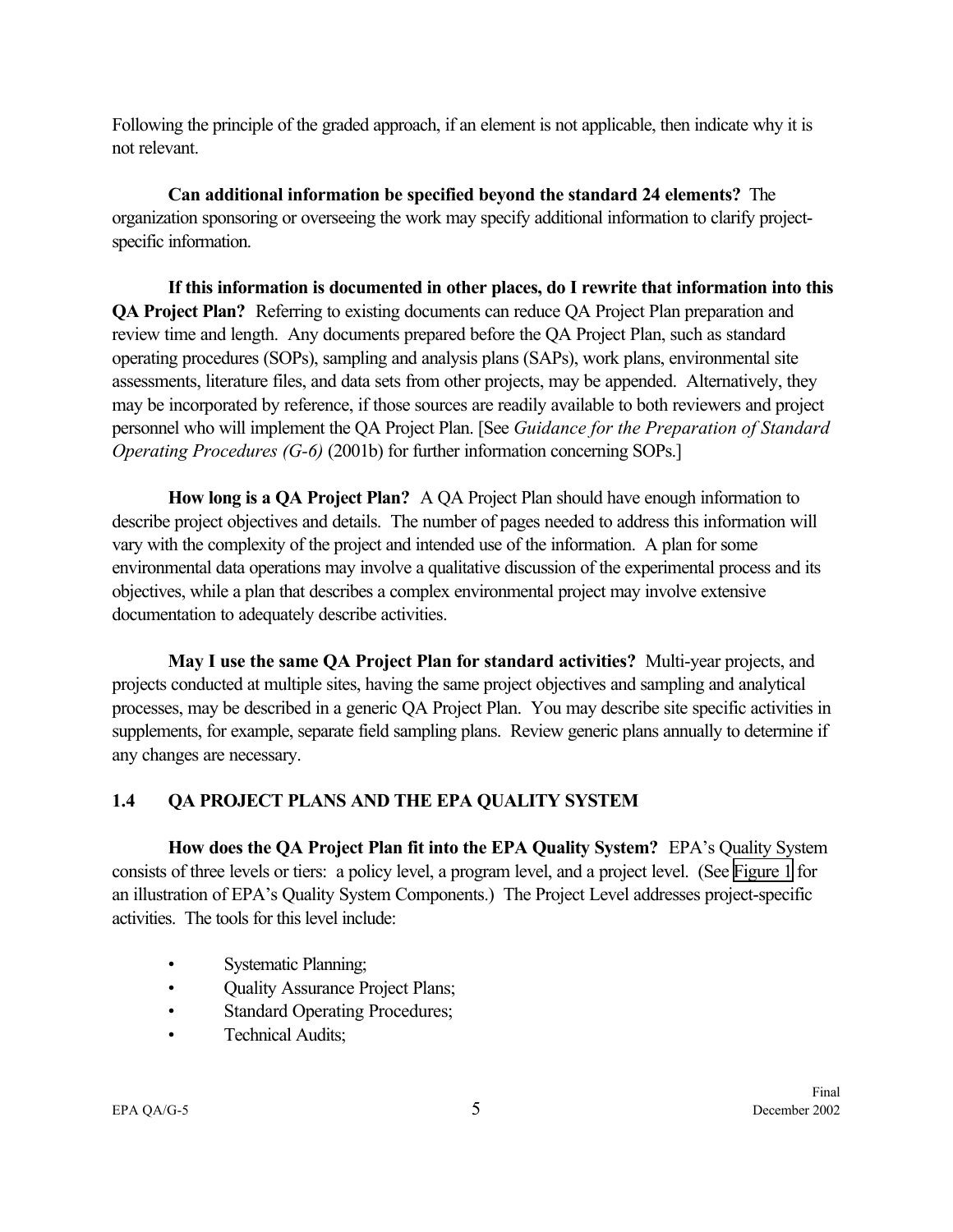<span id="page-12-0"></span>Following the principle of the graded approach, if an element is not applicable, then indicate why it is not relevant.

**Can additional information be specified beyond the standard 24 elements?** The organization sponsoring or overseeing the work may specify additional information to clarify projectspecific information.

**If this information is documented in other places, do I rewrite that information into this QA Project Plan?** Referring to existing documents can reduce QA Project Plan preparation and review time and length. Any documents prepared before the QA Project Plan, such as standard operating procedures (SOPs), sampling and analysis plans (SAPs), work plans, environmental site assessments, literature files, and data sets from other projects, may be appended. Alternatively, they may be incorporated by reference, if those sources are readily available to both reviewers and project personnel who will implement the QA Project Plan. [See *Guidance for the Preparation of Standard Operating Procedures (G-6)* (2001b) for further information concerning SOPs.]

**How long is a QA Project Plan?** A QA Project Plan should have enough information to describe project objectives and details. The number of pages needed to address this information will vary with the complexity of the project and intended use of the information. A plan for some environmental data operations may involve a qualitative discussion of the experimental process and its objectives, while a plan that describes a complex environmental project may involve extensive documentation to adequately describe activities.

**May I use the same QA Project Plan for standard activities?** Multi-year projects, and projects conducted at multiple sites, having the same project objectives and sampling and analytical processes, may be described in a generic QA Project Plan. You may describe site specific activities in supplements, for example, separate field sampling plans. Review generic plans annually to determine if any changes are necessary.

## **1.4 QA PROJECT PLANS AND THE EPA QUALITY SYSTEM**

**How does the QA Project Plan fit into the EPA Quality System?** EPA's Quality System consists of three levels or tiers: a policy level, a program level, and a project level. (See [Figure 1](#page-14-0) for an illustration of EPA's Quality System Components.) The Project Level addresses project-specific activities. The tools for this level include:

- Systematic Planning;
- Quality Assurance Project Plans;
- Standard Operating Procedures;
- Technical Audits;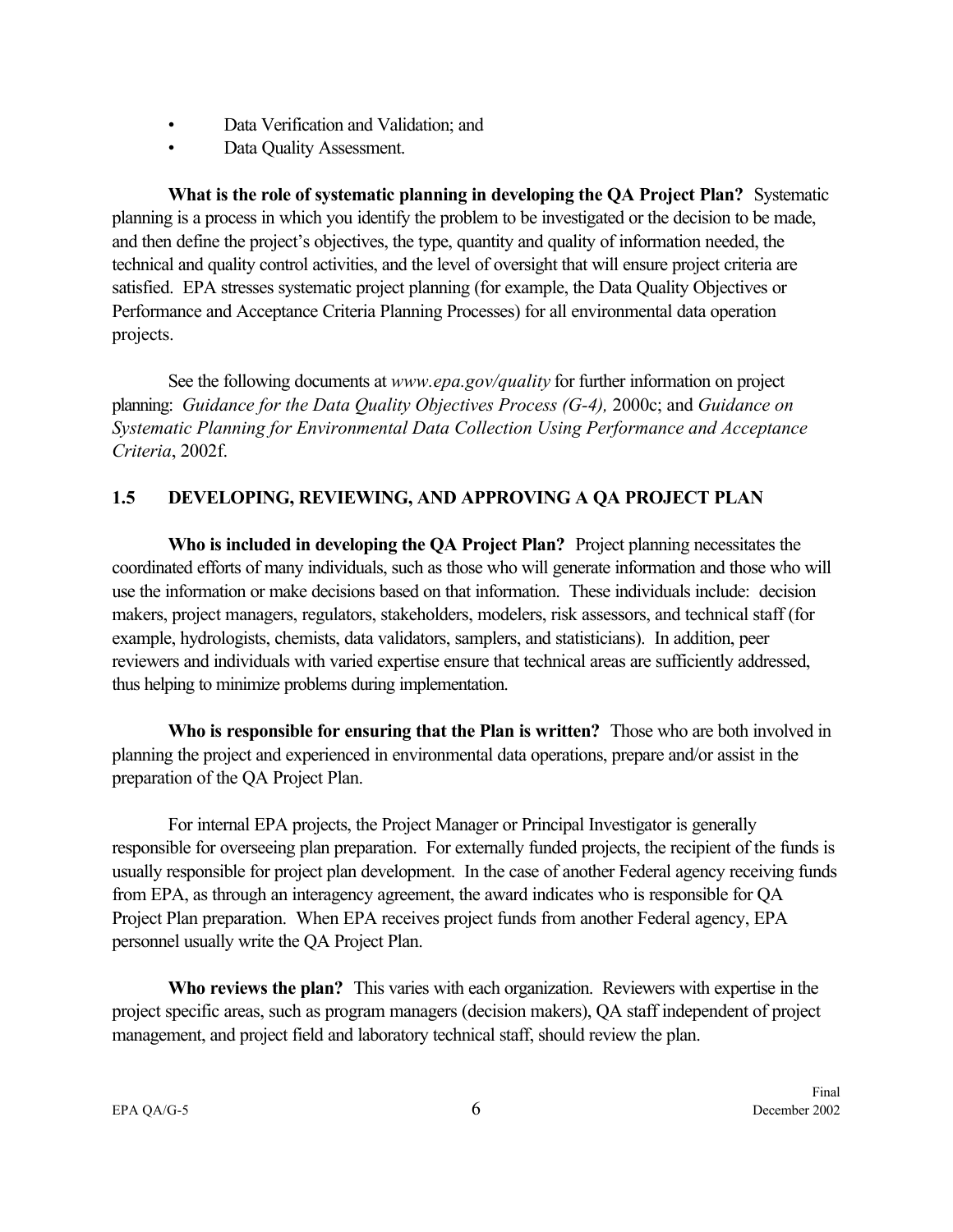- <span id="page-13-0"></span>• Data Verification and Validation; and
- Data Quality Assessment.

**What is the role of systematic planning in developing the QA Project Plan?** Systematic planning is a process in which you identify the problem to be investigated or the decision to be made, and then define the project's objectives, the type, quantity and quality of information needed, the technical and quality control activities, and the level of oversight that will ensure project criteria are satisfied. EPA stresses systematic project planning (for example, the Data Quality Objectives or Performance and Acceptance Criteria Planning Processes) for all environmental data operation projects.

See the following documents at *www.epa.gov/quality* for further information on project planning: *Guidance for the Data Quality Objectives Process (G-4),* 2000c; and *Guidance on Systematic Planning for Environmental Data Collection Using Performance and Acceptance Criteria*, 2002f.

## **1.5 DEVELOPING, REVIEWING, AND APPROVING A QA PROJECT PLAN**

**Who is included in developing the QA Project Plan?** Project planning necessitates the coordinated efforts of many individuals, such as those who will generate information and those who will use the information or make decisions based on that information. These individuals include: decision makers, project managers, regulators, stakeholders, modelers, risk assessors, and technical staff (for example, hydrologists, chemists, data validators, samplers, and statisticians). In addition, peer reviewers and individuals with varied expertise ensure that technical areas are sufficiently addressed, thus helping to minimize problems during implementation.

**Who is responsible for ensuring that the Plan is written?** Those who are both involved in planning the project and experienced in environmental data operations, prepare and/or assist in the preparation of the QA Project Plan.

For internal EPA projects, the Project Manager or Principal Investigator is generally responsible for overseeing plan preparation. For externally funded projects, the recipient of the funds is usually responsible for project plan development. In the case of another Federal agency receiving funds from EPA, as through an interagency agreement, the award indicates who is responsible for QA Project Plan preparation. When EPA receives project funds from another Federal agency, EPA personnel usually write the QA Project Plan.

**Who reviews the plan?** This varies with each organization. Reviewers with expertise in the project specific areas, such as program managers (decision makers), QA staff independent of project management, and project field and laboratory technical staff, should review the plan.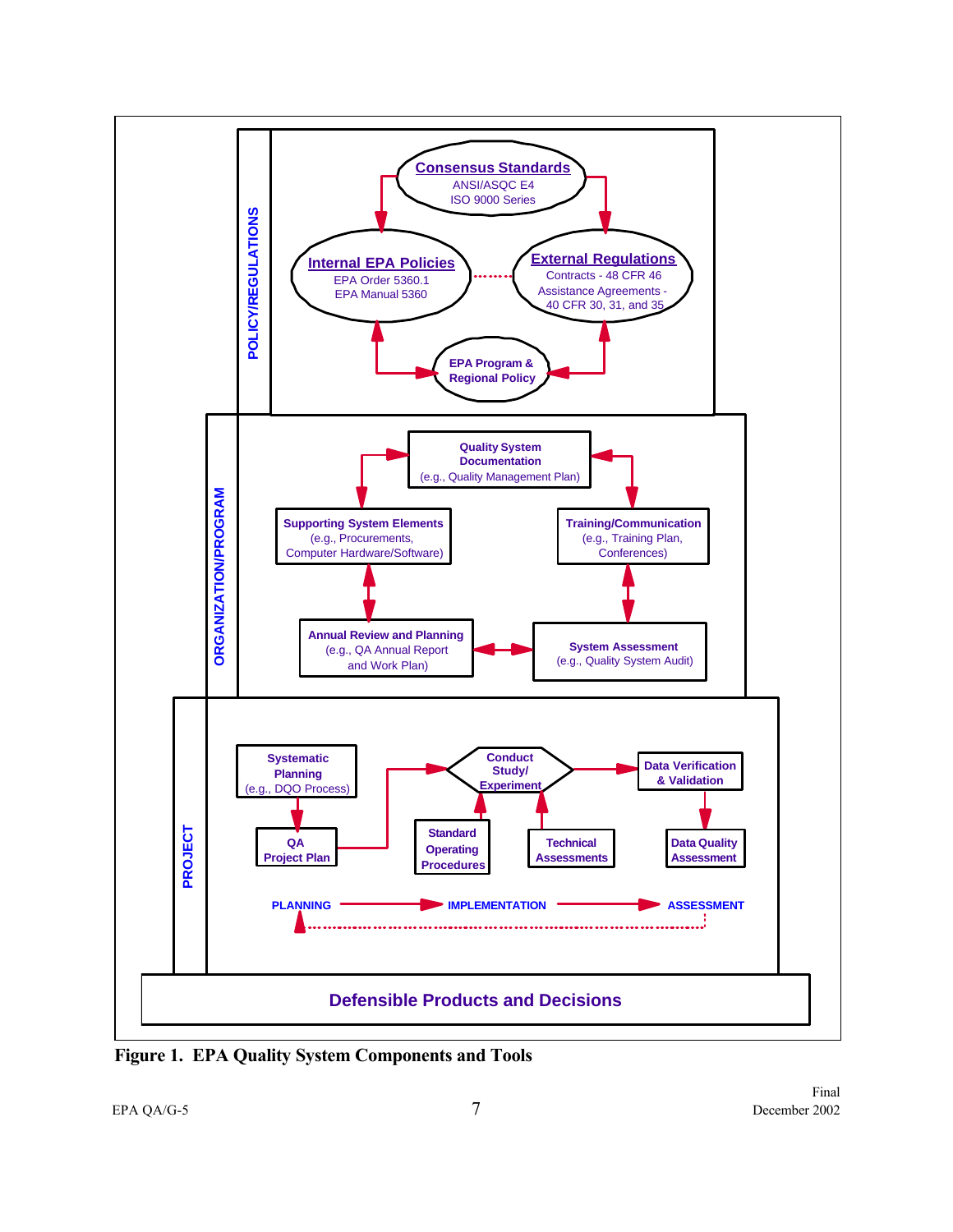<span id="page-14-0"></span>

**Figure 1. EPA Quality System Components and Tools**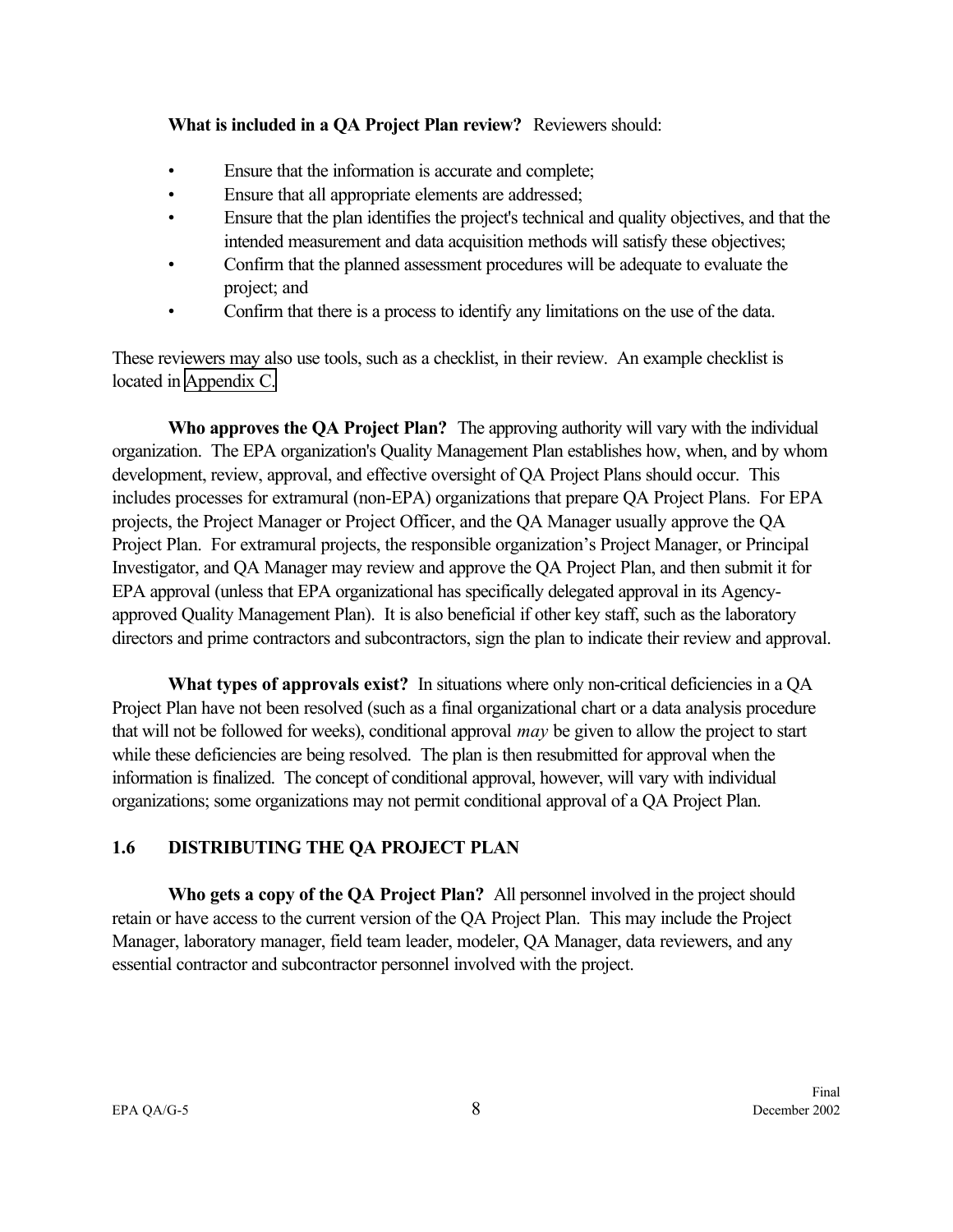#### <span id="page-15-0"></span>**What is included in a QA Project Plan review?** Reviewers should:

- Ensure that the information is accurate and complete;
- Ensure that all appropriate elements are addressed;
- Ensure that the plan identifies the project's technical and quality objectives, and that the intended measurement and data acquisition methods will satisfy these objectives;
- Confirm that the planned assessment procedures will be adequate to evaluate the project; and
- Confirm that there is a process to identify any limitations on the use of the data.

These reviewers may also use tools, such as a checklist, in their review. An example checklist is located in [Appendix C.](#page-76-0)

**Who approves the QA Project Plan?** The approving authority will vary with the individual organization. The EPA organization's Quality Management Plan establishes how, when, and by whom development, review, approval, and effective oversight of QA Project Plans should occur. This includes processes for extramural (non-EPA) organizations that prepare QA Project Plans. For EPA projects, the Project Manager or Project Officer, and the QA Manager usually approve the QA Project Plan. For extramural projects, the responsible organization's Project Manager, or Principal Investigator, and QA Manager may review and approve the QA Project Plan, and then submit it for EPA approval (unless that EPA organizational has specifically delegated approval in its Agencyapproved Quality Management Plan). It is also beneficial if other key staff, such as the laboratory directors and prime contractors and subcontractors, sign the plan to indicate their review and approval.

What types of approvals exist? In situations where only non-critical deficiencies in a QA Project Plan have not been resolved (such as a final organizational chart or a data analysis procedure that will not be followed for weeks), conditional approval *may* be given to allow the project to start while these deficiencies are being resolved. The plan is then resubmitted for approval when the information is finalized. The concept of conditional approval, however, will vary with individual organizations; some organizations may not permit conditional approval of a QA Project Plan.

# **1.6 DISTRIBUTING THE QA PROJECT PLAN**

**Who gets a copy of the QA Project Plan?** All personnel involved in the project should retain or have access to the current version of the QA Project Plan. This may include the Project Manager, laboratory manager, field team leader, modeler, QA Manager, data reviewers, and any essential contractor and subcontractor personnel involved with the project.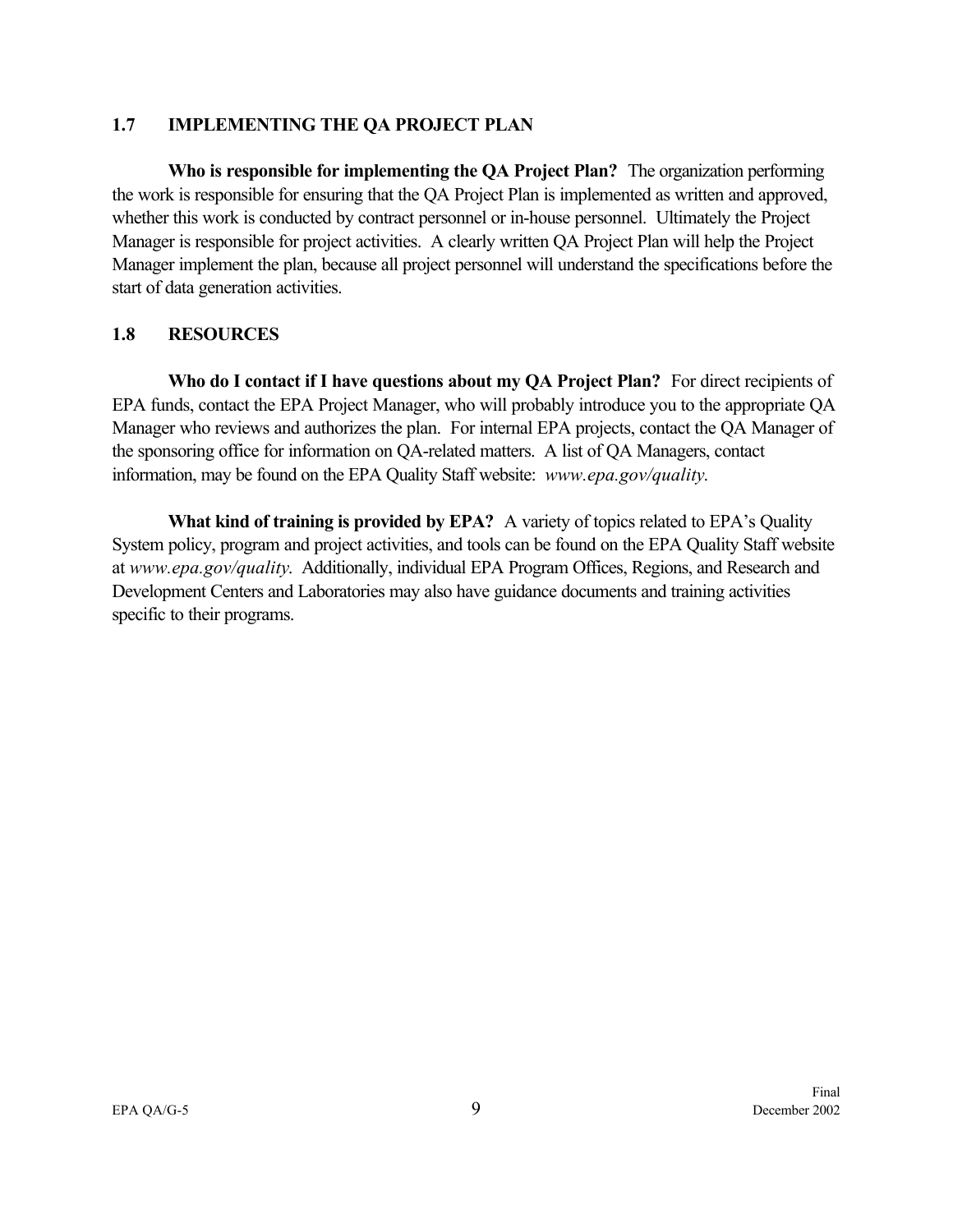#### <span id="page-16-0"></span>**1.7 IMPLEMENTING THE QA PROJECT PLAN**

**Who is responsible for implementing the QA Project Plan?** The organization performing the work is responsible for ensuring that the QA Project Plan is implemented as written and approved, whether this work is conducted by contract personnel or in-house personnel. Ultimately the Project Manager is responsible for project activities. A clearly written QA Project Plan will help the Project Manager implement the plan, because all project personnel will understand the specifications before the start of data generation activities.

#### **1.8 RESOURCES**

**Who do I contact if I have questions about my QA Project Plan?** For direct recipients of EPA funds, contact the EPA Project Manager, who will probably introduce you to the appropriate QA Manager who reviews and authorizes the plan. For internal EPA projects, contact the QA Manager of the sponsoring office for information on QA-related matters. A list of QA Managers, contact information, may be found on the EPA Quality Staff website: *www.epa.gov/quality*.

**What kind of training is provided by EPA?** A variety of topics related to EPA's Quality System policy, program and project activities, and tools can be found on the EPA Quality Staff website at *www.epa.gov/quality*. Additionally, individual EPA Program Offices, Regions, and Research and Development Centers and Laboratories may also have guidance documents and training activities specific to their programs.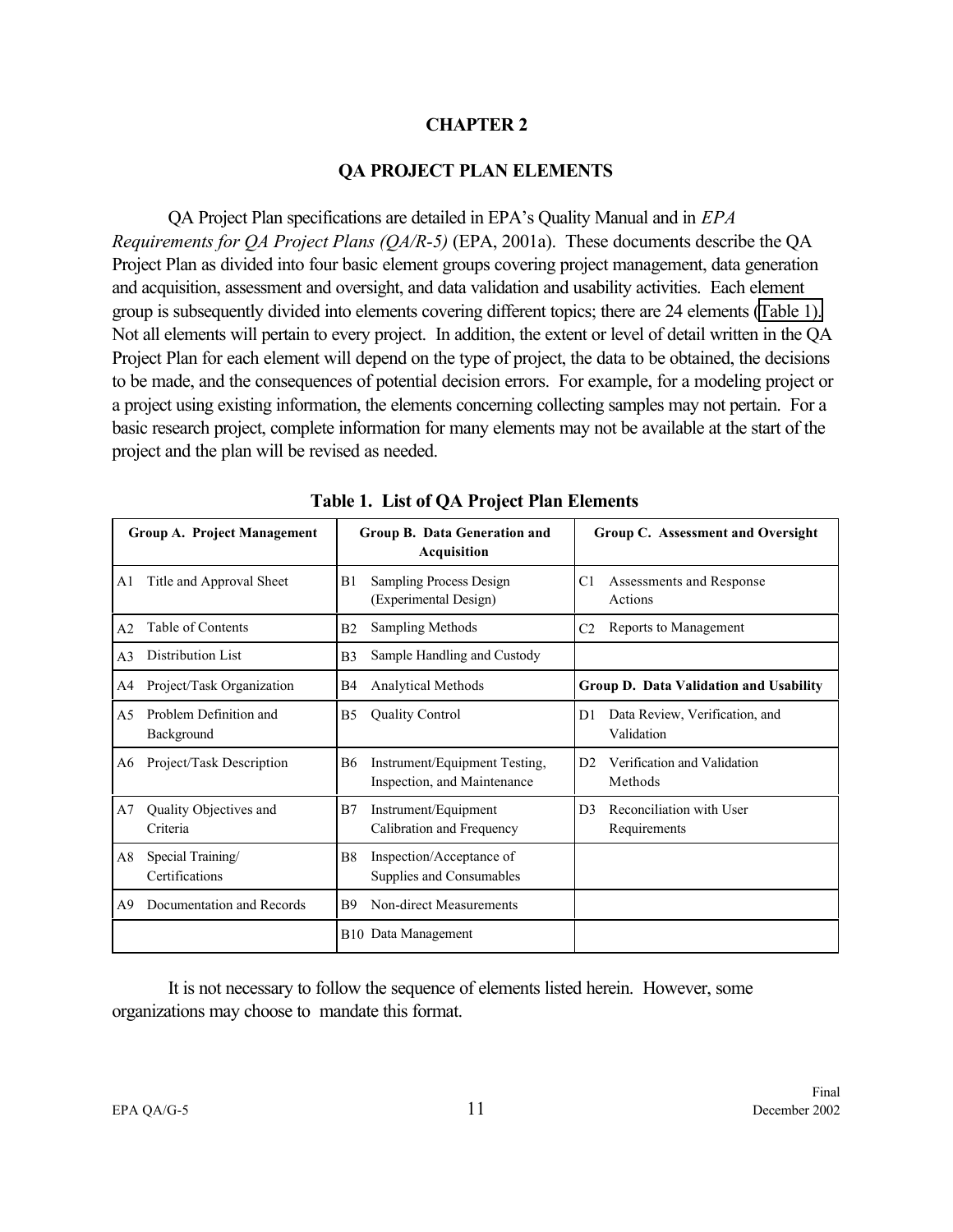#### **CHAPTER 2**

#### **QA PROJECT PLAN ELEMENTS**

<span id="page-18-0"></span>QA Project Plan specifications are detailed in EPA's Quality Manual and in *EPA Requirements for QA Project Plans (QA/R-5)* (EPA, 2001a). These documents describe the QA Project Plan as divided into four basic element groups covering project management, data generation and acquisition, assessment and oversight, and data validation and usability activities. Each element group is subsequently divided into elements covering different topics; there are 24 elements (Table 1). Not all elements will pertain to every project. In addition, the extent or level of detail written in the QA Project Plan for each element will depend on the type of project, the data to be obtained, the decisions to be made, and the consequences of potential decision errors. For example, for a modeling project or a project using existing information, the elements concerning collecting samples may not pertain. For a basic research project, complete information for many elements may not be available at the start of the project and the plan will be revised as needed.

|                | Group A. Project Management          |                | Group B. Data Generation and<br>Acquisition                  |                | Group C. Assessment and Oversight            |
|----------------|--------------------------------------|----------------|--------------------------------------------------------------|----------------|----------------------------------------------|
| A <sub>1</sub> | Title and Approval Sheet             | B1             | Sampling Process Design<br>(Experimental Design)             | C1             | Assessments and Response<br>Actions          |
| A <sub>2</sub> | Table of Contents                    | B2             | <b>Sampling Methods</b>                                      | C <sub>2</sub> | Reports to Management                        |
| A <sub>3</sub> | Distribution List                    | B <sub>3</sub> | Sample Handling and Custody                                  |                |                                              |
| A4             | Project/Task Organization            | B4             | Analytical Methods                                           |                | Group D. Data Validation and Usability       |
| A <sub>5</sub> | Problem Definition and<br>Background | B5             | <b>Quality Control</b>                                       | D <sub>1</sub> | Data Review, Verification, and<br>Validation |
| A6             | Project/Task Description             | <b>B6</b>      | Instrument/Equipment Testing,<br>Inspection, and Maintenance | D <sub>2</sub> | Verification and Validation<br>Methods       |
| A7             | Quality Objectives and<br>Criteria   | B7             | Instrument/Equipment<br>Calibration and Frequency            | D <sub>3</sub> | Reconciliation with User<br>Requirements     |
| A8             | Special Training/<br>Certifications  | B <sub>8</sub> | Inspection/Acceptance of<br>Supplies and Consumables         |                |                                              |
| A9             | Documentation and Records            | B9             | Non-direct Measurements                                      |                |                                              |
|                |                                      |                | B <sub>10</sub> Data Management                              |                |                                              |

**Table 1. List of QA Project Plan Elements**

It is not necessary to follow the sequence of elements listed herein. However, some organizations may choose to mandate this format.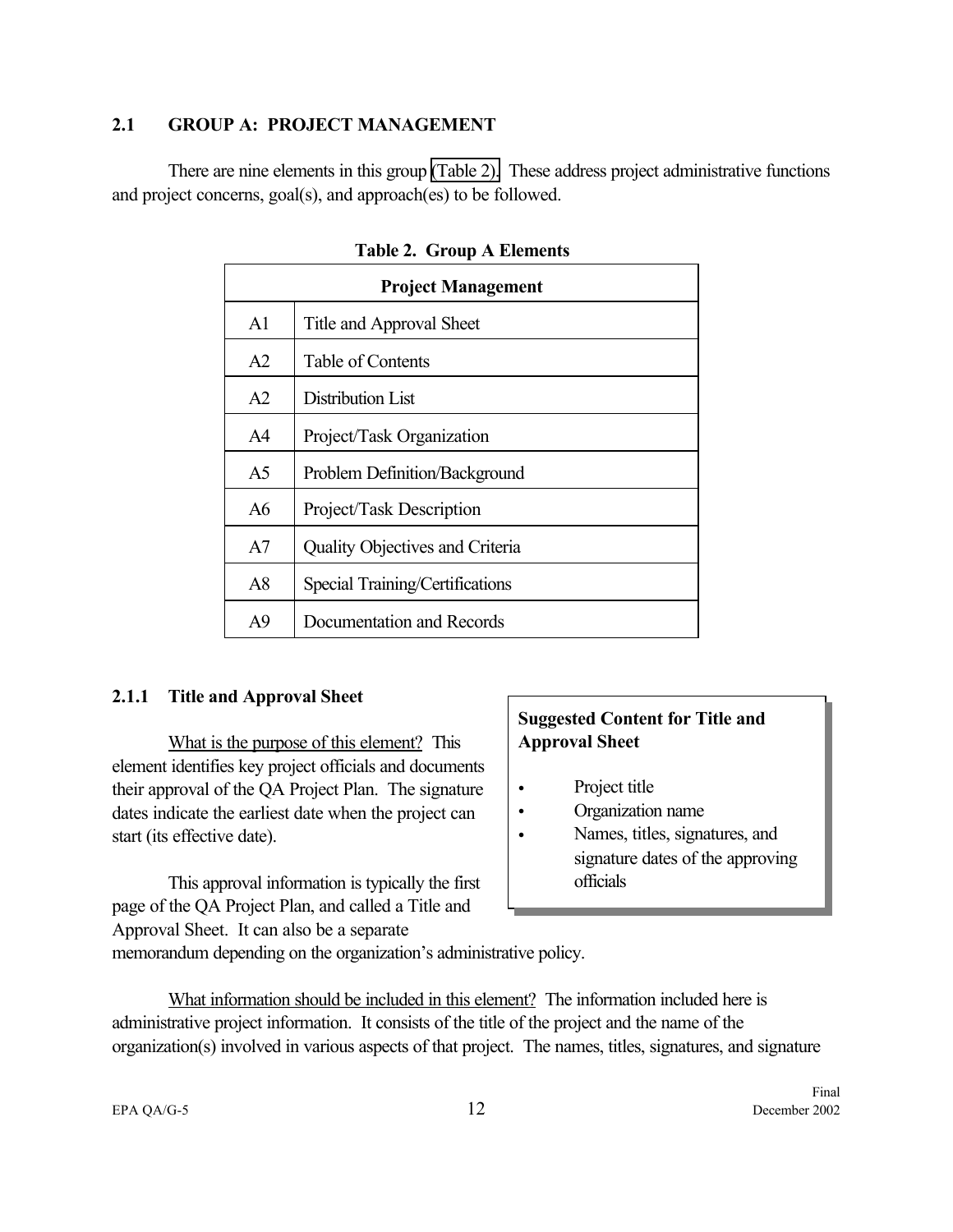#### <span id="page-19-0"></span>**2.1 GROUP A: PROJECT MANAGEMENT**

There are nine elements in this group (Table 2). These address project administrative functions and project concerns, goal(s), and approach(es) to be followed.

| <b>Project Management</b> |                                        |  |
|---------------------------|----------------------------------------|--|
| A <sup>1</sup>            | Title and Approval Sheet               |  |
| A2                        | Table of Contents                      |  |
| A <sub>2</sub>            | Distribution List                      |  |
| A4                        | Project/Task Organization              |  |
| A <sub>5</sub>            | Problem Definition/Background          |  |
| A6                        | Project/Task Description               |  |
| A7                        | <b>Quality Objectives and Criteria</b> |  |
| A8                        | Special Training/Certifications        |  |
| A9                        | Documentation and Records              |  |

#### **Table 2. Group A Elements**

#### **2.1.1 Title and Approval Sheet**

What is the purpose of this element? This element identifies key project officials and documents their approval of the QA Project Plan. The signature dates indicate the earliest date when the project can start (its effective date).

This approval information is typically the first page of the QA Project Plan, and called a Title and Approval Sheet. It can also be a separate

## **Suggested Content for Title and Approval Sheet**

- Project title
- Organization name
- Names, titles, signatures, and signature dates of the approving officials

memorandum depending on the organization's administrative policy.

What information should be included in this element? The information included here is administrative project information. It consists of the title of the project and the name of the organization(s) involved in various aspects of that project. The names, titles, signatures, and signature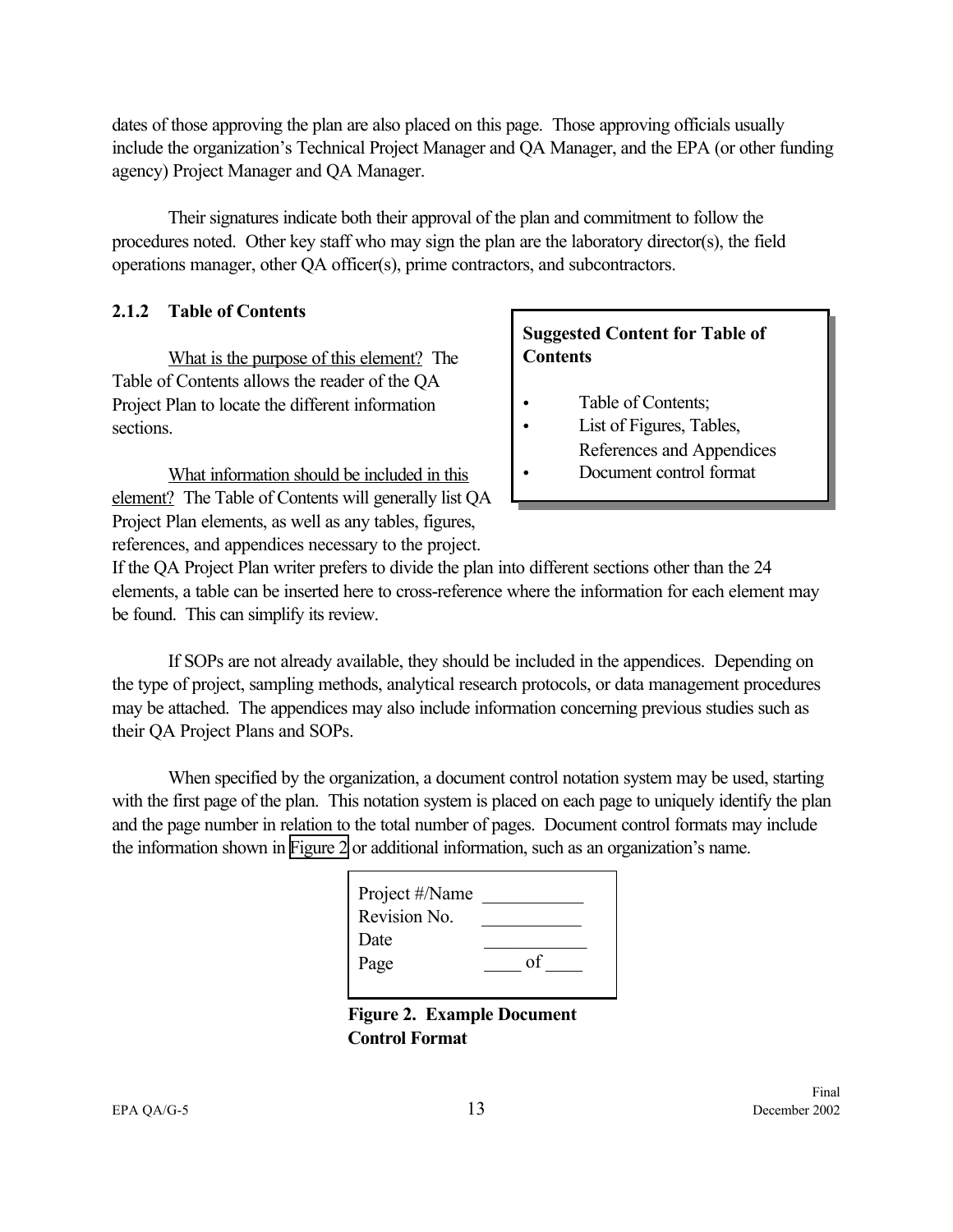<span id="page-20-0"></span>dates of those approving the plan are also placed on this page. Those approving officials usually include the organization's Technical Project Manager and QA Manager, and the EPA (or other funding agency) Project Manager and QA Manager.

Their signatures indicate both their approval of the plan and commitment to follow the procedures noted. Other key staff who may sign the plan are the laboratory director(s), the field operations manager, other QA officer(s), prime contractors, and subcontractors.

## **2.1.2 Table of Contents**

What is the purpose of this element? The Table of Contents allows the reader of the QA Project Plan to locate the different information sections.

What information should be included in this element? The Table of Contents will generally list QA Project Plan elements, as well as any tables, figures, references, and appendices necessary to the project.

# **Suggested Content for Table of Contents**

- Table of Contents;
- List of Figures, Tables, References and Appendices
- Document control format

If the QA Project Plan writer prefers to divide the plan into different sections other than the 24 elements, a table can be inserted here to cross-reference where the information for each element may be found. This can simplify its review.

If SOPs are not already available, they should be included in the appendices. Depending on the type of project, sampling methods, analytical research protocols, or data management procedures may be attached. The appendices may also include information concerning previous studies such as their QA Project Plans and SOPs.

When specified by the organization, a document control notation system may be used, starting with the first page of the plan. This notation system is placed on each page to uniquely identify the plan and the page number in relation to the total number of pages. Document control formats may include the information shown in Figure 2 or additional information, such as an organization's name.

| Project #/Name |    |
|----------------|----|
| Revision No.   |    |
| Date           |    |
| Page           | Ωt |
|                |    |

**Figure 2. Example Document Control Format**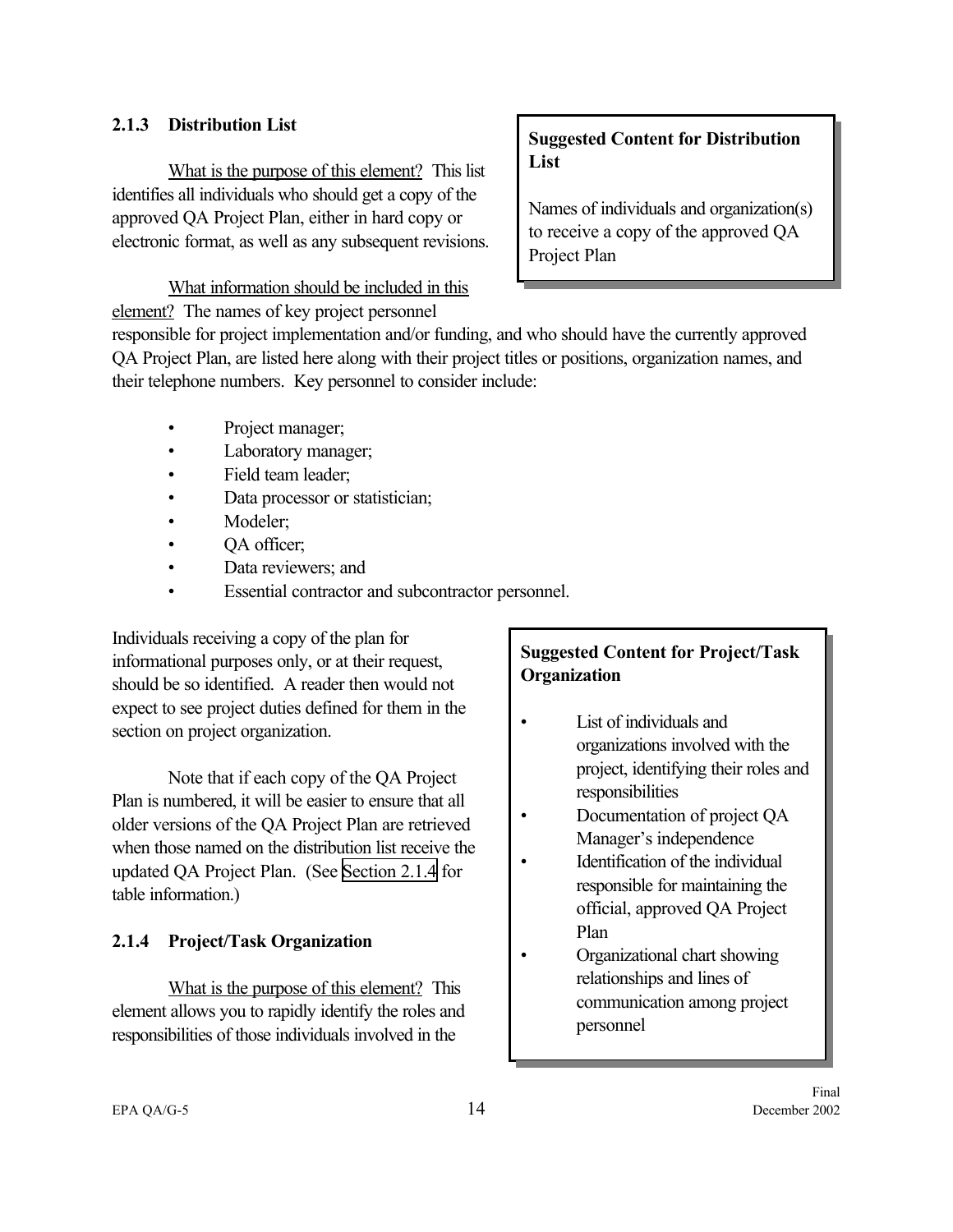#### <span id="page-21-0"></span>**2.1.3 Distribution List**

What is the purpose of this element? This list identifies all individuals who should get a copy of the approved QA Project Plan, either in hard copy or electronic format, as well as any subsequent revisions.

What information should be included in this element? The names of key project personnel

# **Suggested Content for Distribution List**

Names of individuals and organization(s) to receive a copy of the approved QA Project Plan

responsible for project implementation and/or funding, and who should have the currently approved QA Project Plan, are listed here along with their project titles or positions, organization names, and their telephone numbers. Key personnel to consider include:

- Project manager;
- Laboratory manager;
- Field team leader;
- Data processor or statistician;
- Modeler;
- QA officer;
- Data reviewers; and
- Essential contractor and subcontractor personnel.

Individuals receiving a copy of the plan for informational purposes only, or at their request, should be so identified. A reader then would not expect to see project duties defined for them in the section on project organization.

Note that if each copy of the QA Project Plan is numbered, it will be easier to ensure that all older versions of the QA Project Plan are retrieved when those named on the distribution list receive the updated QA Project Plan. (See Section 2.1.4 for table information.)

## **2.1.4 Project/Task Organization**

What is the purpose of this element? This element allows you to rapidly identify the roles and responsibilities of those individuals involved in the

# **Suggested Content for Project/Task Organization**

- List of individuals and organizations involved with the project, identifying their roles and responsibilities
- Documentation of project QA Manager's independence
	- Identification of the individual responsible for maintaining the official, approved QA Project Plan
- Organizational chart showing relationships and lines of communication among project personnel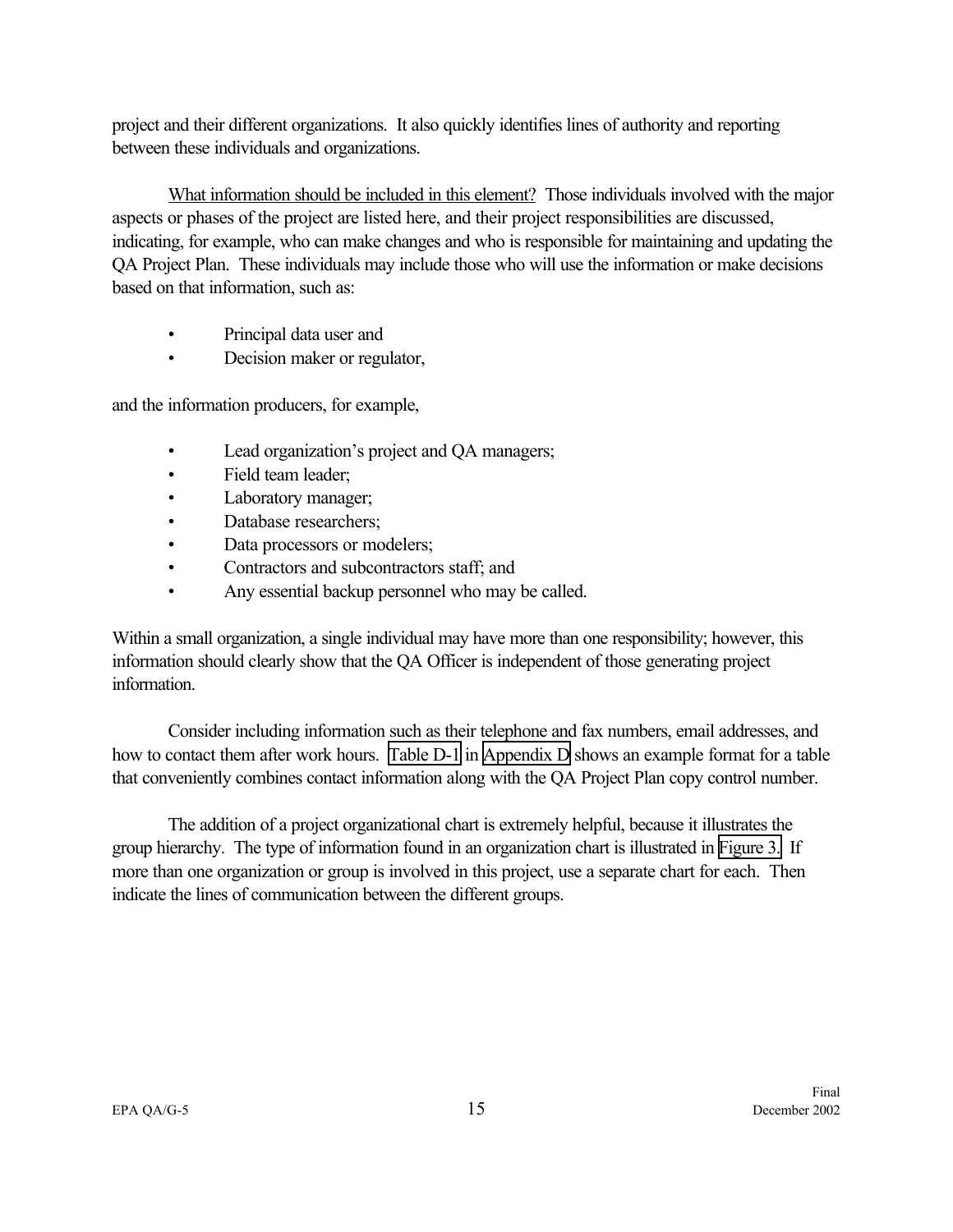project and their different organizations. It also quickly identifies lines of authority and reporting between these individuals and organizations.

What information should be included in this element? Those individuals involved with the major aspects or phases of the project are listed here, and their project responsibilities are discussed, indicating, for example, who can make changes and who is responsible for maintaining and updating the QA Project Plan. These individuals may include those who will use the information or make decisions based on that information, such as:

- Principal data user and
- Decision maker or regulator,

and the information producers, for example,

- Lead organization's project and QA managers;
- Field team leader;
- Laboratory manager;
- Database researchers;
- Data processors or modelers;
- Contractors and subcontractors staff; and
- Any essential backup personnel who may be called.

Within a small organization, a single individual may have more than one responsibility; however, this information should clearly show that the QA Officer is independent of those generating project information.

Consider including information such as their telephone and fax numbers, email addresses, and how to contact them after work hours. [Table D-1](#page-93-0) in [Appendix D](#page-92-0) shows an example format for a table that conveniently combines contact information along with the QA Project Plan copy control number.

The addition of a project organizational chart is extremely helpful, because it illustrates the group hierarchy. The type of information found in an organization chart is illustrated in [Figure 3.](#page-23-0) If more than one organization or group is involved in this project, use a separate chart for each. Then indicate the lines of communication between the different groups.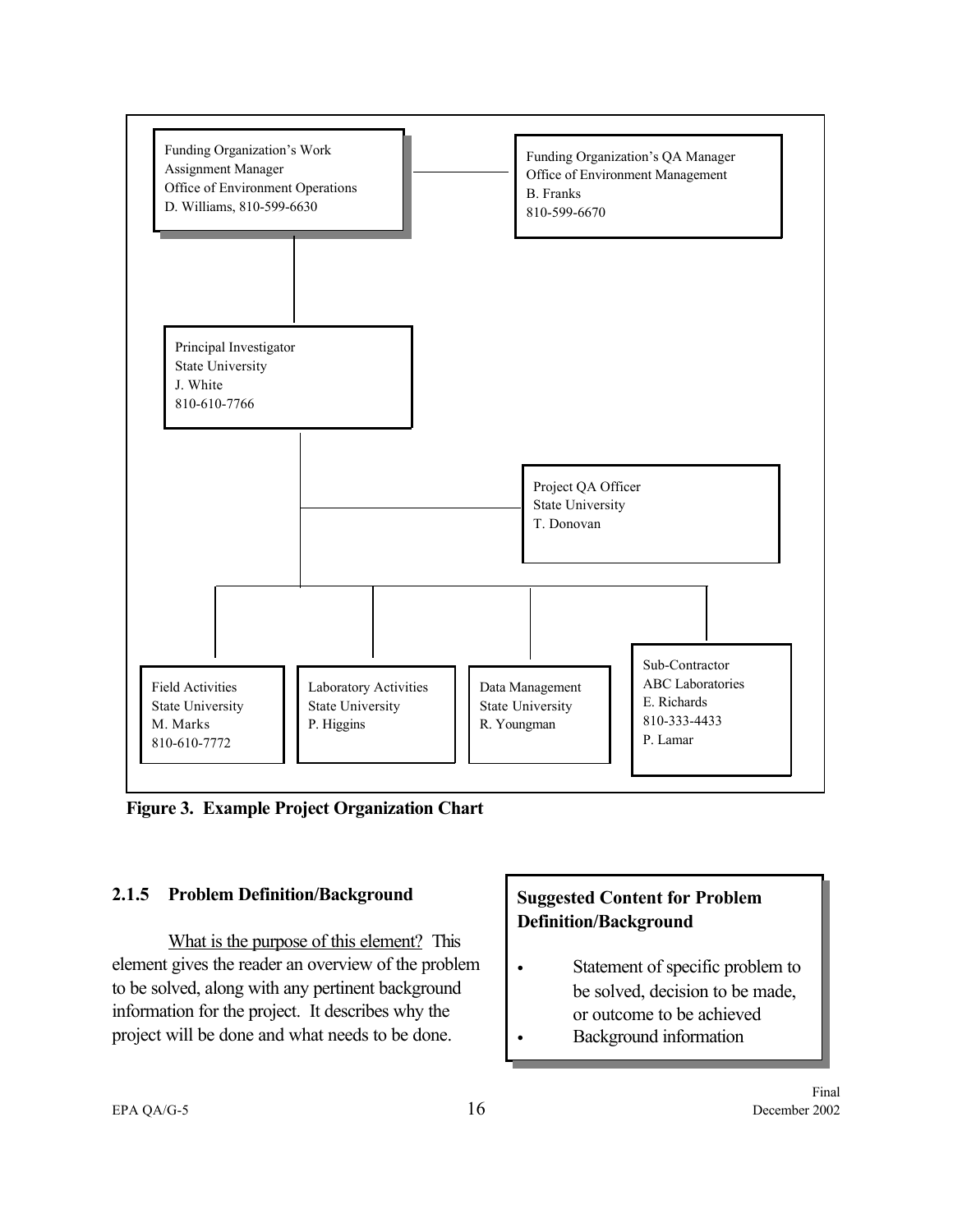<span id="page-23-0"></span>

**Figure 3. Example Project Organization Chart**

## **2.1.5 Problem Definition/Background**

What is the purpose of this element? This element gives the reader an overview of the problem to be solved, along with any pertinent background information for the project. It describes why the project will be done and what needs to be done.

# **Suggested Content for Problem Definition/Background**

- Statement of specific problem to be solved, decision to be made, or outcome to be achieved
- Background information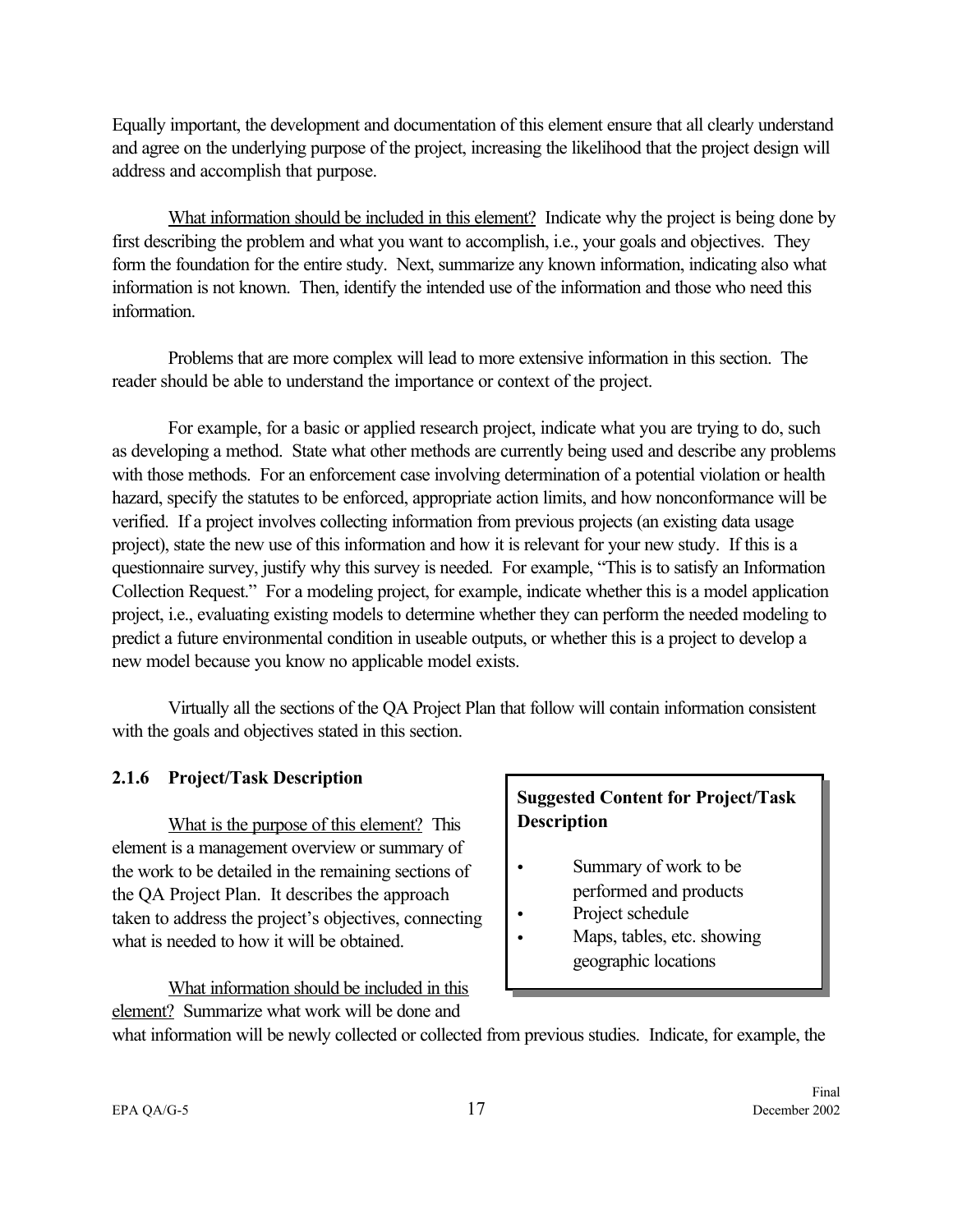<span id="page-24-0"></span>Equally important, the development and documentation of this element ensure that all clearly understand and agree on the underlying purpose of the project, increasing the likelihood that the project design will address and accomplish that purpose.

What information should be included in this element? Indicate why the project is being done by first describing the problem and what you want to accomplish, i.e., your goals and objectives. They form the foundation for the entire study. Next, summarize any known information, indicating also what information is not known. Then, identify the intended use of the information and those who need this information.

Problems that are more complex will lead to more extensive information in this section. The reader should be able to understand the importance or context of the project.

For example, for a basic or applied research project, indicate what you are trying to do, such as developing a method. State what other methods are currently being used and describe any problems with those methods. For an enforcement case involving determination of a potential violation or health hazard, specify the statutes to be enforced, appropriate action limits, and how nonconformance will be verified. If a project involves collecting information from previous projects (an existing data usage project), state the new use of this information and how it is relevant for your new study. If this is a questionnaire survey, justify why this survey is needed. For example, "This is to satisfy an Information Collection Request." For a modeling project, for example, indicate whether this is a model application project, i.e., evaluating existing models to determine whether they can perform the needed modeling to predict a future environmental condition in useable outputs, or whether this is a project to develop a new model because you know no applicable model exists.

Virtually all the sections of the QA Project Plan that follow will contain information consistent with the goals and objectives stated in this section.

#### **2.1.6 Project/Task Description**

What is the purpose of this element? This element is a management overview or summary of the work to be detailed in the remaining sections of the QA Project Plan. It describes the approach taken to address the project's objectives, connecting what is needed to how it will be obtained.

What information should be included in this element? Summarize what work will be done and

# **Suggested Content for Project/Task Description**

- Summary of work to be performed and products
	- Project schedule
- Maps, tables, etc. showing geographic locations

what information will be newly collected or collected from previous studies. Indicate, for example, the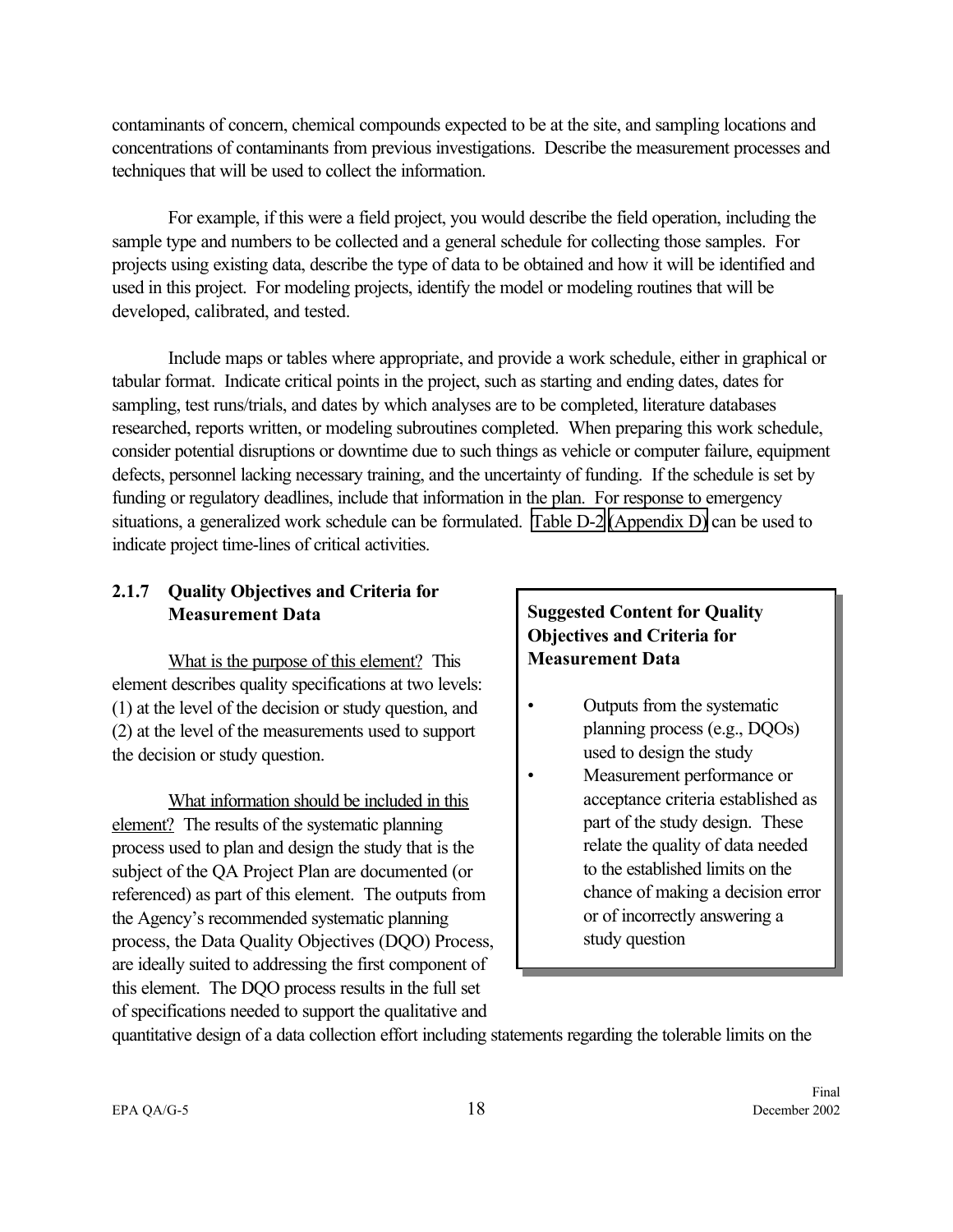<span id="page-25-0"></span>contaminants of concern, chemical compounds expected to be at the site, and sampling locations and concentrations of contaminants from previous investigations. Describe the measurement processes and techniques that will be used to collect the information.

For example, if this were a field project, you would describe the field operation, including the sample type and numbers to be collected and a general schedule for collecting those samples. For projects using existing data, describe the type of data to be obtained and how it will be identified and used in this project. For modeling projects, identify the model or modeling routines that will be developed, calibrated, and tested.

Include maps or tables where appropriate, and provide a work schedule, either in graphical or tabular format. Indicate critical points in the project, such as starting and ending dates, dates for sampling, test runs/trials, and dates by which analyses are to be completed, literature databases researched, reports written, or modeling subroutines completed. When preparing this work schedule, consider potential disruptions or downtime due to such things as vehicle or computer failure, equipment defects, personnel lacking necessary training, and the uncertainty of funding. If the schedule is set by funding or regulatory deadlines, include that information in the plan. For response to emergency situations, a generalized work schedule can be formulated. [Table D-2](#page-94-0) [\(Appendix D\)](#page-92-0) can be used to indicate project time-lines of critical activities.

# **2.1.7 Quality Objectives and Criteria for Measurement Data**

What is the purpose of this element? This element describes quality specifications at two levels: (1) at the level of the decision or study question, and (2) at the level of the measurements used to support the decision or study question.

What information should be included in this element? The results of the systematic planning process used to plan and design the study that is the subject of the QA Project Plan are documented (or referenced) as part of this element. The outputs from the Agency's recommended systematic planning process, the Data Quality Objectives (DQO) Process, are ideally suited to addressing the first component of this element. The DQO process results in the full set of specifications needed to support the qualitative and

## **Suggested Content for Quality Objectives and Criteria for Measurement Data**

- Outputs from the systematic planning process (e.g., DQOs) used to design the study
- Measurement performance or acceptance criteria established as part of the study design. These relate the quality of data needed to the established limits on the chance of making a decision error or of incorrectly answering a study question

quantitative design of a data collection effort including statements regarding the tolerable limits on the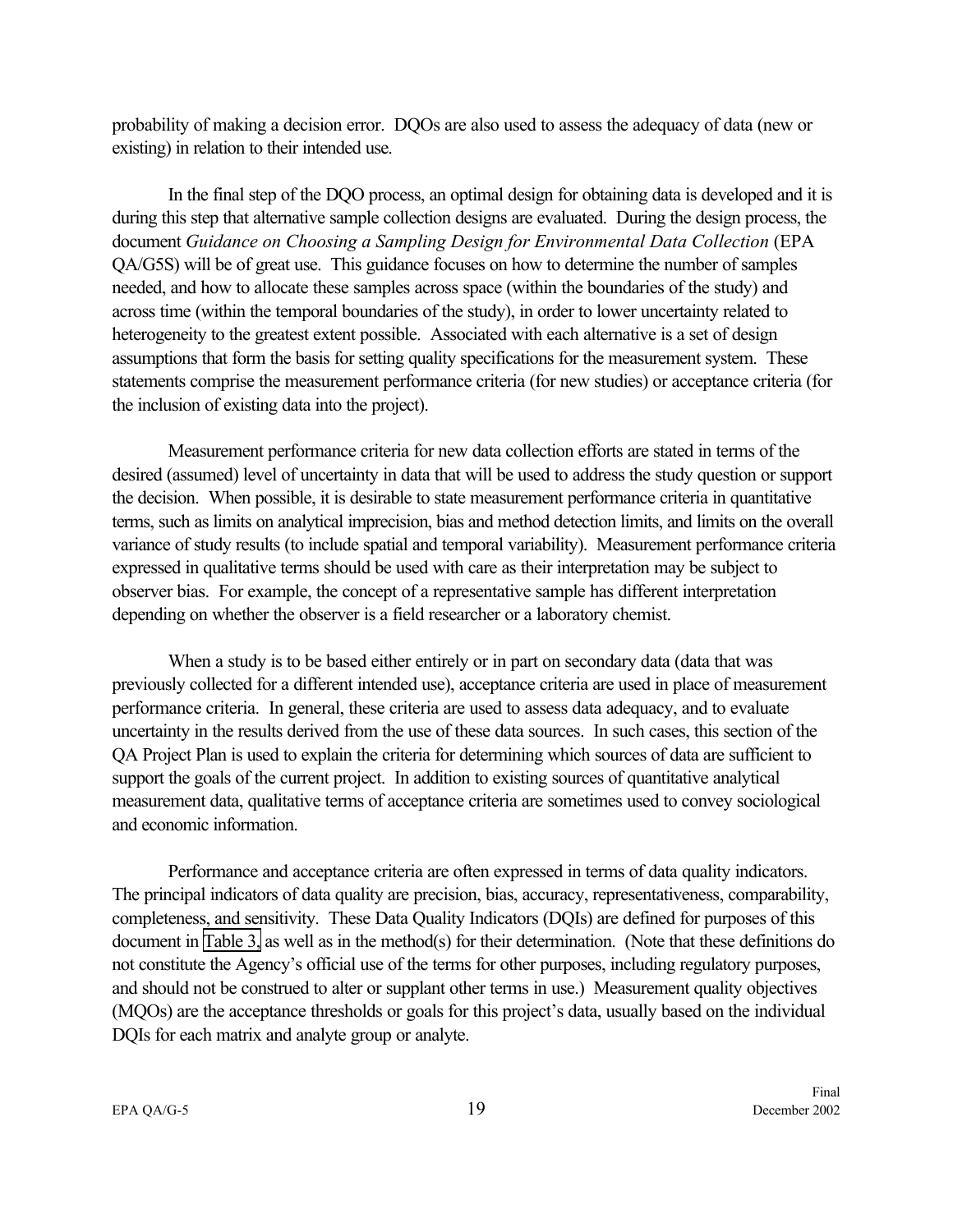probability of making a decision error. DQOs are also used to assess the adequacy of data (new or existing) in relation to their intended use.

In the final step of the DQO process, an optimal design for obtaining data is developed and it is during this step that alternative sample collection designs are evaluated. During the design process, the document *Guidance on Choosing a Sampling Design for Environmental Data Collection* (EPA QA/G5S) will be of great use. This guidance focuses on how to determine the number of samples needed, and how to allocate these samples across space (within the boundaries of the study) and across time (within the temporal boundaries of the study), in order to lower uncertainty related to heterogeneity to the greatest extent possible. Associated with each alternative is a set of design assumptions that form the basis for setting quality specifications for the measurement system. These statements comprise the measurement performance criteria (for new studies) or acceptance criteria (for the inclusion of existing data into the project).

Measurement performance criteria for new data collection efforts are stated in terms of the desired (assumed) level of uncertainty in data that will be used to address the study question or support the decision. When possible, it is desirable to state measurement performance criteria in quantitative terms, such as limits on analytical imprecision, bias and method detection limits, and limits on the overall variance of study results (to include spatial and temporal variability). Measurement performance criteria expressed in qualitative terms should be used with care as their interpretation may be subject to observer bias. For example, the concept of a representative sample has different interpretation depending on whether the observer is a field researcher or a laboratory chemist.

When a study is to be based either entirely or in part on secondary data (data that was previously collected for a different intended use), acceptance criteria are used in place of measurement performance criteria. In general, these criteria are used to assess data adequacy, and to evaluate uncertainty in the results derived from the use of these data sources. In such cases, this section of the QA Project Plan is used to explain the criteria for determining which sources of data are sufficient to support the goals of the current project. In addition to existing sources of quantitative analytical measurement data, qualitative terms of acceptance criteria are sometimes used to convey sociological and economic information.

Performance and acceptance criteria are often expressed in terms of data quality indicators. The principal indicators of data quality are precision, bias, accuracy, representativeness, comparability, completeness, and sensitivity. These Data Quality Indicators (DQIs) are defined for purposes of this document in [Table 3,](#page-27-0) as well as in the method(s) for their determination. (Note that these definitions do not constitute the Agency's official use of the terms for other purposes, including regulatory purposes, and should not be construed to alter or supplant other terms in use.) Measurement quality objectives (MQOs) are the acceptance thresholds or goals for this project's data, usually based on the individual DQIs for each matrix and analyte group or analyte.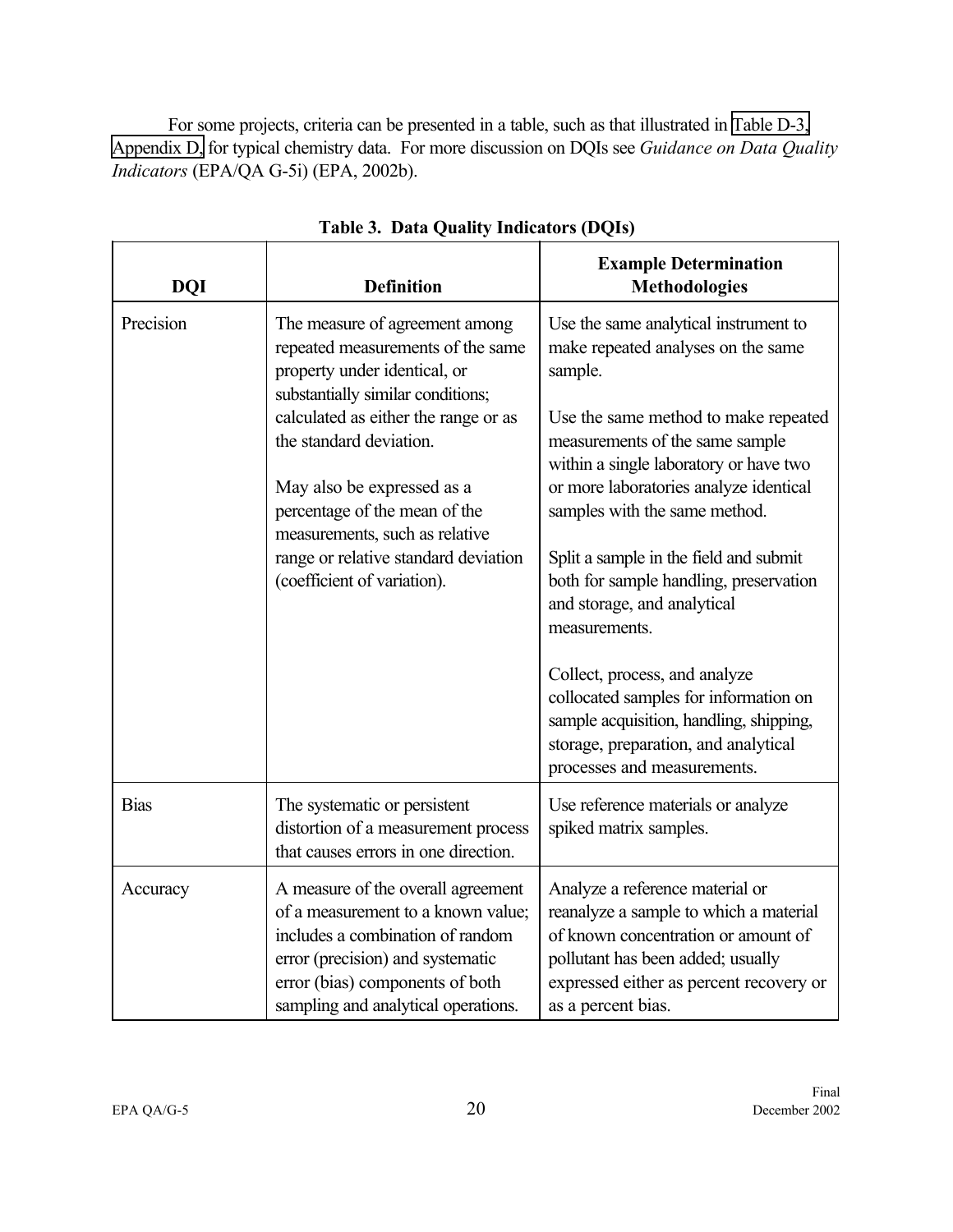<span id="page-27-0"></span>For some projects, criteria can be presented in a table, such as that illustrated in [Table D-3,](#page-95-0) [Appendix D,](#page-92-0) for typical chemistry data. For more discussion on DQIs see *Guidance on Data Quality Indicators* (EPA/QA G-5i) (EPA, 2002b).

| <b>DQI</b>  | <b>Definition</b>                                                                                                                                                                                                          | <b>Example Determination</b><br><b>Methodologies</b>                                                                                                                                                                   |
|-------------|----------------------------------------------------------------------------------------------------------------------------------------------------------------------------------------------------------------------------|------------------------------------------------------------------------------------------------------------------------------------------------------------------------------------------------------------------------|
| Precision   | The measure of agreement among<br>repeated measurements of the same<br>property under identical, or<br>substantially similar conditions;                                                                                   | Use the same analytical instrument to<br>make repeated analyses on the same<br>sample.                                                                                                                                 |
|             | calculated as either the range or as<br>the standard deviation.                                                                                                                                                            | Use the same method to make repeated<br>measurements of the same sample<br>within a single laboratory or have two                                                                                                      |
|             | May also be expressed as a<br>percentage of the mean of the<br>measurements, such as relative                                                                                                                              | or more laboratories analyze identical<br>samples with the same method.                                                                                                                                                |
|             | range or relative standard deviation<br>(coefficient of variation).                                                                                                                                                        | Split a sample in the field and submit<br>both for sample handling, preservation<br>and storage, and analytical<br>measurements.                                                                                       |
|             |                                                                                                                                                                                                                            | Collect, process, and analyze<br>collocated samples for information on<br>sample acquisition, handling, shipping,<br>storage, preparation, and analytical<br>processes and measurements.                               |
| <b>Bias</b> | The systematic or persistent<br>distortion of a measurement process<br>that causes errors in one direction.                                                                                                                | Use reference materials or analyze<br>spiked matrix samples.                                                                                                                                                           |
| Accuracy    | A measure of the overall agreement<br>of a measurement to a known value;<br>includes a combination of random<br>error (precision) and systematic<br>error (bias) components of both<br>sampling and analytical operations. | Analyze a reference material or<br>reanalyze a sample to which a material<br>of known concentration or amount of<br>pollutant has been added; usually<br>expressed either as percent recovery or<br>as a percent bias. |

**Table 3. Data Quality Indicators (DQIs)**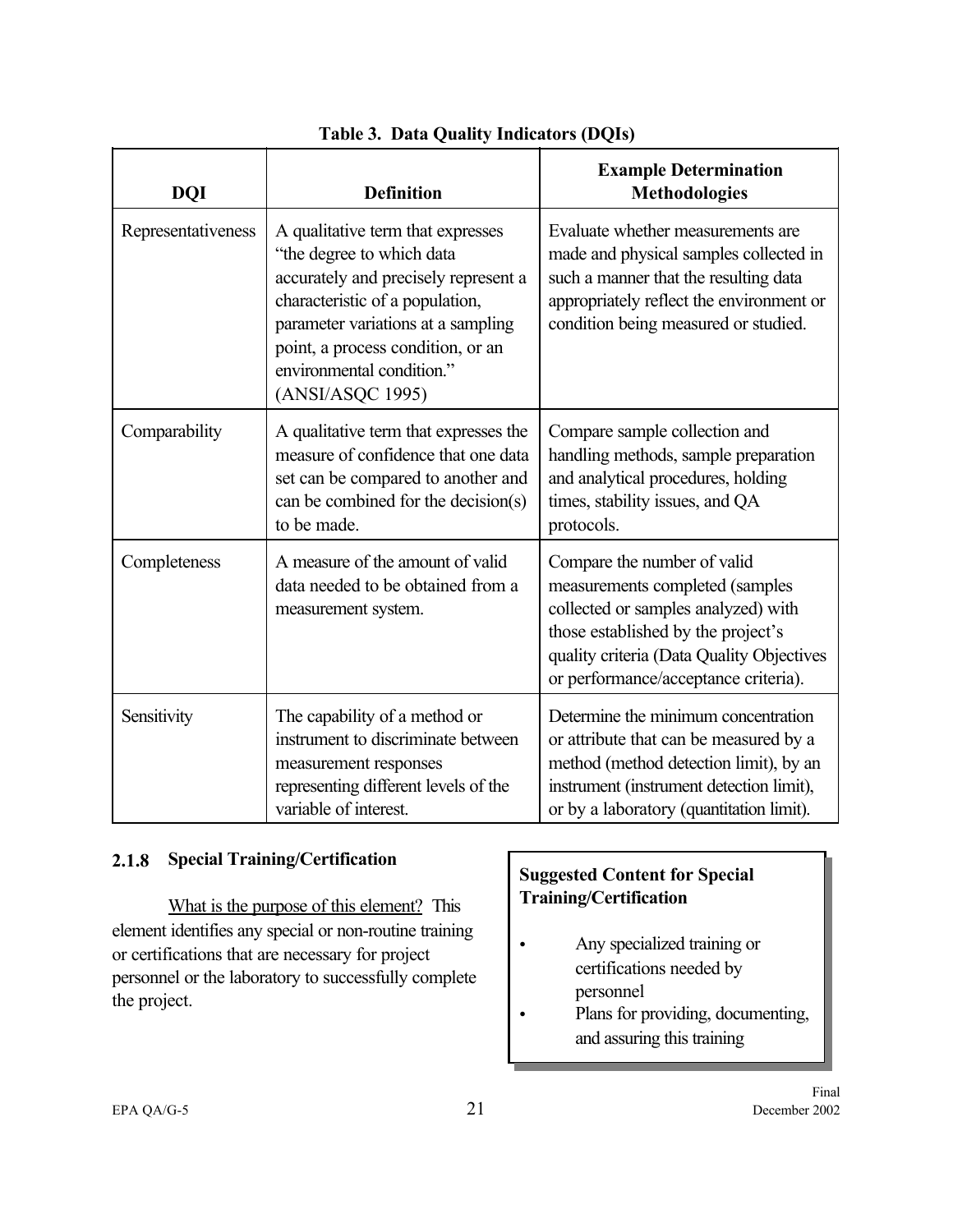<span id="page-28-0"></span>

| <b>DQI</b>         | <b>Definition</b>                                                                                                                                                                                                                                                     | <b>Example Determination</b><br><b>Methodologies</b>                                                                                                                                                                             |
|--------------------|-----------------------------------------------------------------------------------------------------------------------------------------------------------------------------------------------------------------------------------------------------------------------|----------------------------------------------------------------------------------------------------------------------------------------------------------------------------------------------------------------------------------|
| Representativeness | A qualitative term that expresses<br>"the degree to which data<br>accurately and precisely represent a<br>characteristic of a population,<br>parameter variations at a sampling<br>point, a process condition, or an<br>environmental condition."<br>(ANSI/ASQC 1995) | Evaluate whether measurements are<br>made and physical samples collected in<br>such a manner that the resulting data<br>appropriately reflect the environment or<br>condition being measured or studied.                         |
| Comparability      | A qualitative term that expresses the<br>measure of confidence that one data<br>set can be compared to another and<br>can be combined for the decision(s)<br>to be made.                                                                                              | Compare sample collection and<br>handling methods, sample preparation<br>and analytical procedures, holding<br>times, stability issues, and QA<br>protocols.                                                                     |
| Completeness       | A measure of the amount of valid<br>data needed to be obtained from a<br>measurement system.                                                                                                                                                                          | Compare the number of valid<br>measurements completed (samples<br>collected or samples analyzed) with<br>those established by the project's<br>quality criteria (Data Quality Objectives<br>or performance/acceptance criteria). |
| Sensitivity        | The capability of a method or<br>instrument to discriminate between<br>measurement responses<br>representing different levels of the<br>variable of interest.                                                                                                         | Determine the minimum concentration<br>or attribute that can be measured by a<br>method (method detection limit), by an<br>instrument (instrument detection limit),<br>or by a laboratory (quantitation limit).                  |

# **Table 3. Data Quality Indicators (DQIs)**

## **2.1.8 Special Training/Certification**

What is the purpose of this element? This element identifies any special or non-routine training or certifications that are necessary for project personnel or the laboratory to successfully complete the project.

# **Suggested Content for Special Training/Certification**

- Any specialized training or certifications needed by personnel
- Plans for providing, documenting, and assuring this training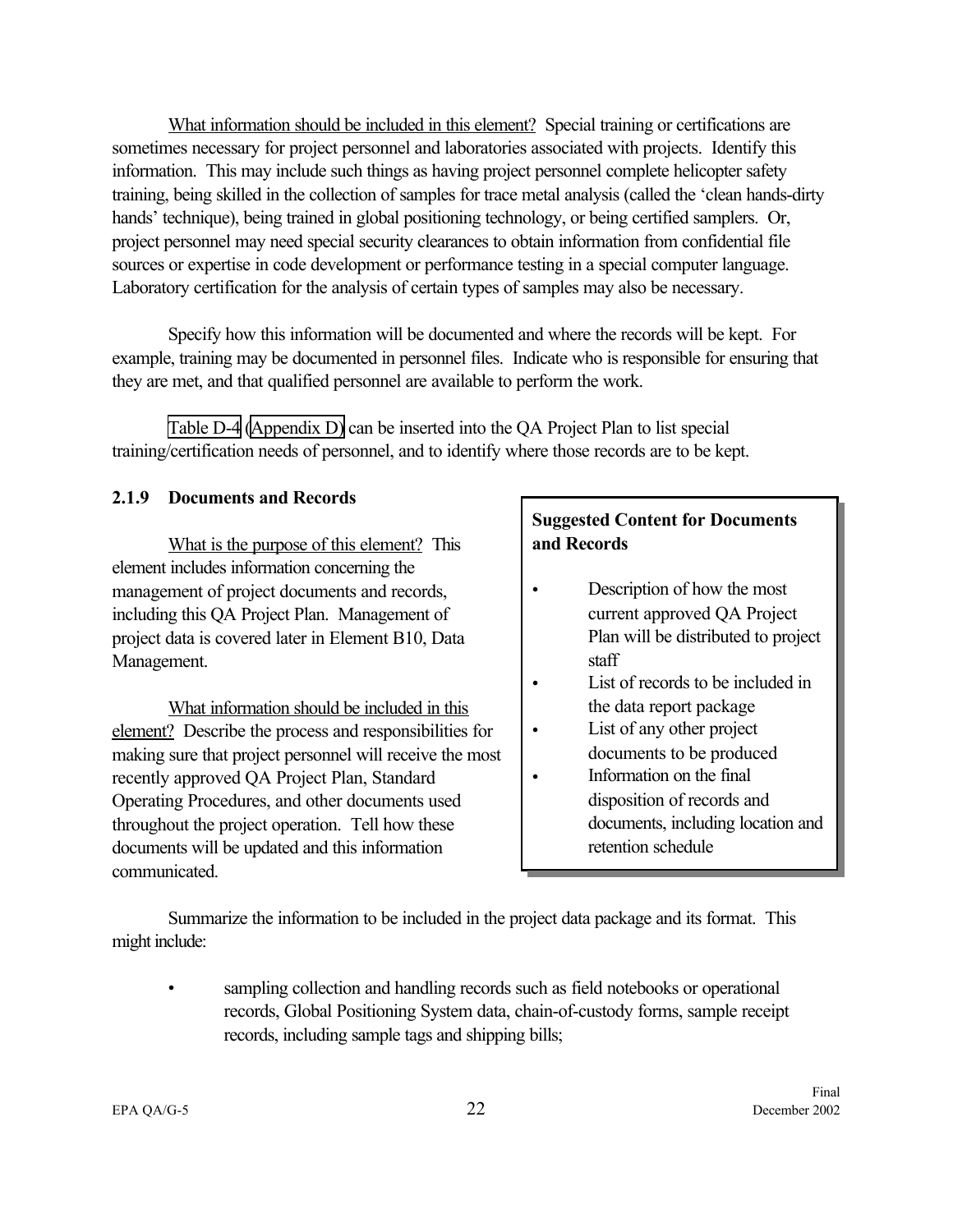<span id="page-29-0"></span>What information should be included in this element? Special training or certifications are sometimes necessary for project personnel and laboratories associated with projects. Identify this information. This may include such things as having project personnel complete helicopter safety training, being skilled in the collection of samples for trace metal analysis (called the 'clean hands-dirty hands' technique), being trained in global positioning technology, or being certified samplers. Or, project personnel may need special security clearances to obtain information from confidential file sources or expertise in code development or performance testing in a special computer language. Laboratory certification for the analysis of certain types of samples may also be necessary.

Specify how this information will be documented and where the records will be kept. For example, training may be documented in personnel files. Indicate who is responsible for ensuring that they are met, and that qualified personnel are available to perform the work.

[Table D-4](#page-96-0) [\(Appendix D\)](#page-92-0) can be inserted into the QA Project Plan to list special training/certification needs of personnel, and to identify where those records are to be kept.

#### **2.1.9 Documents and Records**

What is the purpose of this element? This element includes information concerning the management of project documents and records, including this QA Project Plan. Management of project data is covered later in Element B10, Data Management.

What information should be included in this element? Describe the process and responsibilities for making sure that project personnel will receive the most recently approved QA Project Plan, Standard Operating Procedures, and other documents used throughout the project operation. Tell how these documents will be updated and this information communicated.

# **Suggested Content for Documents and Records**

- Description of how the most current approved QA Project Plan will be distributed to project staff
- List of records to be included in the data report package
- List of any other project documents to be produced
- Information on the final disposition of records and documents, including location and retention schedule

Summarize the information to be included in the project data package and its format. This might include:

sampling collection and handling records such as field notebooks or operational records, Global Positioning System data, chain-of-custody forms, sample receipt records, including sample tags and shipping bills;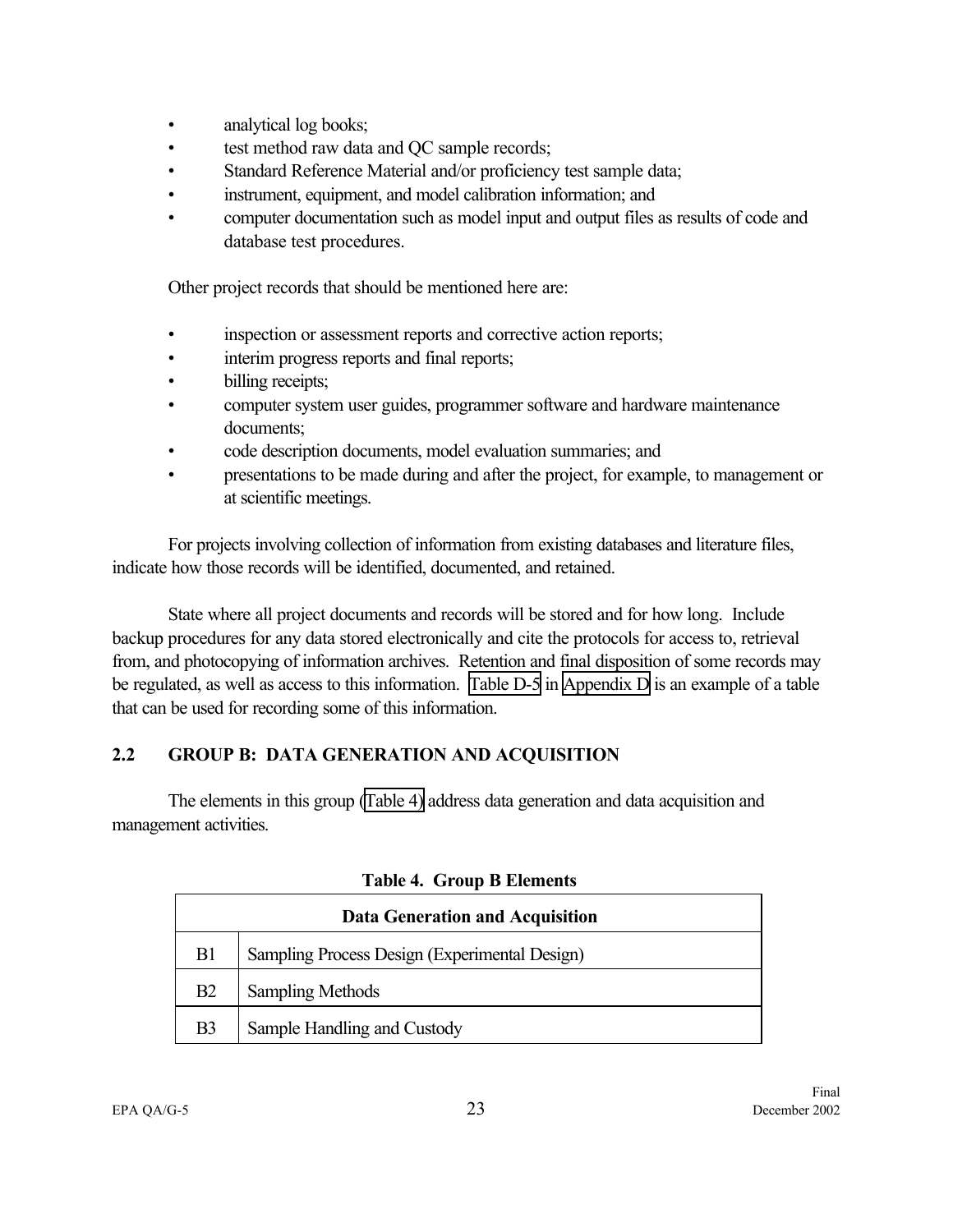- <span id="page-30-0"></span>• analytical log books;
- test method raw data and QC sample records;
- Standard Reference Material and/or proficiency test sample data;
- instrument, equipment, and model calibration information; and
- computer documentation such as model input and output files as results of code and database test procedures.

Other project records that should be mentioned here are:

- inspection or assessment reports and corrective action reports;
- interim progress reports and final reports;
- billing receipts;
- computer system user guides, programmer software and hardware maintenance documents;
- code description documents, model evaluation summaries; and
- presentations to be made during and after the project, for example, to management or at scientific meetings.

For projects involving collection of information from existing databases and literature files, indicate how those records will be identified, documented, and retained.

State where all project documents and records will be stored and for how long. Include backup procedures for any data stored electronically and cite the protocols for access to, retrieval from, and photocopying of information archives. Retention and final disposition of some records may be regulated, as well as access to this information. [Table D-5](#page-97-0) in [Appendix D](#page-92-0) is an example of a table that can be used for recording some of this information.

# **2.2 GROUP B: DATA GENERATION AND ACQUISITION**

The elements in this group (Table 4) address data generation and data acquisition and management activities.

| <b>Data Generation and Acquisition</b> |                                               |  |  |
|----------------------------------------|-----------------------------------------------|--|--|
| B <sub>1</sub>                         | Sampling Process Design (Experimental Design) |  |  |
| B2                                     | <b>Sampling Methods</b>                       |  |  |
| B <sub>3</sub>                         | Sample Handling and Custody                   |  |  |

|  |  |  | <b>Table 4. Group B Elements</b> |
|--|--|--|----------------------------------|
|--|--|--|----------------------------------|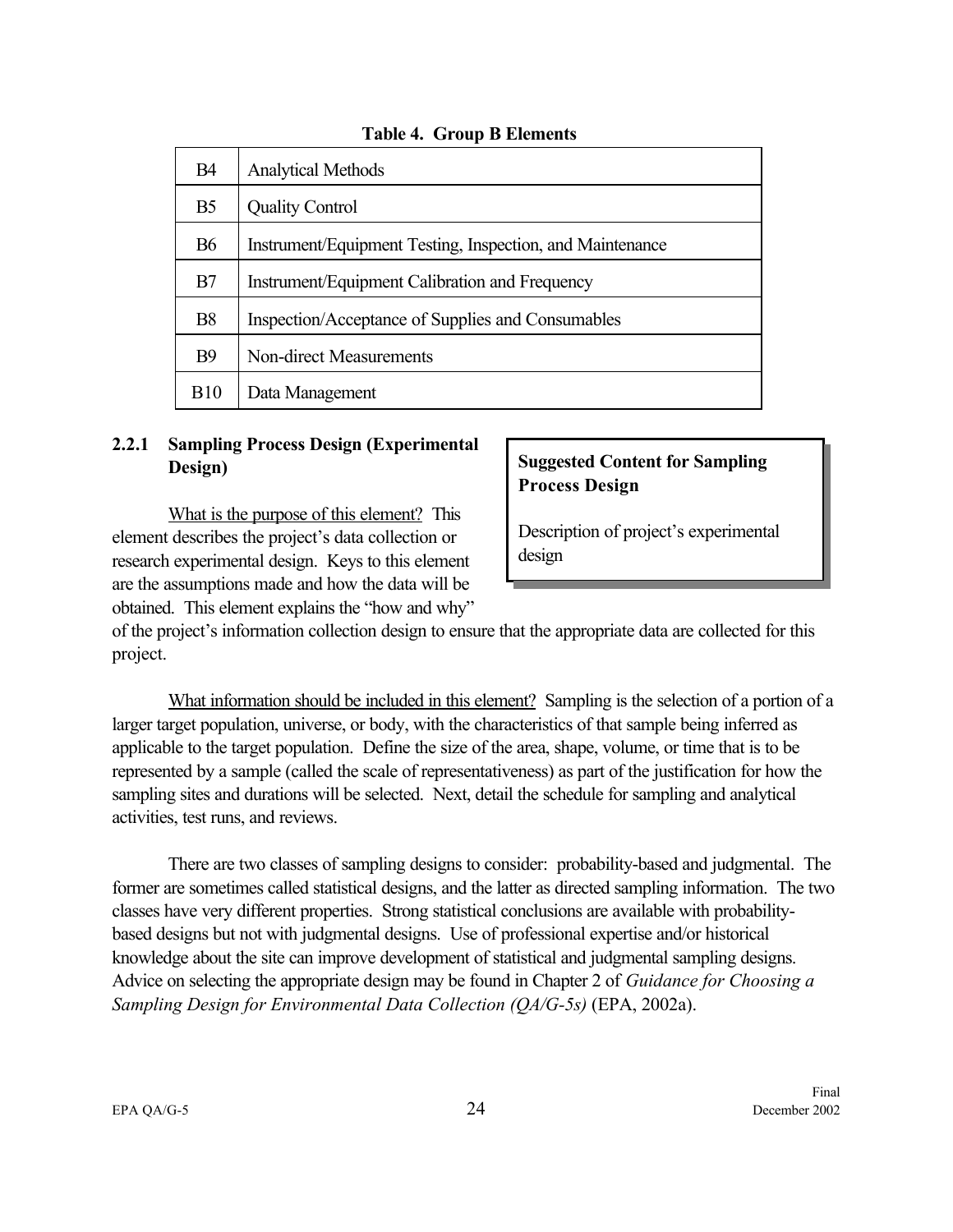<span id="page-31-0"></span>

|                | л.                                                        |
|----------------|-----------------------------------------------------------|
| <b>B4</b>      | <b>Analytical Methods</b>                                 |
| B <sub>5</sub> | <b>Quality Control</b>                                    |
| <b>B6</b>      | Instrument/Equipment Testing, Inspection, and Maintenance |
| B7             | Instrument/Equipment Calibration and Frequency            |
| <b>B8</b>      | Inspection/Acceptance of Supplies and Consumables         |
| <b>B</b> 9     | Non-direct Measurements                                   |
| <b>B10</b>     | Data Management                                           |

#### **Table 4. Group B Elements**

## **2.2.1 Sampling Process Design (Experimental Design)**

What is the purpose of this element? This element describes the project's data collection or research experimental design. Keys to this element are the assumptions made and how the data will be obtained. This element explains the "how and why"

## **Suggested Content for Sampling Process Design**

Description of project's experimental design

of the project's information collection design to ensure that the appropriate data are collected for this project.

What information should be included in this element? Sampling is the selection of a portion of a larger target population, universe, or body, with the characteristics of that sample being inferred as applicable to the target population. Define the size of the area, shape, volume, or time that is to be represented by a sample (called the scale of representativeness) as part of the justification for how the sampling sites and durations will be selected. Next, detail the schedule for sampling and analytical activities, test runs, and reviews.

There are two classes of sampling designs to consider: probability-based and judgmental. The former are sometimes called statistical designs, and the latter as directed sampling information. The two classes have very different properties. Strong statistical conclusions are available with probabilitybased designs but not with judgmental designs. Use of professional expertise and/or historical knowledge about the site can improve development of statistical and judgmental sampling designs. Advice on selecting the appropriate design may be found in Chapter 2 of *Guidance for Choosing a Sampling Design for Environmental Data Collection (QA/G-5s)* (EPA, 2002a).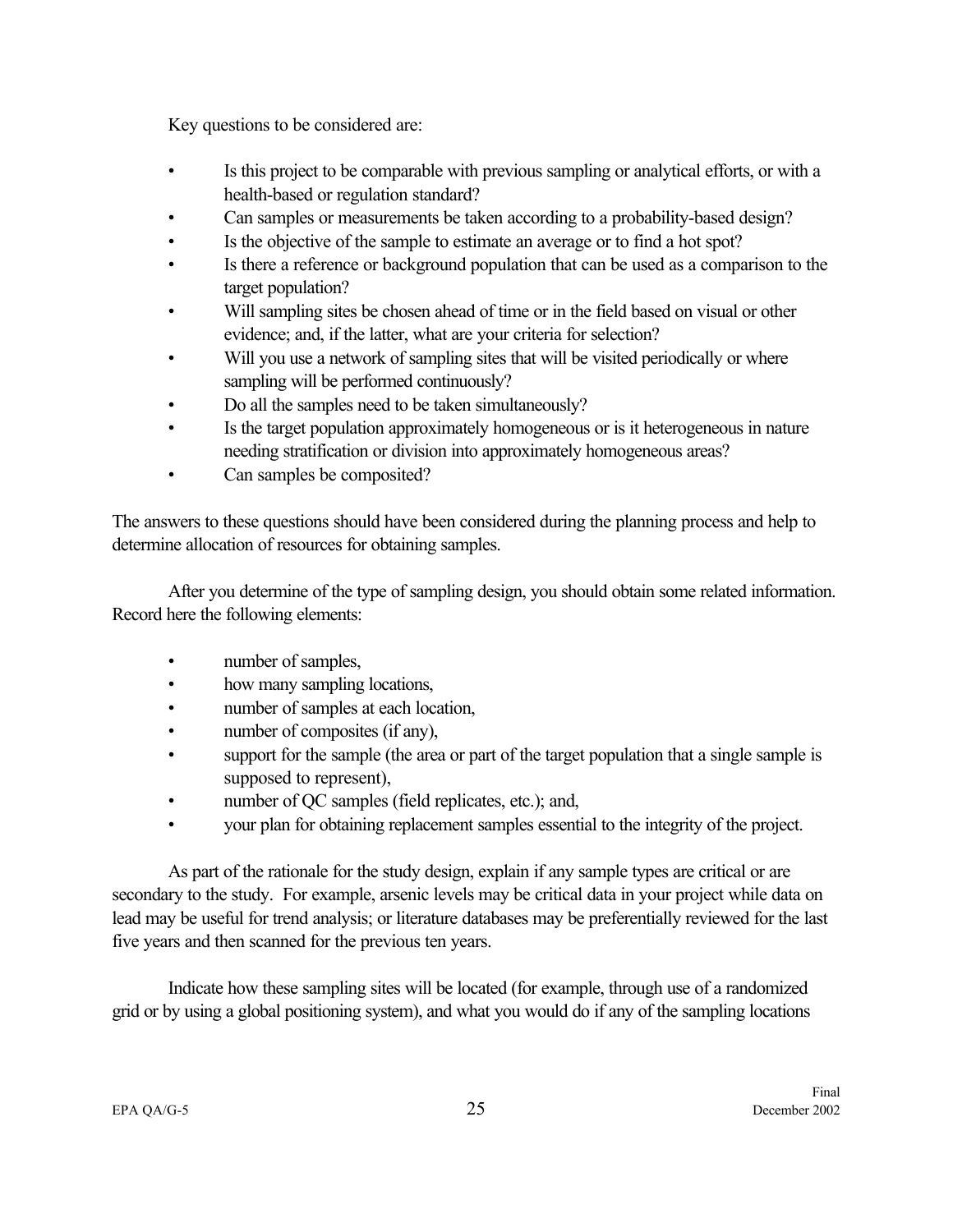Key questions to be considered are:

- Is this project to be comparable with previous sampling or analytical efforts, or with a health-based or regulation standard?
- Can samples or measurements be taken according to a probability-based design?
- Is the objective of the sample to estimate an average or to find a hot spot?
- Is there a reference or background population that can be used as a comparison to the target population?
- Will sampling sites be chosen ahead of time or in the field based on visual or other evidence; and, if the latter, what are your criteria for selection?
- Will you use a network of sampling sites that will be visited periodically or where sampling will be performed continuously?
- Do all the samples need to be taken simultaneously?
- Is the target population approximately homogeneous or is it heterogeneous in nature needing stratification or division into approximately homogeneous areas?
- Can samples be composited?

The answers to these questions should have been considered during the planning process and help to determine allocation of resources for obtaining samples.

After you determine of the type of sampling design, you should obtain some related information. Record here the following elements:

- number of samples,
- how many sampling locations,
- number of samples at each location,
- number of composites (if any),
- support for the sample (the area or part of the target population that a single sample is supposed to represent),
- number of QC samples (field replicates, etc.); and,
- your plan for obtaining replacement samples essential to the integrity of the project.

As part of the rationale for the study design, explain if any sample types are critical or are secondary to the study. For example, arsenic levels may be critical data in your project while data on lead may be useful for trend analysis; or literature databases may be preferentially reviewed for the last five years and then scanned for the previous ten years.

Indicate how these sampling sites will be located (for example, through use of a randomized grid or by using a global positioning system), and what you would do if any of the sampling locations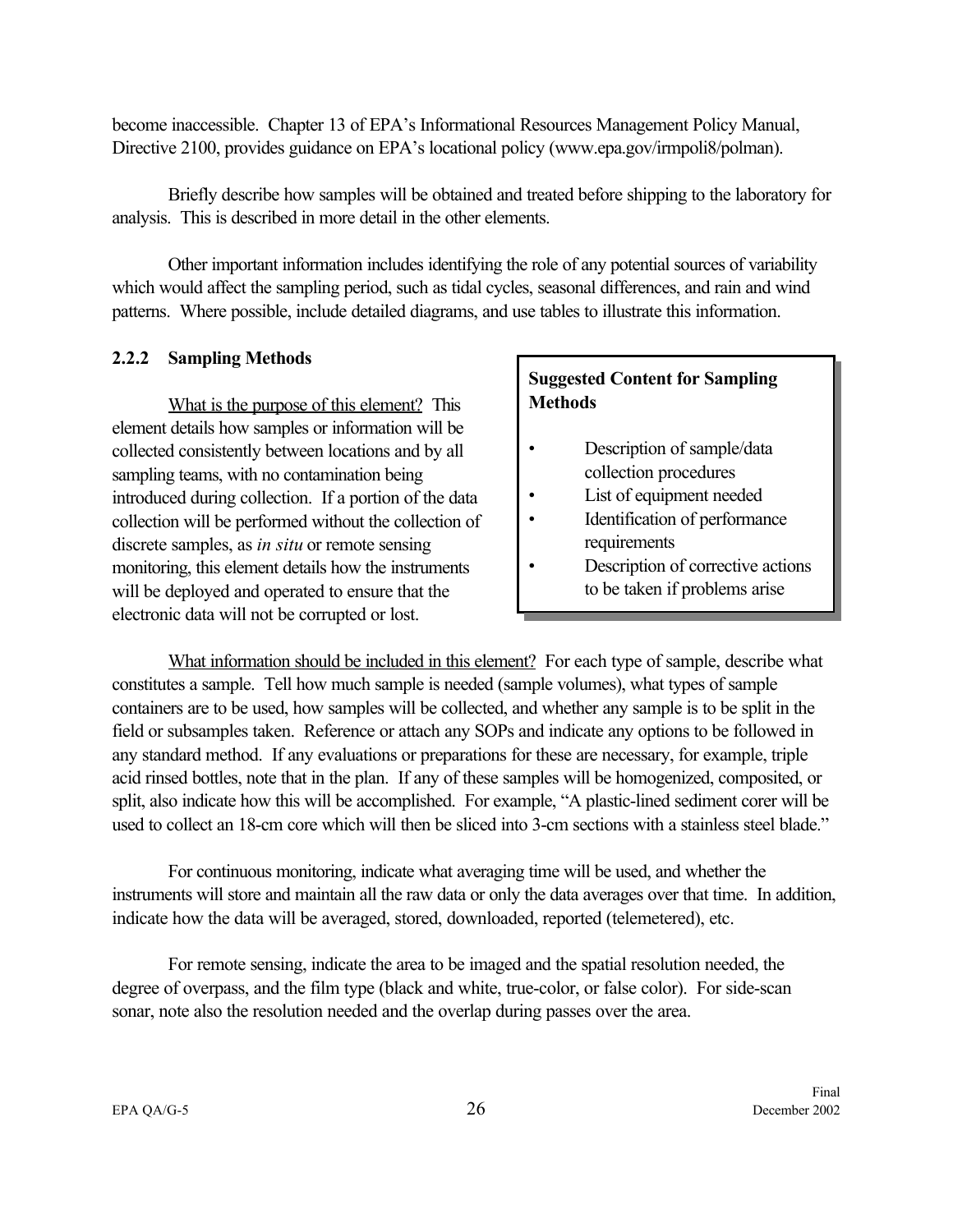<span id="page-33-0"></span>become inaccessible. Chapter 13 of EPA's Informational Resources Management Policy Manual, Directive 2100, provides guidance on EPA's locational policy (www.epa.gov/irmpoli8/polman).

Briefly describe how samples will be obtained and treated before shipping to the laboratory for analysis. This is described in more detail in the other elements.

Other important information includes identifying the role of any potential sources of variability which would affect the sampling period, such as tidal cycles, seasonal differences, and rain and wind patterns. Where possible, include detailed diagrams, and use tables to illustrate this information.

#### **2.2.2 Sampling Methods**

What is the purpose of this element? This element details how samples or information will be collected consistently between locations and by all sampling teams, with no contamination being introduced during collection. If a portion of the data collection will be performed without the collection of discrete samples, as *in situ* or remote sensing monitoring, this element details how the instruments will be deployed and operated to ensure that the electronic data will not be corrupted or lost.

## **Suggested Content for Sampling Methods**

- Description of sample/data collection procedures
- List of equipment needed
- Identification of performance requirements
- Description of corrective actions to be taken if problems arise

What information should be included in this element? For each type of sample, describe what constitutes a sample. Tell how much sample is needed (sample volumes), what types of sample containers are to be used, how samples will be collected, and whether any sample is to be split in the field or subsamples taken. Reference or attach any SOPs and indicate any options to be followed in any standard method. If any evaluations or preparations for these are necessary, for example, triple acid rinsed bottles, note that in the plan. If any of these samples will be homogenized, composited, or split, also indicate how this will be accomplished. For example, "A plastic-lined sediment corer will be used to collect an 18-cm core which will then be sliced into 3-cm sections with a stainless steel blade."

For continuous monitoring, indicate what averaging time will be used, and whether the instruments will store and maintain all the raw data or only the data averages over that time. In addition, indicate how the data will be averaged, stored, downloaded, reported (telemetered), etc.

For remote sensing, indicate the area to be imaged and the spatial resolution needed, the degree of overpass, and the film type (black and white, true-color, or false color). For side-scan sonar, note also the resolution needed and the overlap during passes over the area.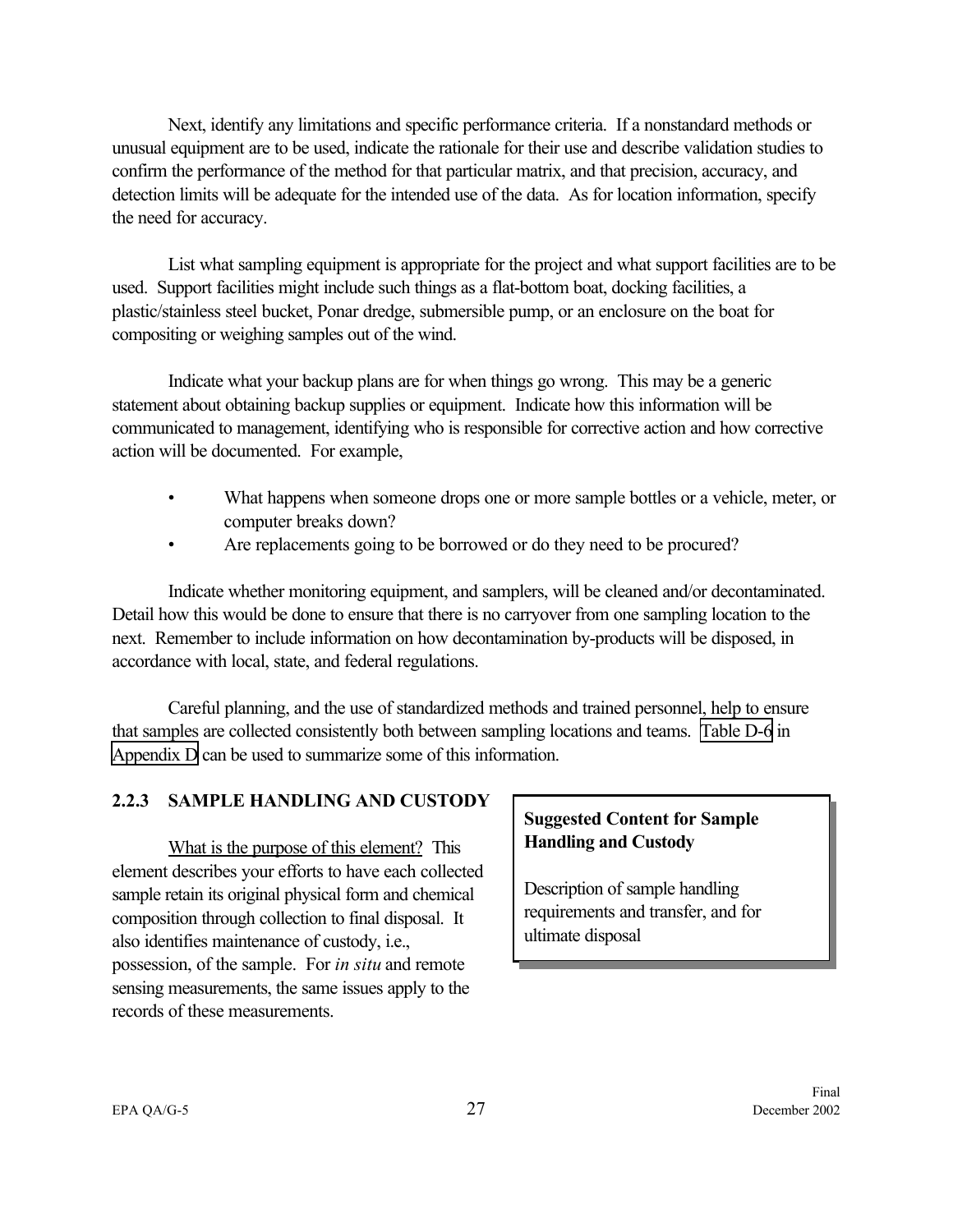<span id="page-34-0"></span>Next, identify any limitations and specific performance criteria. If a nonstandard methods or unusual equipment are to be used, indicate the rationale for their use and describe validation studies to confirm the performance of the method for that particular matrix, and that precision, accuracy, and detection limits will be adequate for the intended use of the data. As for location information, specify the need for accuracy.

List what sampling equipment is appropriate for the project and what support facilities are to be used. Support facilities might include such things as a flat-bottom boat, docking facilities, a plastic/stainless steel bucket, Ponar dredge, submersible pump, or an enclosure on the boat for compositing or weighing samples out of the wind.

Indicate what your backup plans are for when things go wrong. This may be a generic statement about obtaining backup supplies or equipment. Indicate how this information will be communicated to management, identifying who is responsible for corrective action and how corrective action will be documented. For example,

- What happens when someone drops one or more sample bottles or a vehicle, meter, or computer breaks down?
- Are replacements going to be borrowed or do they need to be procured?

Indicate whether monitoring equipment, and samplers, will be cleaned and/or decontaminated. Detail how this would be done to ensure that there is no carryover from one sampling location to the next. Remember to include information on how decontamination by-products will be disposed, in accordance with local, state, and federal regulations.

Careful planning, and the use of standardized methods and trained personnel, help to ensure that samples are collected consistently both between sampling locations and teams. [Table D-6](#page-98-0) in [Appendix D](#page-92-0) can be used to summarize some of this information.

## **2.2.3 SAMPLE HANDLING AND CUSTODY**

What is the purpose of this element? This element describes your efforts to have each collected sample retain its original physical form and chemical composition through collection to final disposal. It also identifies maintenance of custody, i.e., possession, of the sample. For *in situ* and remote sensing measurements, the same issues apply to the records of these measurements.

## **Suggested Content for Sample Handling and Custody**

Description of sample handling requirements and transfer, and for ultimate disposal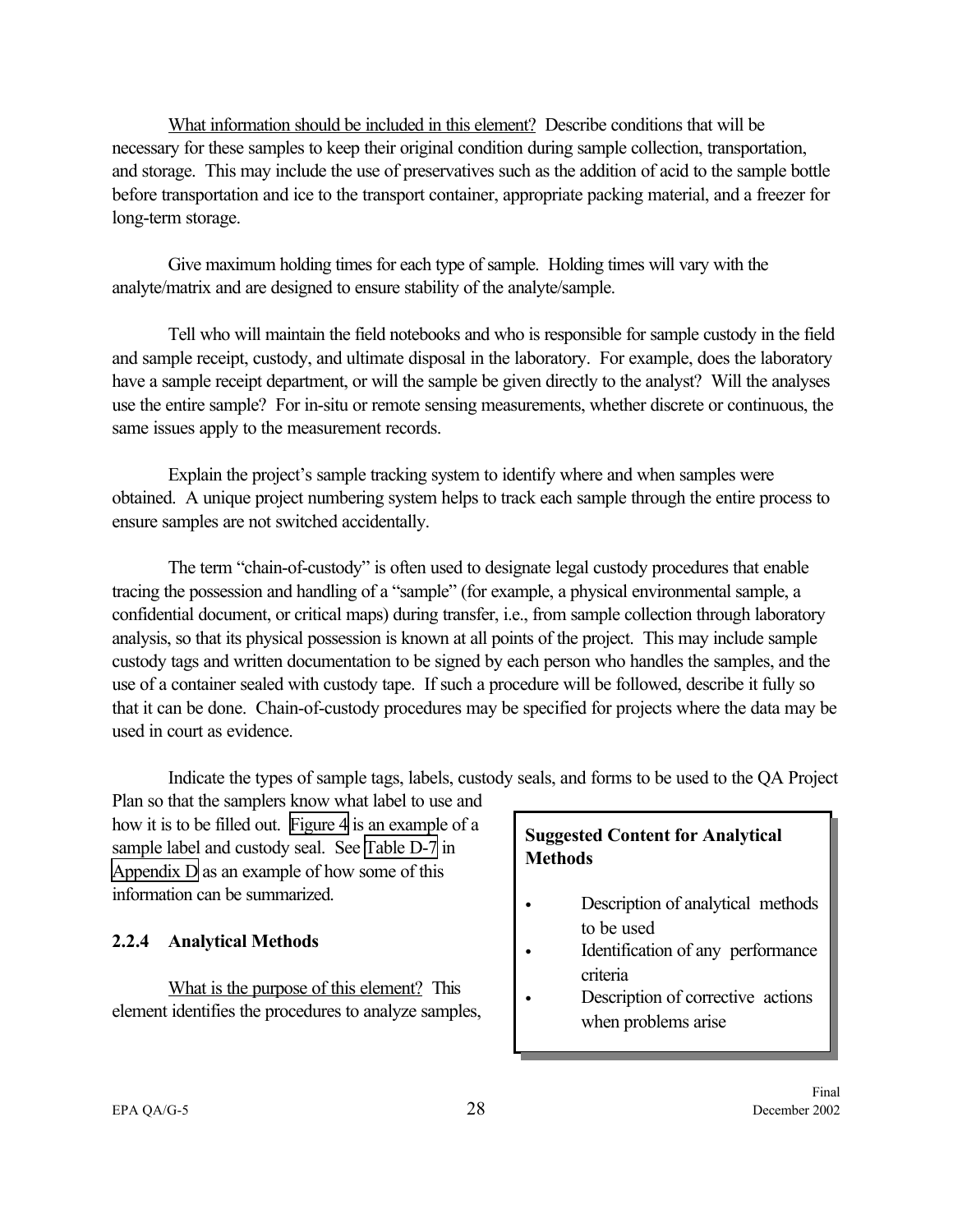<span id="page-35-0"></span>What information should be included in this element? Describe conditions that will be necessary for these samples to keep their original condition during sample collection, transportation, and storage. This may include the use of preservatives such as the addition of acid to the sample bottle before transportation and ice to the transport container, appropriate packing material, and a freezer for long-term storage.

Give maximum holding times for each type of sample. Holding times will vary with the analyte/matrix and are designed to ensure stability of the analyte/sample.

Tell who will maintain the field notebooks and who is responsible for sample custody in the field and sample receipt, custody, and ultimate disposal in the laboratory. For example, does the laboratory have a sample receipt department, or will the sample be given directly to the analyst? Will the analyses use the entire sample? For in-situ or remote sensing measurements, whether discrete or continuous, the same issues apply to the measurement records.

Explain the project's sample tracking system to identify where and when samples were obtained. A unique project numbering system helps to track each sample through the entire process to ensure samples are not switched accidentally.

The term "chain-of-custody" is often used to designate legal custody procedures that enable tracing the possession and handling of a "sample" (for example, a physical environmental sample, a confidential document, or critical maps) during transfer, i.e., from sample collection through laboratory analysis, so that its physical possession is known at all points of the project. This may include sample custody tags and written documentation to be signed by each person who handles the samples, and the use of a container sealed with custody tape. If such a procedure will be followed, describe it fully so that it can be done. Chain-of-custody procedures may be specified for projects where the data may be used in court as evidence.

Indicate the types of sample tags, labels, custody seals, and forms to be used to the QA Project

Plan so that the samplers know what label to use and how it is to be filled out. [Figure 4](#page-36-0) is an example of a sample label and custody seal. See [Table D-7](#page-98-0) in [Appendix D](#page-92-0) as an example of how some of this information can be summarized.

## **2.2.4 Analytical Methods**

What is the purpose of this element? This element identifies the procedures to analyze samples,

#### **Suggested Content for Analytical Methods**

- Description of analytical methods to be used
- Identification of any performance criteria
- Description of corrective actions when problems arise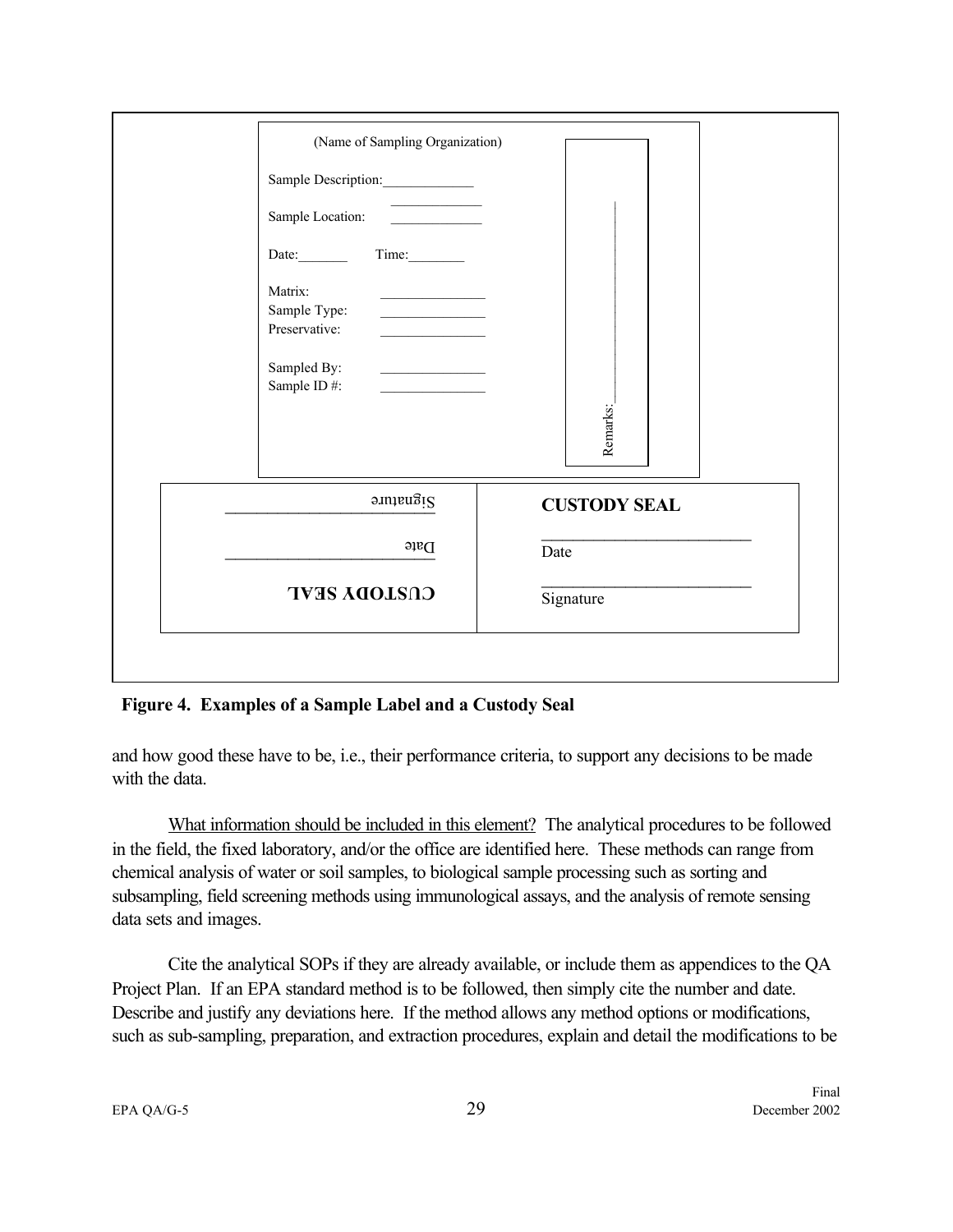| Sample Description:______________<br>Sample Location:                                                                                                                                                                                                                                     |                     |
|-------------------------------------------------------------------------------------------------------------------------------------------------------------------------------------------------------------------------------------------------------------------------------------------|---------------------|
| Matrix:<br><u> 1980 - Johann Barnett, fransk konge</u><br>Sample Type:<br><u> 1989 - Johann Barbara, martin a</u><br>Preservative:<br>Sampled By:<br><u> 1989 - Andrea State Barbara, político e a provincia de la provincia de la provincia de la provincia de la pro</u><br>Sample ID#: | Remarks:            |
| Signature                                                                                                                                                                                                                                                                                 | <b>CUSTODY SEAL</b> |
| $D$ ate                                                                                                                                                                                                                                                                                   | Date                |
| <b>CUSTODY SEAL</b>                                                                                                                                                                                                                                                                       | Signature           |

#### **Figure 4. Examples of a Sample Label and a Custody Seal**

and how good these have to be, i.e., their performance criteria, to support any decisions to be made with the data.

What information should be included in this element? The analytical procedures to be followed in the field, the fixed laboratory, and/or the office are identified here. These methods can range from chemical analysis of water or soil samples, to biological sample processing such as sorting and subsampling, field screening methods using immunological assays, and the analysis of remote sensing data sets and images.

Cite the analytical SOPs if they are already available, or include them as appendices to the QA Project Plan. If an EPA standard method is to be followed, then simply cite the number and date. Describe and justify any deviations here. If the method allows any method options or modifications, such as sub-sampling, preparation, and extraction procedures, explain and detail the modifications to be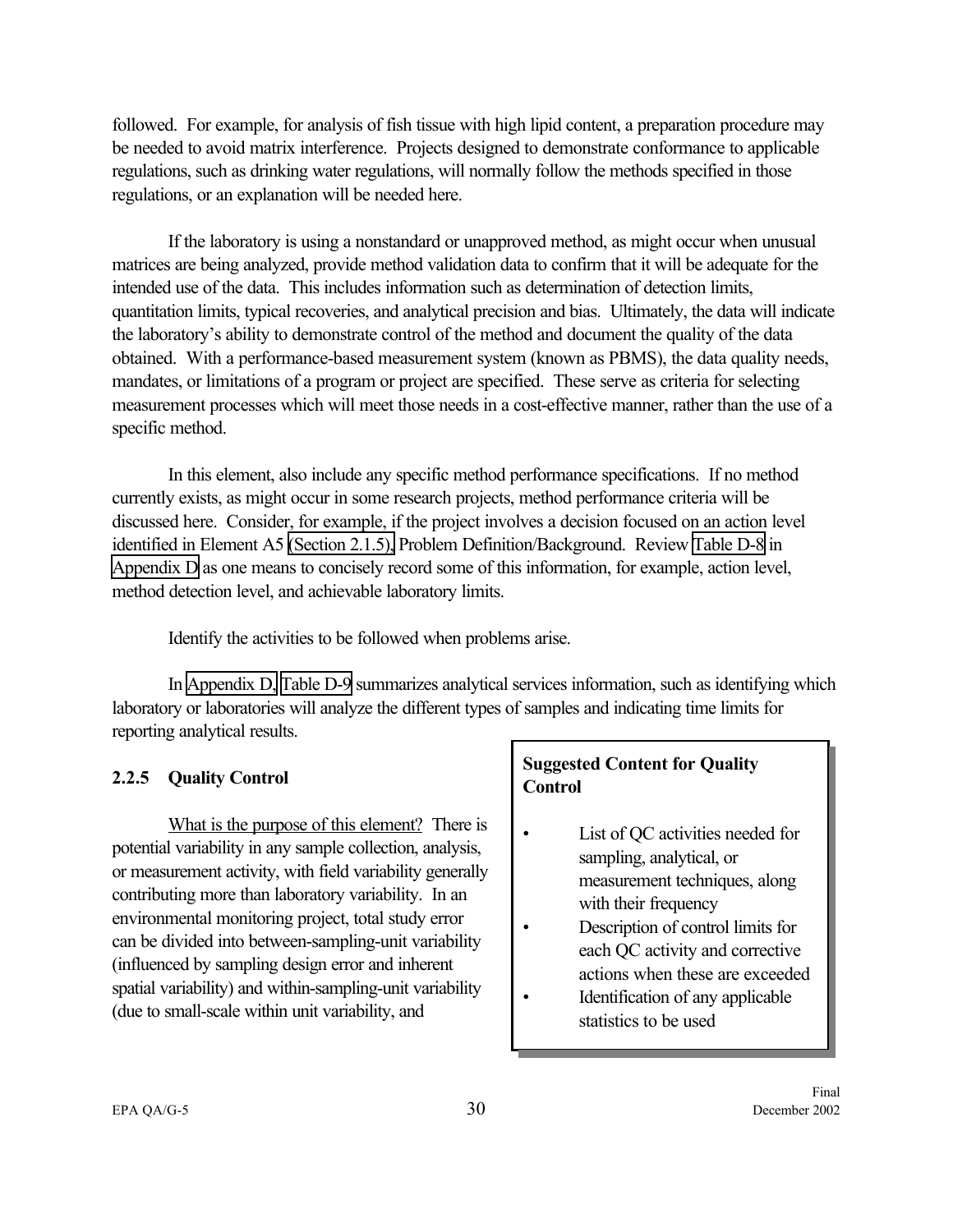followed. For example, for analysis of fish tissue with high lipid content, a preparation procedure may be needed to avoid matrix interference. Projects designed to demonstrate conformance to applicable regulations, such as drinking water regulations, will normally follow the methods specified in those regulations, or an explanation will be needed here.

If the laboratory is using a nonstandard or unapproved method, as might occur when unusual matrices are being analyzed, provide method validation data to confirm that it will be adequate for the intended use of the data. This includes information such as determination of detection limits, quantitation limits, typical recoveries, and analytical precision and bias. Ultimately, the data will indicate the laboratory's ability to demonstrate control of the method and document the quality of the data obtained. With a performance-based measurement system (known as PBMS), the data quality needs, mandates, or limitations of a program or project are specified. These serve as criteria for selecting measurement processes which will meet those needs in a cost-effective manner, rather than the use of a specific method.

In this element, also include any specific method performance specifications. If no method currently exists, as might occur in some research projects, method performance criteria will be discussed here. Consider, for example, if the project involves a decision focused on an action level identified in Element A5 [\(Section 2.1.5\),](#page-23-0) Problem Definition/Background. Review [Table D-8](#page-100-0) in [Appendix D](#page-92-0) as one means to concisely record some of this information, for example, action level, method detection level, and achievable laboratory limits.

Identify the activities to be followed when problems arise.

In [Appendix D,](#page-92-0) [Table D-9](#page-101-0) summarizes analytical services information, such as identifying which laboratory or laboratories will analyze the different types of samples and indicating time limits for reporting analytical results.

## **2.2.5 Quality Control**

What is the purpose of this element? There is potential variability in any sample collection, analysis, or measurement activity, with field variability generally contributing more than laboratory variability. In an environmental monitoring project, total study error can be divided into between-sampling-unit variability (influenced by sampling design error and inherent spatial variability) and within-sampling-unit variability (due to small-scale within unit variability, and

# **Suggested Content for Quality Control**

- List of QC activities needed for sampling, analytical, or measurement techniques, along with their frequency
- Description of control limits for each QC activity and corrective actions when these are exceeded
- Identification of any applicable statistics to be used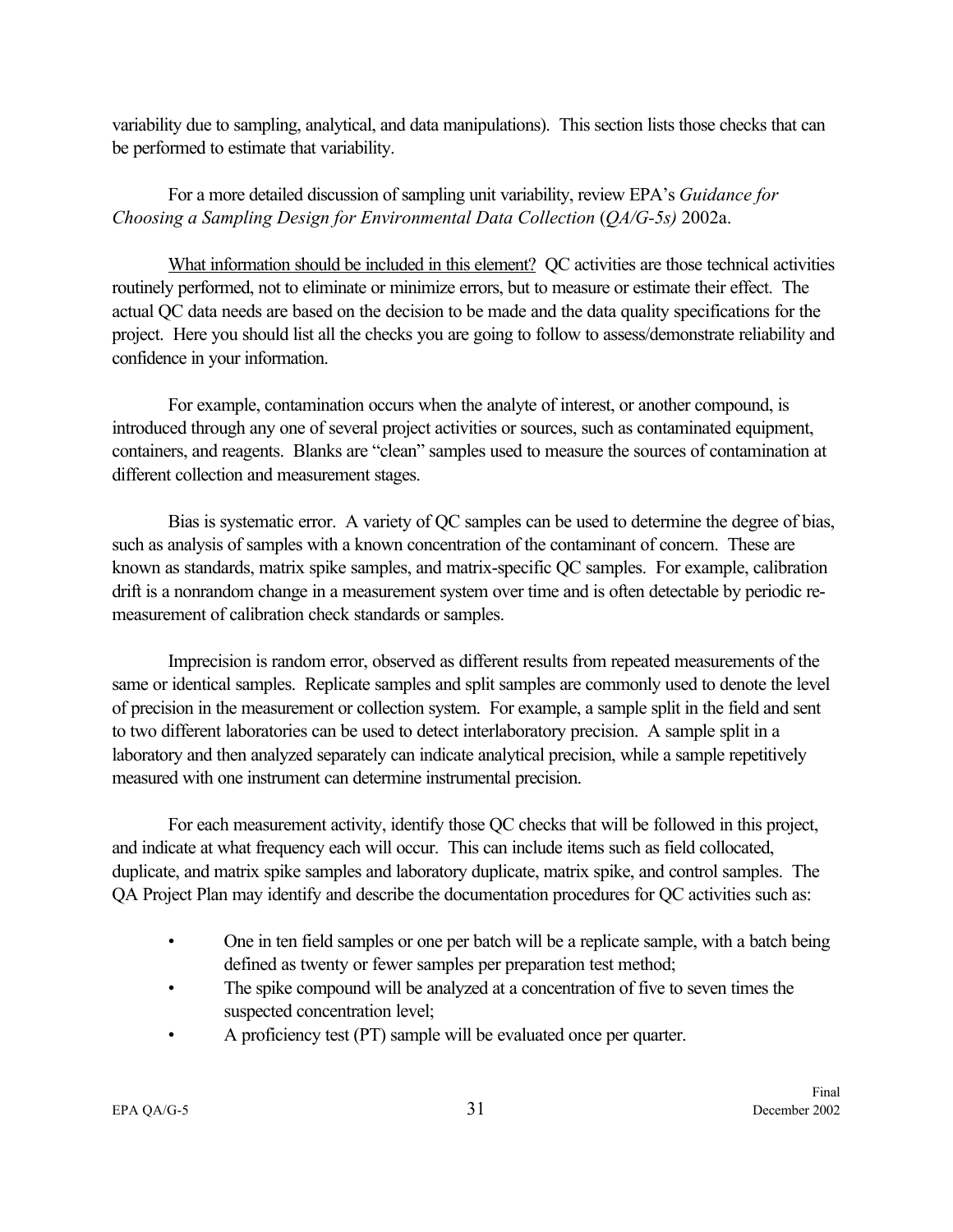variability due to sampling, analytical, and data manipulations). This section lists those checks that can be performed to estimate that variability.

## For a more detailed discussion of sampling unit variability, review EPA's *Guidance for Choosing a Sampling Design for Environmental Data Collection* (*QA/G-5s)* 2002a.

What information should be included in this element? QC activities are those technical activities routinely performed, not to eliminate or minimize errors, but to measure or estimate their effect. The actual QC data needs are based on the decision to be made and the data quality specifications for the project. Here you should list all the checks you are going to follow to assess/demonstrate reliability and confidence in your information.

For example, contamination occurs when the analyte of interest, or another compound, is introduced through any one of several project activities or sources, such as contaminated equipment, containers, and reagents. Blanks are "clean" samples used to measure the sources of contamination at different collection and measurement stages.

Bias is systematic error. A variety of QC samples can be used to determine the degree of bias, such as analysis of samples with a known concentration of the contaminant of concern. These are known as standards, matrix spike samples, and matrix-specific QC samples. For example, calibration drift is a nonrandom change in a measurement system over time and is often detectable by periodic remeasurement of calibration check standards or samples.

Imprecision is random error, observed as different results from repeated measurements of the same or identical samples. Replicate samples and split samples are commonly used to denote the level of precision in the measurement or collection system. For example, a sample split in the field and sent to two different laboratories can be used to detect interlaboratory precision. A sample split in a laboratory and then analyzed separately can indicate analytical precision, while a sample repetitively measured with one instrument can determine instrumental precision.

For each measurement activity, identify those QC checks that will be followed in this project, and indicate at what frequency each will occur. This can include items such as field collocated, duplicate, and matrix spike samples and laboratory duplicate, matrix spike, and control samples. The QA Project Plan may identify and describe the documentation procedures for QC activities such as:

- One in ten field samples or one per batch will be a replicate sample, with a batch being defined as twenty or fewer samples per preparation test method;
- The spike compound will be analyzed at a concentration of five to seven times the suspected concentration level;
- A proficiency test (PT) sample will be evaluated once per quarter.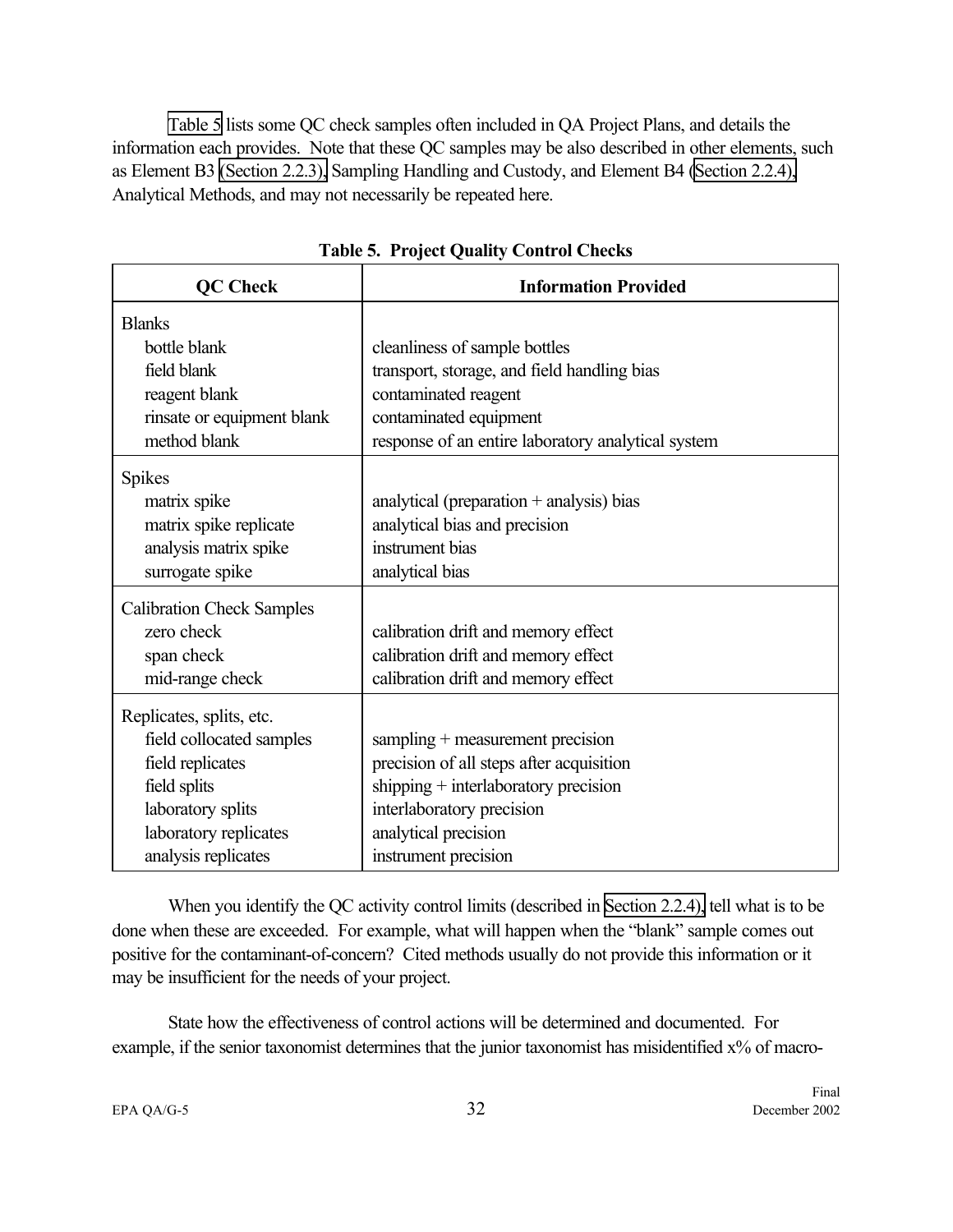Table 5 lists some QC check samples often included in QA Project Plans, and details the information each provides. Note that these QC samples may be also described in other elements, such as Element B3 [\(Section 2.2.3\),](#page-34-0) Sampling Handling and Custody, and Element B4 [\(Section 2.2.4\),](#page-35-0) Analytical Methods, and may not necessarily be repeated here.

| <b>QC Check</b>                  | <b>Information Provided</b>                        |  |  |
|----------------------------------|----------------------------------------------------|--|--|
| <b>Blanks</b>                    |                                                    |  |  |
| bottle blank                     | cleanliness of sample bottles                      |  |  |
| field blank                      | transport, storage, and field handling bias        |  |  |
| reagent blank                    | contaminated reagent                               |  |  |
| rinsate or equipment blank       | contaminated equipment                             |  |  |
| method blank                     | response of an entire laboratory analytical system |  |  |
| <b>Spikes</b>                    |                                                    |  |  |
| matrix spike                     | analytical (preparation $+$ analysis) bias         |  |  |
| matrix spike replicate           | analytical bias and precision                      |  |  |
| analysis matrix spike            | instrument bias                                    |  |  |
| surrogate spike                  | analytical bias                                    |  |  |
| <b>Calibration Check Samples</b> |                                                    |  |  |
| zero check                       | calibration drift and memory effect                |  |  |
| span check                       | calibration drift and memory effect                |  |  |
| mid-range check                  | calibration drift and memory effect                |  |  |
| Replicates, splits, etc.         |                                                    |  |  |
| field collocated samples         | sampling + measurement precision                   |  |  |
| field replicates                 | precision of all steps after acquisition           |  |  |
| field splits                     | shipping $+$ interlaboratory precision             |  |  |
| laboratory splits                | interlaboratory precision                          |  |  |
| laboratory replicates            | analytical precision                               |  |  |
| analysis replicates              | instrument precision                               |  |  |

**Table 5. Project Quality Control Checks**

When you identify the QC activity control limits (described in [Section 2.2.4\),](#page-35-0) tell what is to be done when these are exceeded. For example, what will happen when the "blank" sample comes out positive for the contaminant-of-concern? Cited methods usually do not provide this information or it may be insufficient for the needs of your project.

State how the effectiveness of control actions will be determined and documented. For example, if the senior taxonomist determines that the junior taxonomist has misidentified x% of macro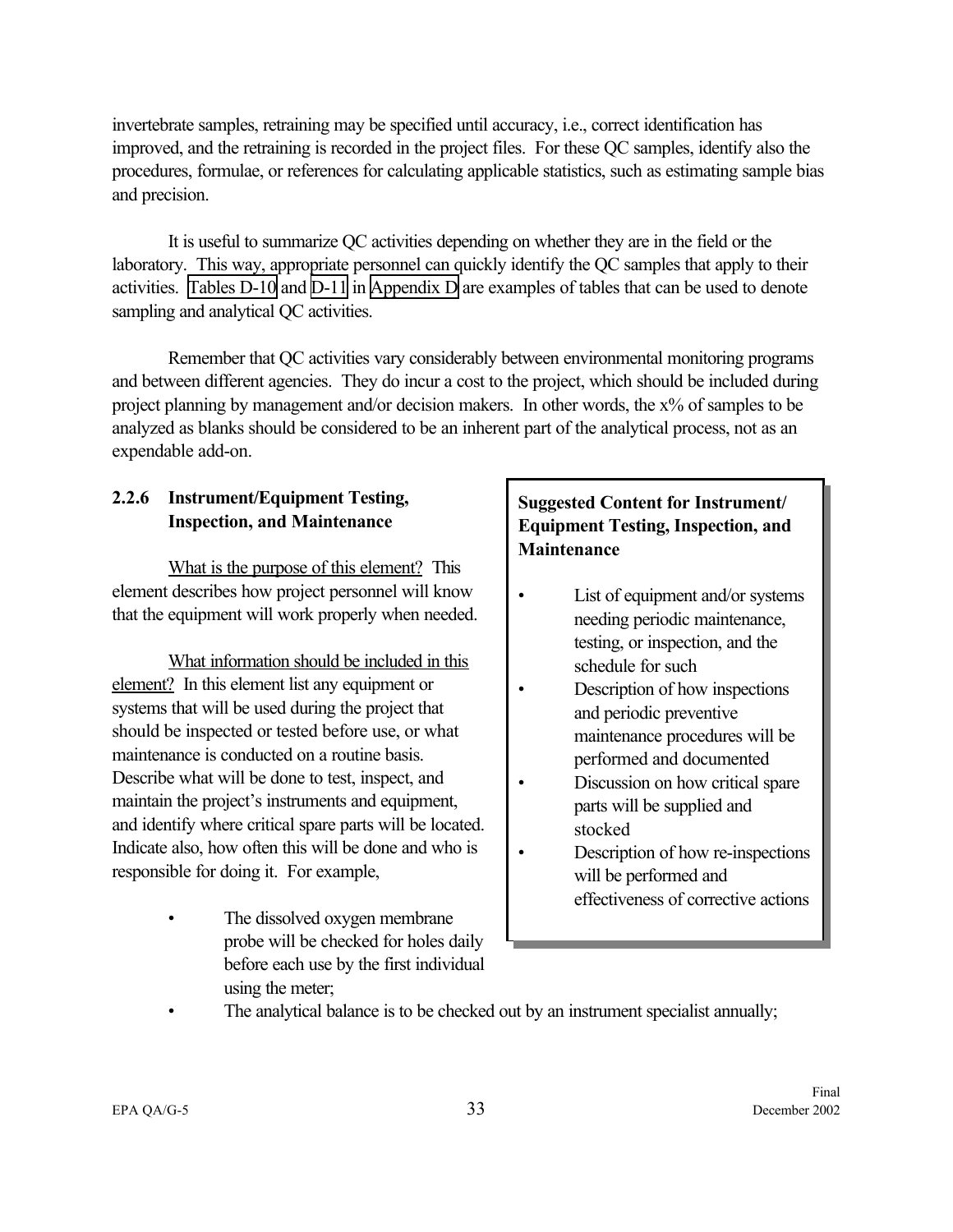invertebrate samples, retraining may be specified until accuracy, i.e., correct identification has improved, and the retraining is recorded in the project files. For these QC samples, identify also the procedures, formulae, or references for calculating applicable statistics, such as estimating sample bias and precision.

It is useful to summarize QC activities depending on whether they are in the field or the laboratory. This way, appropriate personnel can quickly identify the QC samples that apply to their activities. [Tables D-10](#page-101-0) and [D-11](#page-103-0) in [Appendix D](#page-92-0) are examples of tables that can be used to denote sampling and analytical QC activities.

Remember that QC activities vary considerably between environmental monitoring programs and between different agencies. They do incur a cost to the project, which should be included during project planning by management and/or decision makers. In other words, the x% of samples to be analyzed as blanks should be considered to be an inherent part of the analytical process, not as an expendable add-on.

## **2.2.6 Instrument/Equipment Testing, Inspection, and Maintenance**

What is the purpose of this element? This element describes how project personnel will know that the equipment will work properly when needed.

What information should be included in this element? In this element list any equipment or systems that will be used during the project that should be inspected or tested before use, or what maintenance is conducted on a routine basis. Describe what will be done to test, inspect, and maintain the project's instruments and equipment, and identify where critical spare parts will be located. Indicate also, how often this will be done and who is responsible for doing it. For example,

> The dissolved oxygen membrane probe will be checked for holes daily before each use by the first individual using the meter;

## **Suggested Content for Instrument/ Equipment Testing, Inspection, and Maintenance**

- List of equipment and/or systems needing periodic maintenance, testing, or inspection, and the schedule for such
- Description of how inspections and periodic preventive maintenance procedures will be performed and documented
- Discussion on how critical spare parts will be supplied and stocked
- Description of how re-inspections will be performed and effectiveness of corrective actions
- The analytical balance is to be checked out by an instrument specialist annually;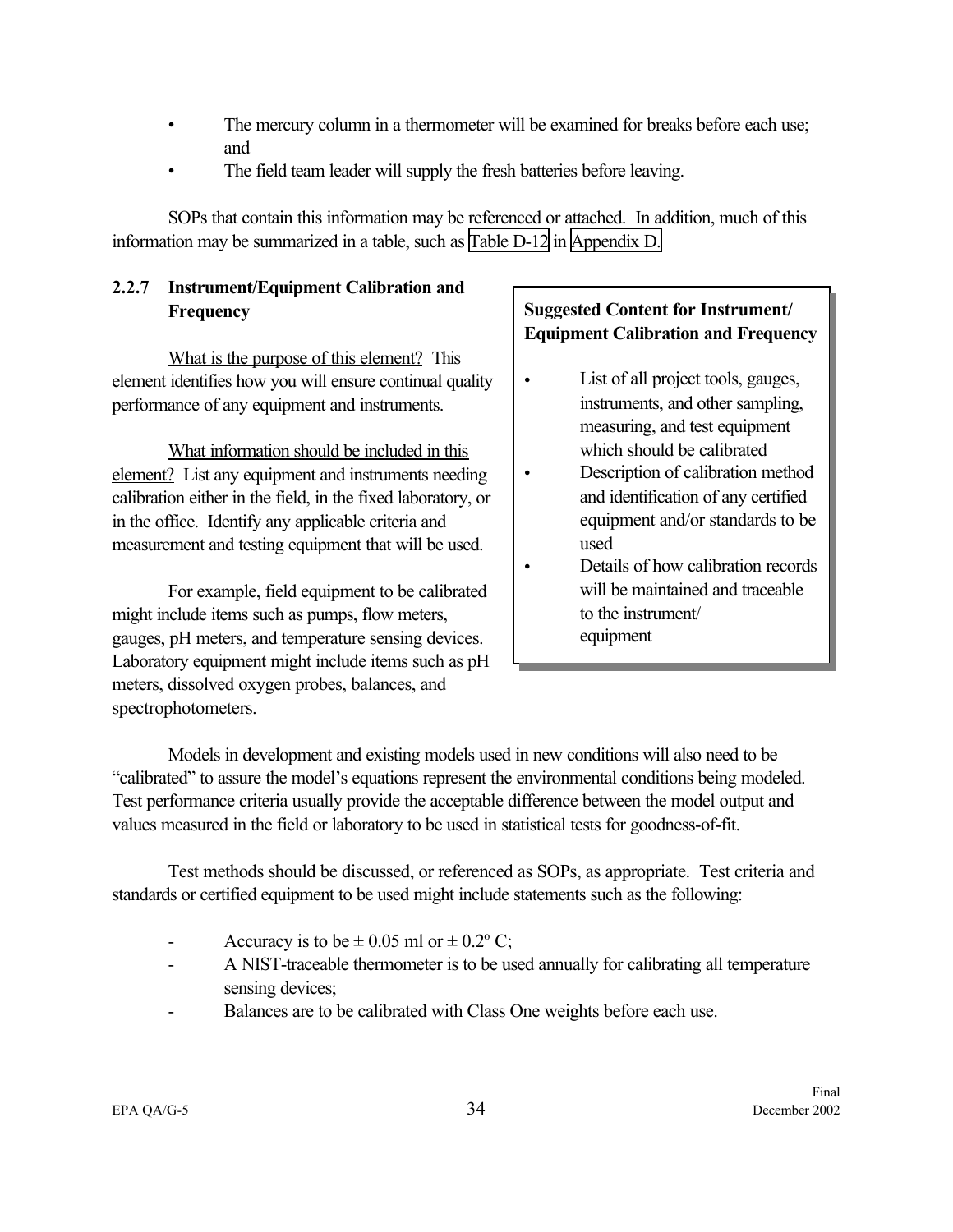- The mercury column in a thermometer will be examined for breaks before each use; and
- The field team leader will supply the fresh batteries before leaving.

SOPs that contain this information may be referenced or attached. In addition, much of this information may be summarized in a table, such as [Table D-12](#page-104-0) in [Appendix D.](#page-91-0)

## **2.2.7 Instrument/Equipment Calibration and Frequency**

What is the purpose of this element? This element identifies how you will ensure continual quality performance of any equipment and instruments.

What information should be included in this element? List any equipment and instruments needing calibration either in the field, in the fixed laboratory, or in the office. Identify any applicable criteria and measurement and testing equipment that will be used.

For example, field equipment to be calibrated might include items such as pumps, flow meters, gauges, pH meters, and temperature sensing devices. Laboratory equipment might include items such as pH meters, dissolved oxygen probes, balances, and spectrophotometers.

## **Suggested Content for Instrument/ Equipment Calibration and Frequency**

- List of all project tools, gauges, instruments, and other sampling, measuring, and test equipment which should be calibrated
- Description of calibration method and identification of any certified equipment and/or standards to be used
- Details of how calibration records will be maintained and traceable to the instrument/ equipment

Models in development and existing models used in new conditions will also need to be "calibrated" to assure the model's equations represent the environmental conditions being modeled. Test performance criteria usually provide the acceptable difference between the model output and values measured in the field or laboratory to be used in statistical tests for goodness-of-fit.

Test methods should be discussed, or referenced as SOPs, as appropriate. Test criteria and standards or certified equipment to be used might include statements such as the following:

- Accuracy is to be  $\pm 0.05$  ml or  $\pm 0.2$ °C;
- A NIST-traceable thermometer is to be used annually for calibrating all temperature sensing devices;
- Balances are to be calibrated with Class One weights before each use.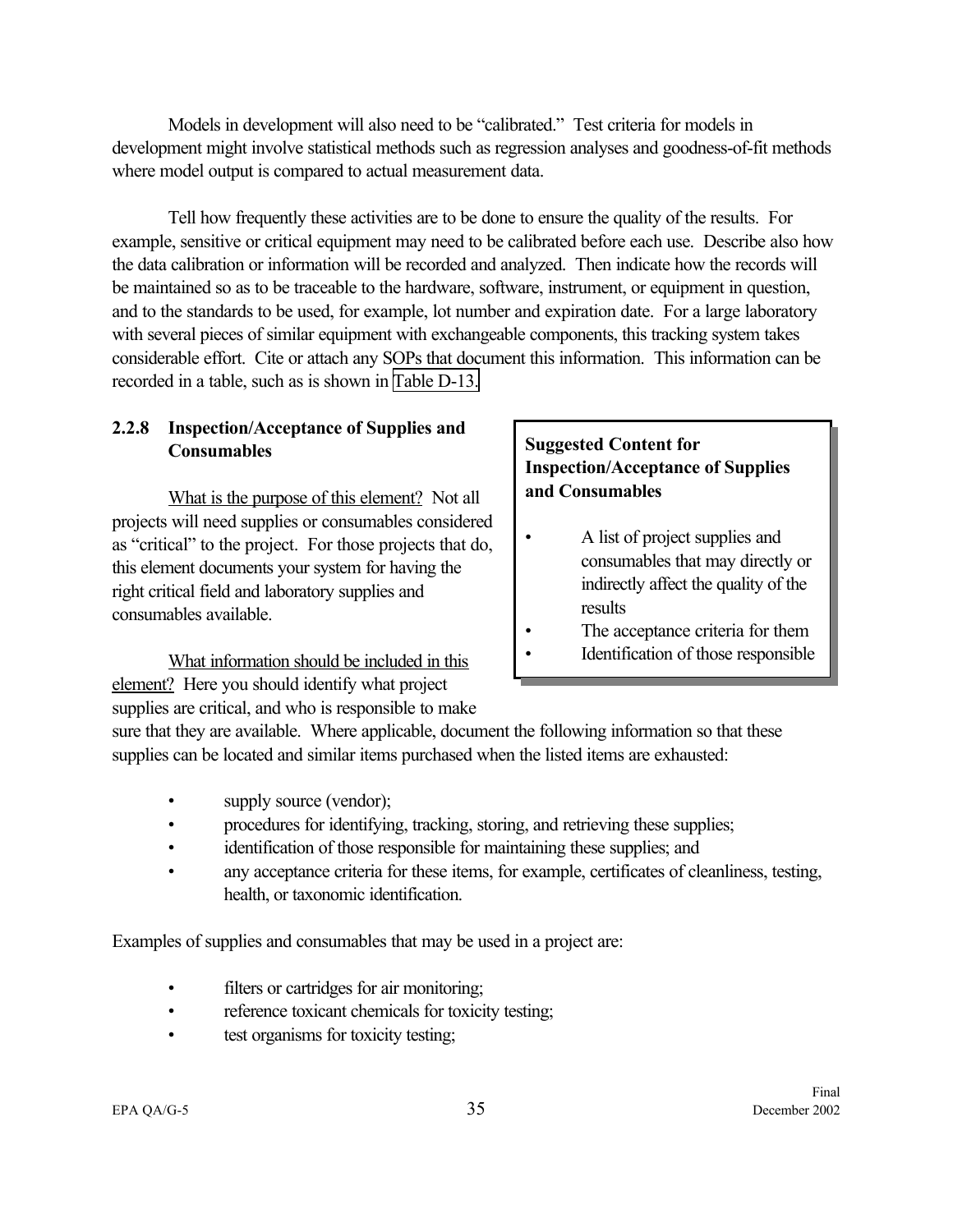Models in development will also need to be "calibrated." Test criteria for models in development might involve statistical methods such as regression analyses and goodness-of-fit methods where model output is compared to actual measurement data.

Tell how frequently these activities are to be done to ensure the quality of the results. For example, sensitive or critical equipment may need to be calibrated before each use. Describe also how the data calibration or information will be recorded and analyzed. Then indicate how the records will be maintained so as to be traceable to the hardware, software, instrument, or equipment in question, and to the standards to be used, for example, lot number and expiration date. For a large laboratory with several pieces of similar equipment with exchangeable components, this tracking system takes considerable effort. Cite or attach any SOPs that document this information. This information can be recorded in a table, such as is shown in [Table D-13.](#page-105-0)

#### **2.2.8 Inspection/Acceptance of Supplies and Consumables**

What is the purpose of this element? Not all projects will need supplies or consumables considered as "critical" to the project. For those projects that do, this element documents your system for having the right critical field and laboratory supplies and consumables available.

What information should be included in this element? Here you should identify what project supplies are critical, and who is responsible to make

## **Suggested Content for Inspection/Acceptance of Supplies and Consumables**

- A list of project supplies and consumables that may directly or indirectly affect the quality of the results
- The acceptance criteria for them
- Identification of those responsible

sure that they are available. Where applicable, document the following information so that these supplies can be located and similar items purchased when the listed items are exhausted:

- supply source (vendor);
- procedures for identifying, tracking, storing, and retrieving these supplies;
- identification of those responsible for maintaining these supplies; and
- any acceptance criteria for these items, for example, certificates of cleanliness, testing, health, or taxonomic identification.

Examples of supplies and consumables that may be used in a project are:

- filters or cartridges for air monitoring;
- reference toxicant chemicals for toxicity testing;
- test organisms for toxicity testing;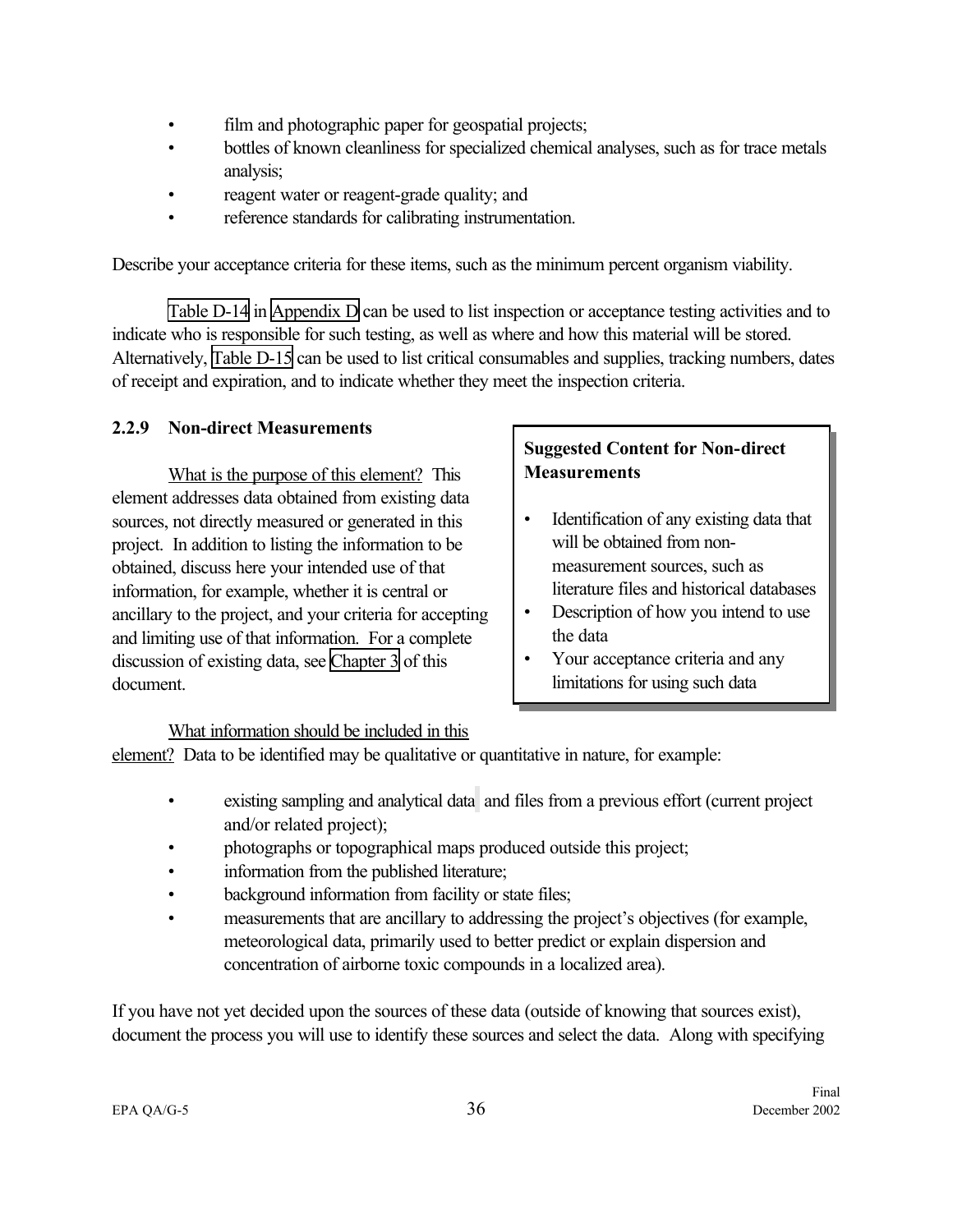- <span id="page-43-0"></span>• film and photographic paper for geospatial projects;
- bottles of known cleanliness for specialized chemical analyses, such as for trace metals analysis;
- reagent water or reagent-grade quality; and
- reference standards for calibrating instrumentation.

Describe your acceptance criteria for these items, such as the minimum percent organism viability.

[Table D-14](#page-106-0) in [Appendix D](#page-91-0) can be used to list inspection or acceptance testing activities and to indicate who is responsible for such testing, as well as where and how this material will be stored. Alternatively, [Table D-15](#page-107-0) can be used to list critical consumables and supplies, tracking numbers, dates of receipt and expiration, and to indicate whether they meet the inspection criteria.

#### **2.2.9 Non-direct Measurements**

What is the purpose of this element? This element addresses data obtained from existing data sources, not directly measured or generated in this project. In addition to listing the information to be obtained, discuss here your intended use of that information, for example, whether it is central or ancillary to the project, and your criteria for accepting and limiting use of that information. For a complete discussion of existing data, see [Chapter 3](#page-54-0) of this document.

## **Suggested Content for Non-direct Measurements**

- Identification of any existing data that will be obtained from nonmeasurement sources, such as literature files and historical databases
- Description of how you intend to use the data
- Your acceptance criteria and any limitations for using such data

#### What information should be included in this

element? Data to be identified may be qualitative or quantitative in nature, for example:

- existing sampling and analytical data and files from a previous effort (current project and/or related project);
- photographs or topographical maps produced outside this project;
- information from the published literature;
- background information from facility or state files;
- measurements that are ancillary to addressing the project's objectives (for example, meteorological data, primarily used to better predict or explain dispersion and concentration of airborne toxic compounds in a localized area).

If you have not yet decided upon the sources of these data (outside of knowing that sources exist), document the process you will use to identify these sources and select the data. Along with specifying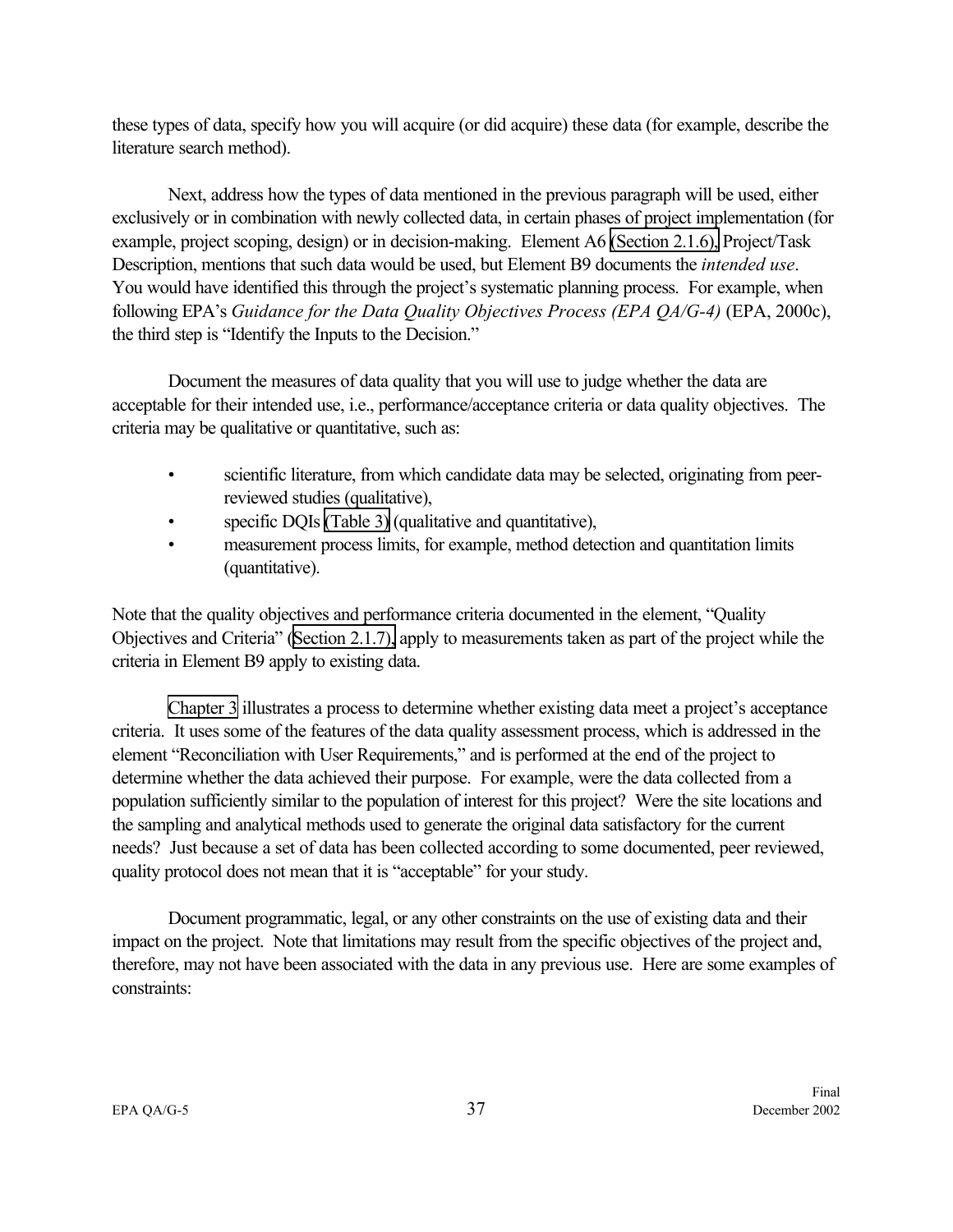these types of data, specify how you will acquire (or did acquire) these data (for example, describe the literature search method).

Next, address how the types of data mentioned in the previous paragraph will be used, either exclusively or in combination with newly collected data, in certain phases of project implementation (for example, project scoping, design) or in decision-making. Element A6 [\(Section 2.1.6\),](#page-24-0) Project/Task Description, mentions that such data would be used, but Element B9 documents the *intended use*. You would have identified this through the project's systematic planning process. For example, when following EPA's *Guidance for the Data Quality Objectives Process (EPA QA/G-4)* (EPA, 2000c), the third step is "Identify the Inputs to the Decision."

Document the measures of data quality that you will use to judge whether the data are acceptable for their intended use, i.e., performance/acceptance criteria or data quality objectives. The criteria may be qualitative or quantitative, such as:

- scientific literature, from which candidate data may be selected, originating from peerreviewed studies (qualitative),
- specific DQIs [\(Table 3\)](#page-26-0) (qualitative and quantitative),
- measurement process limits, for example, method detection and quantitation limits (quantitative).

Note that the quality objectives and performance criteria documented in the element, "Quality Objectives and Criteria" [\(Section 2.1.7\),](#page-25-0) apply to measurements taken as part of the project while the criteria in Element B9 apply to existing data.

[Chapter 3](#page-54-0) illustrates a process to determine whether existing data meet a project's acceptance criteria. It uses some of the features of the data quality assessment process, which is addressed in the element "Reconciliation with User Requirements," and is performed at the end of the project to determine whether the data achieved their purpose. For example, were the data collected from a population sufficiently similar to the population of interest for this project? Were the site locations and the sampling and analytical methods used to generate the original data satisfactory for the current needs? Just because a set of data has been collected according to some documented, peer reviewed, quality protocol does not mean that it is "acceptable" for your study.

Document programmatic, legal, or any other constraints on the use of existing data and their impact on the project. Note that limitations may result from the specific objectives of the project and, therefore, may not have been associated with the data in any previous use. Here are some examples of constraints: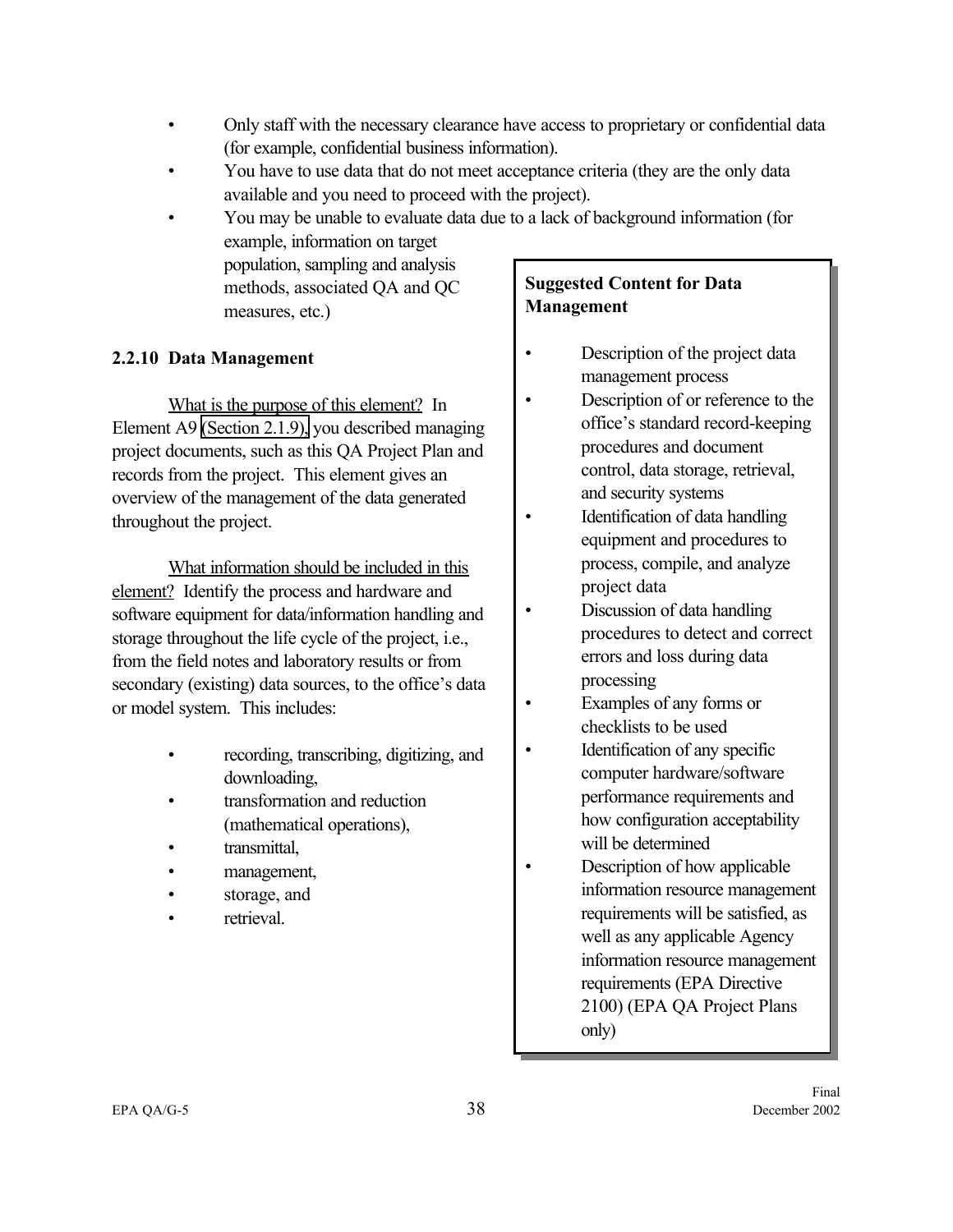- Only staff with the necessary clearance have access to proprietary or confidential data (for example, confidential business information).
- You have to use data that do not meet acceptance criteria (they are the only data available and you need to proceed with the project).
- You may be unable to evaluate data due to a lack of background information (for example, information on target population, sampling and analysis methods, associated QA and QC measures, etc.) **Suggested Content for Data Management**

## **2.2.10 Data Management**

What is the purpose of this element? In Element A9 [\(Section 2.1.9\),](#page-29-0) you described managing project documents, such as this QA Project Plan and records from the project. This element gives an overview of the management of the data generated throughout the project.

What information should be included in this element? Identify the process and hardware and software equipment for data/information handling and storage throughout the life cycle of the project, i.e., from the field notes and laboratory results or from secondary (existing) data sources, to the office's data or model system. This includes:

- recording, transcribing, digitizing, and downloading,
- transformation and reduction (mathematical operations),
- transmittal,
- management,
- storage, and
- retrieval.

- Description of the project data management process
- Description of or reference to the office's standard record-keeping procedures and document control, data storage, retrieval, and security systems
- Identification of data handling equipment and procedures to process, compile, and analyze project data
- Discussion of data handling procedures to detect and correct errors and loss during data processing
- Examples of any forms or checklists to be used
- Identification of any specific computer hardware/software performance requirements and how configuration acceptability will be determined
- Description of how applicable information resource management requirements will be satisfied, as well as any applicable Agency information resource management requirements (EPA Directive 2100) (EPA QA Project Plans only)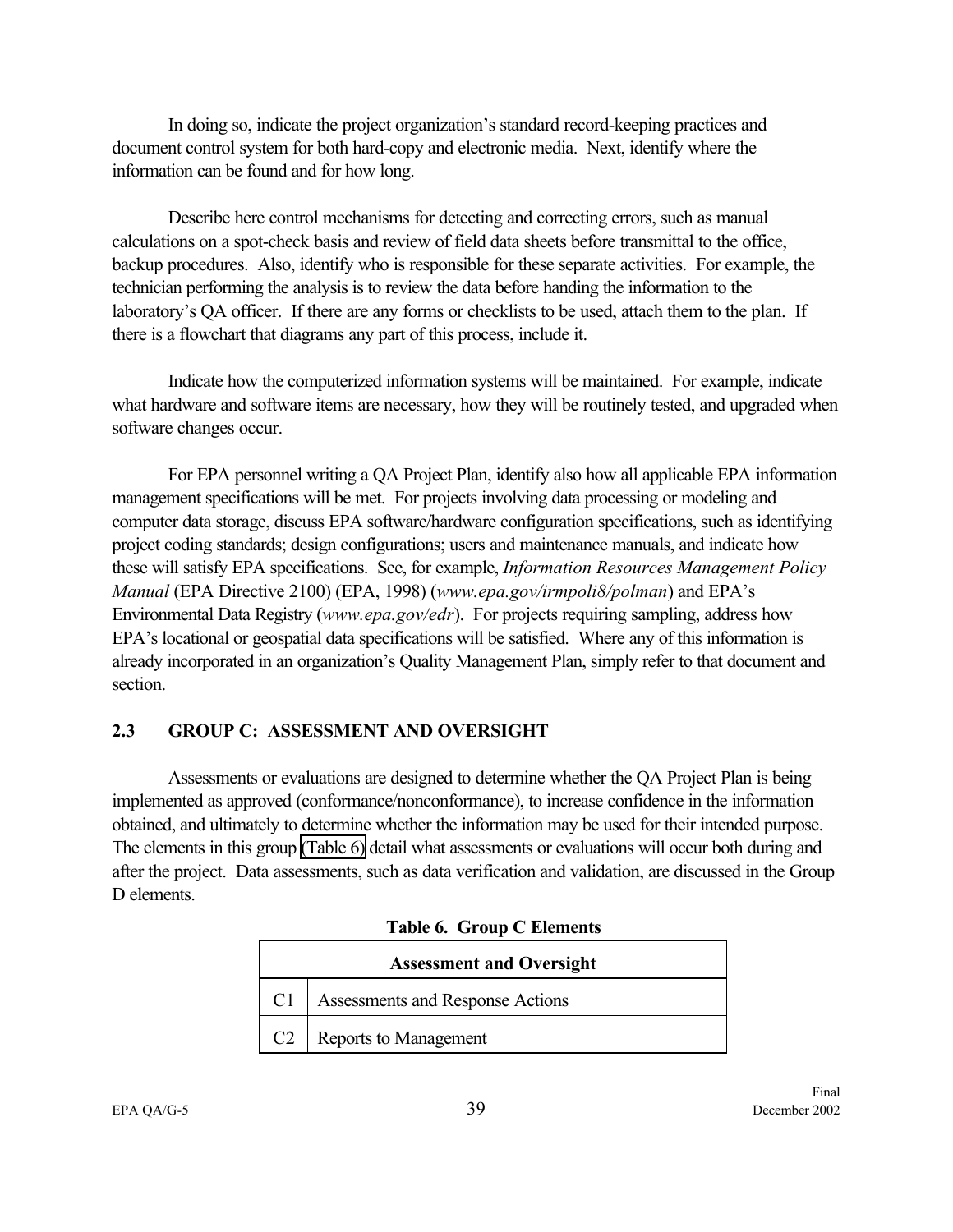In doing so, indicate the project organization's standard record-keeping practices and document control system for both hard-copy and electronic media. Next, identify where the information can be found and for how long.

Describe here control mechanisms for detecting and correcting errors, such as manual calculations on a spot-check basis and review of field data sheets before transmittal to the office, backup procedures. Also, identify who is responsible for these separate activities. For example, the technician performing the analysis is to review the data before handing the information to the laboratory's QA officer. If there are any forms or checklists to be used, attach them to the plan. If there is a flowchart that diagrams any part of this process, include it.

Indicate how the computerized information systems will be maintained. For example, indicate what hardware and software items are necessary, how they will be routinely tested, and upgraded when software changes occur.

For EPA personnel writing a QA Project Plan, identify also how all applicable EPA information management specifications will be met. For projects involving data processing or modeling and computer data storage, discuss EPA software/hardware configuration specifications, such as identifying project coding standards; design configurations; users and maintenance manuals, and indicate how these will satisfy EPA specifications. See, for example, *Information Resources Management Policy Manual* (EPA Directive 2100) (EPA, 1998) (*www.epa.gov/irmpoli8/polman*) and EPA's Environmental Data Registry (*www.epa.gov/edr*). For projects requiring sampling, address how EPA's locational or geospatial data specifications will be satisfied. Where any of this information is already incorporated in an organization's Quality Management Plan, simply refer to that document and section.

#### **2.3 GROUP C: ASSESSMENT AND OVERSIGHT**

Assessments or evaluations are designed to determine whether the QA Project Plan is being implemented as approved (conformance/nonconformance), to increase confidence in the information obtained, and ultimately to determine whether the information may be used for their intended purpose. The elements in this group (Table 6) detail what assessments or evaluations will occur both during and after the project. Data assessments, such as data verification and validation, are discussed in the Group D elements.

|    | <b>Assessment and Oversight</b>  |
|----|----------------------------------|
|    | Assessments and Response Actions |
| C2 | Reports to Management            |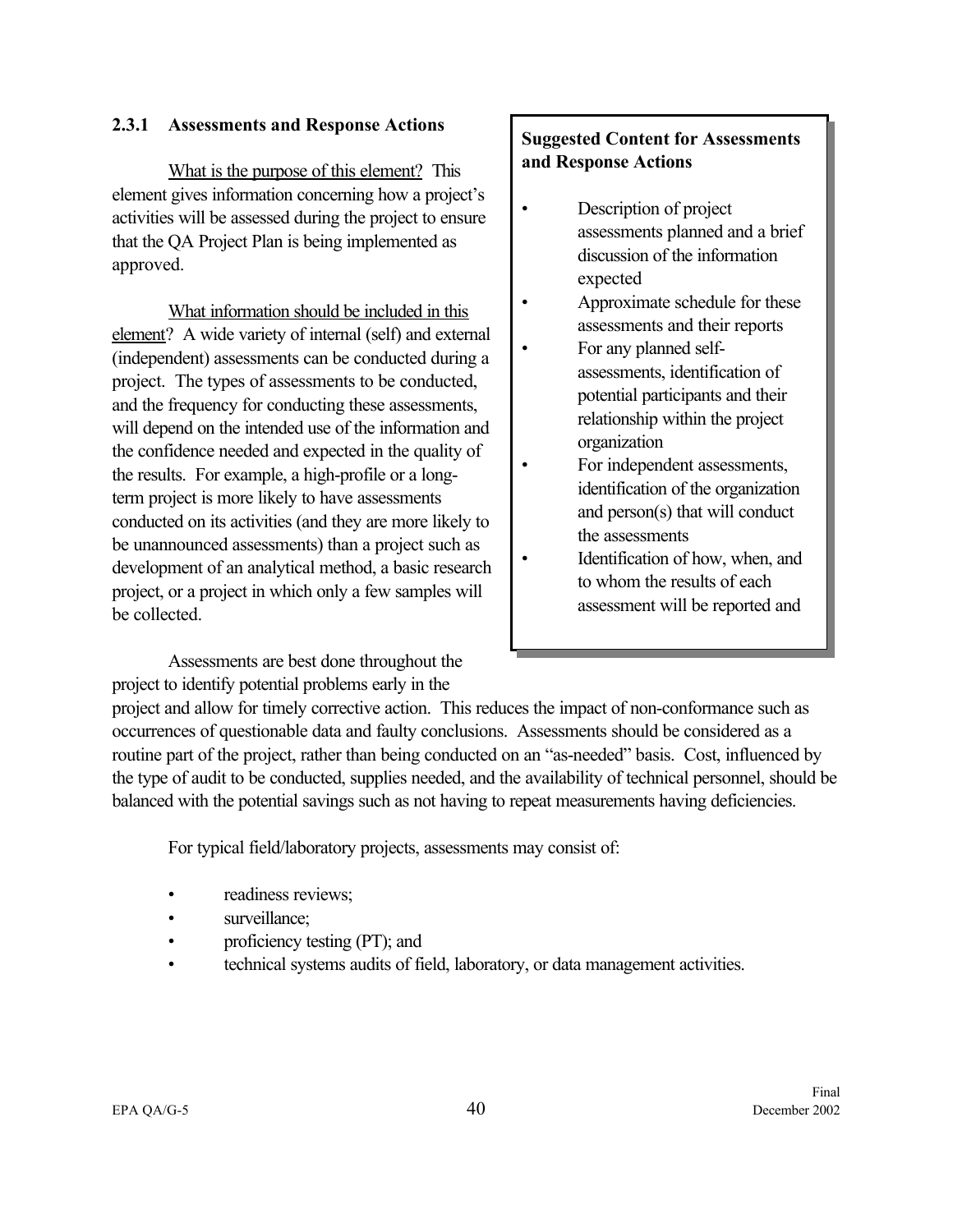#### **2.3.1 Assessments and Response Actions**

What is the purpose of this element? This element gives information concerning how a project's activities will be assessed during the project to ensure that the QA Project Plan is being implemented as approved.

What information should be included in this element? A wide variety of internal (self) and external (independent) assessments can be conducted during a project. The types of assessments to be conducted, and the frequency for conducting these assessments, will depend on the intended use of the information and the confidence needed and expected in the quality of the results. For example, a high-profile or a longterm project is more likely to have assessments conducted on its activities (and they are more likely to be unannounced assessments) than a project such as development of an analytical method, a basic research project, or a project in which only a few samples will be collected.

Assessments are best done throughout the project to identify potential problems early in the

## **Suggested Content for Assessments and Response Actions**

- Description of project assessments planned and a brief discussion of the information expected
- Approximate schedule for these assessments and their reports
- For any planned selfassessments, identification of potential participants and their relationship within the project organization
- For independent assessments, identification of the organization and person(s) that will conduct the assessments
- Identification of how, when, and to whom the results of each assessment will be reported and

project and allow for timely corrective action. This reduces the impact of non-conformance such as occurrences of questionable data and faulty conclusions. Assessments should be considered as a routine part of the project, rather than being conducted on an "as-needed" basis. Cost, influenced by the type of audit to be conducted, supplies needed, and the availability of technical personnel, should be balanced with the potential savings such as not having to repeat measurements having deficiencies.

For typical field/laboratory projects, assessments may consist of:

- readiness reviews;
- surveillance:
- proficiency testing (PT); and
- technical systems audits of field, laboratory, or data management activities.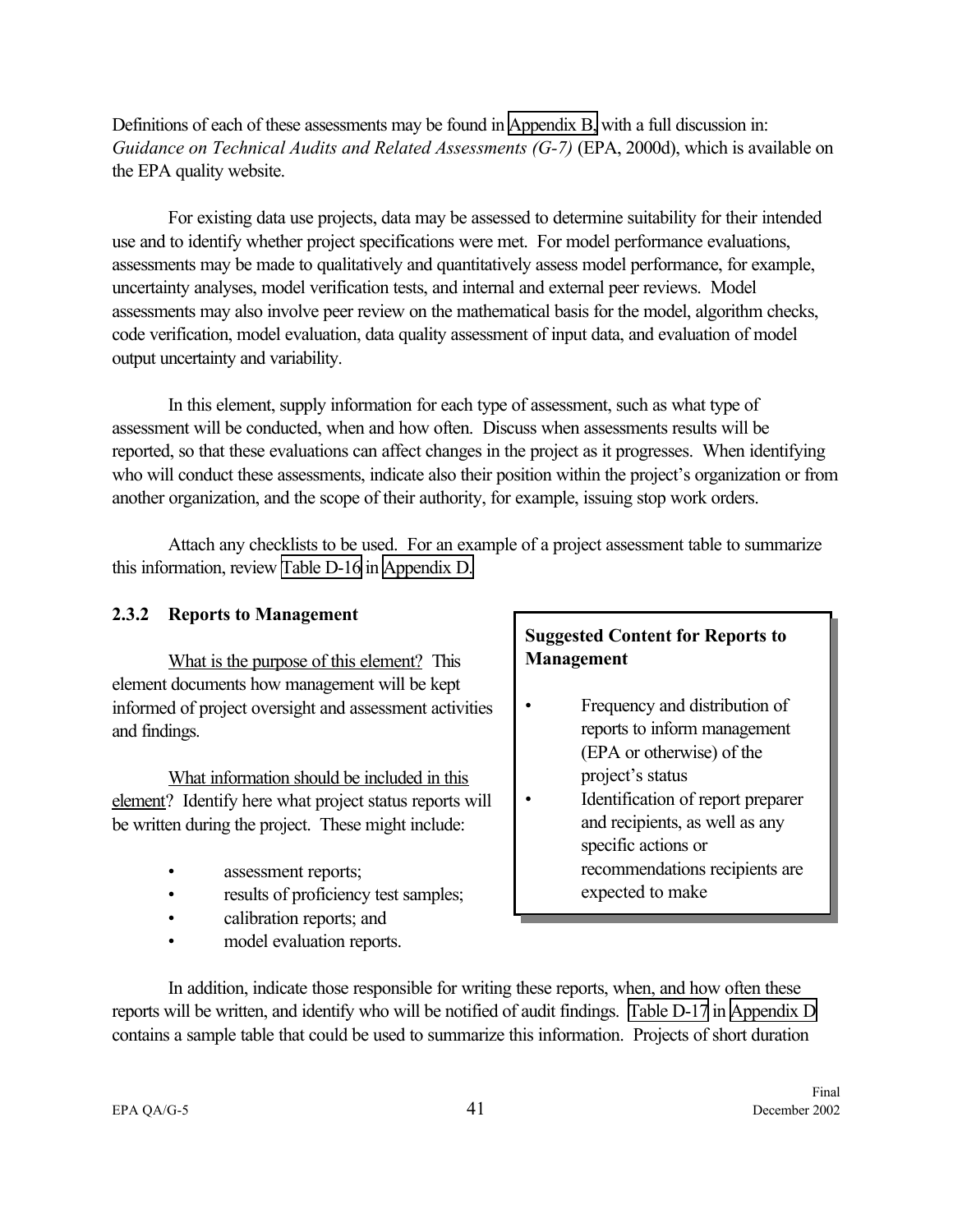Definitions of each of these assessments may be found in [Appendix B,](#page-68-0) with a full discussion in: *Guidance on Technical Audits and Related Assessments (G-7)* (EPA, 2000d), which is available on the EPA quality website.

For existing data use projects, data may be assessed to determine suitability for their intended use and to identify whether project specifications were met. For model performance evaluations, assessments may be made to qualitatively and quantitatively assess model performance, for example, uncertainty analyses, model verification tests, and internal and external peer reviews. Model assessments may also involve peer review on the mathematical basis for the model, algorithm checks, code verification, model evaluation, data quality assessment of input data, and evaluation of model output uncertainty and variability.

In this element, supply information for each type of assessment, such as what type of assessment will be conducted, when and how often. Discuss when assessments results will be reported, so that these evaluations can affect changes in the project as it progresses. When identifying who will conduct these assessments, indicate also their position within the project's organization or from another organization, and the scope of their authority, for example, issuing stop work orders.

Attach any checklists to be used. For an example of a project assessment table to summarize this information, review [Table D-16](#page-108-0) in [Appendix D.](#page-91-0)

#### **2.3.2 Reports to Management**

What is the purpose of this element? This element documents how management will be kept informed of project oversight and assessment activities and findings.

What information should be included in this element? Identify here what project status reports will be written during the project. These might include:

- assessment reports;
- results of proficiency test samples;
- calibration reports; and
- model evaluation reports.

## **Suggested Content for Reports to Management**

- Frequency and distribution of reports to inform management (EPA or otherwise) of the project's status
- Identification of report preparer and recipients, as well as any specific actions or recommendations recipients are expected to make

In addition, indicate those responsible for writing these reports, when, and how often these reports will be written, and identify who will be notified of audit findings. [Table D-17](#page-108-0) in [Appendix D](#page-92-0) contains a sample table that could be used to summarize this information. Projects of short duration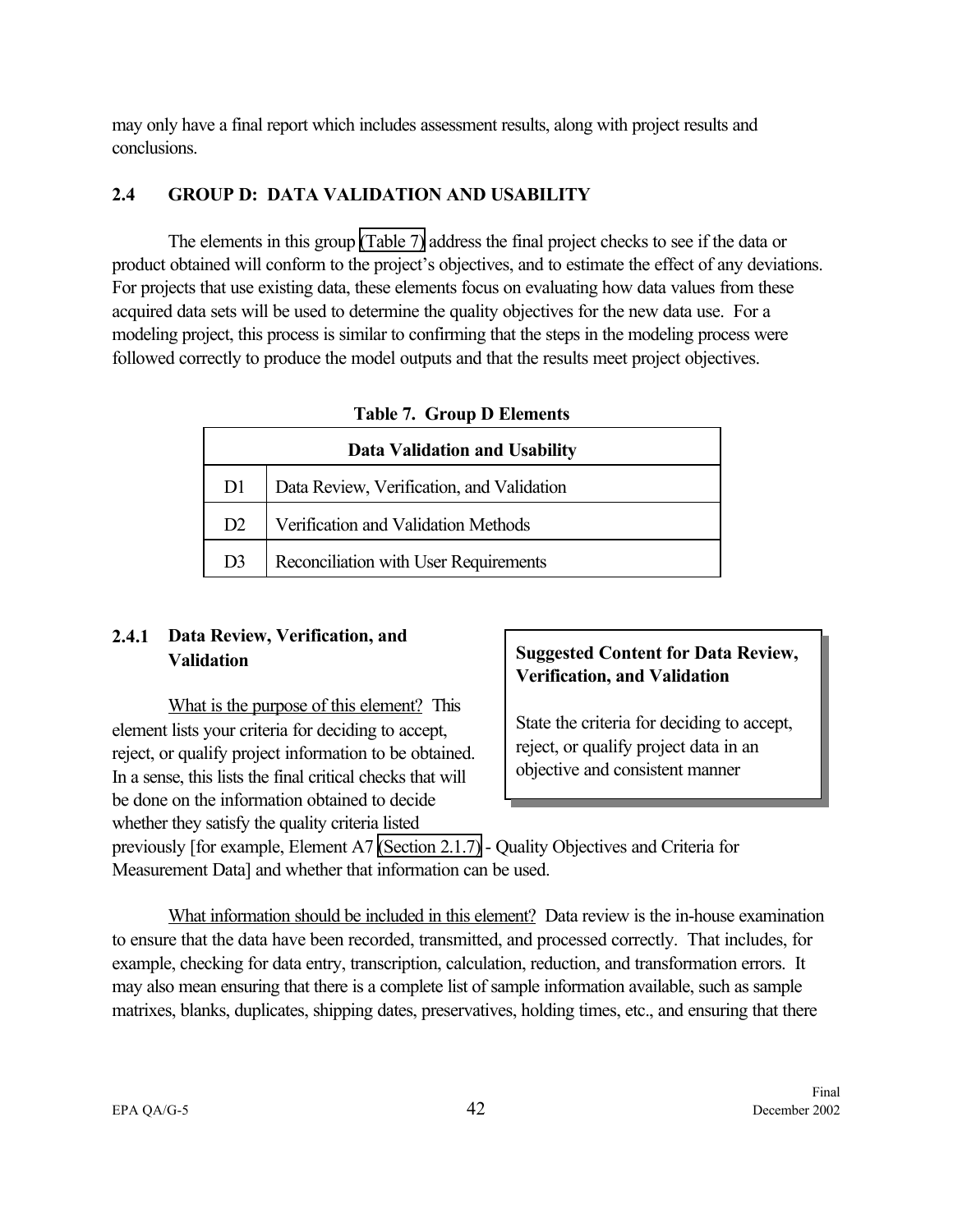may only have a final report which includes assessment results, along with project results and conclusions.

## **2.4 GROUP D: DATA VALIDATION AND USABILITY**

The elements in this group (Table 7) address the final project checks to see if the data or product obtained will conform to the project's objectives, and to estimate the effect of any deviations. For projects that use existing data, these elements focus on evaluating how data values from these acquired data sets will be used to determine the quality objectives for the new data use. For a modeling project, this process is similar to confirming that the steps in the modeling process were followed correctly to produce the model outputs and that the results meet project objectives.

| <b>Data Validation and Usability</b> |                                           |  |
|--------------------------------------|-------------------------------------------|--|
| D <sub>1</sub>                       | Data Review, Verification, and Validation |  |
| D <sub>2</sub>                       | Verification and Validation Methods       |  |
| D3                                   | Reconciliation with User Requirements     |  |

**Table 7. Group D Elements**

## **2.4.1 Data Review, Verification, and Validation**

What is the purpose of this element? This element lists your criteria for deciding to accept, reject, or qualify project information to be obtained. In a sense, this lists the final critical checks that will be done on the information obtained to decide whether they satisfy the quality criteria listed

## **Suggested Content for Data Review, Verification, and Validation**

State the criteria for deciding to accept, reject, or qualify project data in an objective and consistent manner

previously [for example, Element A7 [\(Section 2.1.7\)](#page-25-0) - Quality Objectives and Criteria for Measurement Data] and whether that information can be used.

What information should be included in this element? Data review is the in-house examination to ensure that the data have been recorded, transmitted, and processed correctly. That includes, for example, checking for data entry, transcription, calculation, reduction, and transformation errors. It may also mean ensuring that there is a complete list of sample information available, such as sample matrixes, blanks, duplicates, shipping dates, preservatives, holding times, etc., and ensuring that there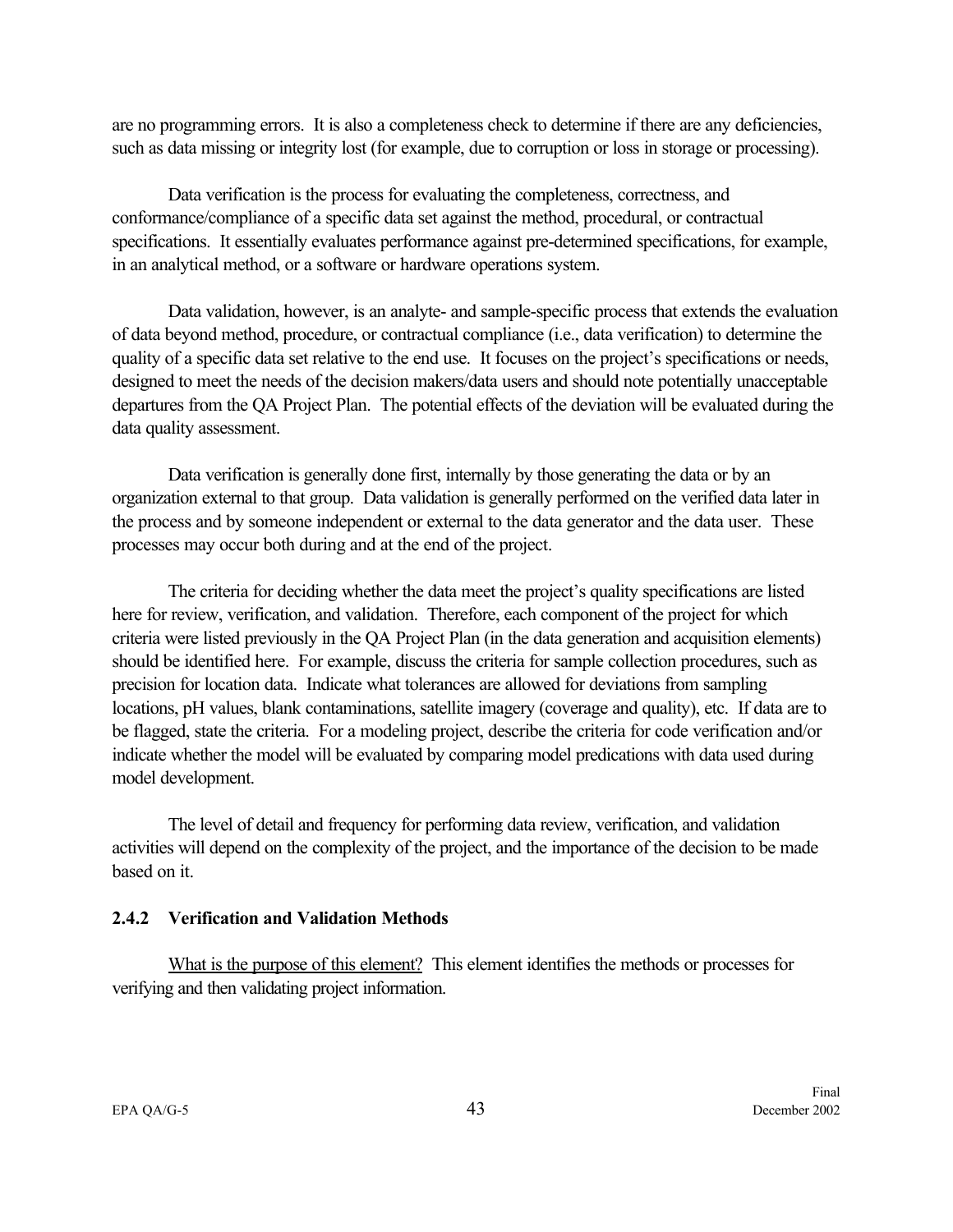are no programming errors. It is also a completeness check to determine if there are any deficiencies, such as data missing or integrity lost (for example, due to corruption or loss in storage or processing).

Data verification is the process for evaluating the completeness, correctness, and conformance/compliance of a specific data set against the method, procedural, or contractual specifications. It essentially evaluates performance against pre-determined specifications, for example, in an analytical method, or a software or hardware operations system.

Data validation, however, is an analyte- and sample-specific process that extends the evaluation of data beyond method, procedure, or contractual compliance (i.e., data verification) to determine the quality of a specific data set relative to the end use. It focuses on the project's specifications or needs, designed to meet the needs of the decision makers/data users and should note potentially unacceptable departures from the QA Project Plan. The potential effects of the deviation will be evaluated during the data quality assessment.

Data verification is generally done first, internally by those generating the data or by an organization external to that group. Data validation is generally performed on the verified data later in the process and by someone independent or external to the data generator and the data user. These processes may occur both during and at the end of the project.

The criteria for deciding whether the data meet the project's quality specifications are listed here for review, verification, and validation. Therefore, each component of the project for which criteria were listed previously in the QA Project Plan (in the data generation and acquisition elements) should be identified here. For example, discuss the criteria for sample collection procedures, such as precision for location data. Indicate what tolerances are allowed for deviations from sampling locations, pH values, blank contaminations, satellite imagery (coverage and quality), etc. If data are to be flagged, state the criteria. For a modeling project, describe the criteria for code verification and/or indicate whether the model will be evaluated by comparing model predications with data used during model development.

The level of detail and frequency for performing data review, verification, and validation activities will depend on the complexity of the project, and the importance of the decision to be made based on it.

#### **2.4.2 Verification and Validation Methods**

What is the purpose of this element? This element identifies the methods or processes for verifying and then validating project information.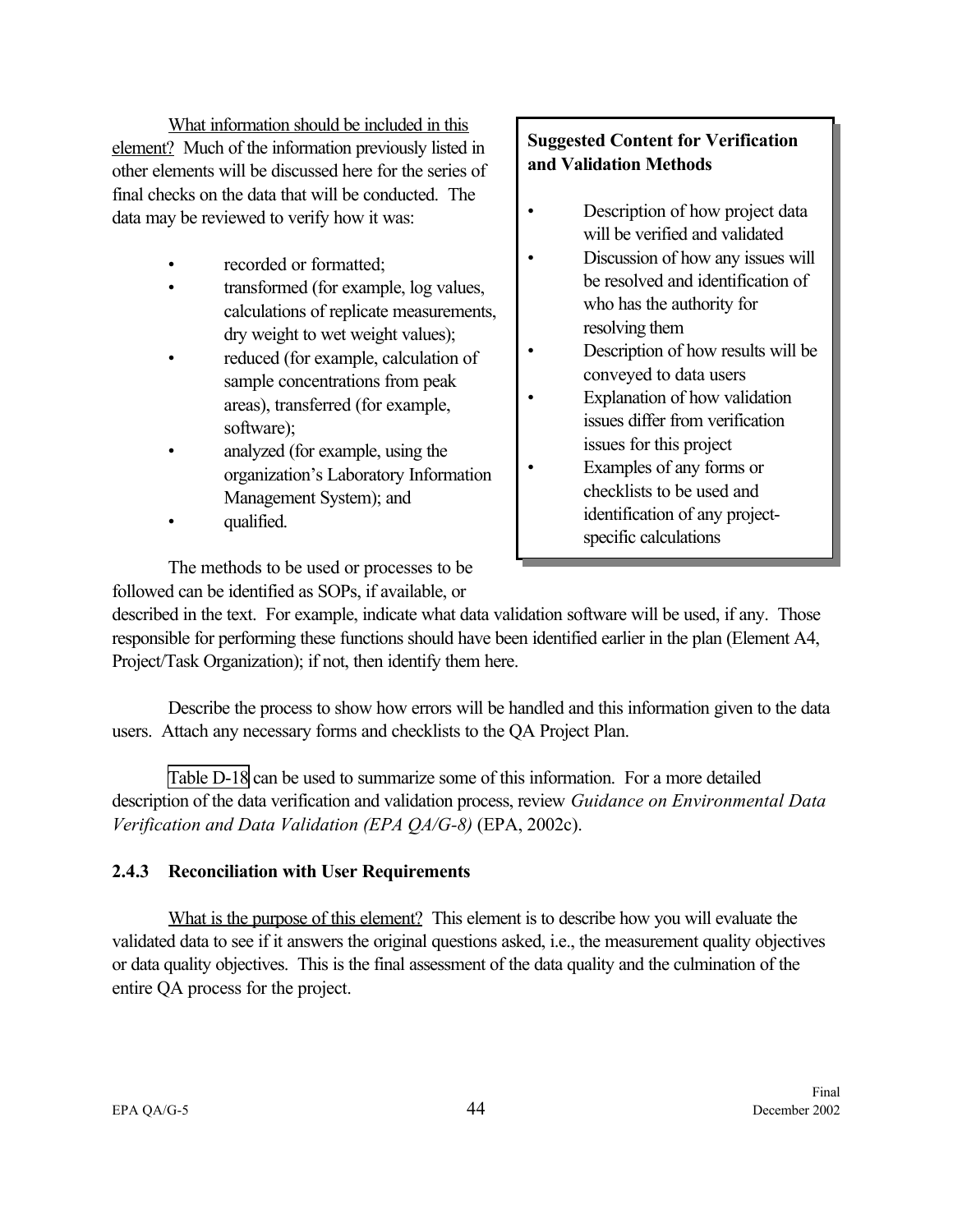What information should be included in this element? Much of the information previously listed in other elements will be discussed here for the series of final checks on the data that will be conducted. The data may be reviewed to verify how it was:

- recorded or formatted;
- transformed (for example, log values, calculations of replicate measurements, dry weight to wet weight values);
- reduced (for example, calculation of sample concentrations from peak areas), transferred (for example, software);
- analyzed (for example, using the organization's Laboratory Information Management System); and
- qualified.

The methods to be used or processes to be followed can be identified as SOPs, if available, or

## **Suggested Content for Verification and Validation Methods**

- Description of how project data will be verified and validated
- Discussion of how any issues will be resolved and identification of who has the authority for resolving them
- Description of how results will be conveyed to data users
- Explanation of how validation issues differ from verification issues for this project
- Examples of any forms or checklists to be used and identification of any projectspecific calculations

described in the text. For example, indicate what data validation software will be used, if any. Those responsible for performing these functions should have been identified earlier in the plan (Element A4, Project/Task Organization); if not, then identify them here.

Describe the process to show how errors will be handled and this information given to the data users. Attach any necessary forms and checklists to the QA Project Plan.

[Table D-18](#page-110-0) can be used to summarize some of this information. For a more detailed description of the data verification and validation process, review *Guidance on Environmental Data Verification and Data Validation (EPA QA/G-8)* (EPA, 2002c).

## **2.4.3 Reconciliation with User Requirements**

What is the purpose of this element? This element is to describe how you will evaluate the validated data to see if it answers the original questions asked, i.e., the measurement quality objectives or data quality objectives. This is the final assessment of the data quality and the culmination of the entire QA process for the project.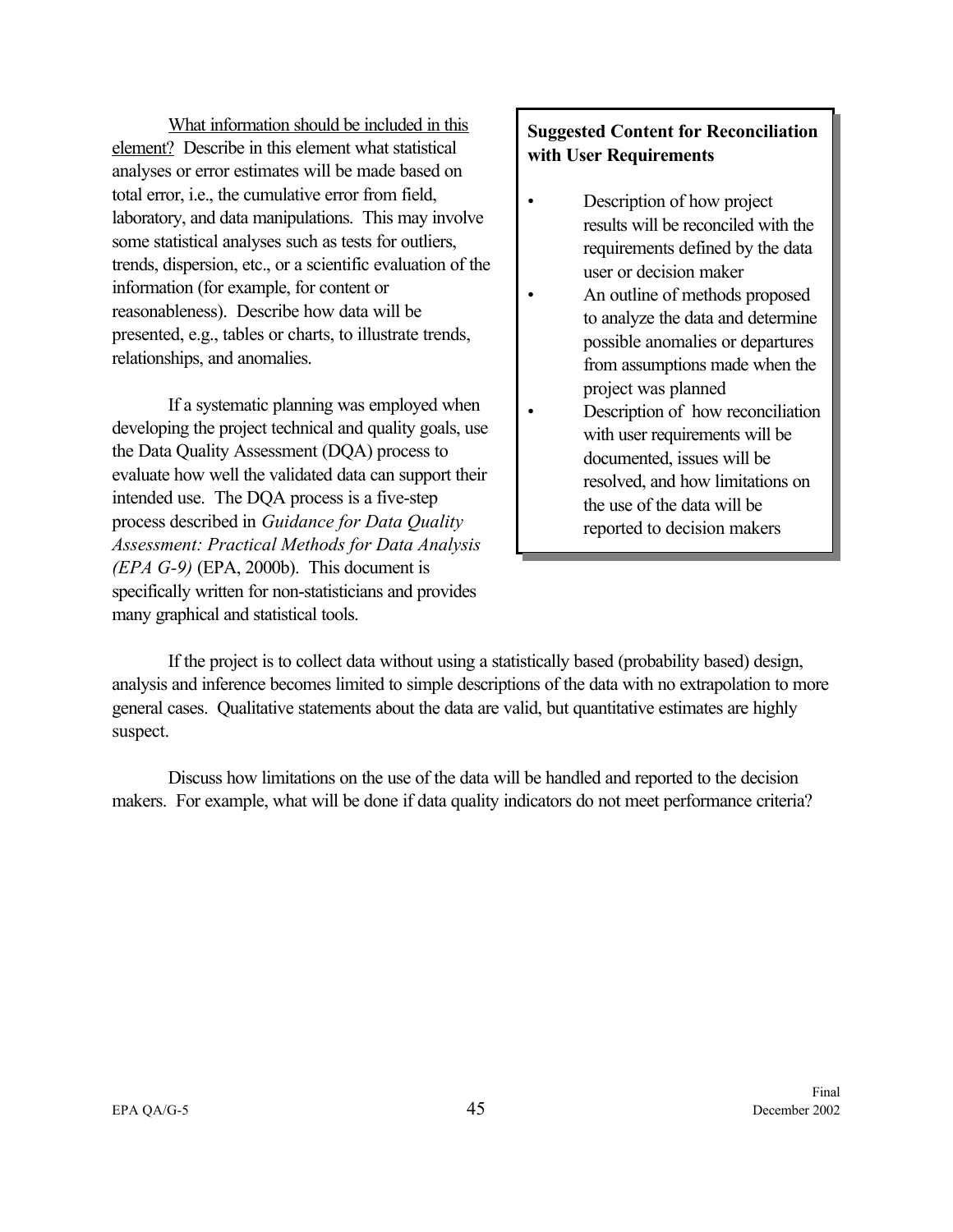What information should be included in this element? Describe in this element what statistical analyses or error estimates will be made based on total error, i.e., the cumulative error from field, laboratory, and data manipulations. This may involve some statistical analyses such as tests for outliers, trends, dispersion, etc., or a scientific evaluation of the information (for example, for content or reasonableness). Describe how data will be presented, e.g., tables or charts, to illustrate trends, relationships, and anomalies.

If a systematic planning was employed when developing the project technical and quality goals, use the Data Quality Assessment (DQA) process to evaluate how well the validated data can support their intended use. The DQA process is a five-step process described in *Guidance for Data Quality Assessment: Practical Methods for Data Analysis (EPA G-9)* (EPA, 2000b). This document is specifically written for non-statisticians and provides many graphical and statistical tools.

## **Suggested Content for Reconciliation with User Requirements**

- Description of how project results will be reconciled with the requirements defined by the data user or decision maker
- An outline of methods proposed to analyze the data and determine possible anomalies or departures from assumptions made when the project was planned
- Description of how reconciliation with user requirements will be documented, issues will be resolved, and how limitations on the use of the data will be reported to decision makers

If the project is to collect data without using a statistically based (probability based) design, analysis and inference becomes limited to simple descriptions of the data with no extrapolation to more general cases. Qualitative statements about the data are valid, but quantitative estimates are highly suspect.

Discuss how limitations on the use of the data will be handled and reported to the decision makers. For example, what will be done if data quality indicators do not meet performance criteria?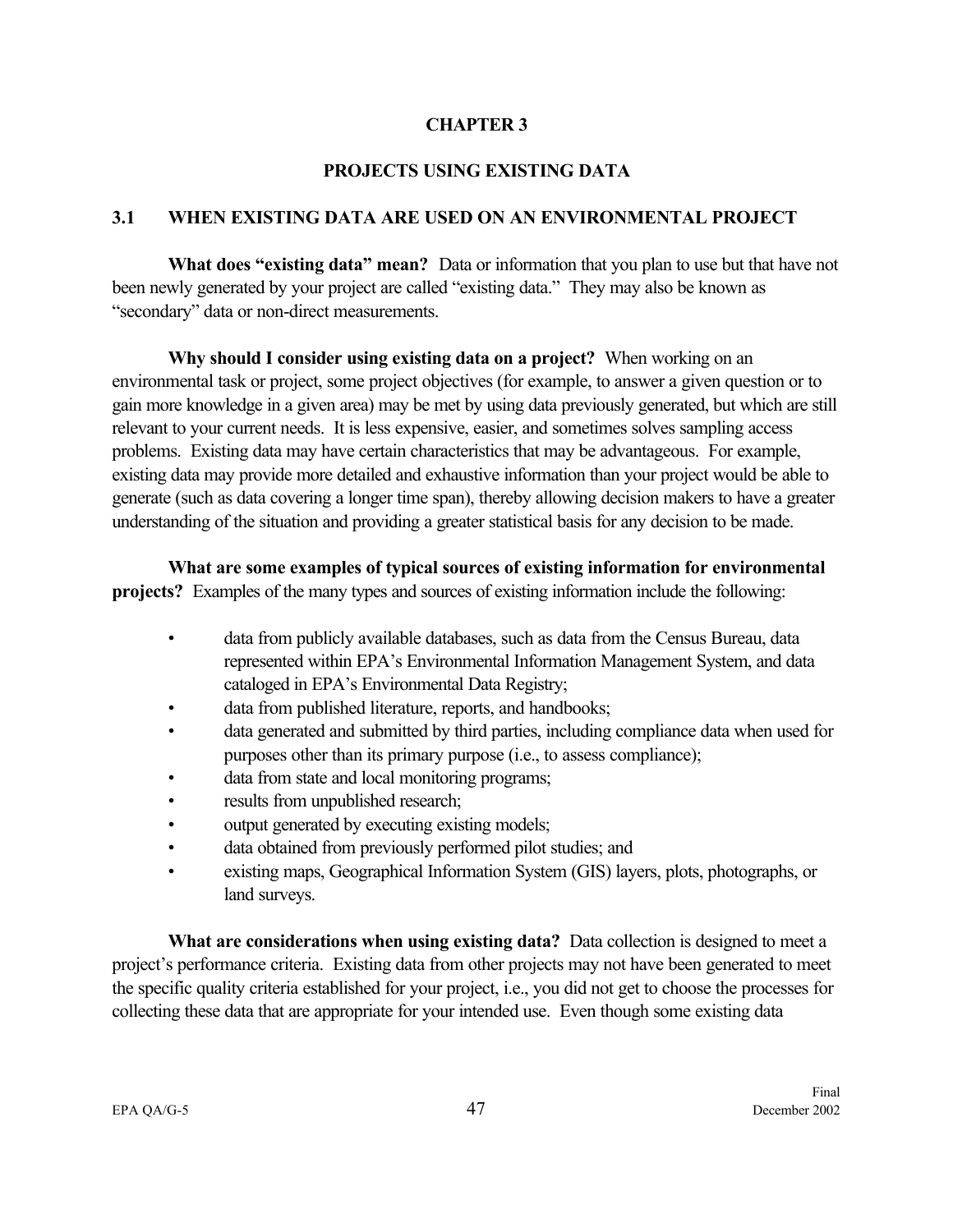#### **CHAPTER 3**

## **PROJECTS USING EXISTING DATA**

## <span id="page-54-0"></span>**3.1 WHEN EXISTING DATA ARE USED ON AN ENVIRONMENTAL PROJECT**

**What does "existing data" mean?** Data or information that you plan to use but that have not been newly generated by your project are called "existing data." They may also be known as "secondary" data or non-direct measurements.

**Why should I consider using existing data on a project?** When working on an environmental task or project, some project objectives (for example, to answer a given question or to gain more knowledge in a given area) may be met by using data previously generated, but which are still relevant to your current needs. It is less expensive, easier, and sometimes solves sampling access problems. Existing data may have certain characteristics that may be advantageous. For example, existing data may provide more detailed and exhaustive information than your project would be able to generate (such as data covering a longer time span), thereby allowing decision makers to have a greater understanding of the situation and providing a greater statistical basis for any decision to be made.

**What are some examples of typical sources of existing information for environmental projects?** Examples of the many types and sources of existing information include the following:

- data from publicly available databases, such as data from the Census Bureau, data represented within EPA's Environmental Information Management System, and data cataloged in EPA's Environmental Data Registry;
- data from published literature, reports, and handbooks;
- data generated and submitted by third parties, including compliance data when used for purposes other than its primary purpose (i.e., to assess compliance);
- data from state and local monitoring programs;
- results from unpublished research;
- output generated by executing existing models;
- data obtained from previously performed pilot studies; and
- existing maps, Geographical Information System (GIS) layers, plots, photographs, or land surveys.

**What are considerations when using existing data?** Data collection is designed to meet a project's performance criteria. Existing data from other projects may not have been generated to meet the specific quality criteria established for your project, i.e., you did not get to choose the processes for collecting these data that are appropriate for your intended use. Even though some existing data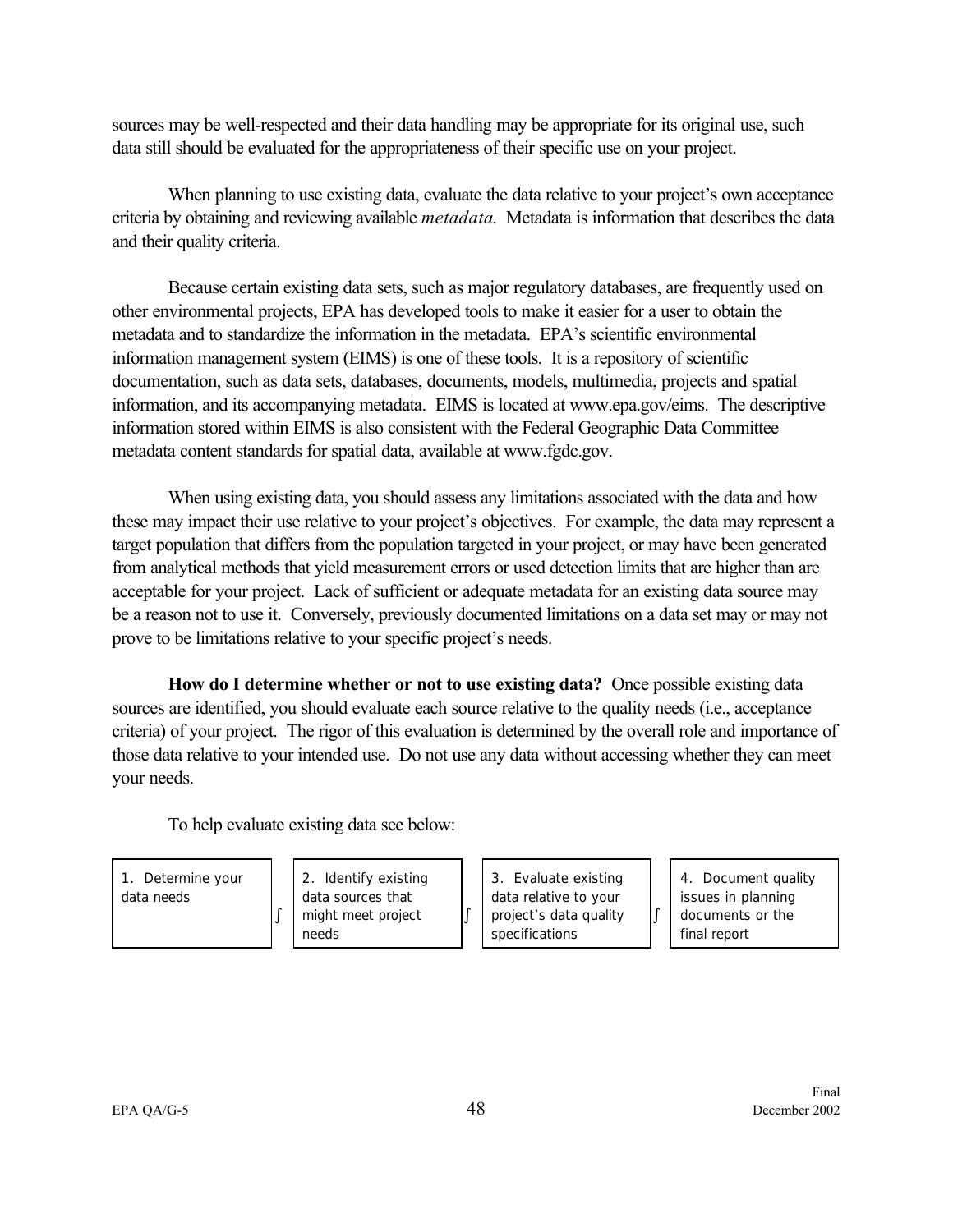sources may be well-respected and their data handling may be appropriate for its original use, such data still should be evaluated for the appropriateness of their specific use on your project.

When planning to use existing data, evaluate the data relative to your project's own acceptance criteria by obtaining and reviewing available *metadata*. Metadata is information that describes the data and their quality criteria.

Because certain existing data sets, such as major regulatory databases, are frequently used on other environmental projects, EPA has developed tools to make it easier for a user to obtain the metadata and to standardize the information in the metadata. EPA's scientific environmental information management system (EIMS) is one of these tools. It is a repository of scientific documentation, such as data sets, databases, documents, models, multimedia, projects and spatial information, and its accompanying metadata. EIMS is located at www.epa.gov/eims. The descriptive information stored within EIMS is also consistent with the Federal Geographic Data Committee metadata content standards for spatial data, available at www.fgdc.gov.

When using existing data, you should assess any limitations associated with the data and how these may impact their use relative to your project's objectives. For example, the data may represent a target population that differs from the population targeted in your project, or may have been generated from analytical methods that yield measurement errors or used detection limits that are higher than are acceptable for your project. Lack of sufficient or adequate metadata for an existing data source may be a reason not to use it. Conversely, previously documented limitations on a data set may or may not prove to be limitations relative to your specific project's needs.

**How do I determine whether or not to use existing data?** Once possible existing data sources are identified, you should evaluate each source relative to the quality needs (i.e., acceptance criteria) of your project. The rigor of this evaluation is determined by the overall role and importance of those data relative to your intended use. Do not use any data without accessing whether they can meet your needs.

º

To help evaluate existing data see below:

º

1. Determine your data needs

2. Identify existing data sources that might meet project needs

3. Evaluate existing data relative to your project's data quality specifications

4. Document quality issues in planning documents or the final report

º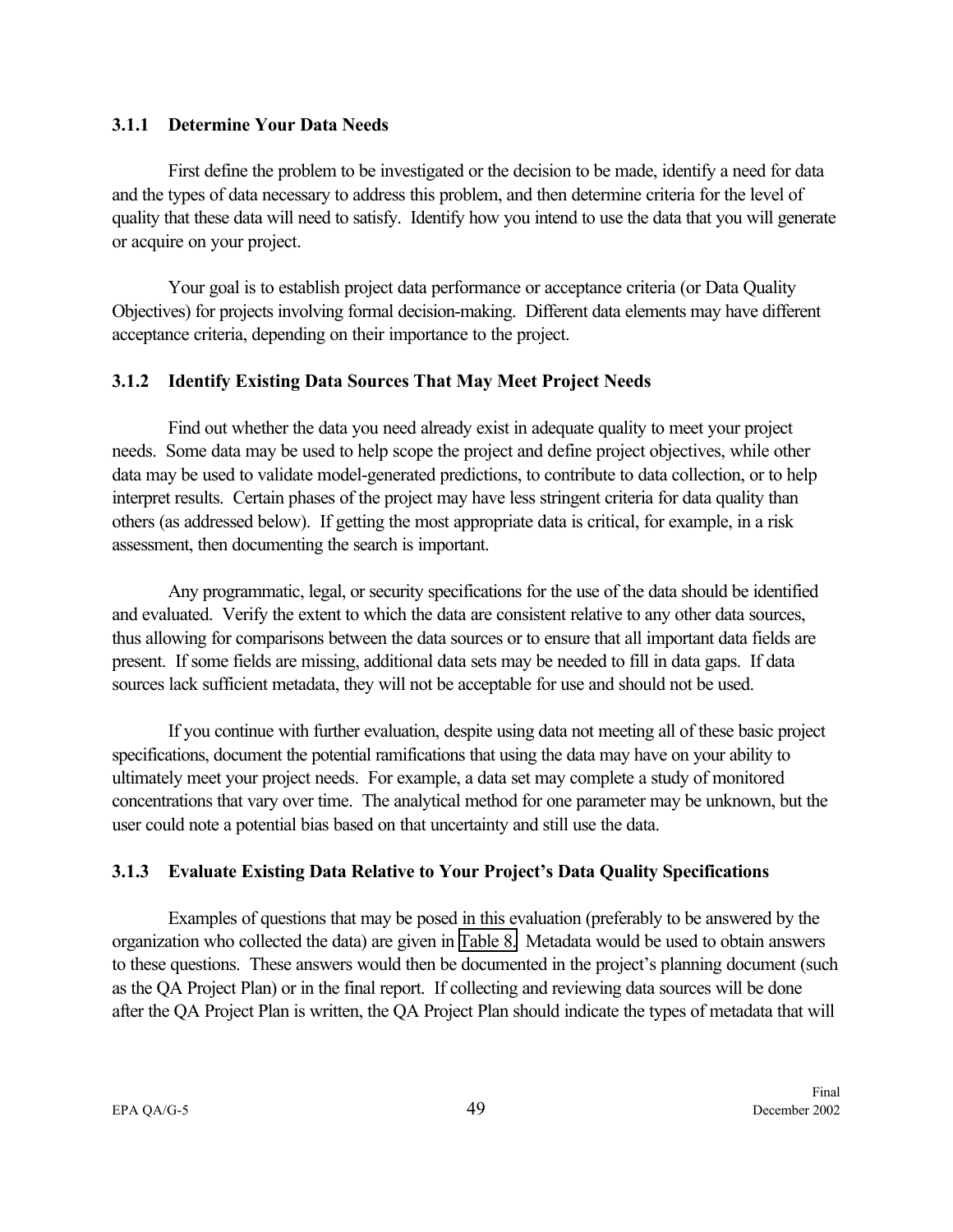#### **3.1.1 Determine Your Data Needs**

First define the problem to be investigated or the decision to be made, identify a need for data and the types of data necessary to address this problem, and then determine criteria for the level of quality that these data will need to satisfy. Identify how you intend to use the data that you will generate or acquire on your project.

Your goal is to establish project data performance or acceptance criteria (or Data Quality Objectives) for projects involving formal decision-making. Different data elements may have different acceptance criteria, depending on their importance to the project.

## **3.1.2 Identify Existing Data Sources That May Meet Project Needs**

Find out whether the data you need already exist in adequate quality to meet your project needs. Some data may be used to help scope the project and define project objectives, while other data may be used to validate model-generated predictions, to contribute to data collection, or to help interpret results. Certain phases of the project may have less stringent criteria for data quality than others (as addressed below). If getting the most appropriate data is critical, for example, in a risk assessment, then documenting the search is important.

Any programmatic, legal, or security specifications for the use of the data should be identified and evaluated. Verify the extent to which the data are consistent relative to any other data sources, thus allowing for comparisons between the data sources or to ensure that all important data fields are present. If some fields are missing, additional data sets may be needed to fill in data gaps. If data sources lack sufficient metadata, they will not be acceptable for use and should not be used.

If you continue with further evaluation, despite using data not meeting all of these basic project specifications, document the potential ramifications that using the data may have on your ability to ultimately meet your project needs. For example, a data set may complete a study of monitored concentrations that vary over time. The analytical method for one parameter may be unknown, but the user could note a potential bias based on that uncertainty and still use the data.

#### **3.1.3 Evaluate Existing Data Relative to Your Project's Data Quality Specifications**

Examples of questions that may be posed in this evaluation (preferably to be answered by the organization who collected the data) are given in [Table 8.](#page-57-0) Metadata would be used to obtain answers to these questions. These answers would then be documented in the project's planning document (such as the QA Project Plan) or in the final report. If collecting and reviewing data sources will be done after the QA Project Plan is written, the QA Project Plan should indicate the types of metadata that will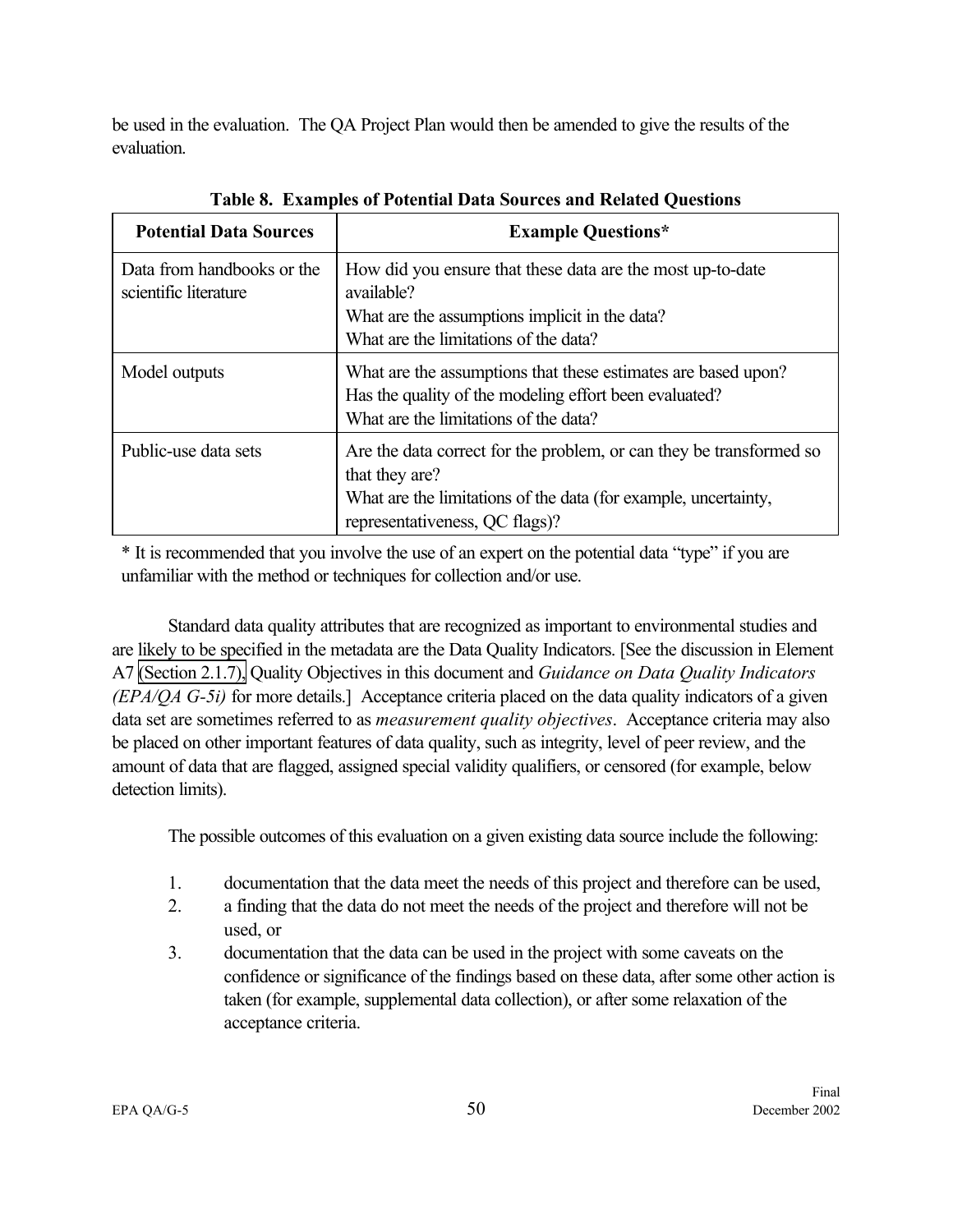<span id="page-57-0"></span>be used in the evaluation. The QA Project Plan would then be amended to give the results of the evaluation.

| <b>Potential Data Sources</b>                       | <b>Example Questions*</b>                                                                                                                                                                  |
|-----------------------------------------------------|--------------------------------------------------------------------------------------------------------------------------------------------------------------------------------------------|
| Data from handbooks or the<br>scientific literature | How did you ensure that these data are the most up-to-date<br>available?                                                                                                                   |
|                                                     | What are the assumptions implicit in the data?                                                                                                                                             |
|                                                     | What are the limitations of the data?                                                                                                                                                      |
| Model outputs                                       | What are the assumptions that these estimates are based upon?<br>Has the quality of the modeling effort been evaluated?<br>What are the limitations of the data?                           |
| Public-use data sets                                | Are the data correct for the problem, or can they be transformed so<br>that they are?<br>What are the limitations of the data (for example, uncertainty,<br>representativeness, QC flags)? |
|                                                     |                                                                                                                                                                                            |

**Table 8. Examples of Potential Data Sources and Related Questions**

\* It is recommended that you involve the use of an expert on the potential data "type" if you are unfamiliar with the method or techniques for collection and/or use.

Standard data quality attributes that are recognized as important to environmental studies and are likely to be specified in the metadata are the Data Quality Indicators. [See the discussion in Element A7 [\(Section 2.1.7\),](#page-25-0) Quality Objectives in this document and *Guidance on Data Quality Indicators (EPA/QA G-5i)* for more details.] Acceptance criteria placed on the data quality indicators of a given data set are sometimes referred to as *measurement quality objectives*. Acceptance criteria may also be placed on other important features of data quality, such as integrity, level of peer review, and the amount of data that are flagged, assigned special validity qualifiers, or censored (for example, below detection limits).

The possible outcomes of this evaluation on a given existing data source include the following:

- 1. documentation that the data meet the needs of this project and therefore can be used,
- 2. a finding that the data do not meet the needs of the project and therefore will not be used, or
- 3. documentation that the data can be used in the project with some caveats on the confidence or significance of the findings based on these data, after some other action is taken (for example, supplemental data collection), or after some relaxation of the acceptance criteria.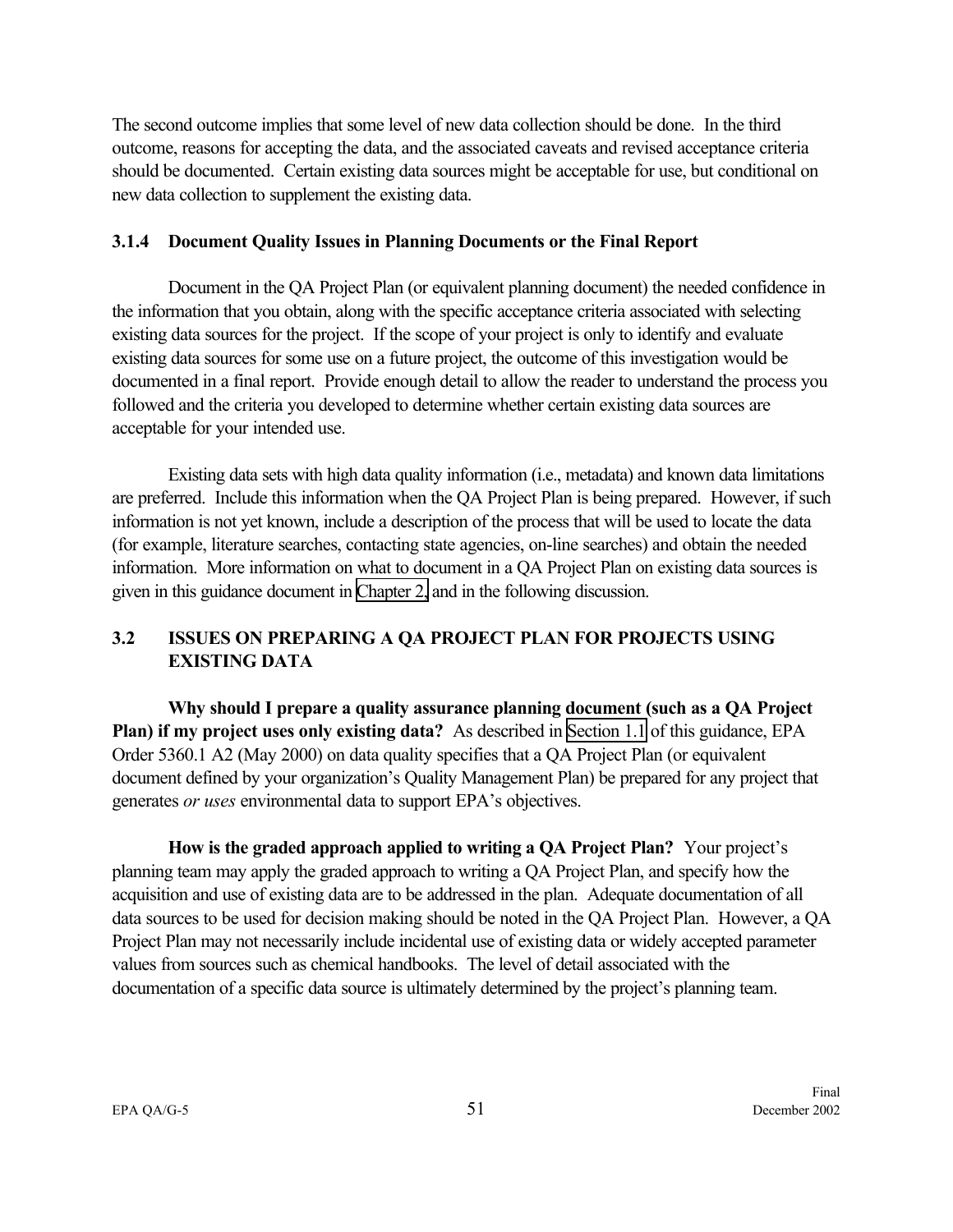The second outcome implies that some level of new data collection should be done. In the third outcome, reasons for accepting the data, and the associated caveats and revised acceptance criteria should be documented. Certain existing data sources might be acceptable for use, but conditional on new data collection to supplement the existing data.

#### **3.1.4 Document Quality Issues in Planning Documents or the Final Report**

Document in the QA Project Plan (or equivalent planning document) the needed confidence in the information that you obtain, along with the specific acceptance criteria associated with selecting existing data sources for the project. If the scope of your project is only to identify and evaluate existing data sources for some use on a future project, the outcome of this investigation would be documented in a final report. Provide enough detail to allow the reader to understand the process you followed and the criteria you developed to determine whether certain existing data sources are acceptable for your intended use.

Existing data sets with high data quality information (i.e., metadata) and known data limitations are preferred. Include this information when the QA Project Plan is being prepared. However, if such information is not yet known, include a description of the process that will be used to locate the data (for example, literature searches, contacting state agencies, on-line searches) and obtain the needed information. More information on what to document in a QA Project Plan on existing data sources is given in this guidance document in [Chapter 2,](#page-18-0) and in the following discussion.

## **3.2 ISSUES ON PREPARING A QA PROJECT PLAN FOR PROJECTS USING EXISTING DATA**

**Why should I prepare a quality assurance planning document (such as a QA Project Plan) if my project uses only existing data?** As described in [Section 1.1](#page-8-0) of this guidance, EPA Order 5360.1 A2 (May 2000) on data quality specifies that a QA Project Plan (or equivalent document defined by your organization's Quality Management Plan) be prepared for any project that generates *or uses* environmental data to support EPA's objectives.

**How is the graded approach applied to writing a QA Project Plan?** Your project's planning team may apply the graded approach to writing a QA Project Plan, and specify how the acquisition and use of existing data are to be addressed in the plan. Adequate documentation of all data sources to be used for decision making should be noted in the QA Project Plan. However, a QA Project Plan may not necessarily include incidental use of existing data or widely accepted parameter values from sources such as chemical handbooks. The level of detail associated with the documentation of a specific data source is ultimately determined by the project's planning team.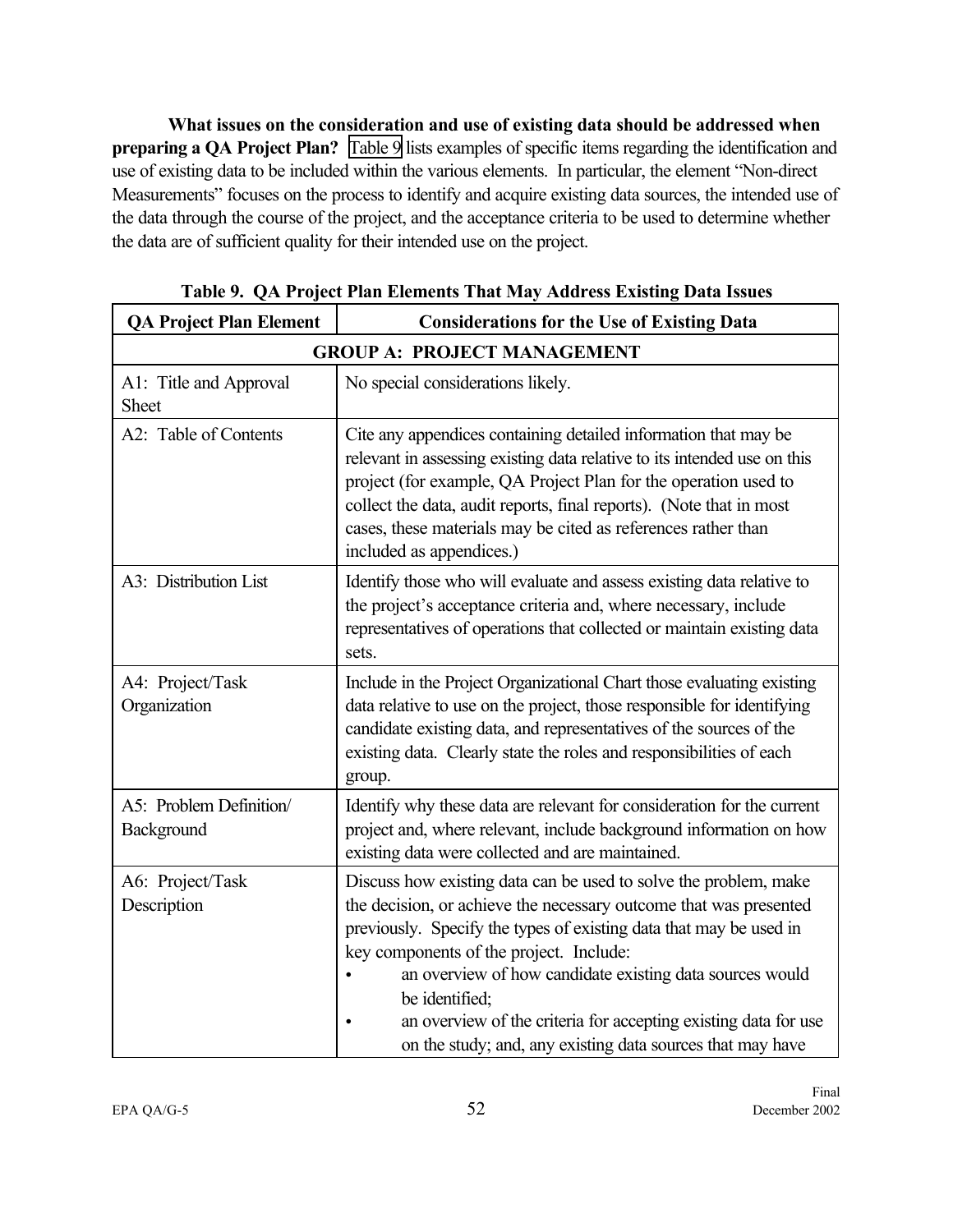**What issues on the consideration and use of existing data should be addressed when preparing a QA Project Plan?** Table 9 lists examples of specific items regarding the identification and use of existing data to be included within the various elements. In particular, the element "Non-direct" Measurements" focuses on the process to identify and acquire existing data sources, the intended use of the data through the course of the project, and the acceptance criteria to be used to determine whether the data are of sufficient quality for their intended use on the project.

| <b>QA Project Plan Element</b>         | <b>Considerations for the Use of Existing Data</b>                                                                                                                                                                                                                                                                                                                                                                                                                    |  |  |  |
|----------------------------------------|-----------------------------------------------------------------------------------------------------------------------------------------------------------------------------------------------------------------------------------------------------------------------------------------------------------------------------------------------------------------------------------------------------------------------------------------------------------------------|--|--|--|
| <b>GROUP A: PROJECT MANAGEMENT</b>     |                                                                                                                                                                                                                                                                                                                                                                                                                                                                       |  |  |  |
| A1: Title and Approval<br><b>Sheet</b> | No special considerations likely.                                                                                                                                                                                                                                                                                                                                                                                                                                     |  |  |  |
| A2: Table of Contents                  | Cite any appendices containing detailed information that may be<br>relevant in assessing existing data relative to its intended use on this<br>project (for example, QA Project Plan for the operation used to<br>collect the data, audit reports, final reports). (Note that in most<br>cases, these materials may be cited as references rather than<br>included as appendices.)                                                                                    |  |  |  |
| A3: Distribution List                  | Identify those who will evaluate and assess existing data relative to<br>the project's acceptance criteria and, where necessary, include<br>representatives of operations that collected or maintain existing data<br>sets.                                                                                                                                                                                                                                           |  |  |  |
| A4: Project/Task<br>Organization       | Include in the Project Organizational Chart those evaluating existing<br>data relative to use on the project, those responsible for identifying<br>candidate existing data, and representatives of the sources of the<br>existing data. Clearly state the roles and responsibilities of each<br>group.                                                                                                                                                                |  |  |  |
| A5: Problem Definition/<br>Background  | Identify why these data are relevant for consideration for the current<br>project and, where relevant, include background information on how<br>existing data were collected and are maintained.                                                                                                                                                                                                                                                                      |  |  |  |
| A6: Project/Task<br>Description        | Discuss how existing data can be used to solve the problem, make<br>the decision, or achieve the necessary outcome that was presented<br>previously. Specify the types of existing data that may be used in<br>key components of the project. Include:<br>an overview of how candidate existing data sources would<br>be identified;<br>an overview of the criteria for accepting existing data for use<br>on the study; and, any existing data sources that may have |  |  |  |

|  |  |  | Table 9. QA Project Plan Elements That May Address Existing Data Issues |  |
|--|--|--|-------------------------------------------------------------------------|--|
|  |  |  |                                                                         |  |

 $\overline{\phantom{0}}$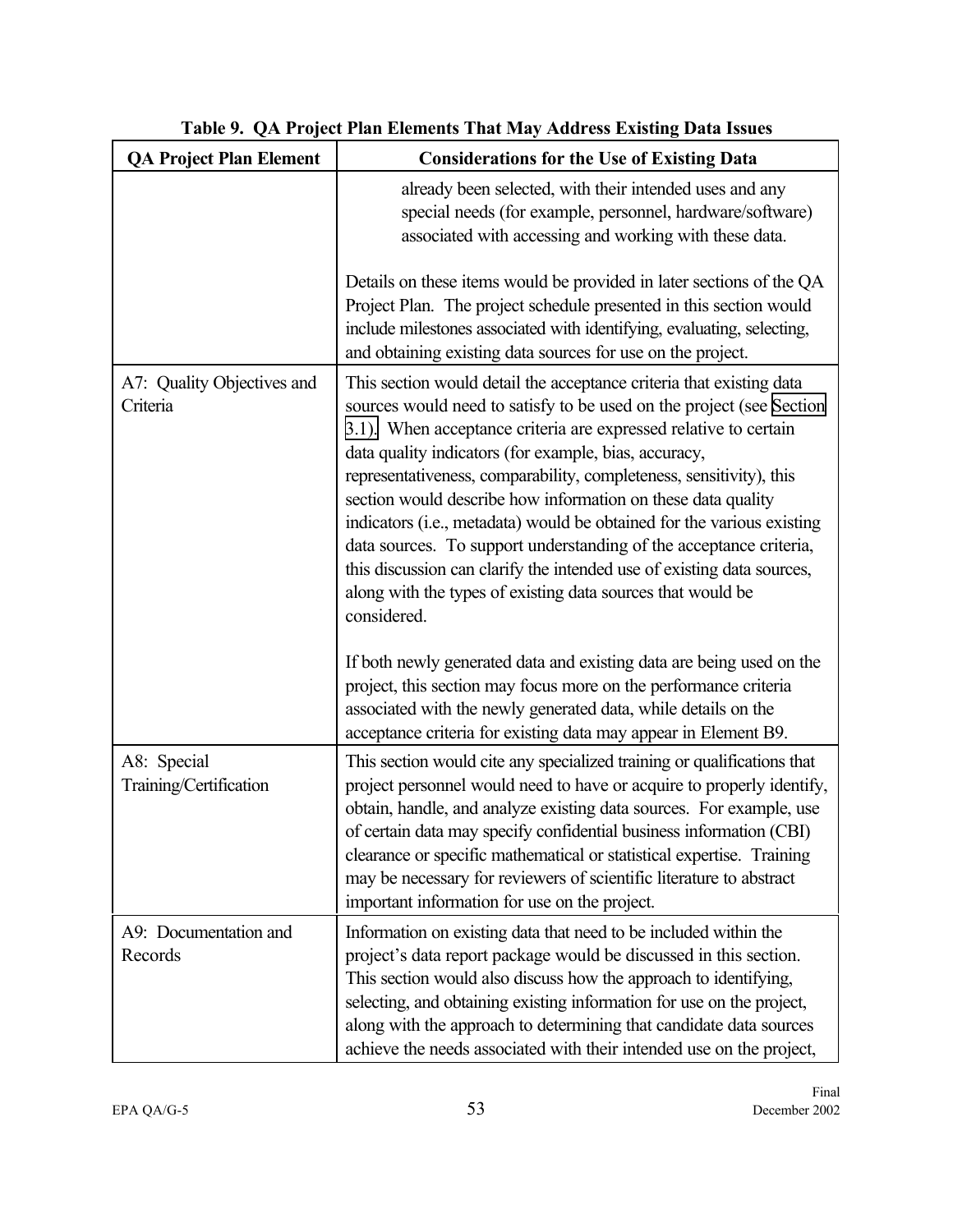| <b>QA Project Plan Element</b>         | <b>Considerations for the Use of Existing Data</b>                                                                                                                                                                                                                                                                                                                                                                                                                                                                                                                                                                                                                                                                       |
|----------------------------------------|--------------------------------------------------------------------------------------------------------------------------------------------------------------------------------------------------------------------------------------------------------------------------------------------------------------------------------------------------------------------------------------------------------------------------------------------------------------------------------------------------------------------------------------------------------------------------------------------------------------------------------------------------------------------------------------------------------------------------|
|                                        | already been selected, with their intended uses and any<br>special needs (for example, personnel, hardware/software)<br>associated with accessing and working with these data.                                                                                                                                                                                                                                                                                                                                                                                                                                                                                                                                           |
|                                        | Details on these items would be provided in later sections of the QA<br>Project Plan. The project schedule presented in this section would<br>include milestones associated with identifying, evaluating, selecting,<br>and obtaining existing data sources for use on the project.                                                                                                                                                                                                                                                                                                                                                                                                                                      |
| A7: Quality Objectives and<br>Criteria | This section would detail the acceptance criteria that existing data<br>sources would need to satisfy to be used on the project (see Section<br>3.1). When acceptance criteria are expressed relative to certain<br>data quality indicators (for example, bias, accuracy,<br>representativeness, comparability, completeness, sensitivity), this<br>section would describe how information on these data quality<br>indicators (i.e., metadata) would be obtained for the various existing<br>data sources. To support understanding of the acceptance criteria,<br>this discussion can clarify the intended use of existing data sources,<br>along with the types of existing data sources that would be<br>considered. |
|                                        | If both newly generated data and existing data are being used on the<br>project, this section may focus more on the performance criteria<br>associated with the newly generated data, while details on the<br>acceptance criteria for existing data may appear in Element B9.                                                                                                                                                                                                                                                                                                                                                                                                                                            |
| A8: Special<br>Training/Certification  | This section would cite any specialized training or qualifications that<br>project personnel would need to have or acquire to properly identify,<br>obtain, handle, and analyze existing data sources. For example, use<br>of certain data may specify confidential business information (CBI)<br>clearance or specific mathematical or statistical expertise. Training<br>may be necessary for reviewers of scientific literature to abstract<br>important information for use on the project.                                                                                                                                                                                                                          |
| A9: Documentation and<br>Records       | Information on existing data that need to be included within the<br>project's data report package would be discussed in this section.<br>This section would also discuss how the approach to identifying,<br>selecting, and obtaining existing information for use on the project,<br>along with the approach to determining that candidate data sources<br>achieve the needs associated with their intended use on the project,                                                                                                                                                                                                                                                                                         |

# **Table 9. QA Project Plan Elements That May Address Existing Data Issues**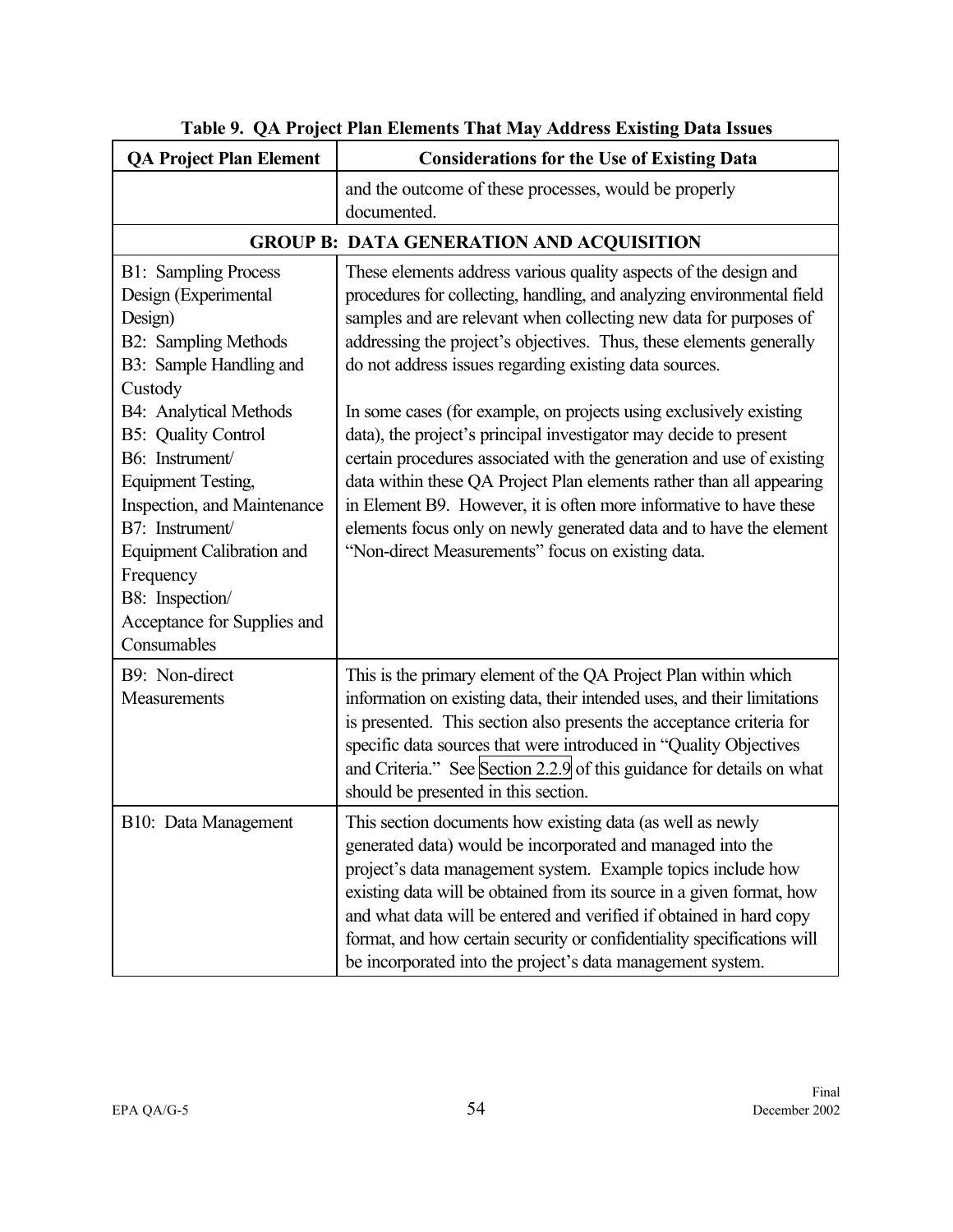| <b>QA Project Plan Element</b>                                                                                                                                                                                                                 | <b>Considerations for the Use of Existing Data</b>                                                                                                                                                                                                                                                                                                                                                                                                                                |  |  |
|------------------------------------------------------------------------------------------------------------------------------------------------------------------------------------------------------------------------------------------------|-----------------------------------------------------------------------------------------------------------------------------------------------------------------------------------------------------------------------------------------------------------------------------------------------------------------------------------------------------------------------------------------------------------------------------------------------------------------------------------|--|--|
|                                                                                                                                                                                                                                                | and the outcome of these processes, would be properly<br>documented.                                                                                                                                                                                                                                                                                                                                                                                                              |  |  |
| <b>GROUP B: DATA GENERATION AND ACQUISITION</b>                                                                                                                                                                                                |                                                                                                                                                                                                                                                                                                                                                                                                                                                                                   |  |  |
| <b>B1:</b> Sampling Process<br>Design (Experimental<br>Design)<br><b>B2:</b> Sampling Methods<br>B3: Sample Handling and<br>Custody<br><b>B4:</b> Analytical Methods                                                                           | These elements address various quality aspects of the design and<br>procedures for collecting, handling, and analyzing environmental field<br>samples and are relevant when collecting new data for purposes of<br>addressing the project's objectives. Thus, these elements generally<br>do not address issues regarding existing data sources.<br>In some cases (for example, on projects using exclusively existing                                                            |  |  |
| <b>B5:</b> Quality Control<br>B6: Instrument/<br><b>Equipment Testing,</b><br>Inspection, and Maintenance<br>B7: Instrument/<br><b>Equipment Calibration and</b><br>Frequency<br>B8: Inspection/<br>Acceptance for Supplies and<br>Consumables | data), the project's principal investigator may decide to present<br>certain procedures associated with the generation and use of existing<br>data within these QA Project Plan elements rather than all appearing<br>in Element B9. However, it is often more informative to have these<br>elements focus only on newly generated data and to have the element<br>"Non-direct Measurements" focus on existing data.                                                              |  |  |
| B9: Non-direct<br>Measurements                                                                                                                                                                                                                 | This is the primary element of the QA Project Plan within which<br>information on existing data, their intended uses, and their limitations<br>is presented. This section also presents the acceptance criteria for<br>specific data sources that were introduced in "Quality Objectives<br>and Criteria." See Section 2.2.9 of this guidance for details on what<br>should be presented in this section.                                                                         |  |  |
| B10: Data Management                                                                                                                                                                                                                           | This section documents how existing data (as well as newly<br>generated data) would be incorporated and managed into the<br>project's data management system. Example topics include how<br>existing data will be obtained from its source in a given format, how<br>and what data will be entered and verified if obtained in hard copy<br>format, and how certain security or confidentiality specifications will<br>be incorporated into the project's data management system. |  |  |

**Table 9. QA Project Plan Elements That May Address Existing Data Issues**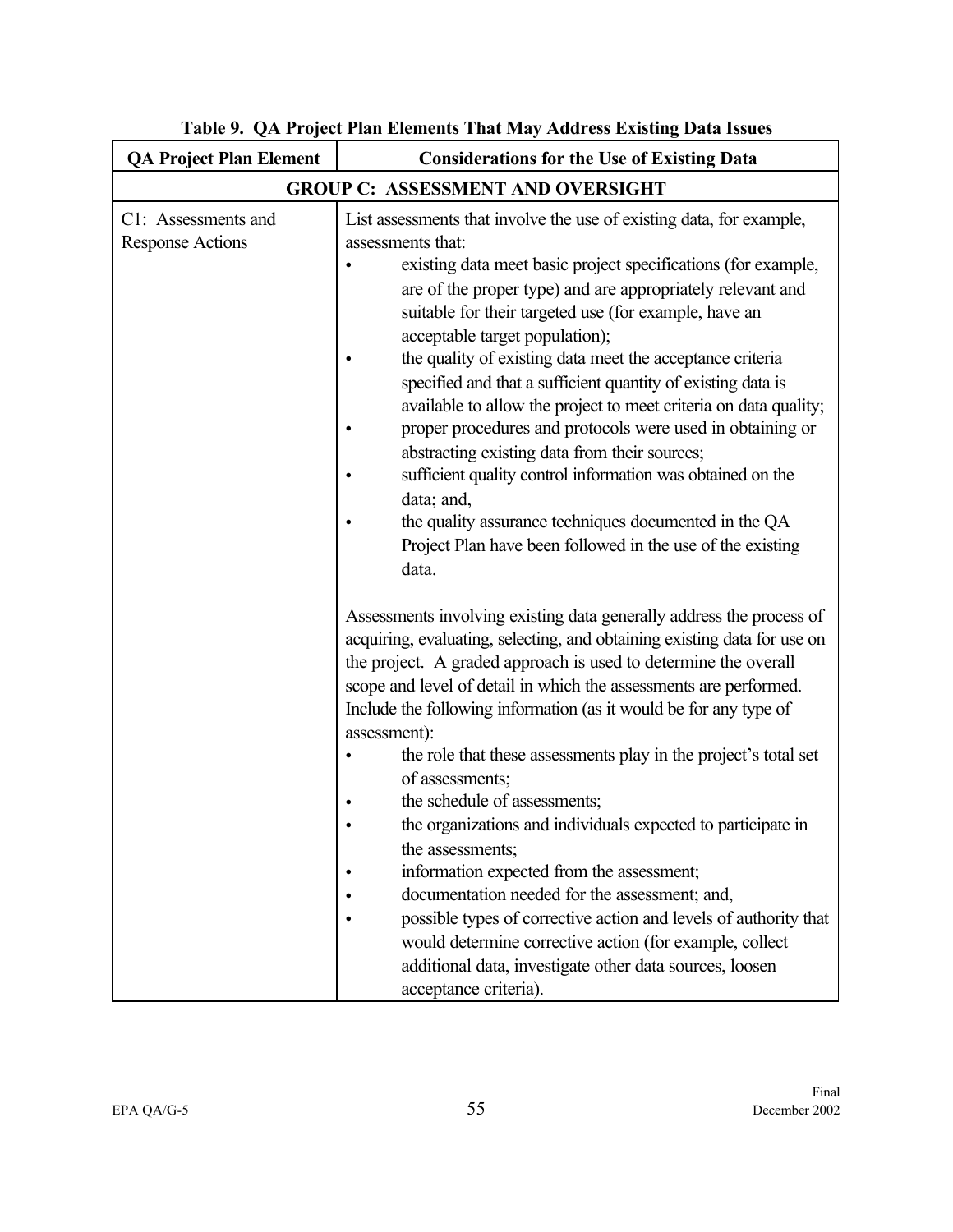| <b>QA Project Plan Element</b>                 | <b>Considerations for the Use of Existing Data</b>                                                                                                                                                                                                                                                                                                                                                                                                                                                                                                                                                                                                                                                                                                                                                                                                                                                                     |  |  |
|------------------------------------------------|------------------------------------------------------------------------------------------------------------------------------------------------------------------------------------------------------------------------------------------------------------------------------------------------------------------------------------------------------------------------------------------------------------------------------------------------------------------------------------------------------------------------------------------------------------------------------------------------------------------------------------------------------------------------------------------------------------------------------------------------------------------------------------------------------------------------------------------------------------------------------------------------------------------------|--|--|
| <b>GROUP C: ASSESSMENT AND OVERSIGHT</b>       |                                                                                                                                                                                                                                                                                                                                                                                                                                                                                                                                                                                                                                                                                                                                                                                                                                                                                                                        |  |  |
| C1: Assessments and<br><b>Response Actions</b> | List assessments that involve the use of existing data, for example,<br>assessments that:<br>existing data meet basic project specifications (for example,<br>are of the proper type) and are appropriately relevant and<br>suitable for their targeted use (for example, have an<br>acceptable target population);<br>the quality of existing data meet the acceptance criteria<br>specified and that a sufficient quantity of existing data is<br>available to allow the project to meet criteria on data quality;<br>proper procedures and protocols were used in obtaining or<br>abstracting existing data from their sources;<br>sufficient quality control information was obtained on the<br>data; and,<br>the quality assurance techniques documented in the QA<br>Project Plan have been followed in the use of the existing<br>data.<br>Assessments involving existing data generally address the process of |  |  |
|                                                | acquiring, evaluating, selecting, and obtaining existing data for use on<br>the project. A graded approach is used to determine the overall<br>scope and level of detail in which the assessments are performed.<br>Include the following information (as it would be for any type of<br>assessment):<br>the role that these assessments play in the project's total set<br>of assessments;<br>the schedule of assessments;<br>the organizations and individuals expected to participate in<br>the assessments;<br>information expected from the assessment;<br>documentation needed for the assessment; and,<br>possible types of corrective action and levels of authority that<br>would determine corrective action (for example, collect<br>additional data, investigate other data sources, loosen<br>acceptance criteria).                                                                                       |  |  |

**Table 9. QA Project Plan Elements That May Address Existing Data Issues**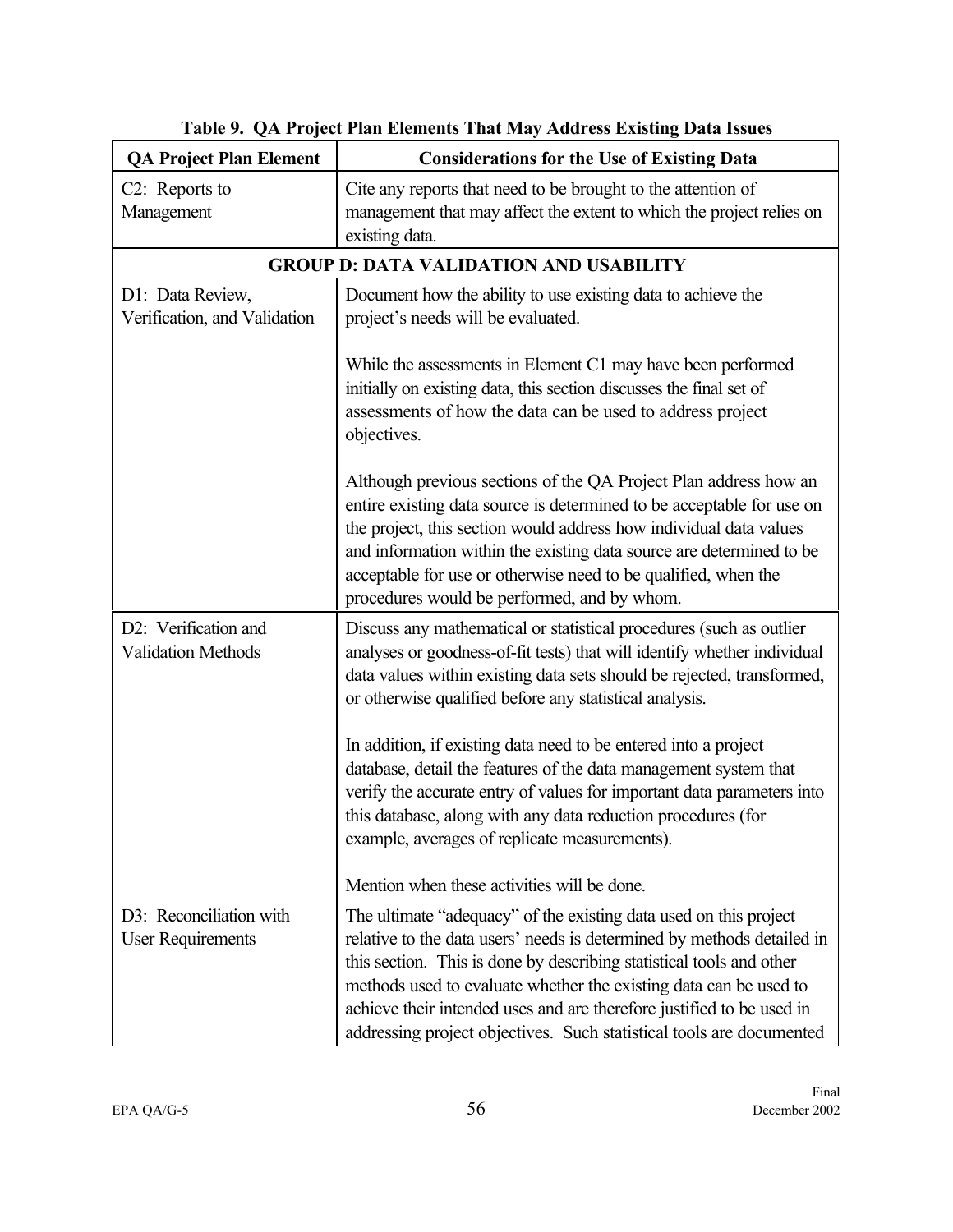| <b>QA Project Plan Element</b>                      | <b>Considerations for the Use of Existing Data</b>                                                                                                                                                                                                                                                                                                                                                                                        |  |  |
|-----------------------------------------------------|-------------------------------------------------------------------------------------------------------------------------------------------------------------------------------------------------------------------------------------------------------------------------------------------------------------------------------------------------------------------------------------------------------------------------------------------|--|--|
| C <sub>2</sub> : Reports to<br>Management           | Cite any reports that need to be brought to the attention of<br>management that may affect the extent to which the project relies on<br>existing data.                                                                                                                                                                                                                                                                                    |  |  |
|                                                     | <b>GROUP D: DATA VALIDATION AND USABILITY</b>                                                                                                                                                                                                                                                                                                                                                                                             |  |  |
| D1: Data Review,<br>Verification, and Validation    | Document how the ability to use existing data to achieve the<br>project's needs will be evaluated.                                                                                                                                                                                                                                                                                                                                        |  |  |
|                                                     | While the assessments in Element C1 may have been performed<br>initially on existing data, this section discusses the final set of<br>assessments of how the data can be used to address project<br>objectives.                                                                                                                                                                                                                           |  |  |
|                                                     | Although previous sections of the QA Project Plan address how an<br>entire existing data source is determined to be acceptable for use on<br>the project, this section would address how individual data values<br>and information within the existing data source are determined to be<br>acceptable for use or otherwise need to be qualified, when the<br>procedures would be performed, and by whom.                                  |  |  |
| D2: Verification and<br><b>Validation Methods</b>   | Discuss any mathematical or statistical procedures (such as outlier<br>analyses or goodness-of-fit tests) that will identify whether individual<br>data values within existing data sets should be rejected, transformed,<br>or otherwise qualified before any statistical analysis.                                                                                                                                                      |  |  |
|                                                     | In addition, if existing data need to be entered into a project<br>database, detail the features of the data management system that<br>verify the accurate entry of values for important data parameters into<br>this database, along with any data reduction procedures (for<br>example, averages of replicate measurements).                                                                                                            |  |  |
|                                                     | Mention when these activities will be done.                                                                                                                                                                                                                                                                                                                                                                                               |  |  |
| D3: Reconciliation with<br><b>User Requirements</b> | The ultimate "adequacy" of the existing data used on this project<br>relative to the data users' needs is determined by methods detailed in<br>this section. This is done by describing statistical tools and other<br>methods used to evaluate whether the existing data can be used to<br>achieve their intended uses and are therefore justified to be used in<br>addressing project objectives. Such statistical tools are documented |  |  |

**Table 9. QA Project Plan Elements That May Address Existing Data Issues**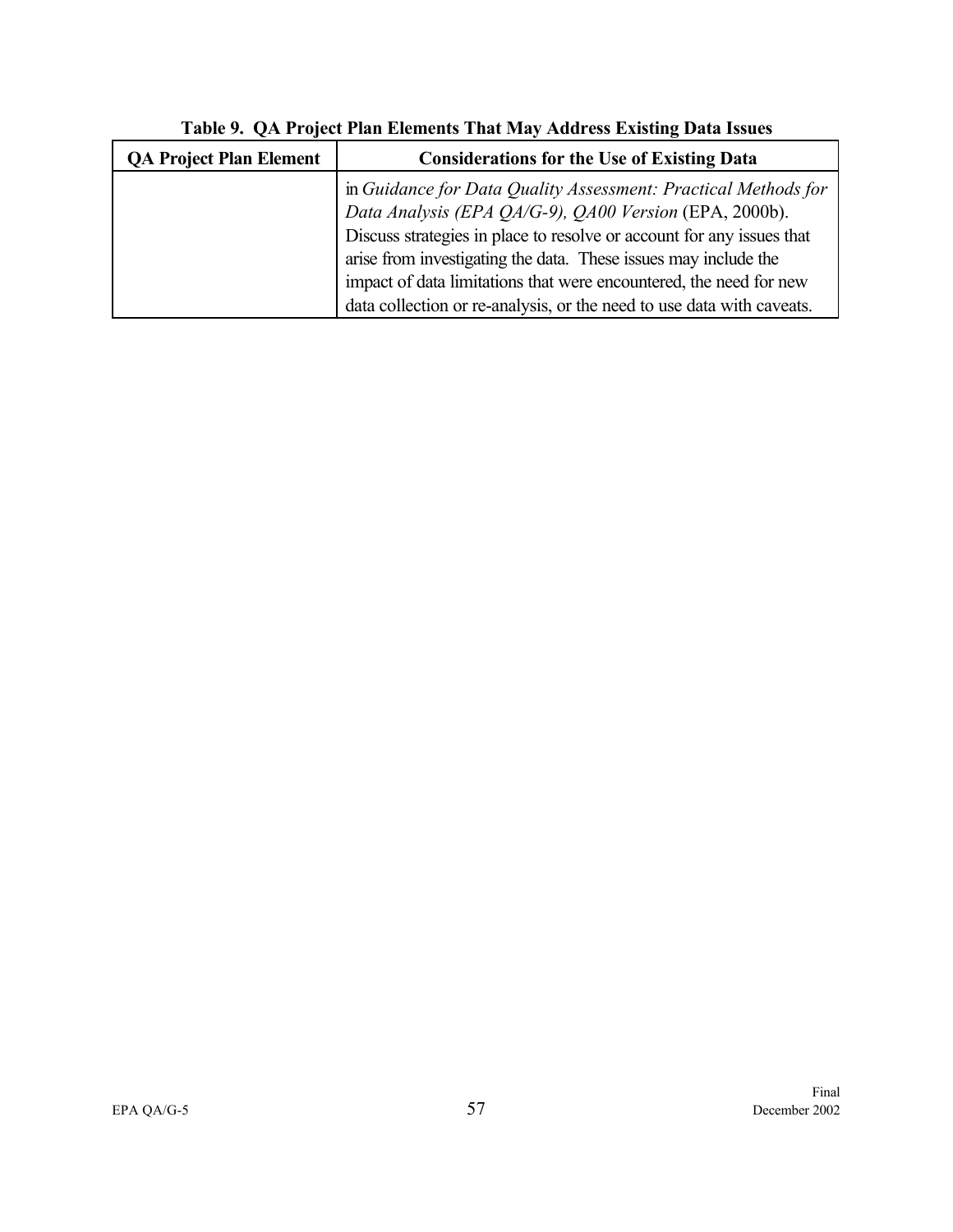| <b>QA Project Plan Element</b> | <b>Considerations for the Use of Existing Data</b>                                                                                                                                                                                                                                                                                                                                                                  |
|--------------------------------|---------------------------------------------------------------------------------------------------------------------------------------------------------------------------------------------------------------------------------------------------------------------------------------------------------------------------------------------------------------------------------------------------------------------|
|                                | in Guidance for Data Quality Assessment: Practical Methods for<br>Data Analysis (EPA QA/G-9), QA00 Version (EPA, 2000b).<br>Discuss strategies in place to resolve or account for any issues that<br>arise from investigating the data. These issues may include the<br>impact of data limitations that were encountered, the need for new<br>data collection or re-analysis, or the need to use data with caveats. |

**Table 9. QA Project Plan Elements That May Address Existing Data Issues**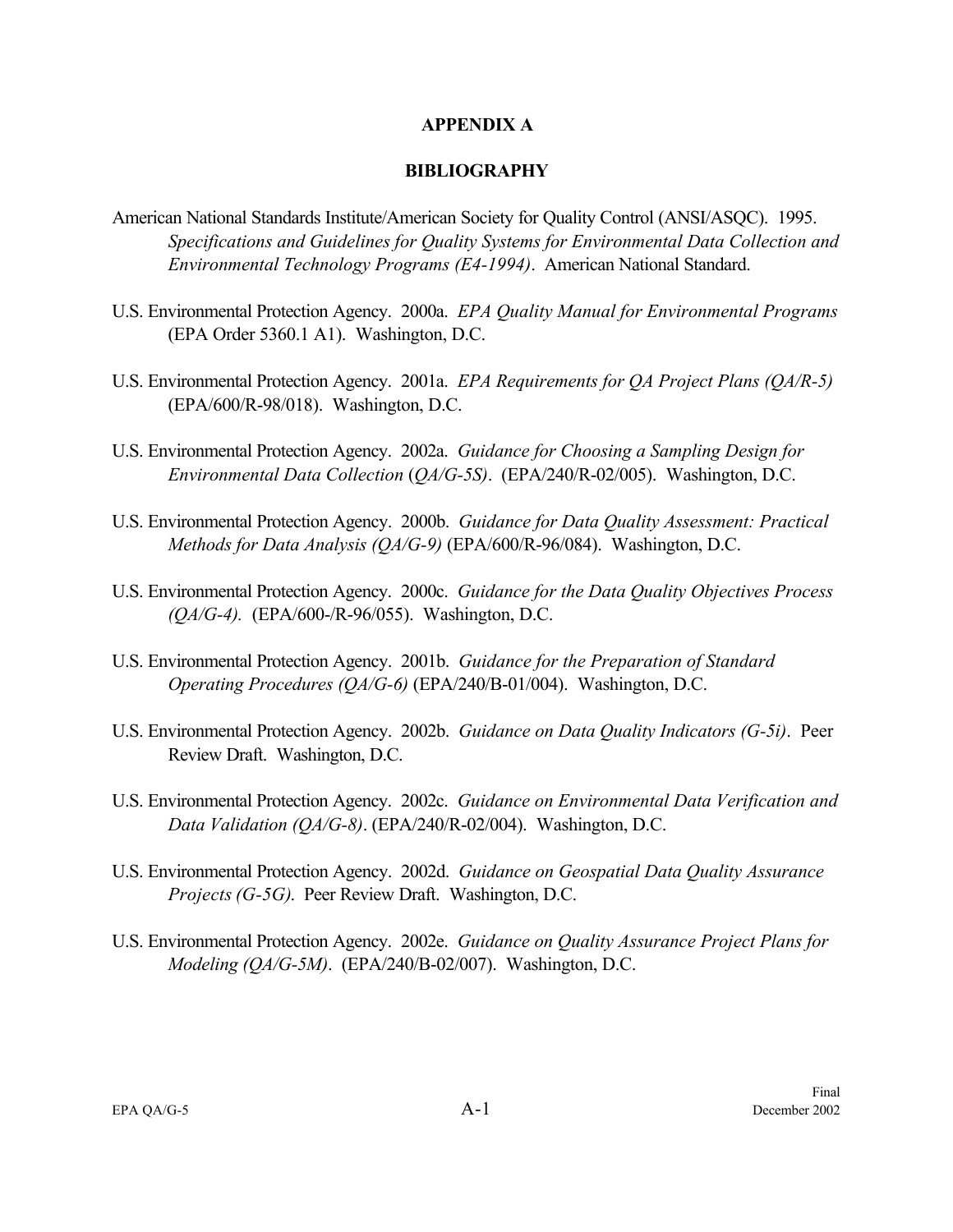#### **APPENDIX A**

#### **BIBLIOGRAPHY**

- American National Standards Institute/American Society for Quality Control (ANSI/ASQC). 1995. *Specifications and Guidelines for Quality Systems for Environmental Data Collection and Environmental Technology Programs (E4-1994)*. American National Standard.
- U.S. Environmental Protection Agency. 2000a. *EPA Quality Manual for Environmental Programs* (EPA Order 5360.1 A1). Washington, D.C.
- U.S. Environmental Protection Agency. 2001a. *EPA Requirements for QA Project Plans (QA/R-5)* (EPA/600/R-98/018). Washington, D.C.
- U.S. Environmental Protection Agency. 2002a. *Guidance for Choosing a Sampling Design for Environmental Data Collection* (*QA/G-5S)*. (EPA/240/R-02/005). Washington, D.C.
- U.S. Environmental Protection Agency. 2000b. *Guidance for Data Quality Assessment: Practical Methods for Data Analysis (QA/G-9)* (EPA/600/R-96/084). Washington, D.C.
- U.S. Environmental Protection Agency. 2000c. *Guidance for the Data Quality Objectives Process (QA/G-4).* (EPA/600-/R-96/055). Washington, D.C.
- U.S. Environmental Protection Agency. 2001b. *Guidance for the Preparation of Standard Operating Procedures (QA/G-6)* (EPA/240/B-01/004). Washington, D.C.
- U.S. Environmental Protection Agency. 2002b. *Guidance on Data Quality Indicators (G-5i)*. Peer Review Draft. Washington, D.C.
- U.S. Environmental Protection Agency. 2002c. *Guidance on Environmental Data Verification and Data Validation (QA/G-8)*. (EPA/240/R-02/004). Washington, D.C.
- U.S. Environmental Protection Agency. 2002d. *Guidance on Geospatial Data Quality Assurance Projects (G-5G)*. Peer Review Draft. Washington, D.C.
- U.S. Environmental Protection Agency. 2002e. *Guidance on Quality Assurance Project Plans for Modeling (QA/G-5M)*. (EPA/240/B-02/007). Washington, D.C.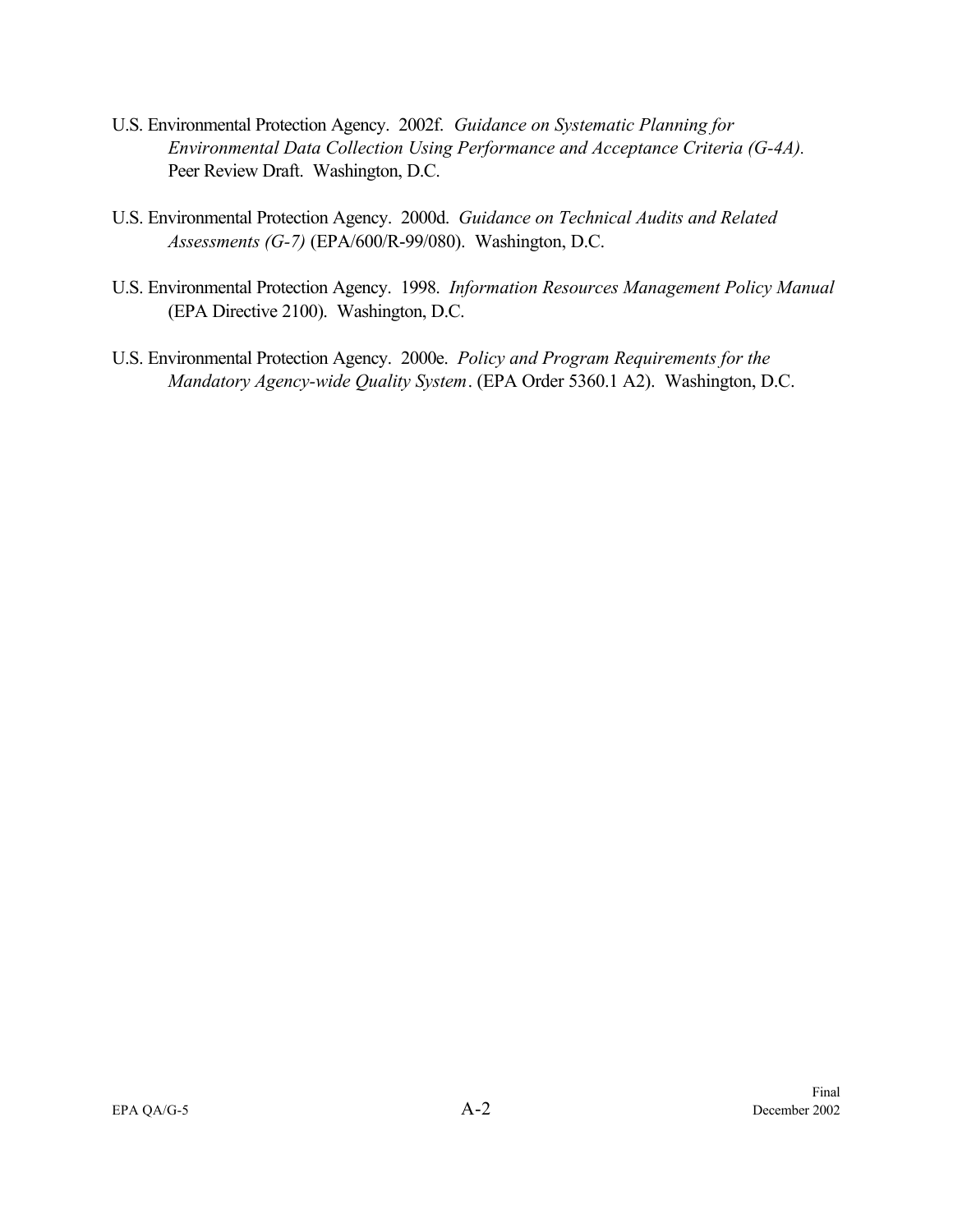- U.S. Environmental Protection Agency. 2002f. *Guidance on Systematic Planning for Environmental Data Collection Using Performance and Acceptance Criteria (G-4A).*  Peer Review Draft. Washington, D.C.
- U.S. Environmental Protection Agency. 2000d. *Guidance on Technical Audits and Related Assessments (G-7)* (EPA/600/R-99/080). Washington, D.C.
- U.S. Environmental Protection Agency. 1998. *Information Resources Management Policy Manual* (EPA Directive 2100). Washington, D.C.
- U.S. Environmental Protection Agency. 2000e. *Policy and Program Requirements for the Mandatory Agency-wide Quality System*. (EPA Order 5360.1 A2). Washington, D.C.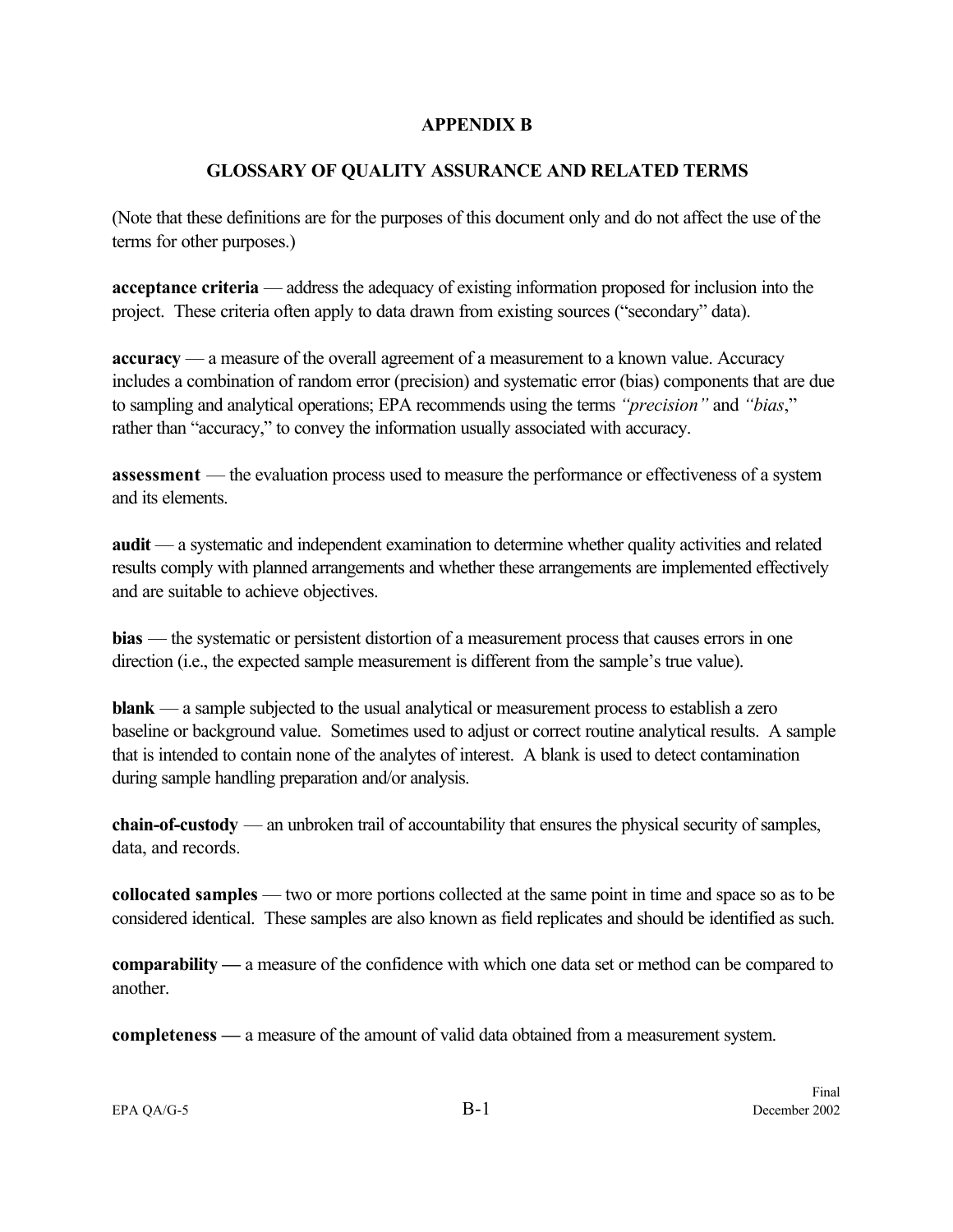#### **APPENDIX B**

#### **GLOSSARY OF QUALITY ASSURANCE AND RELATED TERMS**

<span id="page-68-0"></span>(Note that these definitions are for the purposes of this document only and do not affect the use of the terms for other purposes.)

**acceptance criteria** — address the adequacy of existing information proposed for inclusion into the project. These criteria often apply to data drawn from existing sources ("secondary" data).

**accuracy** — a measure of the overall agreement of a measurement to a known value. Accuracy includes a combination of random error (precision) and systematic error (bias) components that are due to sampling and analytical operations; EPA recommends using the terms *"precision"* and *"bias*," rather than "accuracy," to convey the information usually associated with accuracy.

**assessment** — the evaluation process used to measure the performance or effectiveness of a system and its elements.

**audit** — a systematic and independent examination to determine whether quality activities and related results comply with planned arrangements and whether these arrangements are implemented effectively and are suitable to achieve objectives.

**bias** — the systematic or persistent distortion of a measurement process that causes errors in one direction (i.e., the expected sample measurement is different from the sample's true value).

**blank** — a sample subjected to the usual analytical or measurement process to establish a zero baseline or background value. Sometimes used to adjust or correct routine analytical results. A sample that is intended to contain none of the analytes of interest. A blank is used to detect contamination during sample handling preparation and/or analysis.

**chain-of-custody** — an unbroken trail of accountability that ensures the physical security of samples, data, and records.

**collocated samples** — two or more portions collected at the same point in time and space so as to be considered identical. These samples are also known as field replicates and should be identified as such.

**comparability —** a measure of the confidence with which one data set or method can be compared to another.

**completeness —** a measure of the amount of valid data obtained from a measurement system.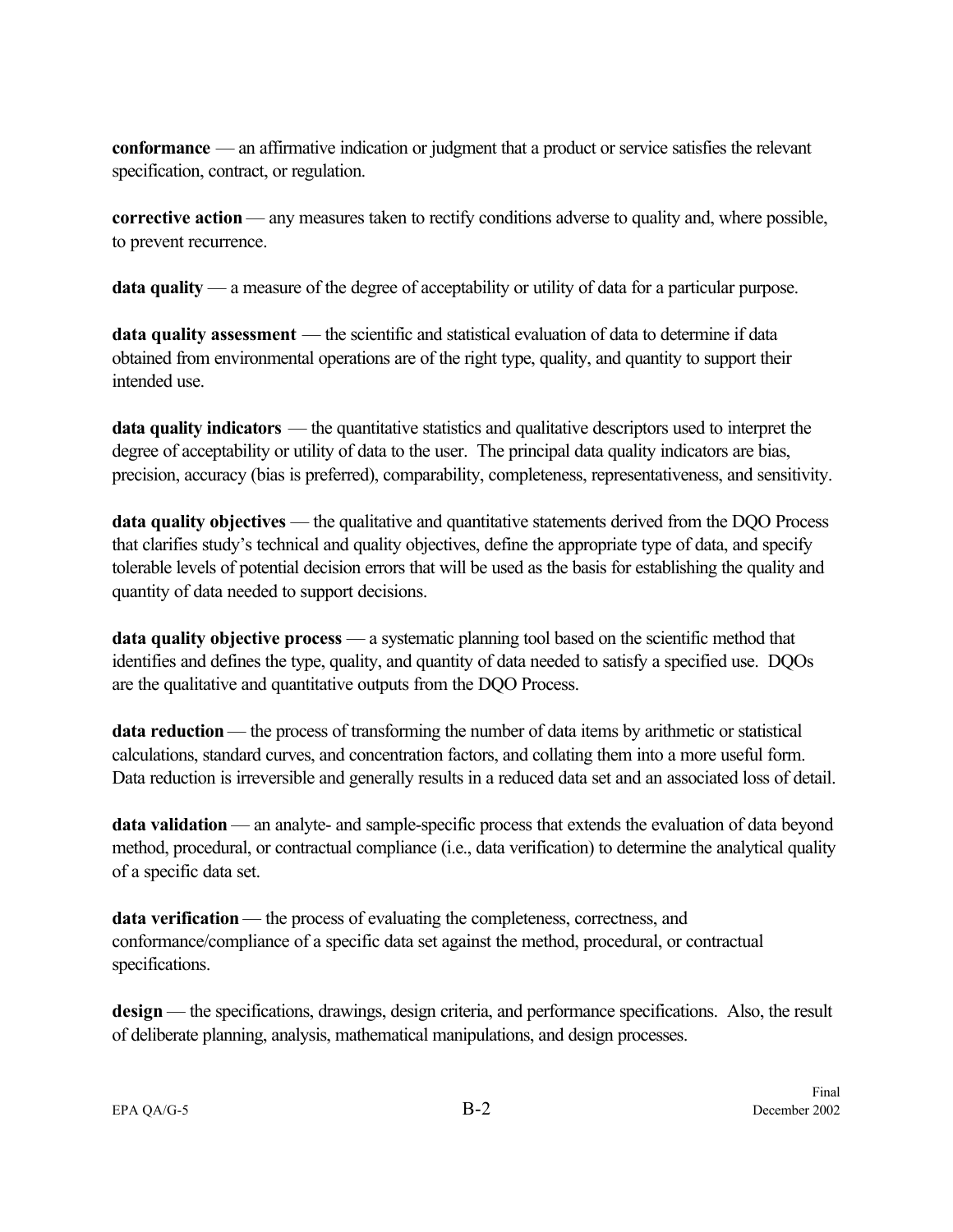**conformance** — an affirmative indication or judgment that a product or service satisfies the relevant specification, contract, or regulation.

**corrective action** — any measures taken to rectify conditions adverse to quality and, where possible, to prevent recurrence.

**data quality** — a measure of the degree of acceptability or utility of data for a particular purpose.

**data quality assessment** — the scientific and statistical evaluation of data to determine if data obtained from environmental operations are of the right type, quality, and quantity to support their intended use.

**data quality indicators** — the quantitative statistics and qualitative descriptors used to interpret the degree of acceptability or utility of data to the user. The principal data quality indicators are bias, precision, accuracy (bias is preferred), comparability, completeness, representativeness, and sensitivity.

**data quality objectives** — the qualitative and quantitative statements derived from the DQO Process that clarifies study's technical and quality objectives, define the appropriate type of data, and specify tolerable levels of potential decision errors that will be used as the basis for establishing the quality and quantity of data needed to support decisions.

**data quality objective process** — a systematic planning tool based on the scientific method that identifies and defines the type, quality, and quantity of data needed to satisfy a specified use. DQOs are the qualitative and quantitative outputs from the DQO Process.

**data reduction** — the process of transforming the number of data items by arithmetic or statistical calculations, standard curves, and concentration factors, and collating them into a more useful form. Data reduction is irreversible and generally results in a reduced data set and an associated loss of detail.

**data validation** — an analyte- and sample-specific process that extends the evaluation of data beyond method, procedural, or contractual compliance (i.e., data verification) to determine the analytical quality of a specific data set.

**data verification** — the process of evaluating the completeness, correctness, and conformance/compliance of a specific data set against the method, procedural, or contractual specifications.

**design** — the specifications, drawings, design criteria, and performance specifications. Also, the result of deliberate planning, analysis, mathematical manipulations, and design processes.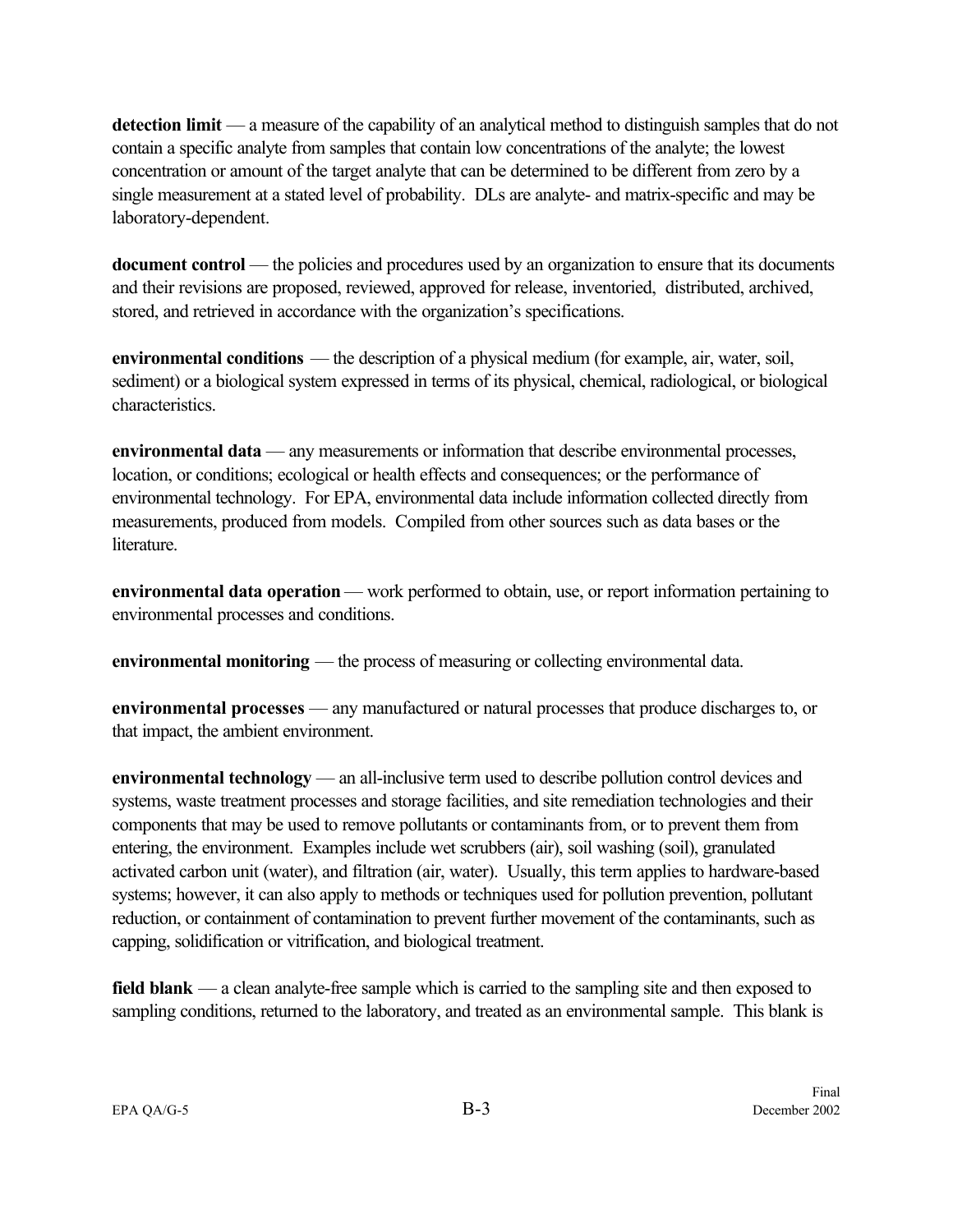**detection limit** — a measure of the capability of an analytical method to distinguish samples that do not contain a specific analyte from samples that contain low concentrations of the analyte; the lowest concentration or amount of the target analyte that can be determined to be different from zero by a single measurement at a stated level of probability. DLs are analyte- and matrix-specific and may be laboratory-dependent.

**document control** — the policies and procedures used by an organization to ensure that its documents and their revisions are proposed, reviewed, approved for release, inventoried, distributed, archived, stored, and retrieved in accordance with the organization's specifications.

**environmental conditions** — the description of a physical medium (for example, air, water, soil, sediment) or a biological system expressed in terms of its physical, chemical, radiological, or biological characteristics.

**environmental data** — any measurements or information that describe environmental processes, location, or conditions; ecological or health effects and consequences; or the performance of environmental technology. For EPA, environmental data include information collected directly from measurements, produced from models. Compiled from other sources such as data bases or the **literature** 

**environmental data operation** — work performed to obtain, use, or report information pertaining to environmental processes and conditions.

**environmental monitoring** — the process of measuring or collecting environmental data.

**environmental processes** — any manufactured or natural processes that produce discharges to, or that impact, the ambient environment.

**environmental technology** — an all-inclusive term used to describe pollution control devices and systems, waste treatment processes and storage facilities, and site remediation technologies and their components that may be used to remove pollutants or contaminants from, or to prevent them from entering, the environment. Examples include wet scrubbers (air), soil washing (soil), granulated activated carbon unit (water), and filtration (air, water). Usually, this term applies to hardware-based systems; however, it can also apply to methods or techniques used for pollution prevention, pollutant reduction, or containment of contamination to prevent further movement of the contaminants, such as capping, solidification or vitrification, and biological treatment.

**field blank** — a clean analyte-free sample which is carried to the sampling site and then exposed to sampling conditions, returned to the laboratory, and treated as an environmental sample. This blank is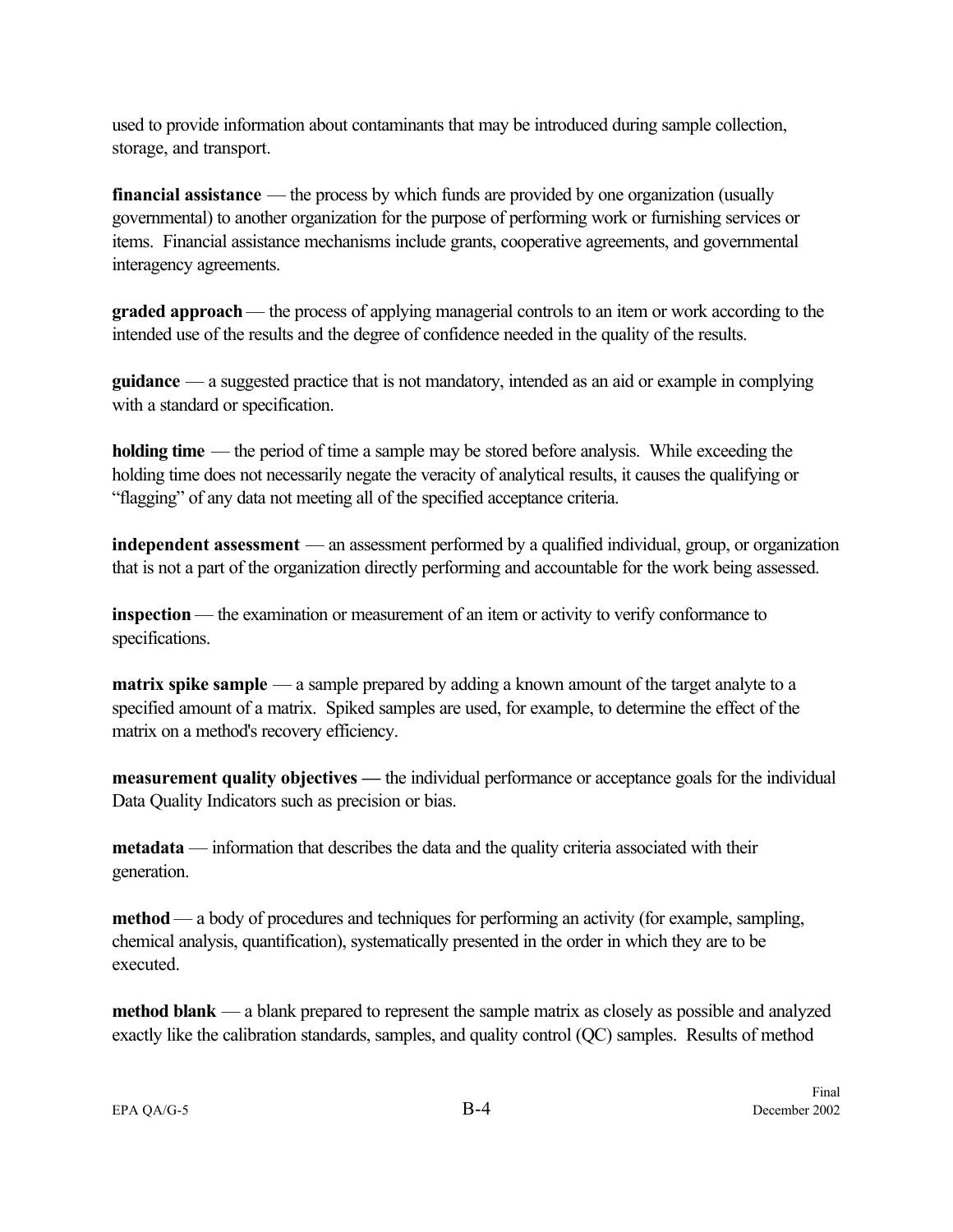used to provide information about contaminants that may be introduced during sample collection, storage, and transport.

**financial assistance** — the process by which funds are provided by one organization (usually governmental) to another organization for the purpose of performing work or furnishing services or items. Financial assistance mechanisms include grants, cooperative agreements, and governmental interagency agreements.

**graded approach** — the process of applying managerial controls to an item or work according to the intended use of the results and the degree of confidence needed in the quality of the results.

**guidance** — a suggested practice that is not mandatory, intended as an aid or example in complying with a standard or specification.

**holding time** — the period of time a sample may be stored before analysis. While exceeding the holding time does not necessarily negate the veracity of analytical results, it causes the qualifying or "flagging" of any data not meeting all of the specified acceptance criteria.

**independent assessment** — an assessment performed by a qualified individual, group, or organization that is not a part of the organization directly performing and accountable for the work being assessed.

**inspection** — the examination or measurement of an item or activity to verify conformance to specifications.

**matrix spike sample** — a sample prepared by adding a known amount of the target analyte to a specified amount of a matrix. Spiked samples are used, for example, to determine the effect of the matrix on a method's recovery efficiency.

**measurement quality objectives —** the individual performance or acceptance goals for the individual Data Quality Indicators such as precision or bias.

**metadata** — information that describes the data and the quality criteria associated with their generation.

**method** — a body of procedures and techniques for performing an activity (for example, sampling, chemical analysis, quantification), systematically presented in the order in which they are to be executed.

**method blank** — a blank prepared to represent the sample matrix as closely as possible and analyzed exactly like the calibration standards, samples, and quality control (QC) samples. Results of method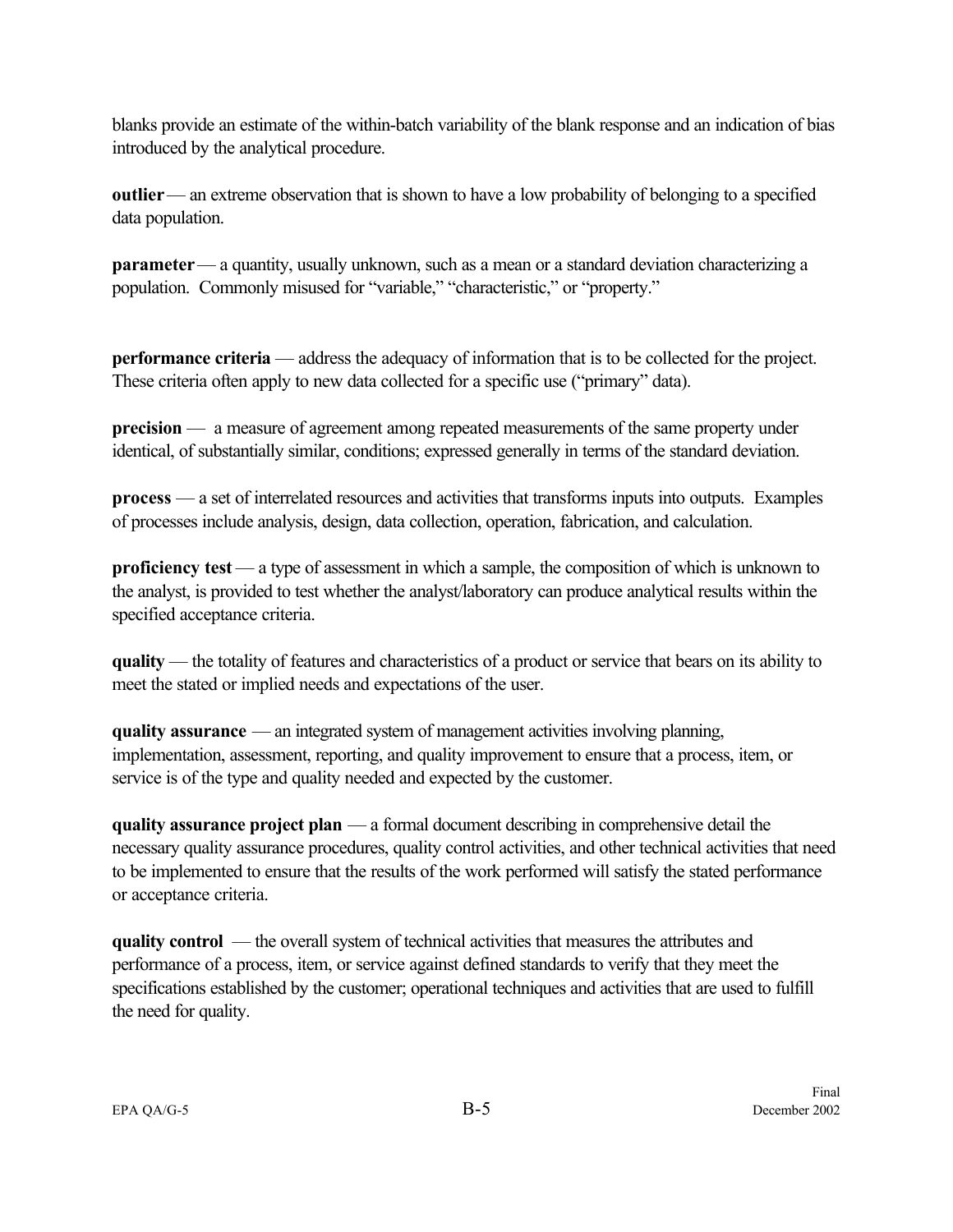blanks provide an estimate of the within-batch variability of the blank response and an indication of bias introduced by the analytical procedure.

**outlier** — an extreme observation that is shown to have a low probability of belonging to a specified data population.

**parameter** — a quantity, usually unknown, such as a mean or a standard deviation characterizing a population. Commonly misused for "variable," "characteristic," or "property."

**performance criteria** — address the adequacy of information that is to be collected for the project. These criteria often apply to new data collected for a specific use ("primary" data).

**precision** — a measure of agreement among repeated measurements of the same property under identical, of substantially similar, conditions; expressed generally in terms of the standard deviation.

**process** — a set of interrelated resources and activities that transforms inputs into outputs. Examples of processes include analysis, design, data collection, operation, fabrication, and calculation.

**proficiency test** — a type of assessment in which a sample, the composition of which is unknown to the analyst, is provided to test whether the analyst/laboratory can produce analytical results within the specified acceptance criteria.

**quality** — the totality of features and characteristics of a product or service that bears on its ability to meet the stated or implied needs and expectations of the user.

**quality assurance** — an integrated system of management activities involving planning, implementation, assessment, reporting, and quality improvement to ensure that a process, item, or service is of the type and quality needed and expected by the customer.

**quality assurance project plan** — a formal document describing in comprehensive detail the necessary quality assurance procedures, quality control activities, and other technical activities that need to be implemented to ensure that the results of the work performed will satisfy the stated performance or acceptance criteria.

**quality control** — the overall system of technical activities that measures the attributes and performance of a process, item, or service against defined standards to verify that they meet the specifications established by the customer; operational techniques and activities that are used to fulfill the need for quality.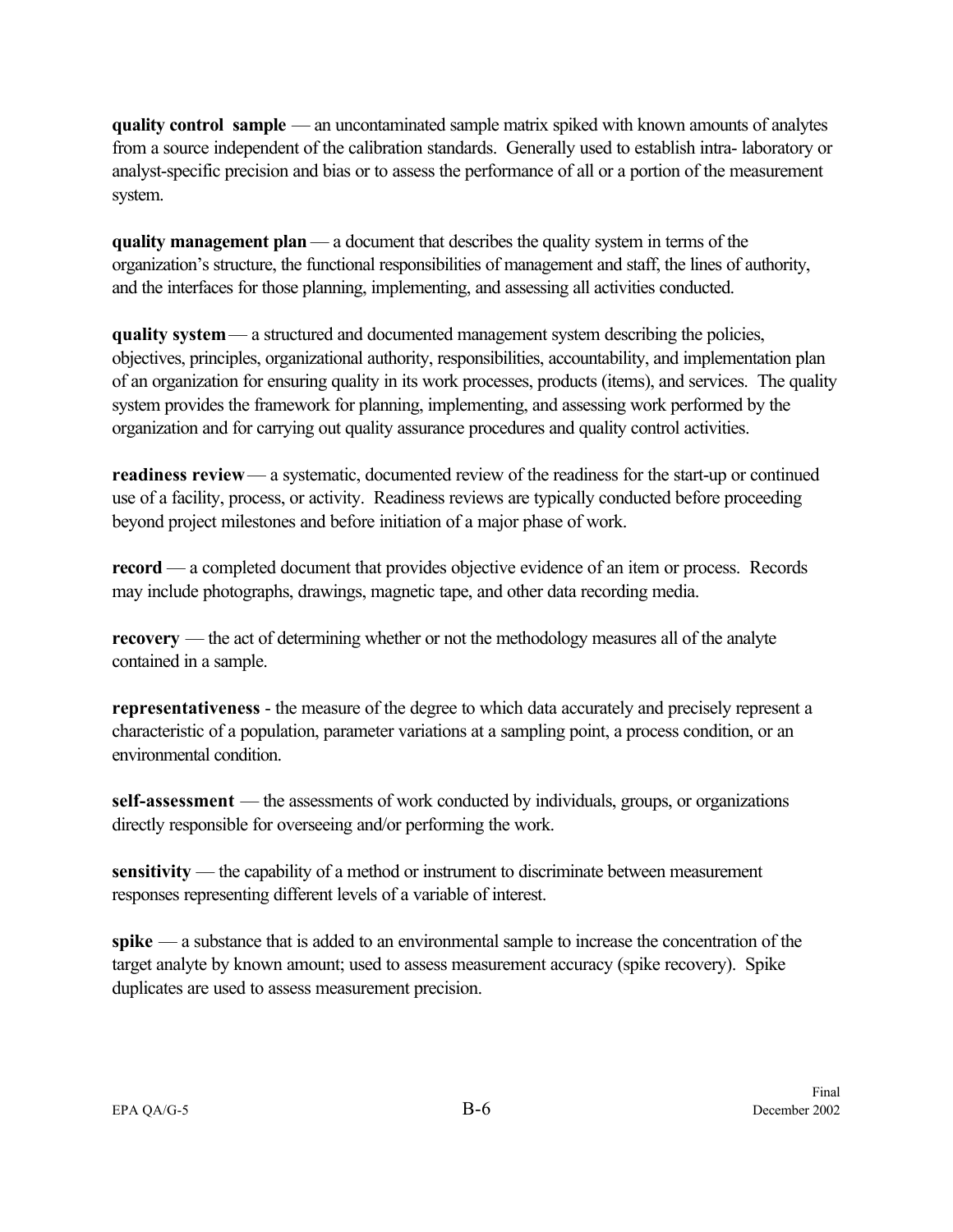**quality control sample** — an uncontaminated sample matrix spiked with known amounts of analytes from a source independent of the calibration standards. Generally used to establish intra- laboratory or analyst-specific precision and bias or to assess the performance of all or a portion of the measurement system.

**quality management plan** — a document that describes the quality system in terms of the organization's structure, the functional responsibilities of management and staff, the lines of authority, and the interfaces for those planning, implementing, and assessing all activities conducted.

**quality system** — a structured and documented management system describing the policies, objectives, principles, organizational authority, responsibilities, accountability, and implementation plan of an organization for ensuring quality in its work processes, products (items), and services. The quality system provides the framework for planning, implementing, and assessing work performed by the organization and for carrying out quality assurance procedures and quality control activities.

**readiness review** — a systematic, documented review of the readiness for the start-up or continued use of a facility, process, or activity. Readiness reviews are typically conducted before proceeding beyond project milestones and before initiation of a major phase of work.

**record** — a completed document that provides objective evidence of an item or process. Records may include photographs, drawings, magnetic tape, and other data recording media.

**recovery** — the act of determining whether or not the methodology measures all of the analyte contained in a sample.

**representativeness** - the measure of the degree to which data accurately and precisely represent a characteristic of a population, parameter variations at a sampling point, a process condition, or an environmental condition.

**self-assessment** — the assessments of work conducted by individuals, groups, or organizations directly responsible for overseeing and/or performing the work.

sensitivity — the capability of a method or instrument to discriminate between measurement responses representing different levels of a variable of interest.

**spike** — a substance that is added to an environmental sample to increase the concentration of the target analyte by known amount; used to assess measurement accuracy (spike recovery). Spike duplicates are used to assess measurement precision.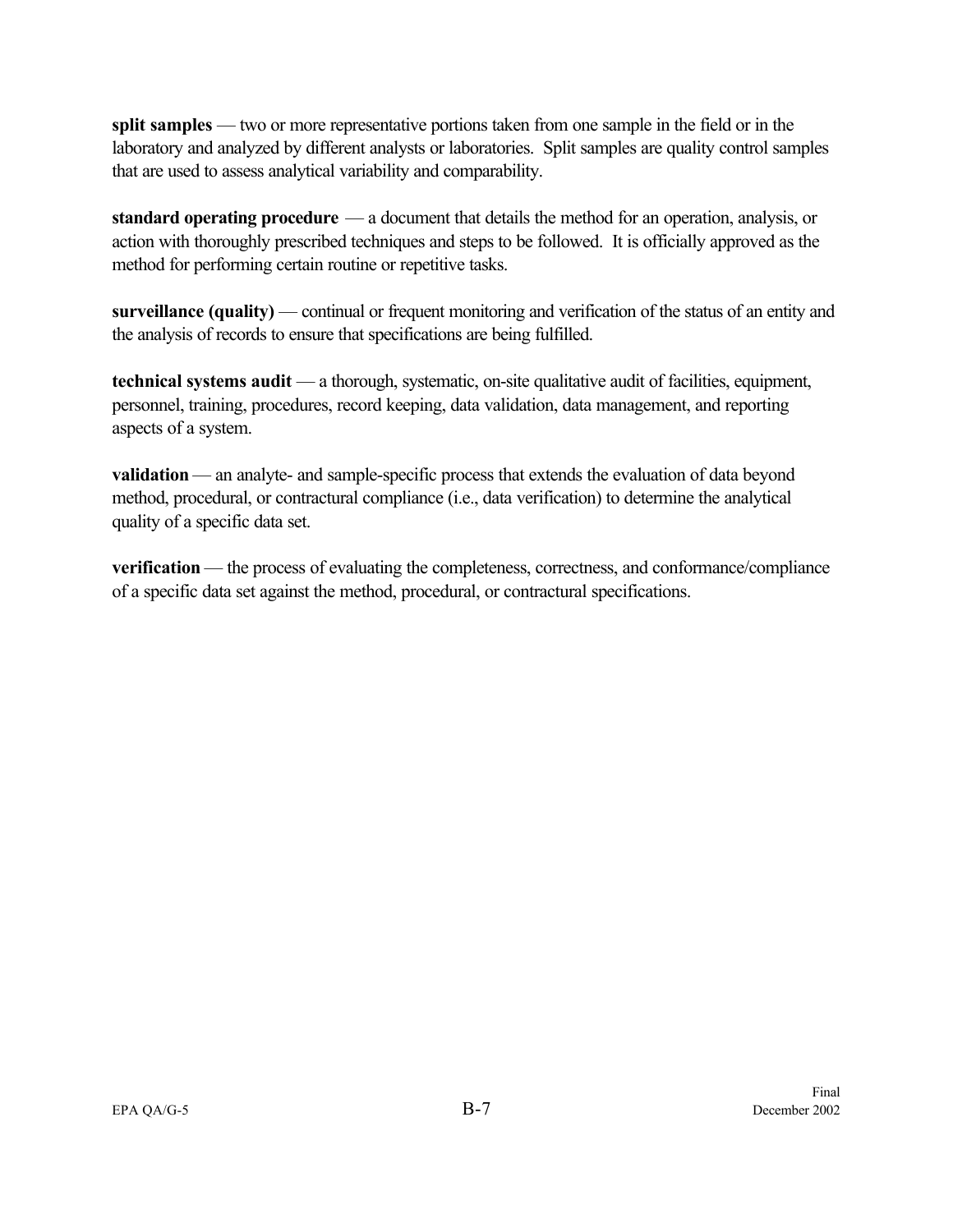**split samples** — two or more representative portions taken from one sample in the field or in the laboratory and analyzed by different analysts or laboratories. Split samples are quality control samples that are used to assess analytical variability and comparability.

**standard operating procedure** — a document that details the method for an operation, analysis, or action with thoroughly prescribed techniques and steps to be followed. It is officially approved as the method for performing certain routine or repetitive tasks.

**surveillance (quality)** — continual or frequent monitoring and verification of the status of an entity and the analysis of records to ensure that specifications are being fulfilled.

**technical systems audit** — a thorough, systematic, on-site qualitative audit of facilities, equipment, personnel, training, procedures, record keeping, data validation, data management, and reporting aspects of a system.

**validation** — an analyte- and sample-specific process that extends the evaluation of data beyond method, procedural, or contractural compliance (i.e., data verification) to determine the analytical quality of a specific data set.

**verification** — the process of evaluating the completeness, correctness, and conformance/compliance of a specific data set against the method, procedural, or contractural specifications.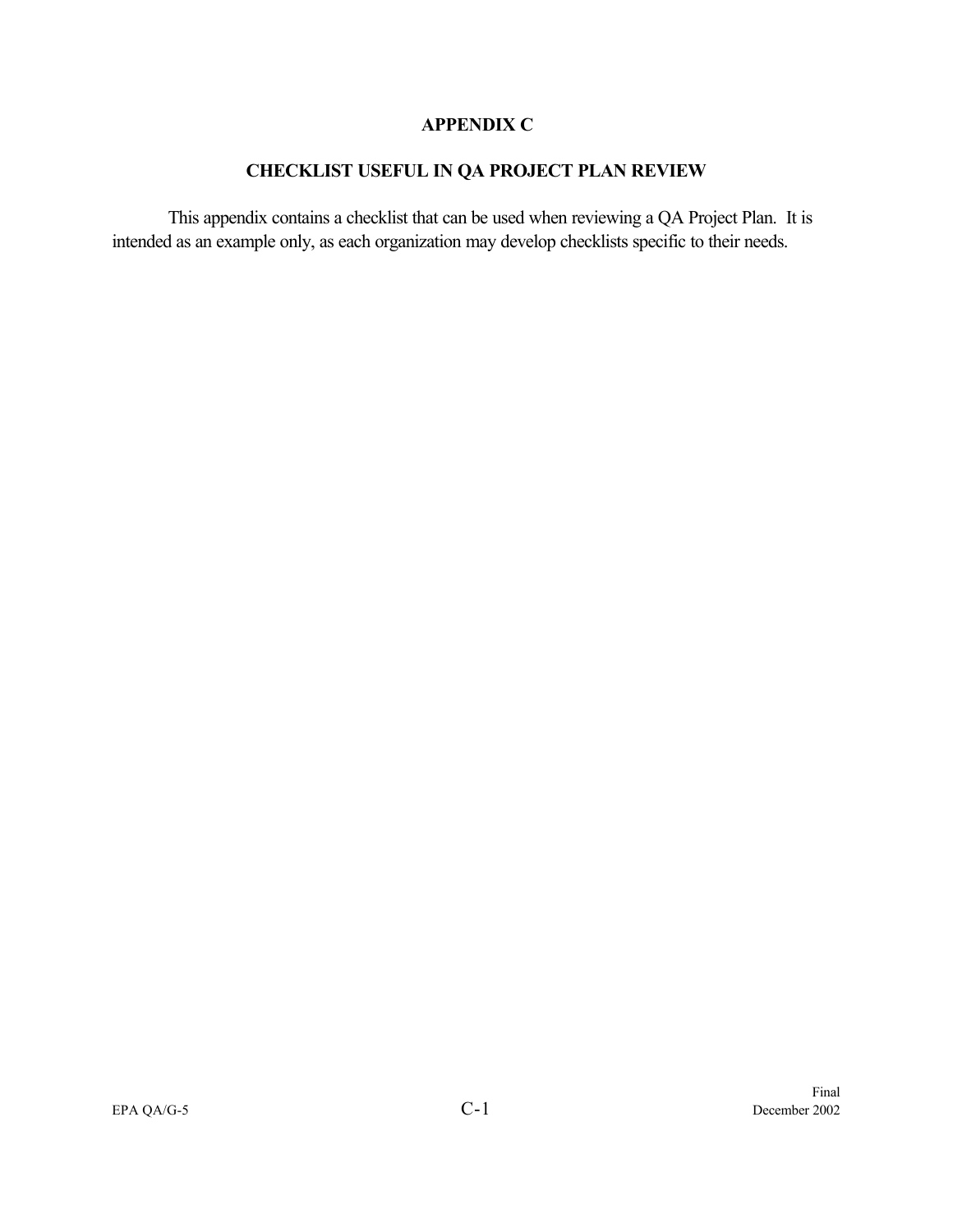#### **APPENDIX C**

## **CHECKLIST USEFUL IN QA PROJECT PLAN REVIEW**

This appendix contains a checklist that can be used when reviewing a QA Project Plan. It is intended as an example only, as each organization may develop checklists specific to their needs.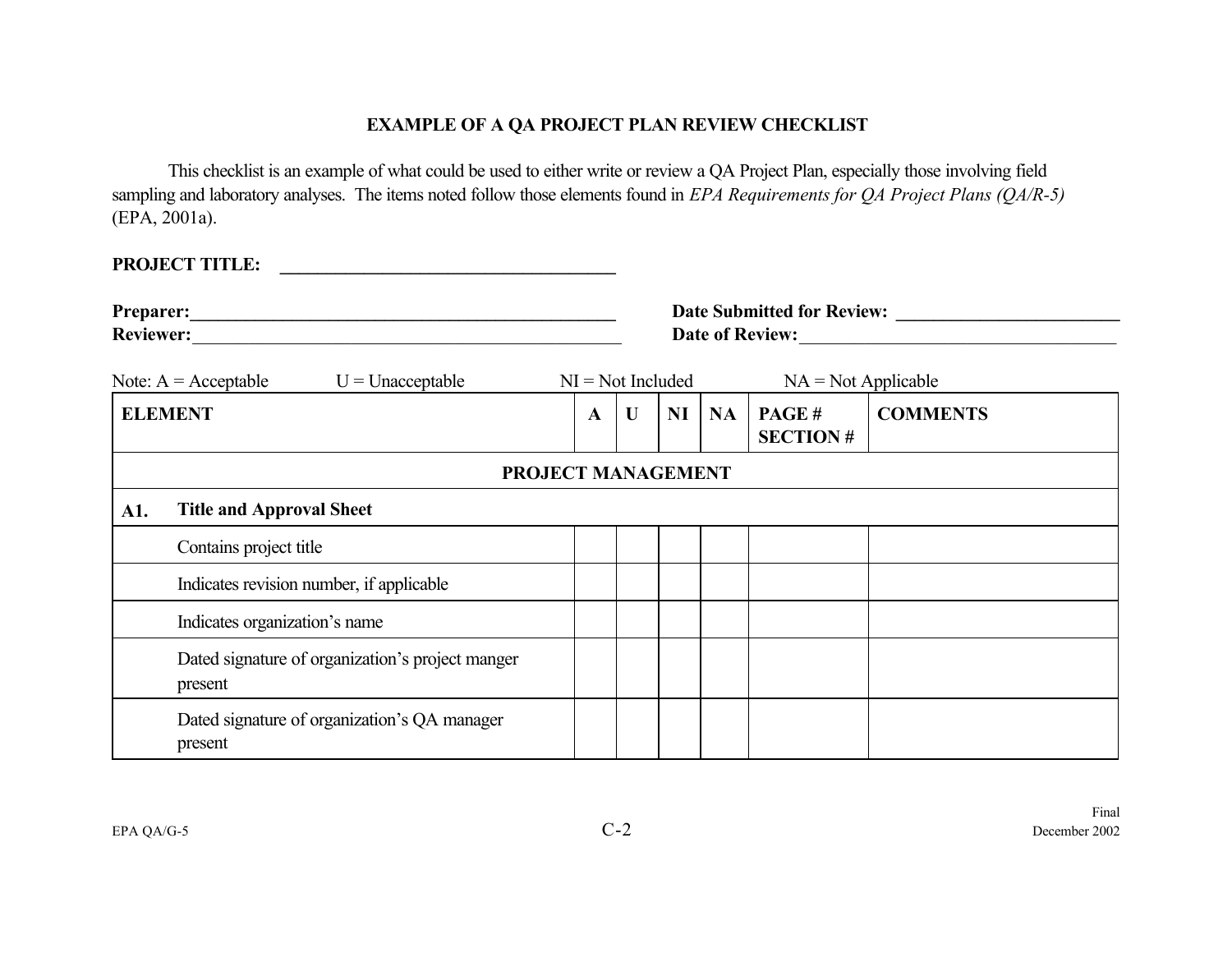## **EXAMPLE OF A QA PROJECT PLAN REVIEW CHECKLIST**

This checklist is an example of what could be used to either write or review a QA Project Plan, especially those involving field sampling and laboratory analyses. The items noted follow those elements found in *EPA Requirements for QA Project Plans (QA/R-5)* (EPA, 2001a).

| <b>PROJECT TITLE:</b>                                       |   |                     |    |    |                          |                 |  |  |
|-------------------------------------------------------------|---|---------------------|----|----|--------------------------|-----------------|--|--|
| Reviewer:                                                   |   | Date of Review:     |    |    |                          |                 |  |  |
| $U =$ Unacceptable<br>Note: $A = Acceptable$                |   | $NI = Not$ Included |    |    | $NA = Not Applicable$    |                 |  |  |
| <b>ELEMENT</b>                                              | A | $\mathbf{U}$        | NI | NA | PAGE#<br><b>SECTION#</b> | <b>COMMENTS</b> |  |  |
| PROJECT MANAGEMENT                                          |   |                     |    |    |                          |                 |  |  |
| <b>Title and Approval Sheet</b><br>A1.                      |   |                     |    |    |                          |                 |  |  |
| Contains project title                                      |   |                     |    |    |                          |                 |  |  |
| Indicates revision number, if applicable                    |   |                     |    |    |                          |                 |  |  |
| Indicates organization's name                               |   |                     |    |    |                          |                 |  |  |
| Dated signature of organization's project manger<br>present |   |                     |    |    |                          |                 |  |  |
| Dated signature of organization's QA manager<br>present     |   |                     |    |    |                          |                 |  |  |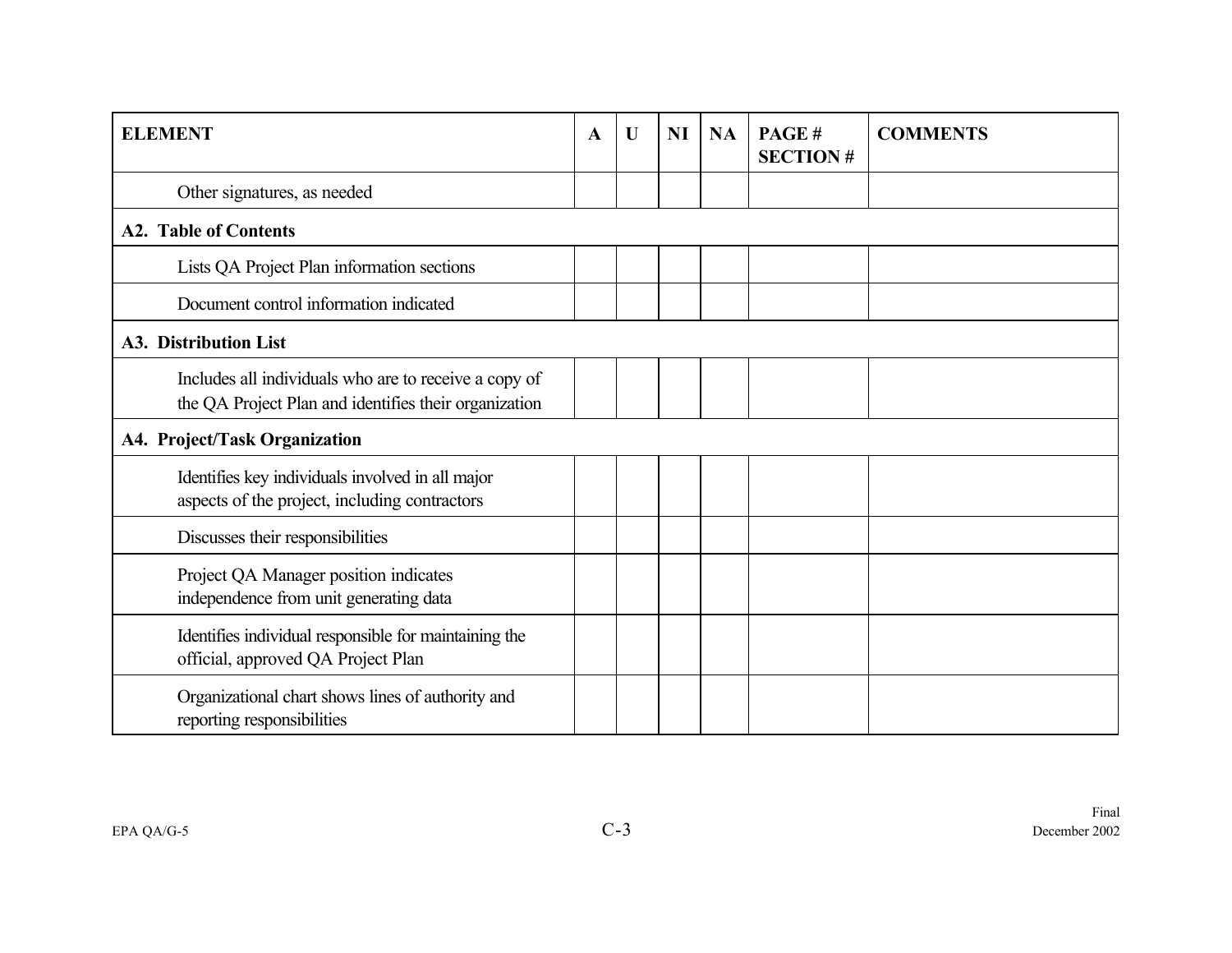| <b>ELEMENT</b>                                                                                                 | $\mathbf A$ | $\mathbf U$ | <b>NI</b> | <b>NA</b> | PAGE#<br><b>SECTION#</b> | <b>COMMENTS</b> |  |  |  |
|----------------------------------------------------------------------------------------------------------------|-------------|-------------|-----------|-----------|--------------------------|-----------------|--|--|--|
| Other signatures, as needed                                                                                    |             |             |           |           |                          |                 |  |  |  |
| <b>A2. Table of Contents</b>                                                                                   |             |             |           |           |                          |                 |  |  |  |
| Lists QA Project Plan information sections                                                                     |             |             |           |           |                          |                 |  |  |  |
| Document control information indicated                                                                         |             |             |           |           |                          |                 |  |  |  |
| A3. Distribution List                                                                                          |             |             |           |           |                          |                 |  |  |  |
| Includes all individuals who are to receive a copy of<br>the QA Project Plan and identifies their organization |             |             |           |           |                          |                 |  |  |  |
| <b>A4. Project/Task Organization</b>                                                                           |             |             |           |           |                          |                 |  |  |  |
| Identifies key individuals involved in all major<br>aspects of the project, including contractors              |             |             |           |           |                          |                 |  |  |  |
| Discusses their responsibilities                                                                               |             |             |           |           |                          |                 |  |  |  |
| Project QA Manager position indicates<br>independence from unit generating data                                |             |             |           |           |                          |                 |  |  |  |
| Identifies individual responsible for maintaining the<br>official, approved QA Project Plan                    |             |             |           |           |                          |                 |  |  |  |
| Organizational chart shows lines of authority and<br>reporting responsibilities                                |             |             |           |           |                          |                 |  |  |  |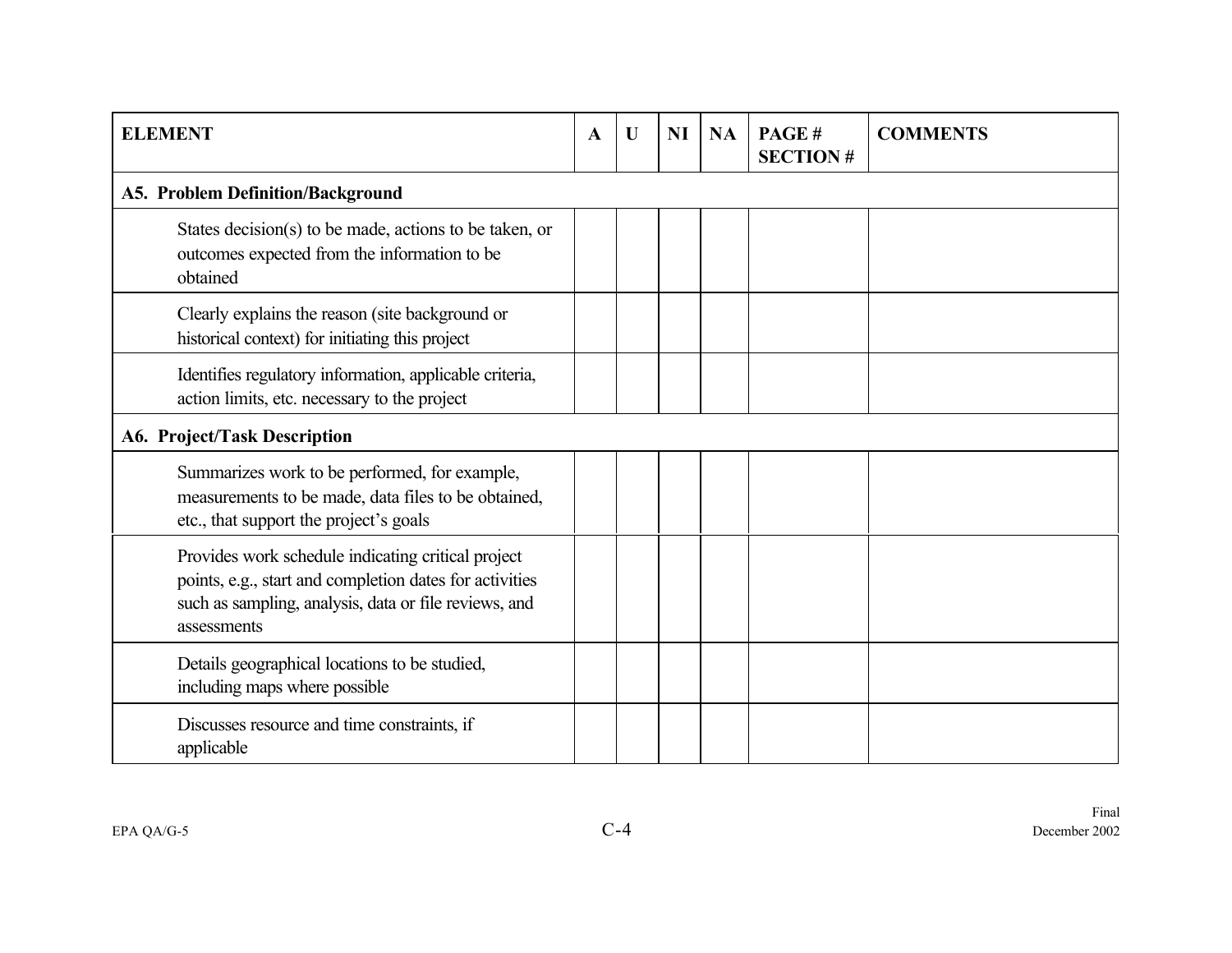| <b>ELEMENT</b>                                                                                                                                                                        | $\mathbf A$ | $\mathbf U$ | <b>NI</b> | <b>NA</b> | PAGE#<br><b>SECTION#</b> | <b>COMMENTS</b> |  |  |  |  |
|---------------------------------------------------------------------------------------------------------------------------------------------------------------------------------------|-------------|-------------|-----------|-----------|--------------------------|-----------------|--|--|--|--|
| <b>A5. Problem Definition/Background</b>                                                                                                                                              |             |             |           |           |                          |                 |  |  |  |  |
| States decision(s) to be made, actions to be taken, or<br>outcomes expected from the information to be<br>obtained                                                                    |             |             |           |           |                          |                 |  |  |  |  |
| Clearly explains the reason (site background or<br>historical context) for initiating this project                                                                                    |             |             |           |           |                          |                 |  |  |  |  |
| Identifies regulatory information, applicable criteria,<br>action limits, etc. necessary to the project                                                                               |             |             |           |           |                          |                 |  |  |  |  |
| A6. Project/Task Description                                                                                                                                                          |             |             |           |           |                          |                 |  |  |  |  |
| Summarizes work to be performed, for example,<br>measurements to be made, data files to be obtained,<br>etc., that support the project's goals                                        |             |             |           |           |                          |                 |  |  |  |  |
| Provides work schedule indicating critical project<br>points, e.g., start and completion dates for activities<br>such as sampling, analysis, data or file reviews, and<br>assessments |             |             |           |           |                          |                 |  |  |  |  |
| Details geographical locations to be studied,<br>including maps where possible                                                                                                        |             |             |           |           |                          |                 |  |  |  |  |
| Discusses resource and time constraints, if<br>applicable                                                                                                                             |             |             |           |           |                          |                 |  |  |  |  |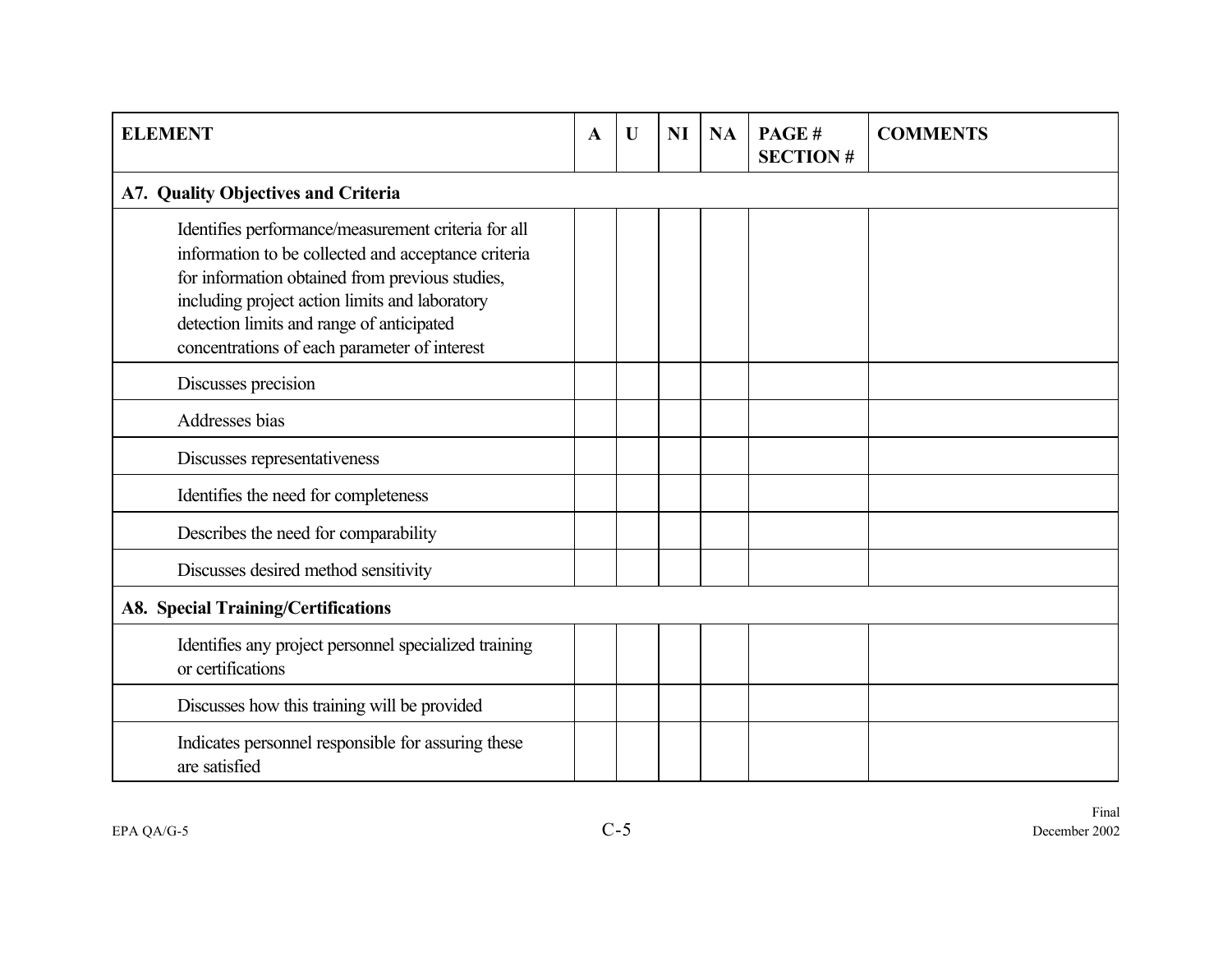| <b>ELEMENT</b>                                                                                                                                                                                                                                                                                               | $\mathbf A$ | U | <b>NI</b> | <b>NA</b> | PAGE#<br><b>SECTION#</b> | <b>COMMENTS</b> |  |  |  |  |
|--------------------------------------------------------------------------------------------------------------------------------------------------------------------------------------------------------------------------------------------------------------------------------------------------------------|-------------|---|-----------|-----------|--------------------------|-----------------|--|--|--|--|
| A7. Quality Objectives and Criteria                                                                                                                                                                                                                                                                          |             |   |           |           |                          |                 |  |  |  |  |
| Identifies performance/measurement criteria for all<br>information to be collected and acceptance criteria<br>for information obtained from previous studies,<br>including project action limits and laboratory<br>detection limits and range of anticipated<br>concentrations of each parameter of interest |             |   |           |           |                          |                 |  |  |  |  |
| Discusses precision                                                                                                                                                                                                                                                                                          |             |   |           |           |                          |                 |  |  |  |  |
| Addresses bias                                                                                                                                                                                                                                                                                               |             |   |           |           |                          |                 |  |  |  |  |
| Discusses representativeness                                                                                                                                                                                                                                                                                 |             |   |           |           |                          |                 |  |  |  |  |
| Identifies the need for completeness                                                                                                                                                                                                                                                                         |             |   |           |           |                          |                 |  |  |  |  |
| Describes the need for comparability                                                                                                                                                                                                                                                                         |             |   |           |           |                          |                 |  |  |  |  |
| Discusses desired method sensitivity                                                                                                                                                                                                                                                                         |             |   |           |           |                          |                 |  |  |  |  |
| <b>A8. Special Training/Certifications</b>                                                                                                                                                                                                                                                                   |             |   |           |           |                          |                 |  |  |  |  |
| Identifies any project personnel specialized training<br>or certifications                                                                                                                                                                                                                                   |             |   |           |           |                          |                 |  |  |  |  |
| Discusses how this training will be provided                                                                                                                                                                                                                                                                 |             |   |           |           |                          |                 |  |  |  |  |
| Indicates personnel responsible for assuring these<br>are satisfied                                                                                                                                                                                                                                          |             |   |           |           |                          |                 |  |  |  |  |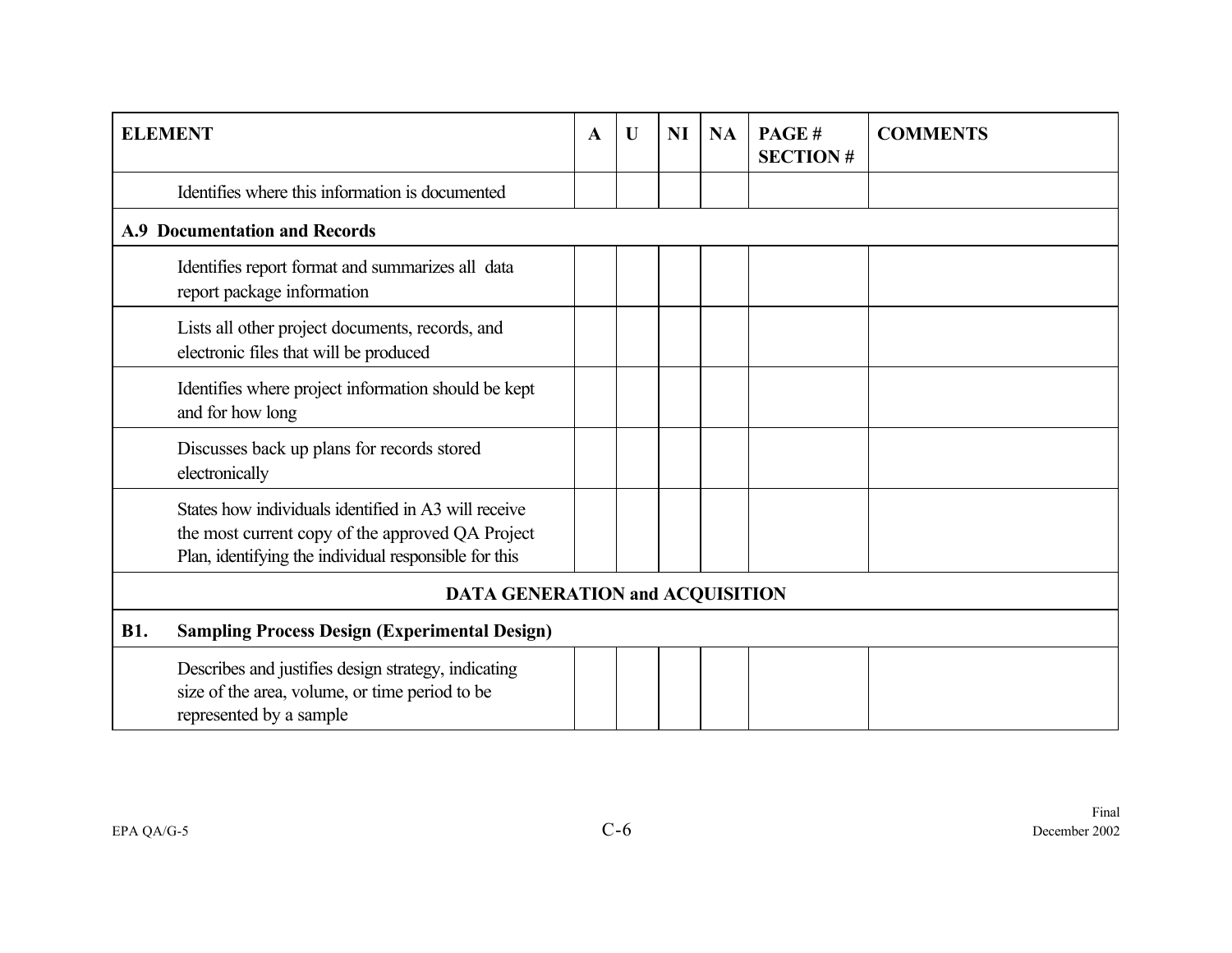| <b>ELEMENT</b> |                                                                                                                                                                   | $\mathbf A$ | $\mathbf U$ | <b>NI</b> | <b>NA</b> | PAGE#<br><b>SECTION#</b> | <b>COMMENTS</b> |
|----------------|-------------------------------------------------------------------------------------------------------------------------------------------------------------------|-------------|-------------|-----------|-----------|--------------------------|-----------------|
|                | Identifies where this information is documented                                                                                                                   |             |             |           |           |                          |                 |
|                | <b>A.9 Documentation and Records</b>                                                                                                                              |             |             |           |           |                          |                 |
|                | Identifies report format and summarizes all data<br>report package information                                                                                    |             |             |           |           |                          |                 |
|                | Lists all other project documents, records, and<br>electronic files that will be produced                                                                         |             |             |           |           |                          |                 |
|                | Identifies where project information should be kept<br>and for how long                                                                                           |             |             |           |           |                          |                 |
|                | Discusses back up plans for records stored<br>electronically                                                                                                      |             |             |           |           |                          |                 |
|                | States how individuals identified in A3 will receive<br>the most current copy of the approved QA Project<br>Plan, identifying the individual responsible for this |             |             |           |           |                          |                 |
|                | <b>DATA GENERATION and ACQUISITION</b>                                                                                                                            |             |             |           |           |                          |                 |
| <b>B1.</b>     | <b>Sampling Process Design (Experimental Design)</b>                                                                                                              |             |             |           |           |                          |                 |
|                | Describes and justifies design strategy, indicating<br>size of the area, volume, or time period to be<br>represented by a sample                                  |             |             |           |           |                          |                 |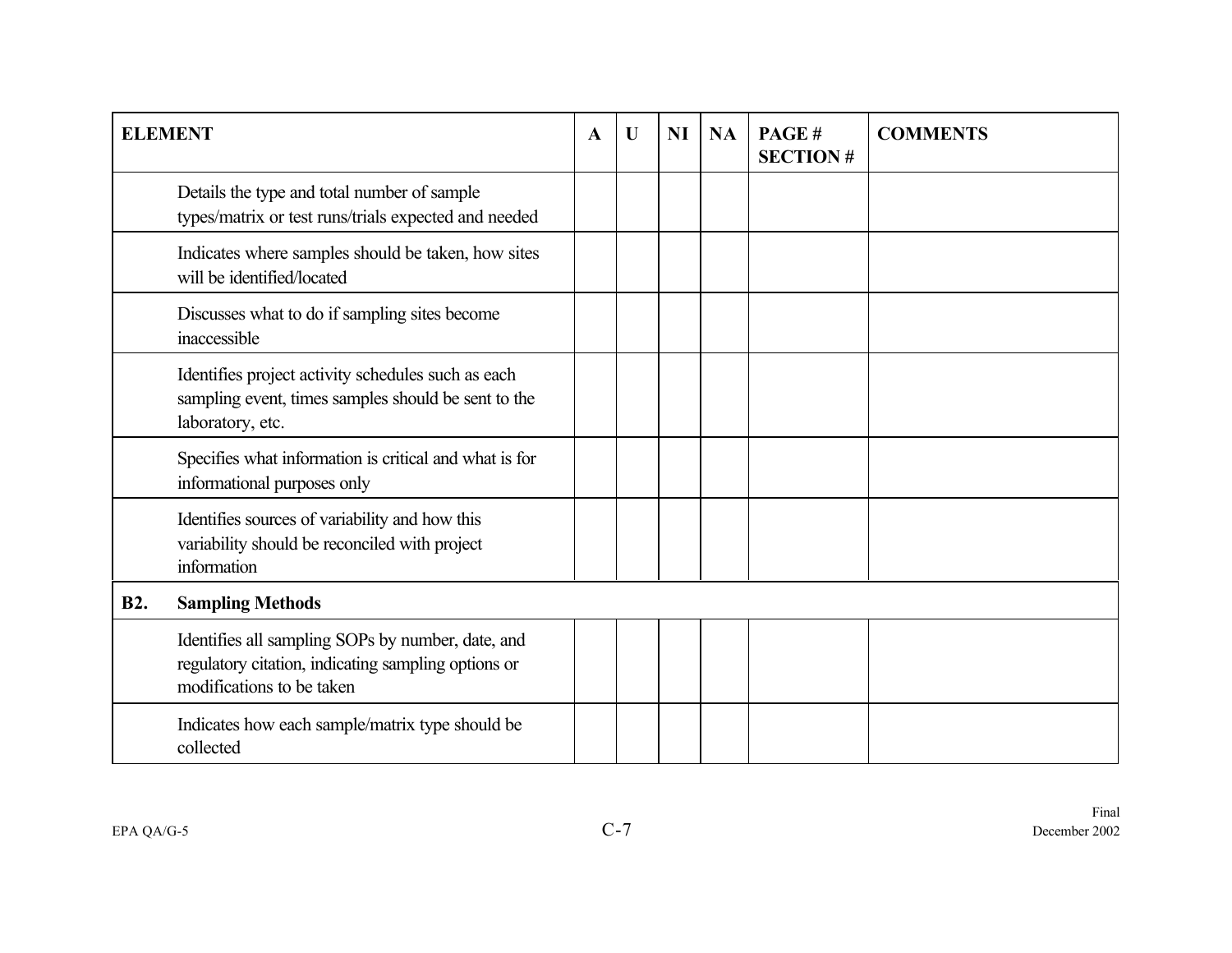|            | <b>ELEMENT</b>                                                                                                                        | A | U | <b>NI</b> | <b>NA</b> | PAGE#<br><b>SECTION#</b> | <b>COMMENTS</b> |
|------------|---------------------------------------------------------------------------------------------------------------------------------------|---|---|-----------|-----------|--------------------------|-----------------|
|            | Details the type and total number of sample<br>types/matrix or test runs/trials expected and needed                                   |   |   |           |           |                          |                 |
|            | Indicates where samples should be taken, how sites<br>will be identified/located                                                      |   |   |           |           |                          |                 |
|            | Discusses what to do if sampling sites become<br>inaccessible                                                                         |   |   |           |           |                          |                 |
|            | Identifies project activity schedules such as each<br>sampling event, times samples should be sent to the<br>laboratory, etc.         |   |   |           |           |                          |                 |
|            | Specifies what information is critical and what is for<br>informational purposes only                                                 |   |   |           |           |                          |                 |
|            | Identifies sources of variability and how this<br>variability should be reconciled with project<br>information                        |   |   |           |           |                          |                 |
| <b>B2.</b> | <b>Sampling Methods</b>                                                                                                               |   |   |           |           |                          |                 |
|            | Identifies all sampling SOPs by number, date, and<br>regulatory citation, indicating sampling options or<br>modifications to be taken |   |   |           |           |                          |                 |
|            | Indicates how each sample/matrix type should be<br>collected                                                                          |   |   |           |           |                          |                 |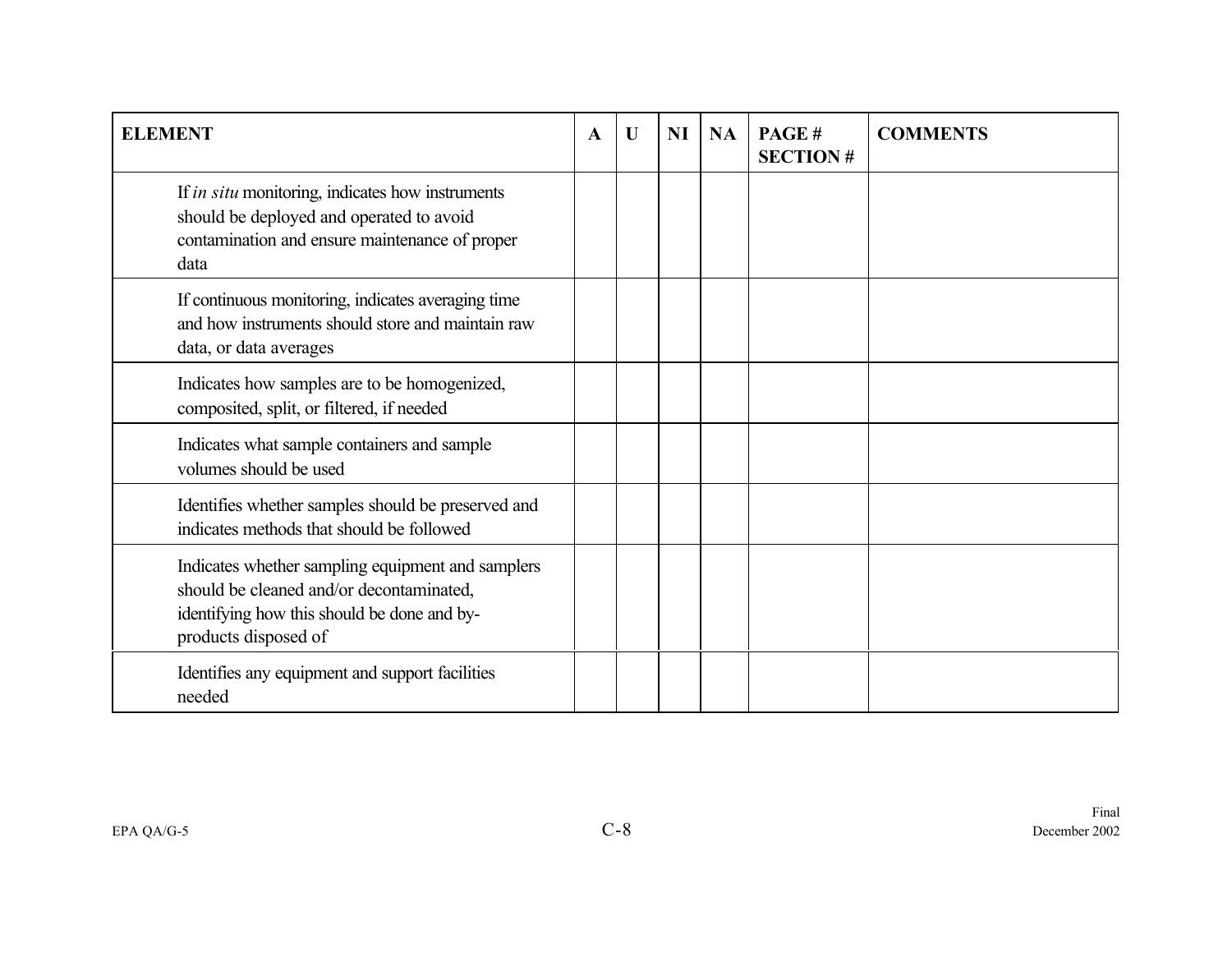| <b>ELEMENT</b>                                                                                                                                                       | $\mathbf A$ | U | <b>NI</b> | <b>NA</b> | PAGE#<br><b>SECTION#</b> | <b>COMMENTS</b> |
|----------------------------------------------------------------------------------------------------------------------------------------------------------------------|-------------|---|-----------|-----------|--------------------------|-----------------|
| If in situ monitoring, indicates how instruments<br>should be deployed and operated to avoid<br>contamination and ensure maintenance of proper<br>data               |             |   |           |           |                          |                 |
| If continuous monitoring, indicates averaging time<br>and how instruments should store and maintain raw<br>data, or data averages                                    |             |   |           |           |                          |                 |
| Indicates how samples are to be homogenized,<br>composited, split, or filtered, if needed                                                                            |             |   |           |           |                          |                 |
| Indicates what sample containers and sample<br>volumes should be used                                                                                                |             |   |           |           |                          |                 |
| Identifies whether samples should be preserved and<br>indicates methods that should be followed                                                                      |             |   |           |           |                          |                 |
| Indicates whether sampling equipment and samplers<br>should be cleaned and/or decontaminated,<br>identifying how this should be done and by-<br>products disposed of |             |   |           |           |                          |                 |
| Identifies any equipment and support facilities<br>needed                                                                                                            |             |   |           |           |                          |                 |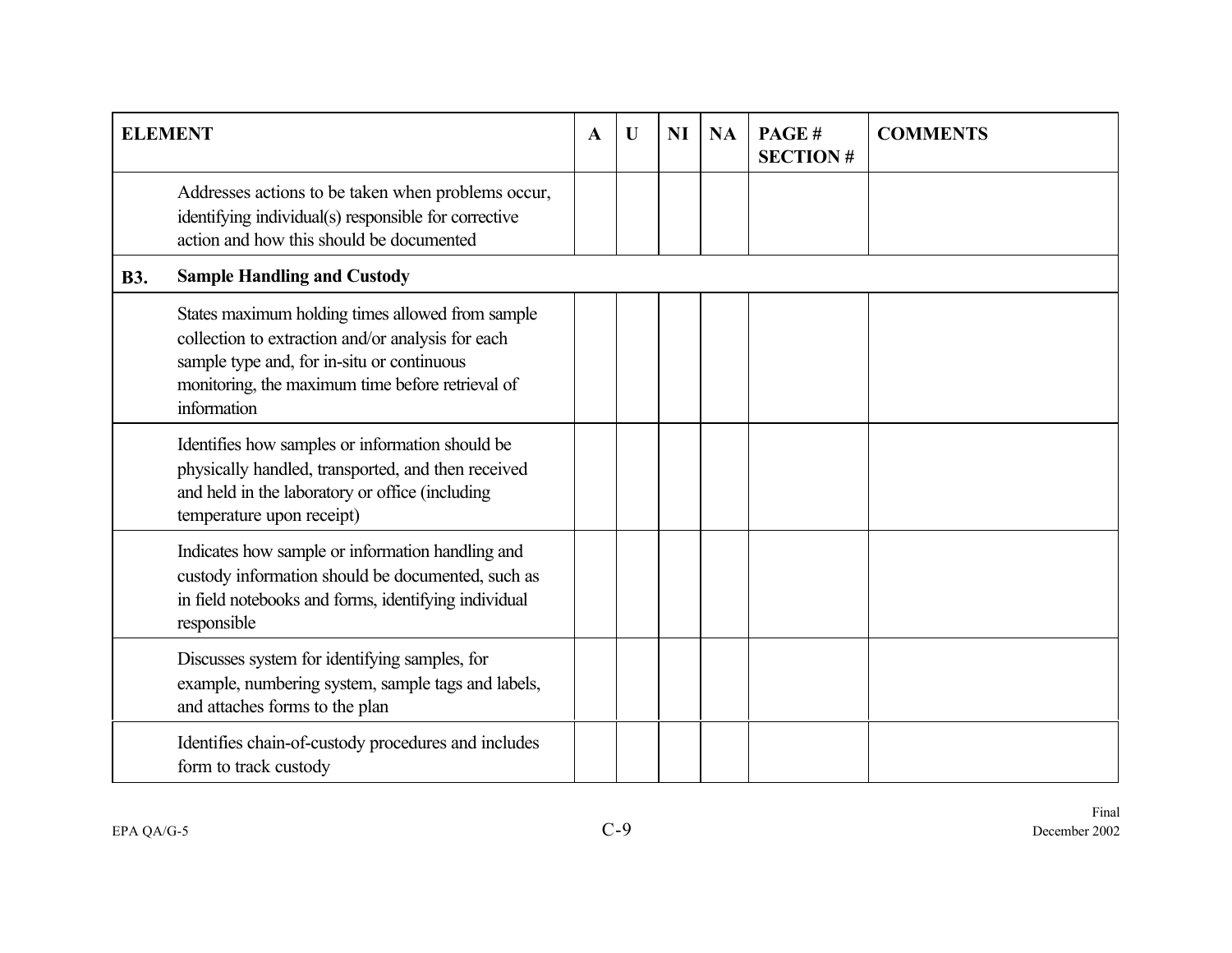|            | <b>ELEMENT</b>                                                                                                                                                                                                         | $\mathbf A$ | $\mathbf U$ | <b>NI</b> | <b>NA</b> | PAGE#<br><b>SECTION#</b> | <b>COMMENTS</b> |
|------------|------------------------------------------------------------------------------------------------------------------------------------------------------------------------------------------------------------------------|-------------|-------------|-----------|-----------|--------------------------|-----------------|
|            | Addresses actions to be taken when problems occur,<br>identifying individual(s) responsible for corrective<br>action and how this should be documented                                                                 |             |             |           |           |                          |                 |
| <b>B3.</b> | <b>Sample Handling and Custody</b>                                                                                                                                                                                     |             |             |           |           |                          |                 |
|            | States maximum holding times allowed from sample<br>collection to extraction and/or analysis for each<br>sample type and, for in-situ or continuous<br>monitoring, the maximum time before retrieval of<br>information |             |             |           |           |                          |                 |
|            | Identifies how samples or information should be<br>physically handled, transported, and then received<br>and held in the laboratory or office (including<br>temperature upon receipt)                                  |             |             |           |           |                          |                 |
|            | Indicates how sample or information handling and<br>custody information should be documented, such as<br>in field notebooks and forms, identifying individual<br>responsible                                           |             |             |           |           |                          |                 |
|            | Discusses system for identifying samples, for<br>example, numbering system, sample tags and labels,<br>and attaches forms to the plan                                                                                  |             |             |           |           |                          |                 |
|            | Identifies chain-of-custody procedures and includes<br>form to track custody                                                                                                                                           |             |             |           |           |                          |                 |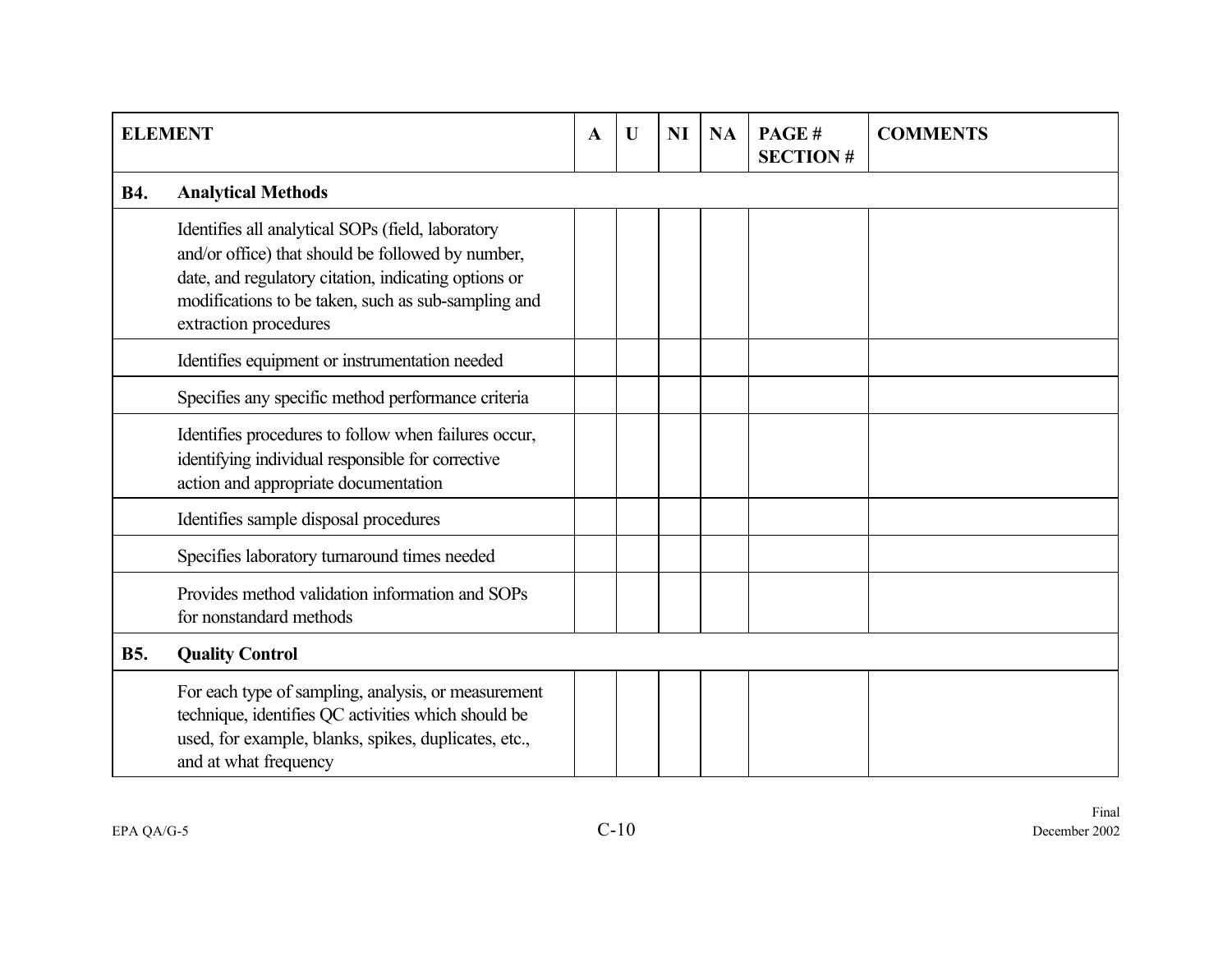|            | <b>ELEMENT</b>                                                                                                                                                                                                                                 | $\mathbf{A}$ | $\mathbf U$ | NI | <b>NA</b> | PAGE#<br><b>SECTION#</b> | <b>COMMENTS</b> |
|------------|------------------------------------------------------------------------------------------------------------------------------------------------------------------------------------------------------------------------------------------------|--------------|-------------|----|-----------|--------------------------|-----------------|
| <b>B4.</b> | <b>Analytical Methods</b>                                                                                                                                                                                                                      |              |             |    |           |                          |                 |
|            | Identifies all analytical SOPs (field, laboratory<br>and/or office) that should be followed by number,<br>date, and regulatory citation, indicating options or<br>modifications to be taken, such as sub-sampling and<br>extraction procedures |              |             |    |           |                          |                 |
|            | Identifies equipment or instrumentation needed                                                                                                                                                                                                 |              |             |    |           |                          |                 |
|            | Specifies any specific method performance criteria                                                                                                                                                                                             |              |             |    |           |                          |                 |
|            | Identifies procedures to follow when failures occur,<br>identifying individual responsible for corrective<br>action and appropriate documentation                                                                                              |              |             |    |           |                          |                 |
|            | Identifies sample disposal procedures                                                                                                                                                                                                          |              |             |    |           |                          |                 |
|            | Specifies laboratory turnaround times needed                                                                                                                                                                                                   |              |             |    |           |                          |                 |
|            | Provides method validation information and SOPs<br>for nonstandard methods                                                                                                                                                                     |              |             |    |           |                          |                 |
| <b>B5.</b> | <b>Quality Control</b>                                                                                                                                                                                                                         |              |             |    |           |                          |                 |
|            | For each type of sampling, analysis, or measurement<br>technique, identifies QC activities which should be<br>used, for example, blanks, spikes, duplicates, etc.,<br>and at what frequency                                                    |              |             |    |           |                          |                 |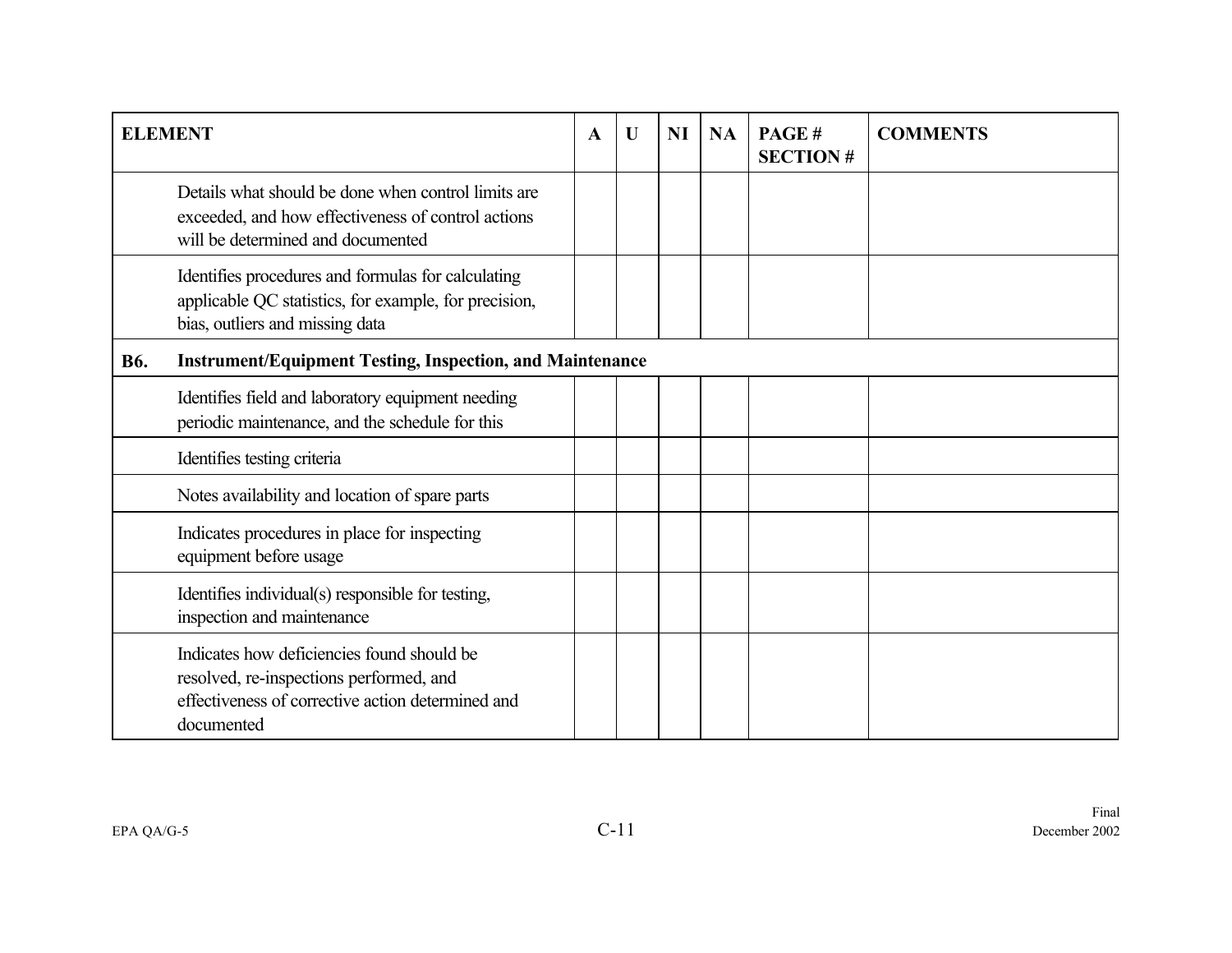|            | <b>ELEMENT</b>                                                                                                                                           | $\mathbf A$ | U | <b>NI</b> | <b>NA</b> | PAGE#<br><b>SECTION#</b> | <b>COMMENTS</b> |
|------------|----------------------------------------------------------------------------------------------------------------------------------------------------------|-------------|---|-----------|-----------|--------------------------|-----------------|
|            | Details what should be done when control limits are<br>exceeded, and how effectiveness of control actions<br>will be determined and documented           |             |   |           |           |                          |                 |
|            | Identifies procedures and formulas for calculating<br>applicable QC statistics, for example, for precision,<br>bias, outliers and missing data           |             |   |           |           |                          |                 |
| <b>B6.</b> | <b>Instrument/Equipment Testing, Inspection, and Maintenance</b>                                                                                         |             |   |           |           |                          |                 |
|            | Identifies field and laboratory equipment needing<br>periodic maintenance, and the schedule for this                                                     |             |   |           |           |                          |                 |
|            | Identifies testing criteria                                                                                                                              |             |   |           |           |                          |                 |
|            | Notes availability and location of spare parts                                                                                                           |             |   |           |           |                          |                 |
|            | Indicates procedures in place for inspecting<br>equipment before usage                                                                                   |             |   |           |           |                          |                 |
|            | Identifies individual(s) responsible for testing,<br>inspection and maintenance                                                                          |             |   |           |           |                          |                 |
|            | Indicates how deficiencies found should be<br>resolved, re-inspections performed, and<br>effectiveness of corrective action determined and<br>documented |             |   |           |           |                          |                 |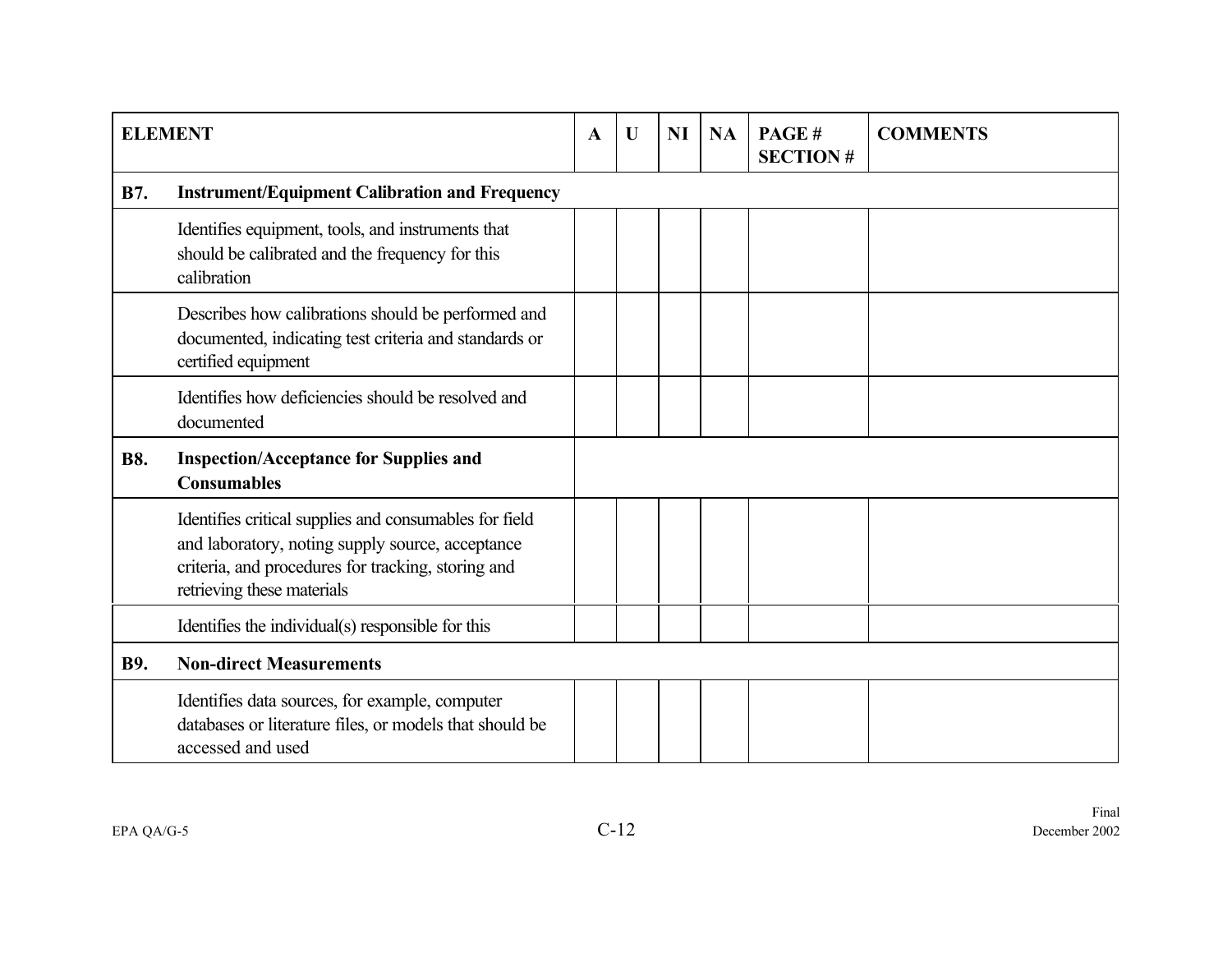|            | <b>ELEMENT</b>                                                                                                                                                                                 | $\mathbf{A}$ | $\mathbf U$ | <b>NI</b> | <b>NA</b> | PAGE#<br><b>SECTION#</b> | <b>COMMENTS</b> |
|------------|------------------------------------------------------------------------------------------------------------------------------------------------------------------------------------------------|--------------|-------------|-----------|-----------|--------------------------|-----------------|
| <b>B7.</b> | <b>Instrument/Equipment Calibration and Frequency</b>                                                                                                                                          |              |             |           |           |                          |                 |
|            | Identifies equipment, tools, and instruments that<br>should be calibrated and the frequency for this<br>calibration                                                                            |              |             |           |           |                          |                 |
|            | Describes how calibrations should be performed and<br>documented, indicating test criteria and standards or<br>certified equipment                                                             |              |             |           |           |                          |                 |
|            | Identifies how deficiencies should be resolved and<br>documented                                                                                                                               |              |             |           |           |                          |                 |
| <b>B8.</b> | <b>Inspection/Acceptance for Supplies and</b><br><b>Consumables</b>                                                                                                                            |              |             |           |           |                          |                 |
|            | Identifies critical supplies and consumables for field<br>and laboratory, noting supply source, acceptance<br>criteria, and procedures for tracking, storing and<br>retrieving these materials |              |             |           |           |                          |                 |
|            | Identifies the individual(s) responsible for this                                                                                                                                              |              |             |           |           |                          |                 |
| <b>B9.</b> | <b>Non-direct Measurements</b>                                                                                                                                                                 |              |             |           |           |                          |                 |
|            | Identifies data sources, for example, computer<br>databases or literature files, or models that should be<br>accessed and used                                                                 |              |             |           |           |                          |                 |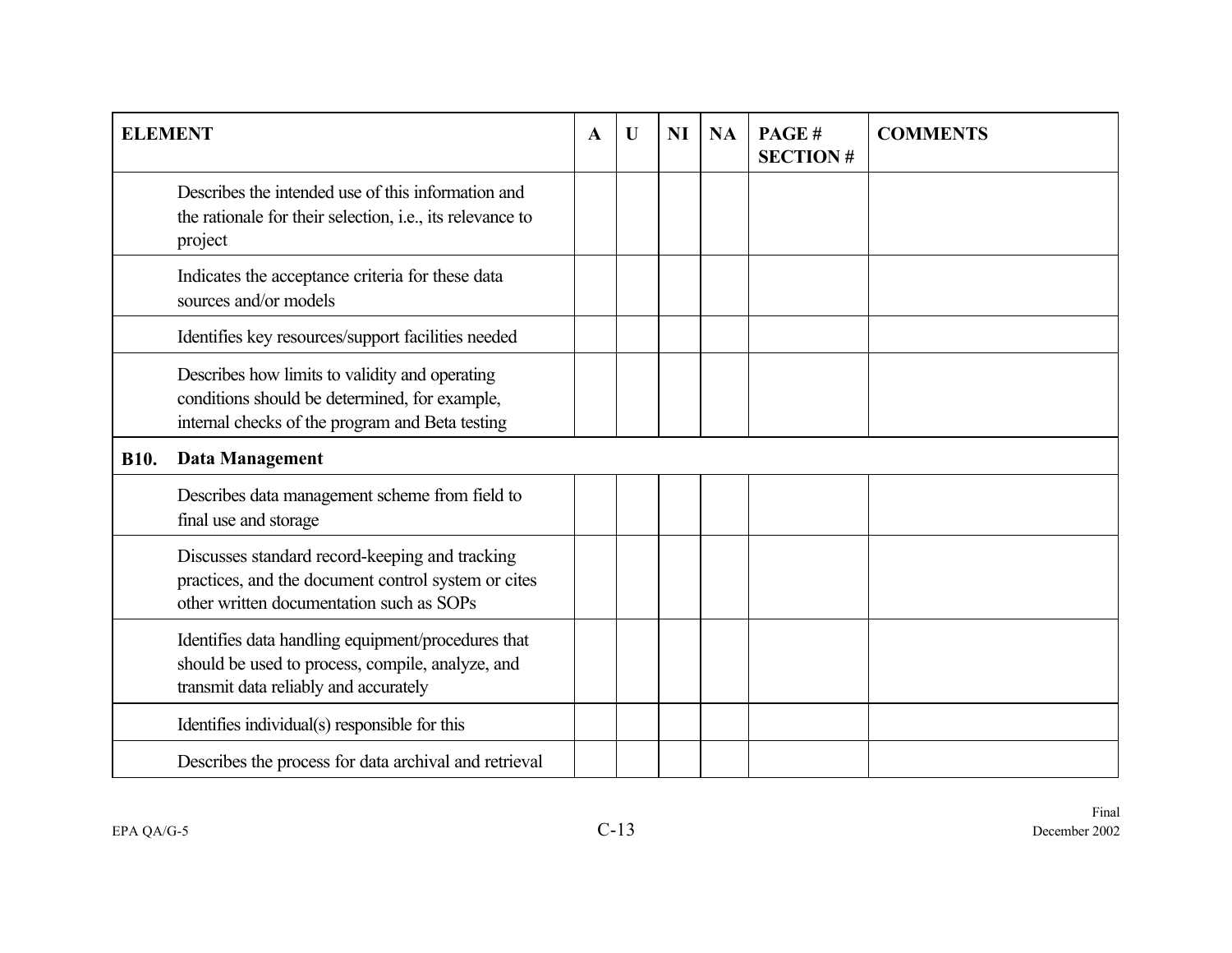| <b>ELEMENT</b> |                                                                                                                                                    | A | U | <b>NI</b> | <b>NA</b> | PAGE#<br><b>SECTION#</b> | <b>COMMENTS</b> |
|----------------|----------------------------------------------------------------------------------------------------------------------------------------------------|---|---|-----------|-----------|--------------------------|-----------------|
|                | Describes the intended use of this information and<br>the rationale for their selection, i.e., its relevance to<br>project                         |   |   |           |           |                          |                 |
|                | Indicates the acceptance criteria for these data<br>sources and/or models                                                                          |   |   |           |           |                          |                 |
|                | Identifies key resources/support facilities needed                                                                                                 |   |   |           |           |                          |                 |
|                | Describes how limits to validity and operating<br>conditions should be determined, for example,<br>internal checks of the program and Beta testing |   |   |           |           |                          |                 |
| <b>B10.</b>    | <b>Data Management</b>                                                                                                                             |   |   |           |           |                          |                 |
|                | Describes data management scheme from field to<br>final use and storage                                                                            |   |   |           |           |                          |                 |
|                | Discusses standard record-keeping and tracking<br>practices, and the document control system or cites<br>other written documentation such as SOPs  |   |   |           |           |                          |                 |
|                | Identifies data handling equipment/procedures that<br>should be used to process, compile, analyze, and<br>transmit data reliably and accurately    |   |   |           |           |                          |                 |
|                | Identifies individual(s) responsible for this                                                                                                      |   |   |           |           |                          |                 |
|                | Describes the process for data archival and retrieval                                                                                              |   |   |           |           |                          |                 |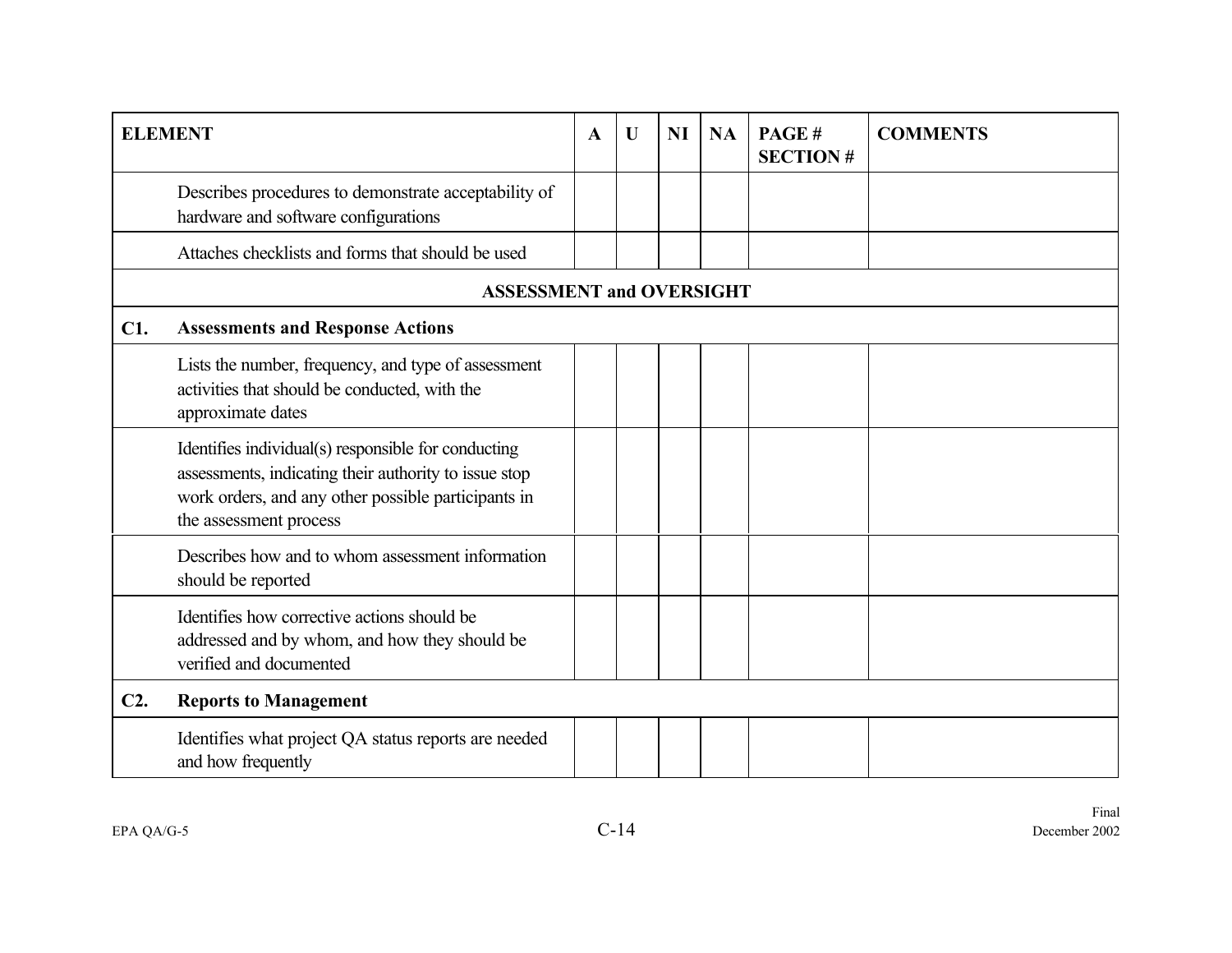|        | <b>ELEMENT</b>                                                                                                                                                                                | $\mathbf A$ | U | <b>NI</b> | <b>NA</b> | PAGE#<br><b>SECTION#</b> | <b>COMMENTS</b> |
|--------|-----------------------------------------------------------------------------------------------------------------------------------------------------------------------------------------------|-------------|---|-----------|-----------|--------------------------|-----------------|
|        | Describes procedures to demonstrate acceptability of<br>hardware and software configurations                                                                                                  |             |   |           |           |                          |                 |
|        | Attaches checklists and forms that should be used                                                                                                                                             |             |   |           |           |                          |                 |
|        | <b>ASSESSMENT and OVERSIGHT</b>                                                                                                                                                               |             |   |           |           |                          |                 |
| C1.    | <b>Assessments and Response Actions</b>                                                                                                                                                       |             |   |           |           |                          |                 |
|        | Lists the number, frequency, and type of assessment<br>activities that should be conducted, with the<br>approximate dates                                                                     |             |   |           |           |                          |                 |
|        | Identifies individual(s) responsible for conducting<br>assessments, indicating their authority to issue stop<br>work orders, and any other possible participants in<br>the assessment process |             |   |           |           |                          |                 |
|        | Describes how and to whom assessment information<br>should be reported                                                                                                                        |             |   |           |           |                          |                 |
|        | Identifies how corrective actions should be<br>addressed and by whom, and how they should be<br>verified and documented                                                                       |             |   |           |           |                          |                 |
| $C2$ . | <b>Reports to Management</b>                                                                                                                                                                  |             |   |           |           |                          |                 |
|        | Identifies what project QA status reports are needed<br>and how frequently                                                                                                                    |             |   |           |           |                          |                 |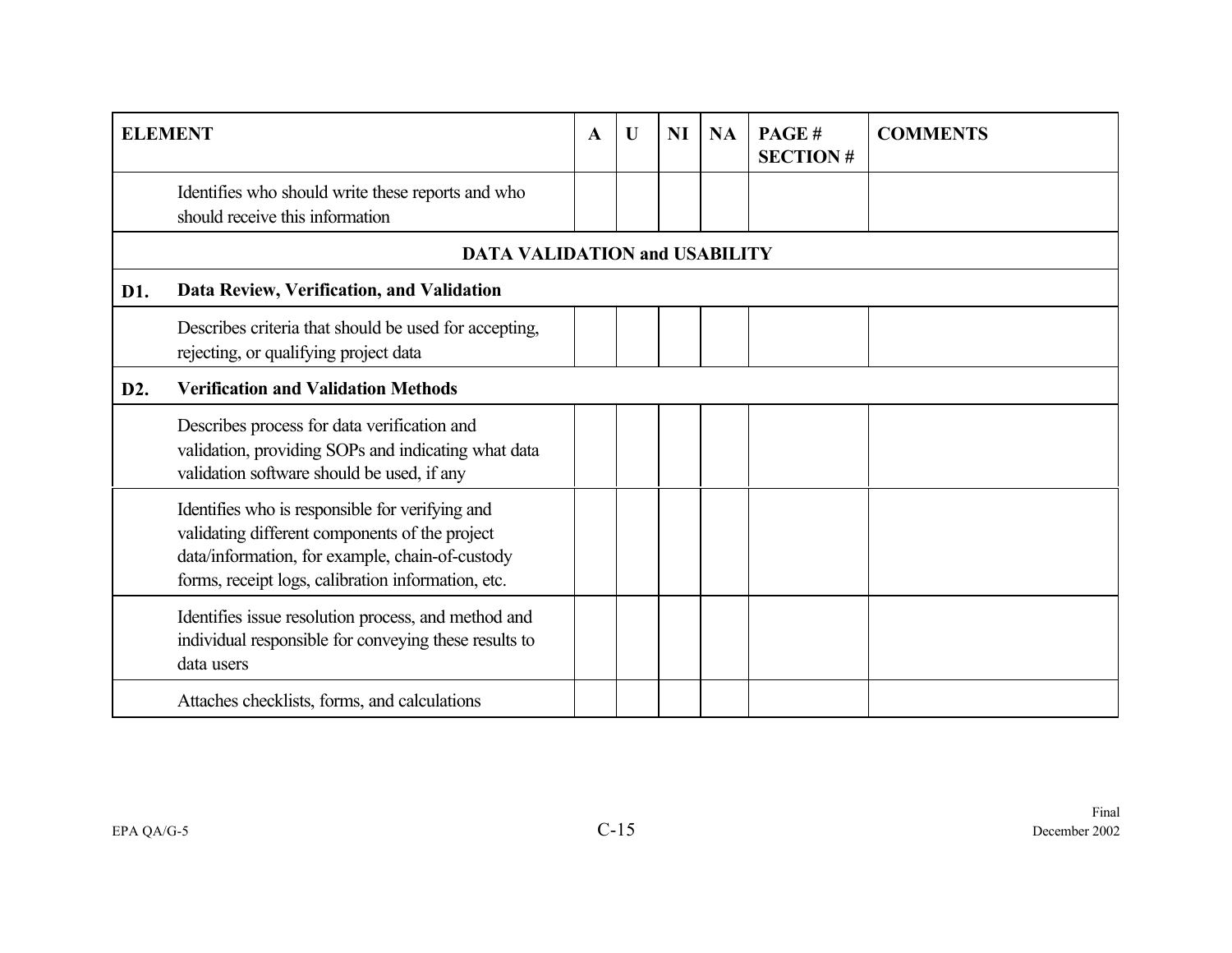|                  | <b>ELEMENT</b>                                                                                                                                                                                             | $\mathbf{A}$ | $\mathbf U$ | <b>NI</b> | <b>NA</b> | PAGE#<br><b>SECTION#</b> | <b>COMMENTS</b> |
|------------------|------------------------------------------------------------------------------------------------------------------------------------------------------------------------------------------------------------|--------------|-------------|-----------|-----------|--------------------------|-----------------|
|                  | Identifies who should write these reports and who<br>should receive this information                                                                                                                       |              |             |           |           |                          |                 |
|                  | <b>DATA VALIDATION and USABILITY</b>                                                                                                                                                                       |              |             |           |           |                          |                 |
| D1.              | Data Review, Verification, and Validation                                                                                                                                                                  |              |             |           |           |                          |                 |
|                  | Describes criteria that should be used for accepting,<br>rejecting, or qualifying project data                                                                                                             |              |             |           |           |                          |                 |
| D <sub>2</sub> . | <b>Verification and Validation Methods</b>                                                                                                                                                                 |              |             |           |           |                          |                 |
|                  | Describes process for data verification and<br>validation, providing SOPs and indicating what data<br>validation software should be used, if any                                                           |              |             |           |           |                          |                 |
|                  | Identifies who is responsible for verifying and<br>validating different components of the project<br>data/information, for example, chain-of-custody<br>forms, receipt logs, calibration information, etc. |              |             |           |           |                          |                 |
|                  | Identifies issue resolution process, and method and<br>individual responsible for conveying these results to<br>data users                                                                                 |              |             |           |           |                          |                 |
|                  | Attaches checklists, forms, and calculations                                                                                                                                                               |              |             |           |           |                          |                 |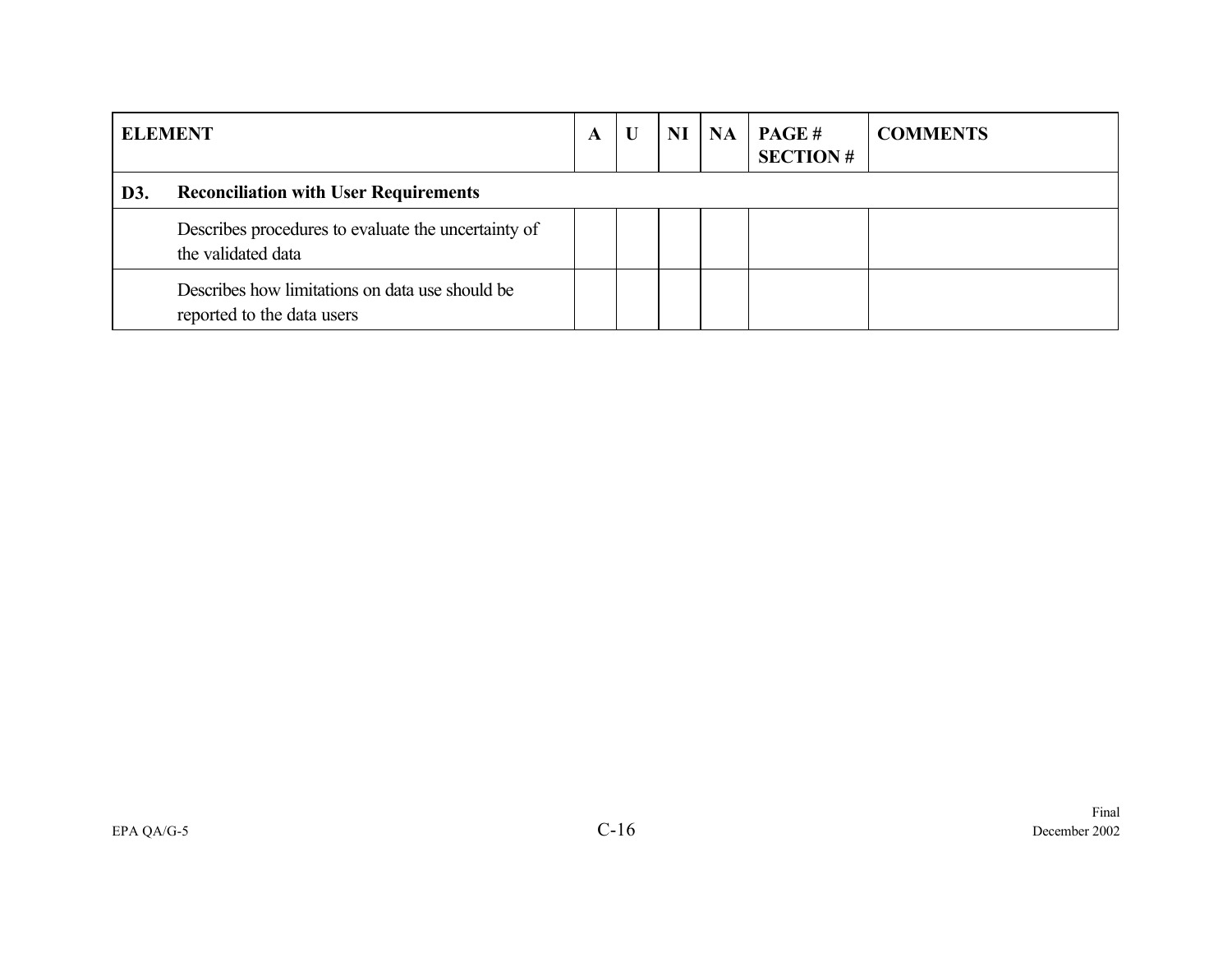| <b>ELEMENT</b> |                                                                               | A |  | NI | <b>NA</b> | <b>PAGE#</b><br><b>SECTION#</b> | <b>COMMENTS</b> |  |
|----------------|-------------------------------------------------------------------------------|---|--|----|-----------|---------------------------------|-----------------|--|
| D3.            | <b>Reconciliation with User Requirements</b>                                  |   |  |    |           |                                 |                 |  |
|                | Describes procedures to evaluate the uncertainty of<br>the validated data     |   |  |    |           |                                 |                 |  |
|                | Describes how limitations on data use should be<br>reported to the data users |   |  |    |           |                                 |                 |  |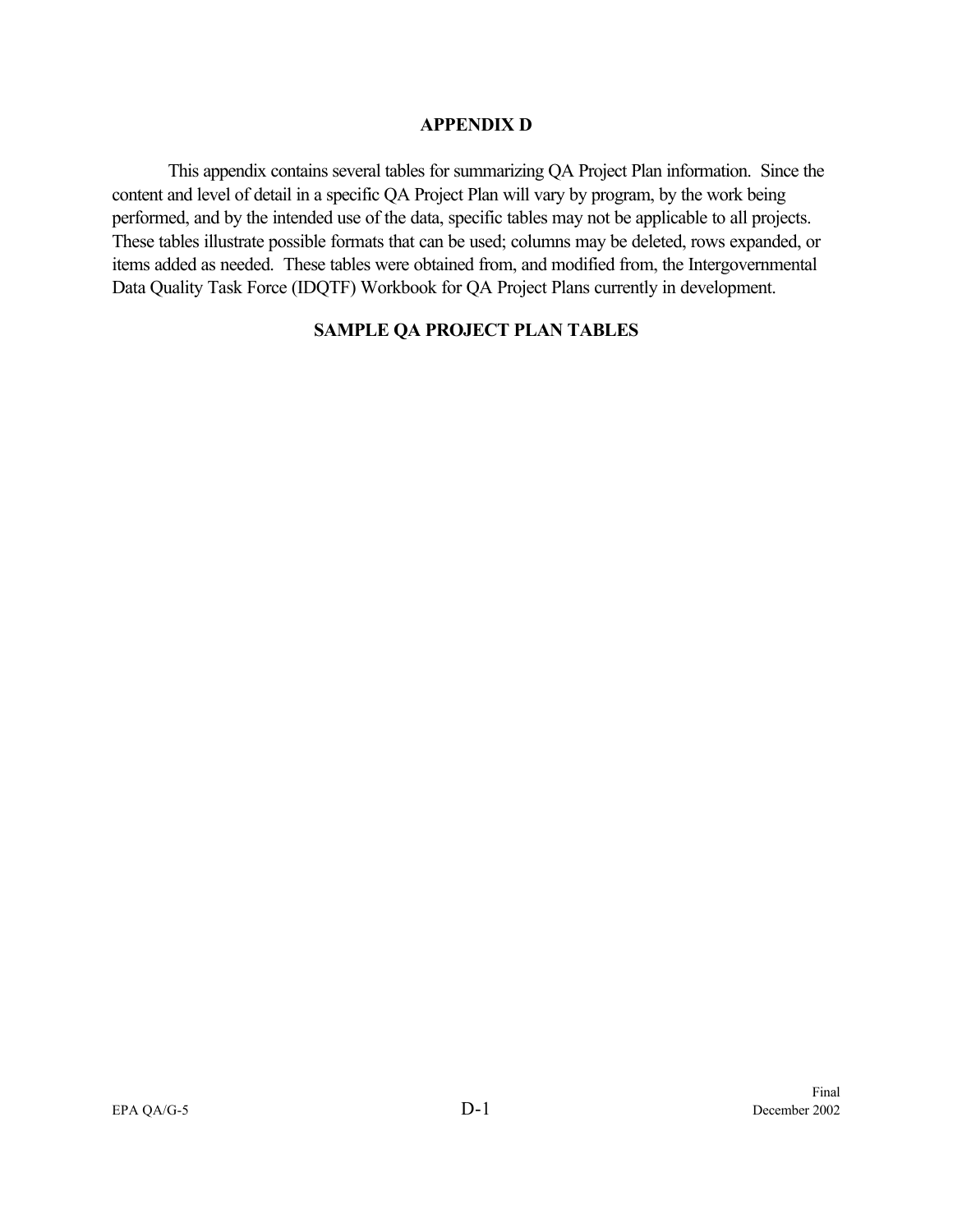#### **APPENDIX D**

This appendix contains several tables for summarizing QA Project Plan information. Since the content and level of detail in a specific QA Project Plan will vary by program, by the work being performed, and by the intended use of the data, specific tables may not be applicable to all projects. These tables illustrate possible formats that can be used; columns may be deleted, rows expanded, or items added as needed. These tables were obtained from, and modified from, the Intergovernmental Data Quality Task Force (IDQTF) Workbook for QA Project Plans currently in development.

#### **SAMPLE QA PROJECT PLAN TABLES**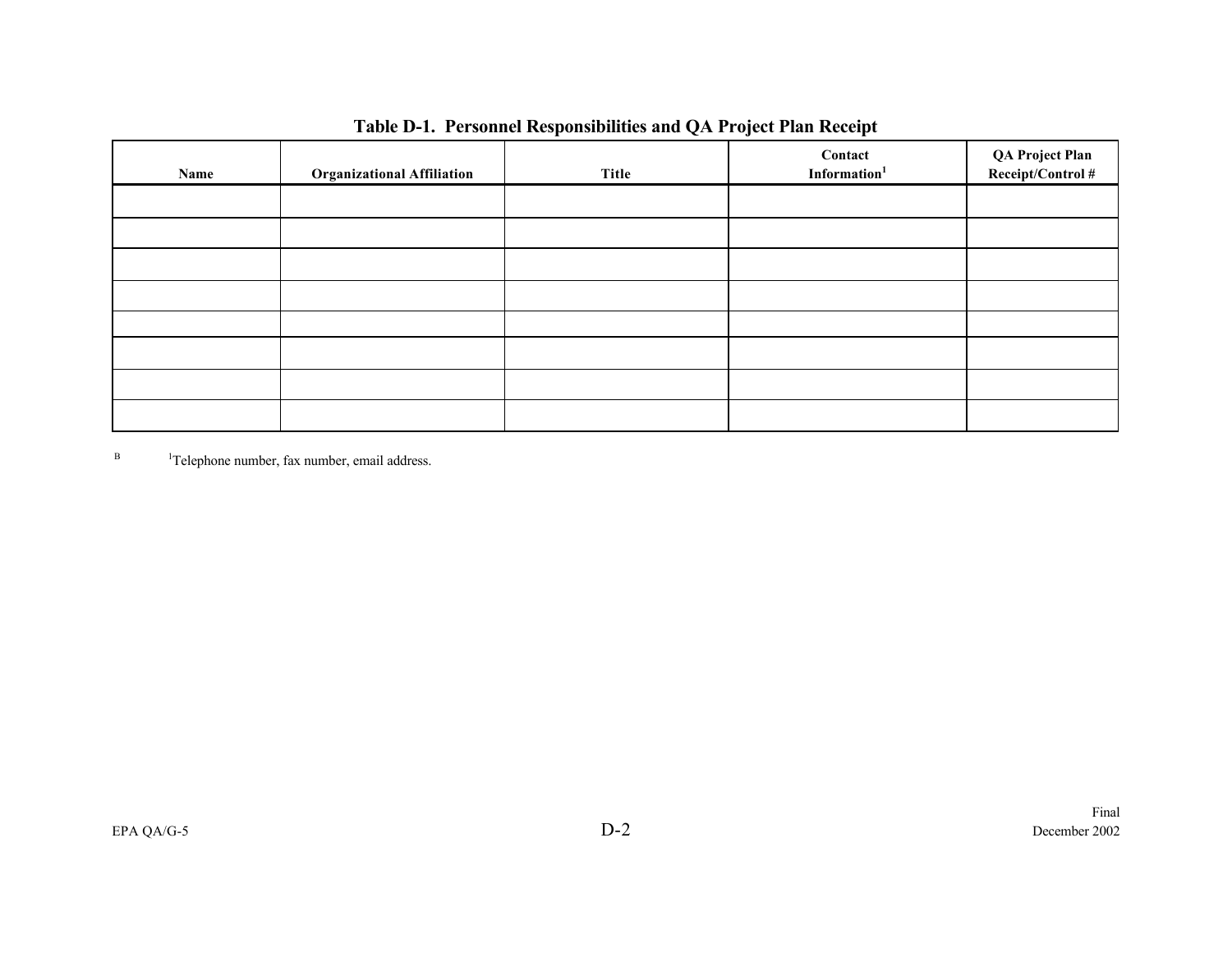| Name | <b>Organizational Affiliation</b> | Title | Contact<br>Information <sup>1</sup> | QA Project Plan<br>Receipt/Control# |
|------|-----------------------------------|-------|-------------------------------------|-------------------------------------|
|      |                                   |       |                                     |                                     |
|      |                                   |       |                                     |                                     |
|      |                                   |       |                                     |                                     |
|      |                                   |       |                                     |                                     |
|      |                                   |       |                                     |                                     |
|      |                                   |       |                                     |                                     |
|      |                                   |       |                                     |                                     |
|      |                                   |       |                                     |                                     |

| Table D-1. Personnel Responsibilities and QA Project Plan Receipt |  |
|-------------------------------------------------------------------|--|
|-------------------------------------------------------------------|--|

B <sup>1</sup>Telephone number, fax number, email address.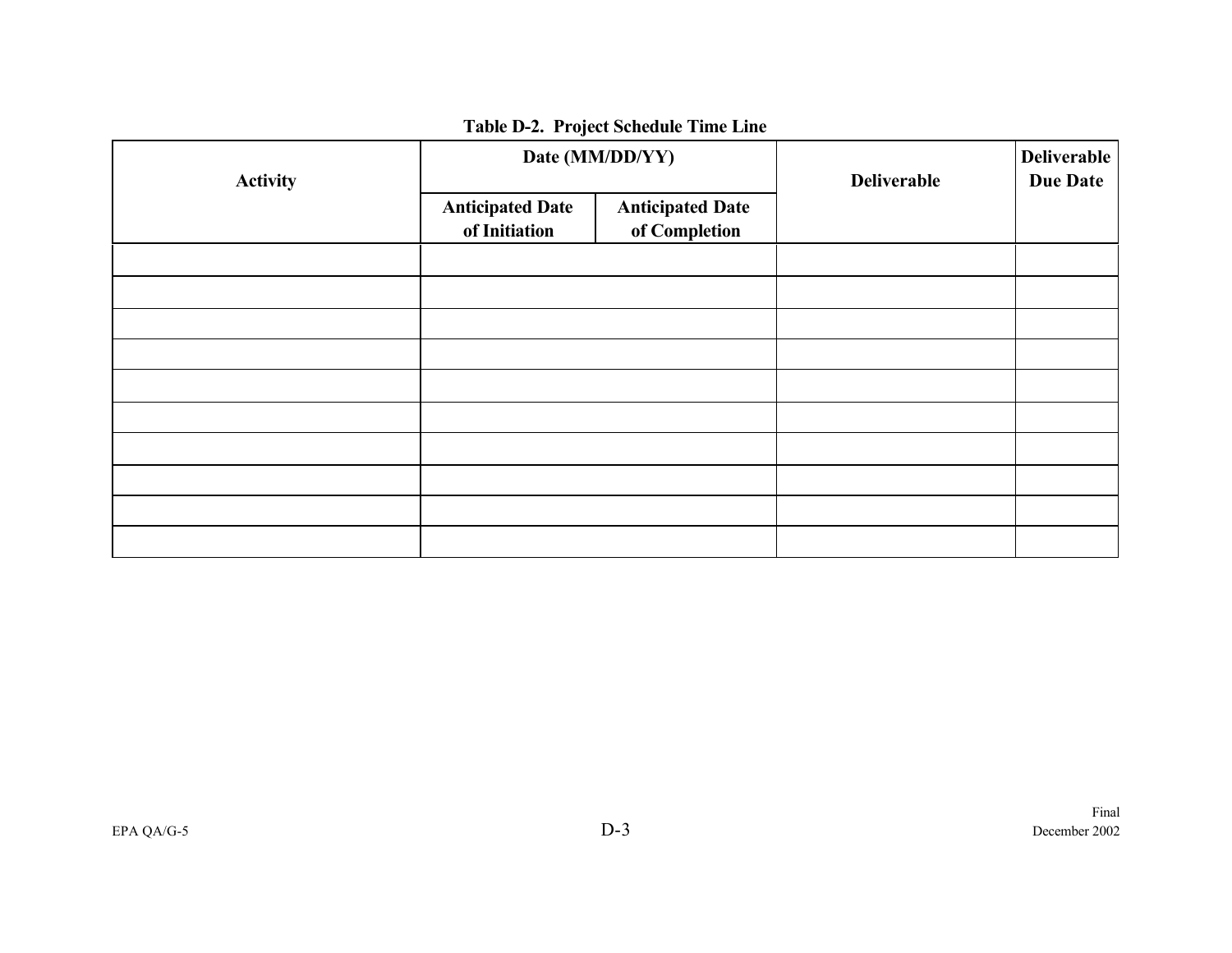| <b>Activity</b> |                                          | Date (MM/DD/YY)                          | <b>Deliverable</b> | <b>Deliverable</b><br><b>Due Date</b> |
|-----------------|------------------------------------------|------------------------------------------|--------------------|---------------------------------------|
|                 | <b>Anticipated Date</b><br>of Initiation | <b>Anticipated Date</b><br>of Completion |                    |                                       |
|                 |                                          |                                          |                    |                                       |
|                 |                                          |                                          |                    |                                       |
|                 |                                          |                                          |                    |                                       |
|                 |                                          |                                          |                    |                                       |
|                 |                                          |                                          |                    |                                       |
|                 |                                          |                                          |                    |                                       |
|                 |                                          |                                          |                    |                                       |
|                 |                                          |                                          |                    |                                       |
|                 |                                          |                                          |                    |                                       |
|                 |                                          |                                          |                    |                                       |

# **Table D-2. Project Schedule Time Line**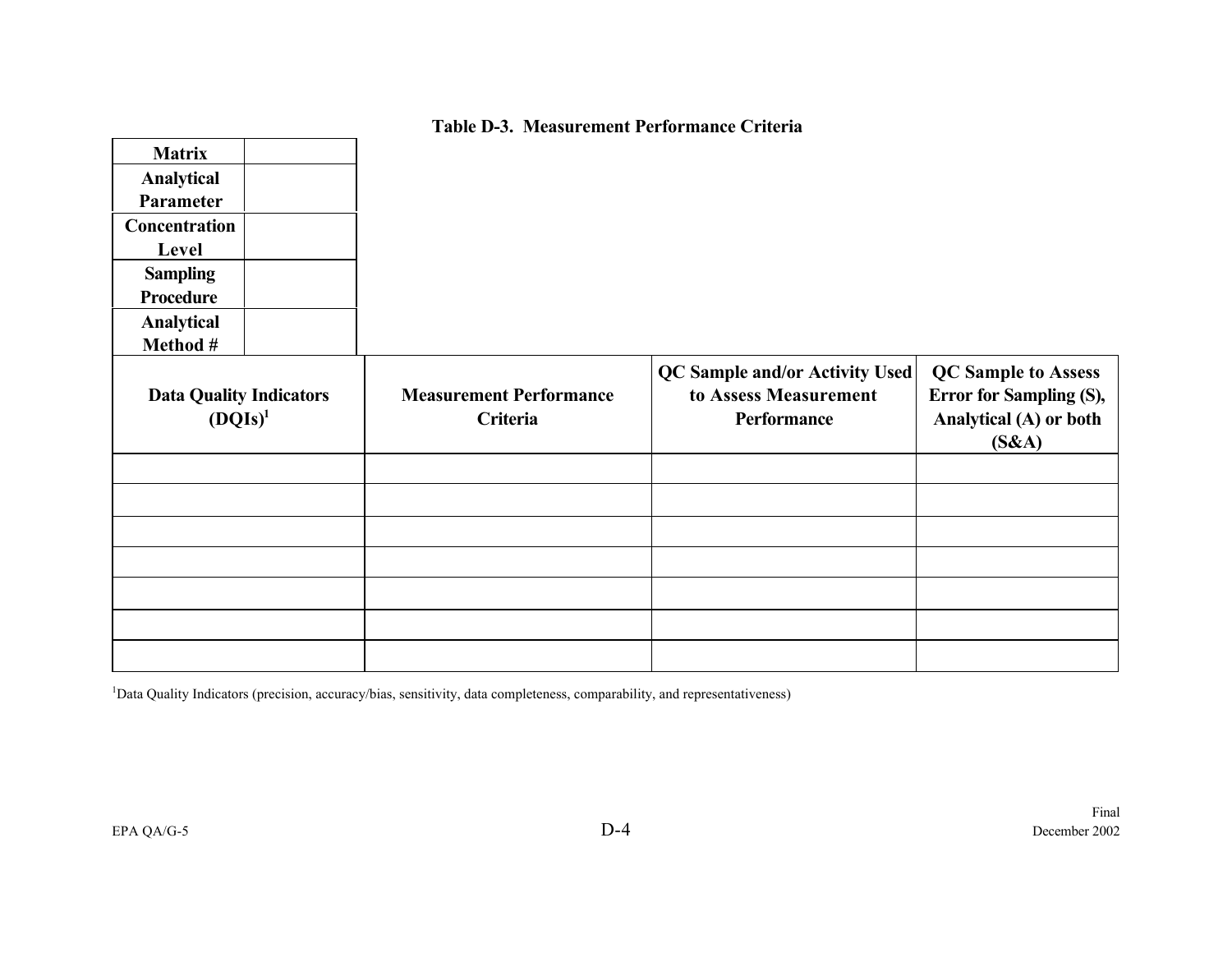## **Table D-3. Measurement Performance Criteria**

| <b>Matrix</b><br>Analytical<br>Parameter<br><b>Concentration</b><br>Level<br><b>Sampling</b><br><b>Procedure</b><br>Analytical<br>Method # |  |                                            |                                                                               |                                                                                          |
|--------------------------------------------------------------------------------------------------------------------------------------------|--|--------------------------------------------|-------------------------------------------------------------------------------|------------------------------------------------------------------------------------------|
| <b>Data Quality Indicators</b><br>$(DQIs)^1$                                                                                               |  | <b>Measurement Performance</b><br>Criteria | <b>QC Sample and/or Activity Used</b><br>to Assess Measurement<br>Performance | <b>QC Sample to Assess</b><br>Error for Sampling (S),<br>Analytical (A) or both<br>(S&A) |
|                                                                                                                                            |  |                                            |                                                                               |                                                                                          |
|                                                                                                                                            |  |                                            |                                                                               |                                                                                          |
|                                                                                                                                            |  |                                            |                                                                               |                                                                                          |

<sup>1</sup>Data Quality Indicators (precision, accuracy/bias, sensitivity, data completeness, comparability, and representativeness)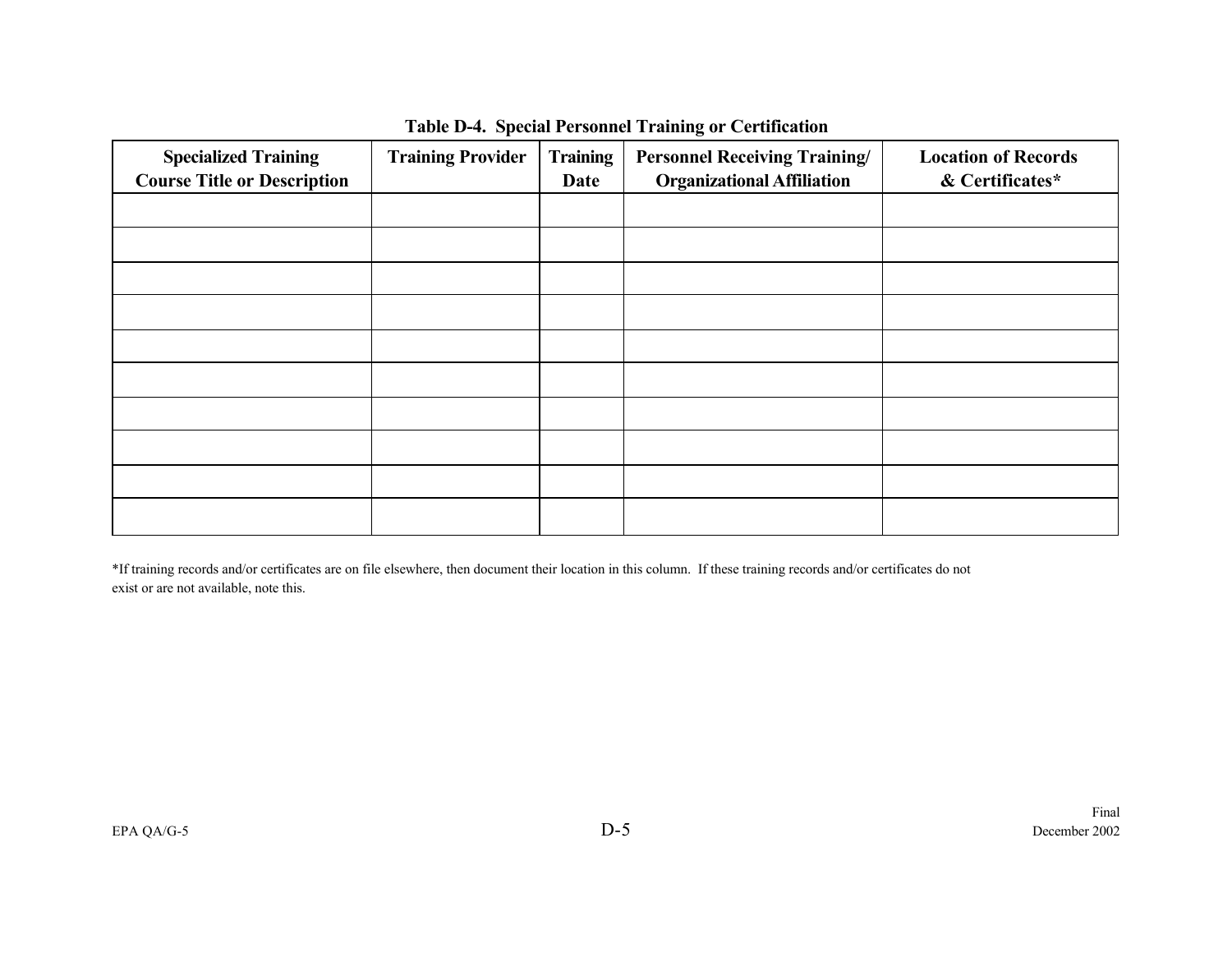| <b>Specialized Training</b><br><b>Course Title or Description</b> | <b>Training Provider</b> | <b>Training</b><br>Date | <b>Personnel Receiving Training/</b><br><b>Organizational Affiliation</b> | <b>Location of Records</b><br>& Certificates* |
|-------------------------------------------------------------------|--------------------------|-------------------------|---------------------------------------------------------------------------|-----------------------------------------------|
|                                                                   |                          |                         |                                                                           |                                               |
|                                                                   |                          |                         |                                                                           |                                               |
|                                                                   |                          |                         |                                                                           |                                               |
|                                                                   |                          |                         |                                                                           |                                               |
|                                                                   |                          |                         |                                                                           |                                               |
|                                                                   |                          |                         |                                                                           |                                               |
|                                                                   |                          |                         |                                                                           |                                               |
|                                                                   |                          |                         |                                                                           |                                               |
|                                                                   |                          |                         |                                                                           |                                               |
|                                                                   |                          |                         |                                                                           |                                               |

## **Table D-4. Special Personnel Training or Certification**

\*If training records and/or certificates are on file elsewhere, then document their location in this column. If these training records and/or certificates do not exist or are not available, note this.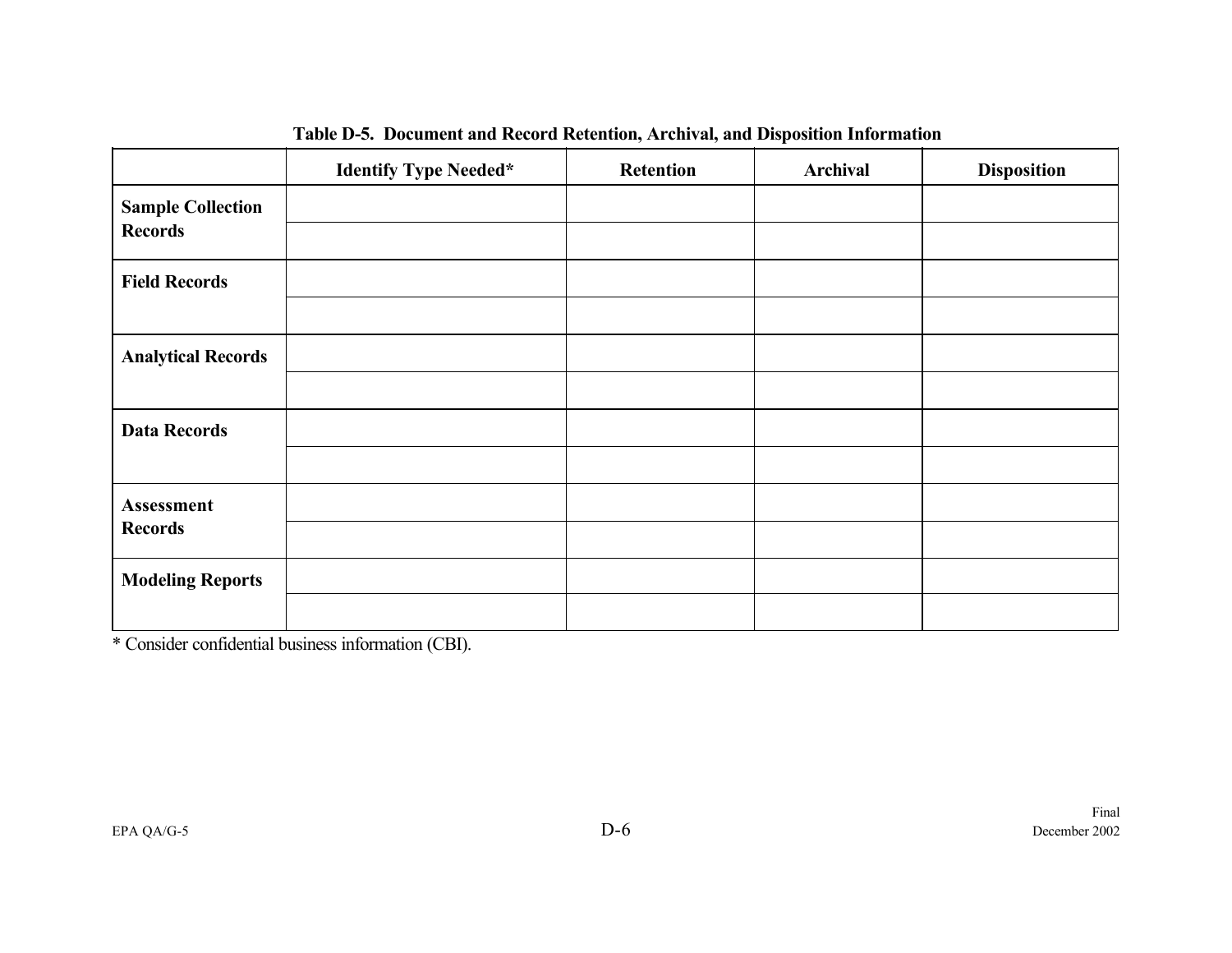|                           | <b>Identify Type Needed*</b> | <b>Retention</b> | <b>Archival</b> | <b>Disposition</b> |
|---------------------------|------------------------------|------------------|-----------------|--------------------|
| <b>Sample Collection</b>  |                              |                  |                 |                    |
| <b>Records</b>            |                              |                  |                 |                    |
| <b>Field Records</b>      |                              |                  |                 |                    |
|                           |                              |                  |                 |                    |
| <b>Analytical Records</b> |                              |                  |                 |                    |
|                           |                              |                  |                 |                    |
| <b>Data Records</b>       |                              |                  |                 |                    |
|                           |                              |                  |                 |                    |
| Assessment                |                              |                  |                 |                    |
| <b>Records</b>            |                              |                  |                 |                    |
| <b>Modeling Reports</b>   |                              |                  |                 |                    |
|                           |                              |                  |                 |                    |

**Table D-5. Document and Record Retention, Archival, and Disposition Information**

\* Consider confidential business information (CBI).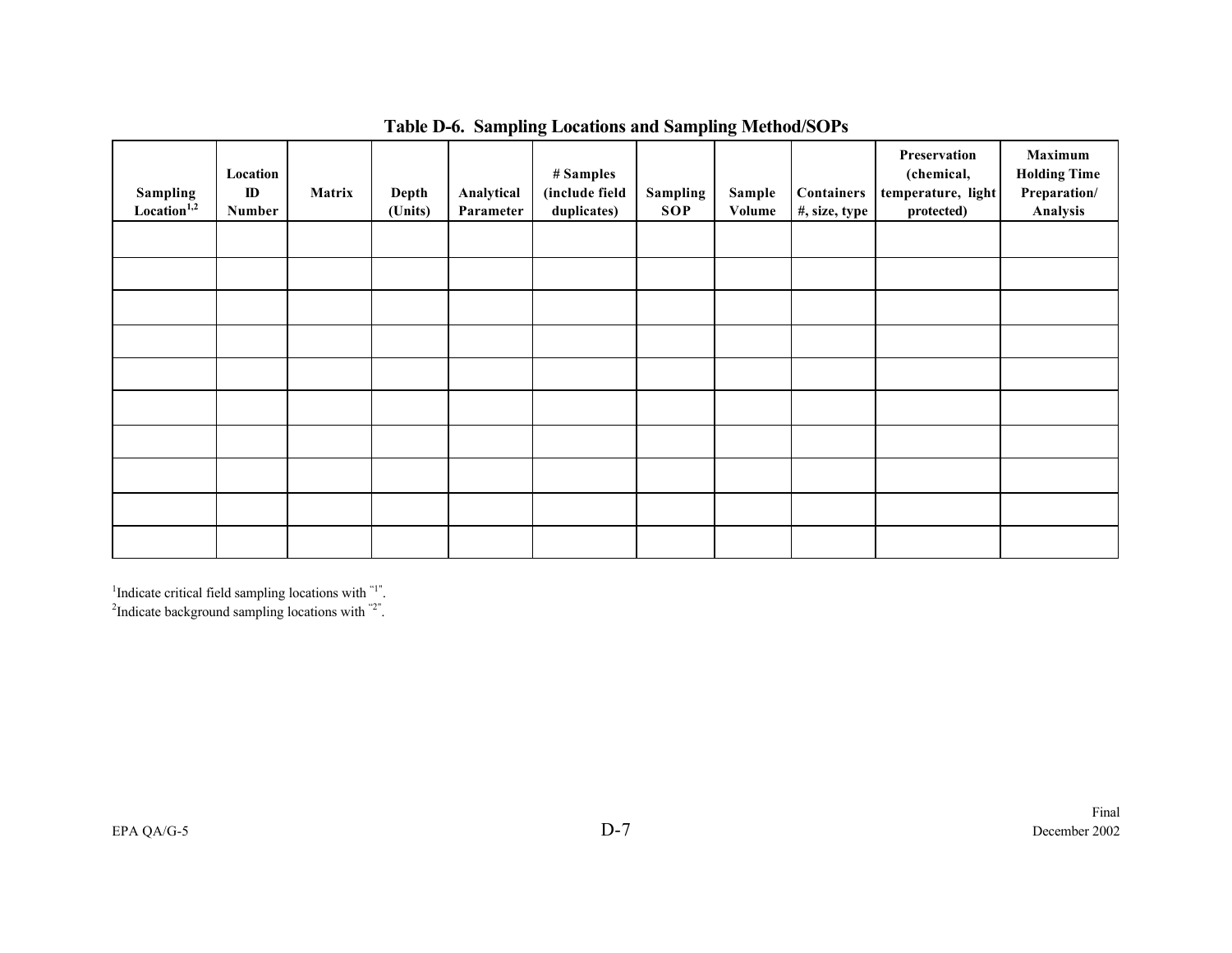| Sampling<br>Location <sup>1,2</sup> | Location<br>$\mathbf{D}$<br>Number | Matrix | Depth<br>(Units) | Analytical<br>Parameter | # Samples<br>(include field<br>duplicates) | <b>Sampling</b><br><b>SOP</b> | Sample<br>Volume | Containers<br>#, size, type | Preservation<br>(chemical,<br>temperature, light<br>protected) | Maximum<br><b>Holding Time</b><br>Preparation/<br>Analysis |
|-------------------------------------|------------------------------------|--------|------------------|-------------------------|--------------------------------------------|-------------------------------|------------------|-----------------------------|----------------------------------------------------------------|------------------------------------------------------------|
|                                     |                                    |        |                  |                         |                                            |                               |                  |                             |                                                                |                                                            |
|                                     |                                    |        |                  |                         |                                            |                               |                  |                             |                                                                |                                                            |
|                                     |                                    |        |                  |                         |                                            |                               |                  |                             |                                                                |                                                            |
|                                     |                                    |        |                  |                         |                                            |                               |                  |                             |                                                                |                                                            |
|                                     |                                    |        |                  |                         |                                            |                               |                  |                             |                                                                |                                                            |
|                                     |                                    |        |                  |                         |                                            |                               |                  |                             |                                                                |                                                            |
|                                     |                                    |        |                  |                         |                                            |                               |                  |                             |                                                                |                                                            |
|                                     |                                    |        |                  |                         |                                            |                               |                  |                             |                                                                |                                                            |
|                                     |                                    |        |                  |                         |                                            |                               |                  |                             |                                                                |                                                            |
|                                     |                                    |        |                  |                         |                                            |                               |                  |                             |                                                                |                                                            |

## **Table D-6. Sampling Locations and Sampling Method/SOPs**

<sup>1</sup>Indicate critical field sampling locations with  $1$ ".<br><sup>2</sup>Indicate background sampling locations with  $2$ ".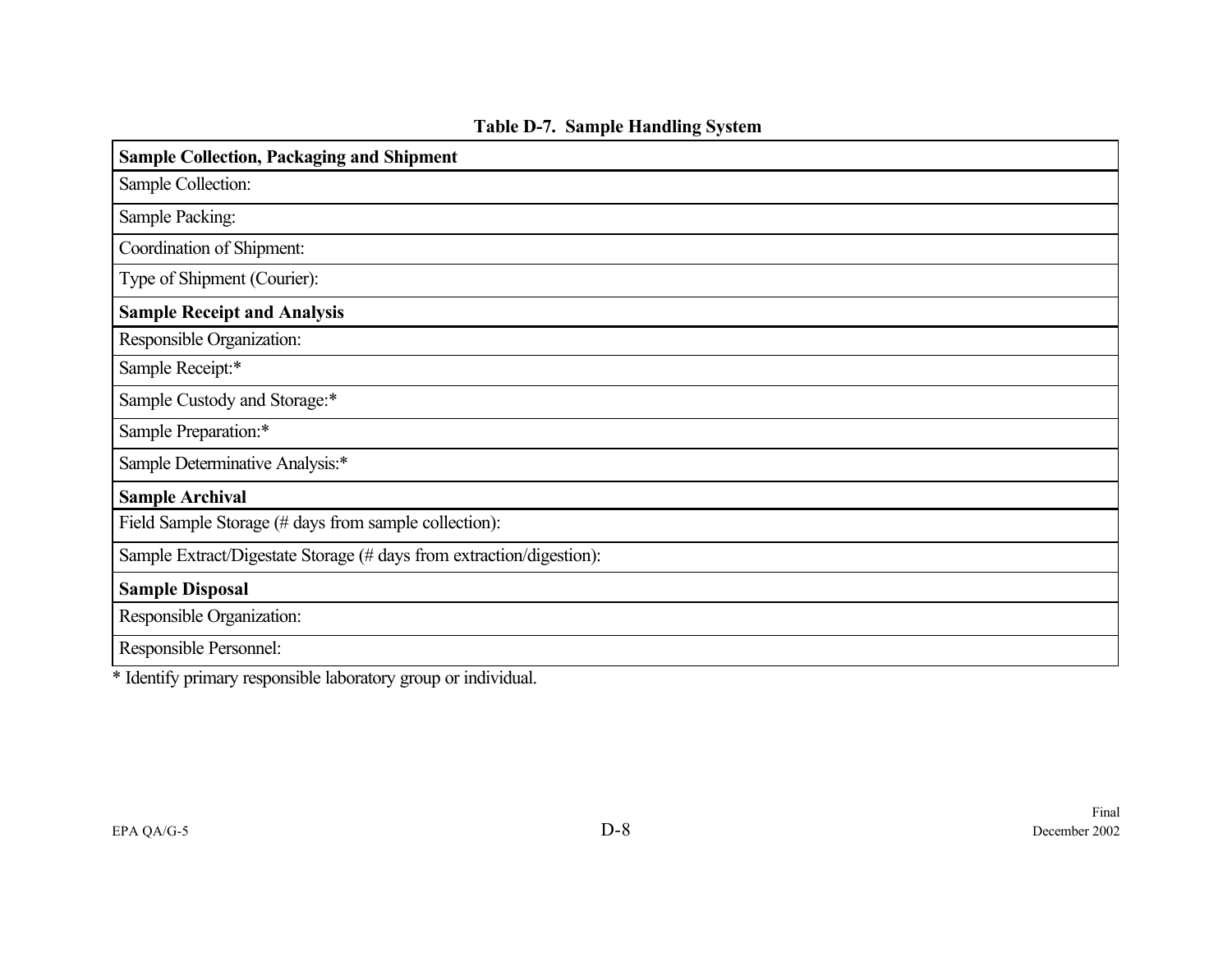| <b>Sample Collection, Packaging and Shipment</b>                     |
|----------------------------------------------------------------------|
| Sample Collection:                                                   |
| Sample Packing:                                                      |
| Coordination of Shipment:                                            |
| Type of Shipment (Courier):                                          |
| <b>Sample Receipt and Analysis</b>                                   |
| Responsible Organization:                                            |
| Sample Receipt:*                                                     |
| Sample Custody and Storage:*                                         |
| Sample Preparation:*                                                 |
| Sample Determinative Analysis:*                                      |
| <b>Sample Archival</b>                                               |
| Field Sample Storage (# days from sample collection):                |
| Sample Extract/Digestate Storage (# days from extraction/digestion): |
| <b>Sample Disposal</b>                                               |
| Responsible Organization:                                            |
| Responsible Personnel:                                               |

**Table D-7. Sample Handling System**

\* Identify primary responsible laboratory group or individual.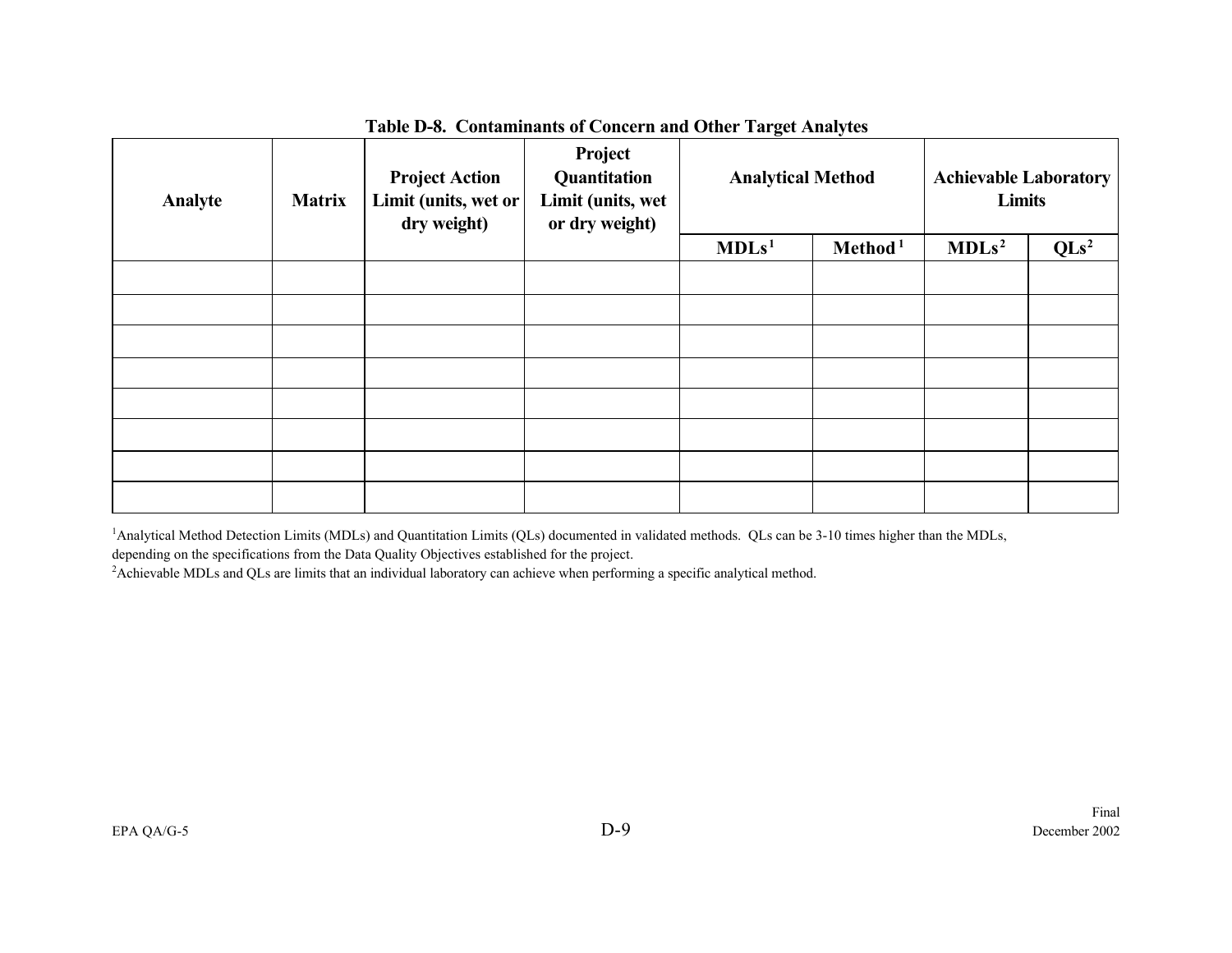| Analyte | <b>Matrix</b> | <b>Project Action</b><br>Limit (units, wet or<br>dry weight) | Project<br>Quantitation<br>Limit (units, wet<br>or dry weight) | o<br><b>Analytical Method</b> |                     | <b>Achievable Laboratory</b><br><b>Limits</b> |                  |  |
|---------|---------------|--------------------------------------------------------------|----------------------------------------------------------------|-------------------------------|---------------------|-----------------------------------------------|------------------|--|
|         |               |                                                              |                                                                | MDLs <sup>1</sup>             | Method <sup>1</sup> |                                               | QLs <sup>2</sup> |  |
|         |               |                                                              |                                                                |                               |                     |                                               |                  |  |
|         |               |                                                              |                                                                |                               |                     |                                               |                  |  |
|         |               |                                                              |                                                                |                               |                     |                                               |                  |  |
|         |               |                                                              |                                                                |                               |                     |                                               |                  |  |
|         |               |                                                              |                                                                |                               |                     |                                               |                  |  |
|         |               |                                                              |                                                                |                               |                     |                                               |                  |  |
|         |               |                                                              |                                                                |                               |                     |                                               |                  |  |
|         |               |                                                              |                                                                |                               |                     |                                               |                  |  |

#### **Table D-8. Contaminants of Concern and Other Target Analytes**

<sup>1</sup>Analytical Method Detection Limits (MDLs) and Quantitation Limits (QLs) documented in validated methods. QLs can be 3-10 times higher than the MDLs,

depending on the specifications from the Data Quality Objectives established for the project.

<sup>2</sup>Achievable MDLs and QLs are limits that an individual laboratory can achieve when performing a specific analytical method.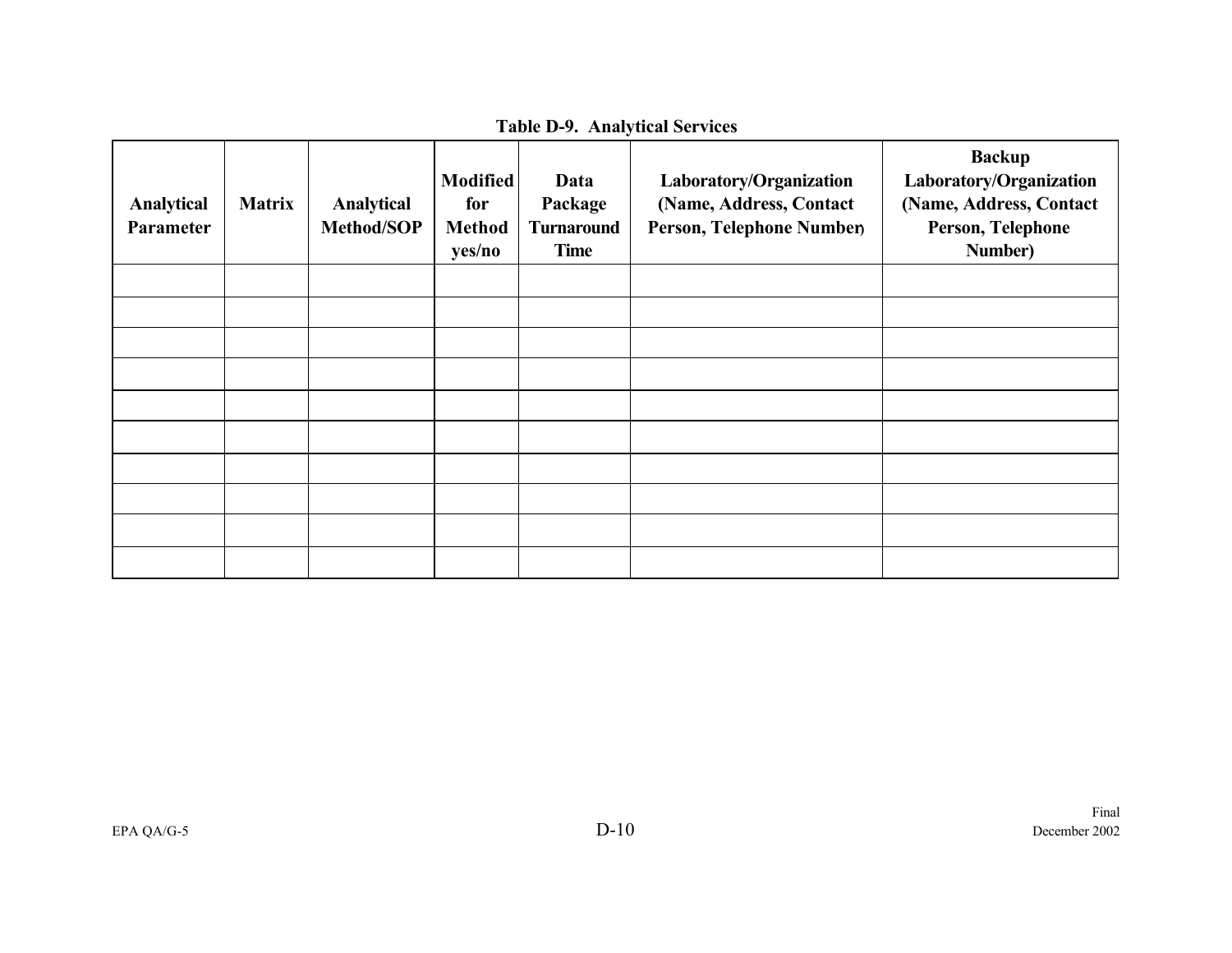| <b>Table D-9. Analytical Services</b> |  |  |
|---------------------------------------|--|--|
|---------------------------------------|--|--|

| Analytical<br>Parameter | <b>Matrix</b> | Analytical<br>Method/SOP | <b>Modified</b><br>for<br><b>Method</b><br>yes/no | Data<br>Package<br><b>Turnaround</b><br><b>Time</b> | Laboratory/Organization<br>(Name, Address, Contact<br>Person, Telephone Number | <b>Backup</b><br>Laboratory/Organization<br>(Name, Address, Contact<br>Person, Telephone<br>Number) |
|-------------------------|---------------|--------------------------|---------------------------------------------------|-----------------------------------------------------|--------------------------------------------------------------------------------|-----------------------------------------------------------------------------------------------------|
|                         |               |                          |                                                   |                                                     |                                                                                |                                                                                                     |
|                         |               |                          |                                                   |                                                     |                                                                                |                                                                                                     |
|                         |               |                          |                                                   |                                                     |                                                                                |                                                                                                     |
|                         |               |                          |                                                   |                                                     |                                                                                |                                                                                                     |
|                         |               |                          |                                                   |                                                     |                                                                                |                                                                                                     |
|                         |               |                          |                                                   |                                                     |                                                                                |                                                                                                     |
|                         |               |                          |                                                   |                                                     |                                                                                |                                                                                                     |
|                         |               |                          |                                                   |                                                     |                                                                                |                                                                                                     |
|                         |               |                          |                                                   |                                                     |                                                                                |                                                                                                     |
|                         |               |                          |                                                   |                                                     |                                                                                |                                                                                                     |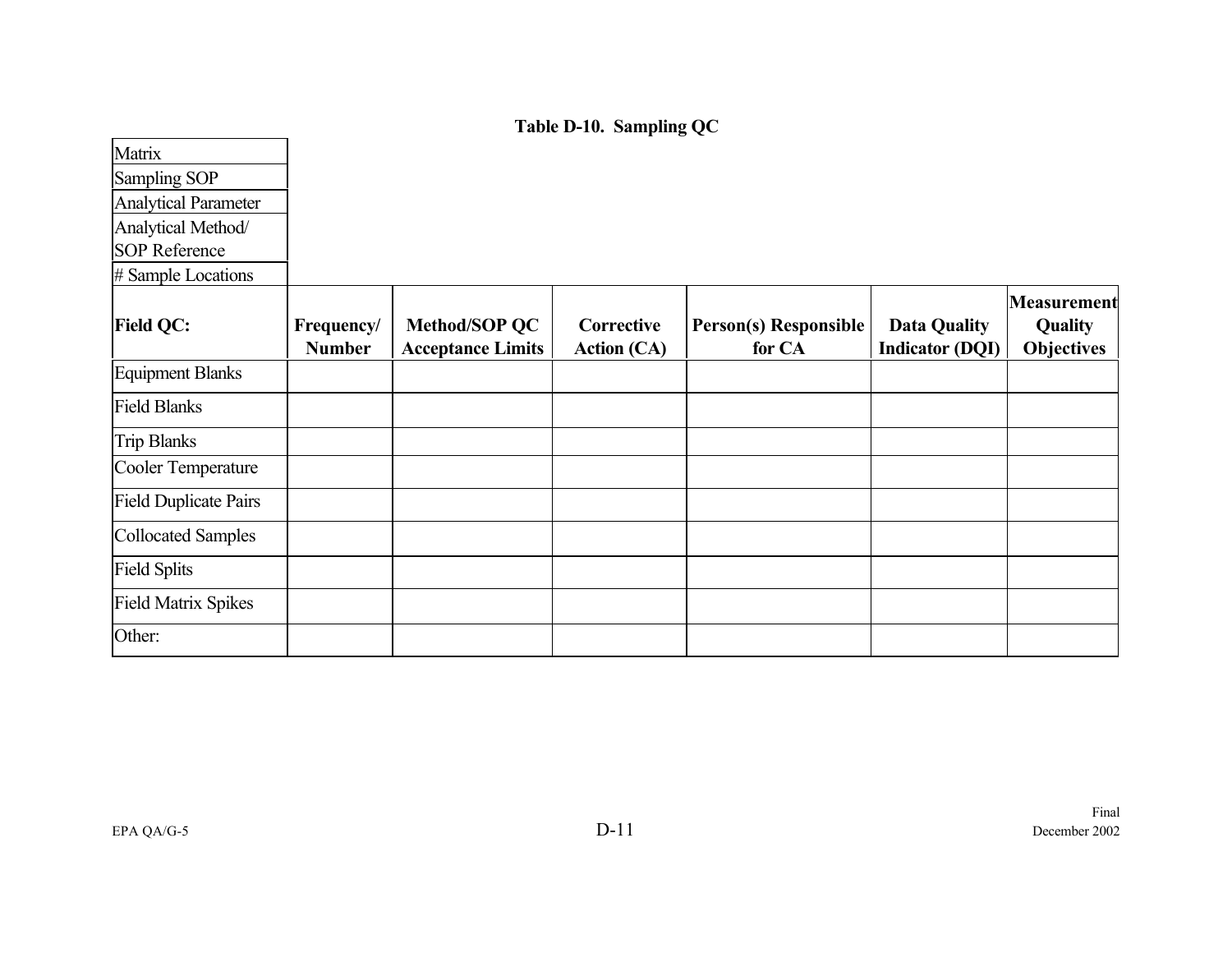**Table D-10. Sampling QC**

| Matrix<br>Sampling SOP<br><b>Analytical Parameter</b><br>Analytical Method/ |                             |                                           |                                  |                                        |                                               |                                                    |
|-----------------------------------------------------------------------------|-----------------------------|-------------------------------------------|----------------------------------|----------------------------------------|-----------------------------------------------|----------------------------------------------------|
| <b>SOP Reference</b><br># Sample Locations                                  |                             |                                           |                                  |                                        |                                               |                                                    |
| <b>Field QC:</b>                                                            | Frequency/<br><b>Number</b> | Method/SOP QC<br><b>Acceptance Limits</b> | Corrective<br><b>Action (CA)</b> | <b>Person(s) Responsible</b><br>for CA | <b>Data Quality</b><br><b>Indicator (DQI)</b> | Measurement<br><b>Quality</b><br><b>Objectives</b> |
| <b>Equipment Blanks</b>                                                     |                             |                                           |                                  |                                        |                                               |                                                    |
| <b>Field Blanks</b>                                                         |                             |                                           |                                  |                                        |                                               |                                                    |
| <b>Trip Blanks</b>                                                          |                             |                                           |                                  |                                        |                                               |                                                    |
| Cooler Temperature                                                          |                             |                                           |                                  |                                        |                                               |                                                    |
| <b>Field Duplicate Pairs</b>                                                |                             |                                           |                                  |                                        |                                               |                                                    |
| <b>Collocated Samples</b>                                                   |                             |                                           |                                  |                                        |                                               |                                                    |
| <b>Field Splits</b>                                                         |                             |                                           |                                  |                                        |                                               |                                                    |
| <b>Field Matrix Spikes</b>                                                  |                             |                                           |                                  |                                        |                                               |                                                    |
| Other:                                                                      |                             |                                           |                                  |                                        |                                               |                                                    |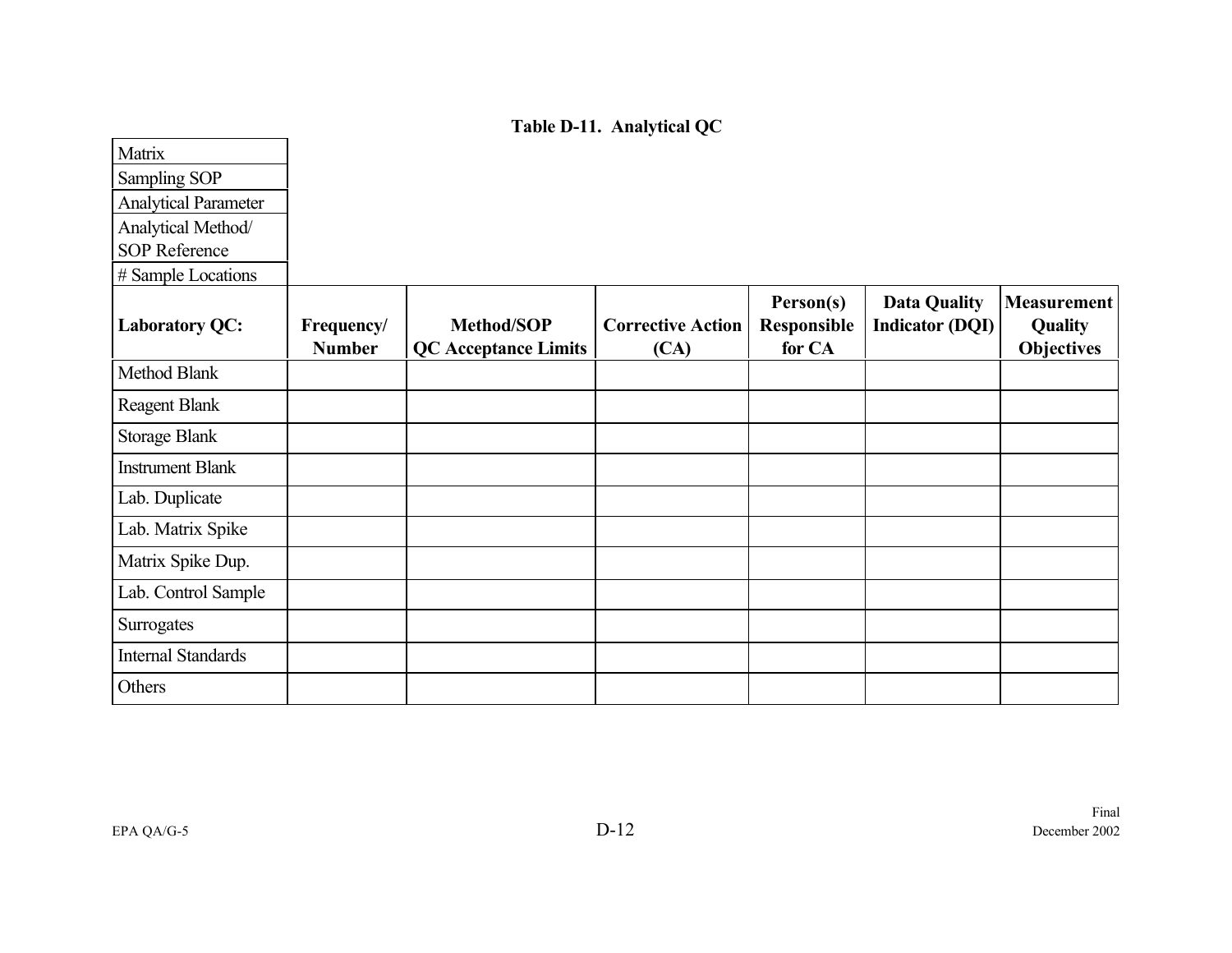**Table D-11. Analytical QC**

| Matrix                      |                             |                                                  |                                  |                                    |                                               |                                                           |
|-----------------------------|-----------------------------|--------------------------------------------------|----------------------------------|------------------------------------|-----------------------------------------------|-----------------------------------------------------------|
| Sampling SOP                |                             |                                                  |                                  |                                    |                                               |                                                           |
| <b>Analytical Parameter</b> |                             |                                                  |                                  |                                    |                                               |                                                           |
| Analytical Method/          |                             |                                                  |                                  |                                    |                                               |                                                           |
| <b>SOP Reference</b>        |                             |                                                  |                                  |                                    |                                               |                                                           |
| # Sample Locations          |                             |                                                  |                                  |                                    |                                               |                                                           |
| <b>Laboratory QC:</b>       | Frequency/<br><b>Number</b> | <b>Method/SOP</b><br><b>QC</b> Acceptance Limits | <b>Corrective Action</b><br>(CA) | Person(s)<br>Responsible<br>for CA | <b>Data Quality</b><br><b>Indicator (DQI)</b> | <b>Measurement</b><br><b>Quality</b><br><b>Objectives</b> |
| Method Blank                |                             |                                                  |                                  |                                    |                                               |                                                           |
| <b>Reagent Blank</b>        |                             |                                                  |                                  |                                    |                                               |                                                           |
| <b>Storage Blank</b>        |                             |                                                  |                                  |                                    |                                               |                                                           |
| <b>Instrument Blank</b>     |                             |                                                  |                                  |                                    |                                               |                                                           |
| Lab. Duplicate              |                             |                                                  |                                  |                                    |                                               |                                                           |
| Lab. Matrix Spike           |                             |                                                  |                                  |                                    |                                               |                                                           |
| Matrix Spike Dup.           |                             |                                                  |                                  |                                    |                                               |                                                           |
| Lab. Control Sample         |                             |                                                  |                                  |                                    |                                               |                                                           |
| Surrogates                  |                             |                                                  |                                  |                                    |                                               |                                                           |
| <b>Internal Standards</b>   |                             |                                                  |                                  |                                    |                                               |                                                           |
| Others                      |                             |                                                  |                                  |                                    |                                               |                                                           |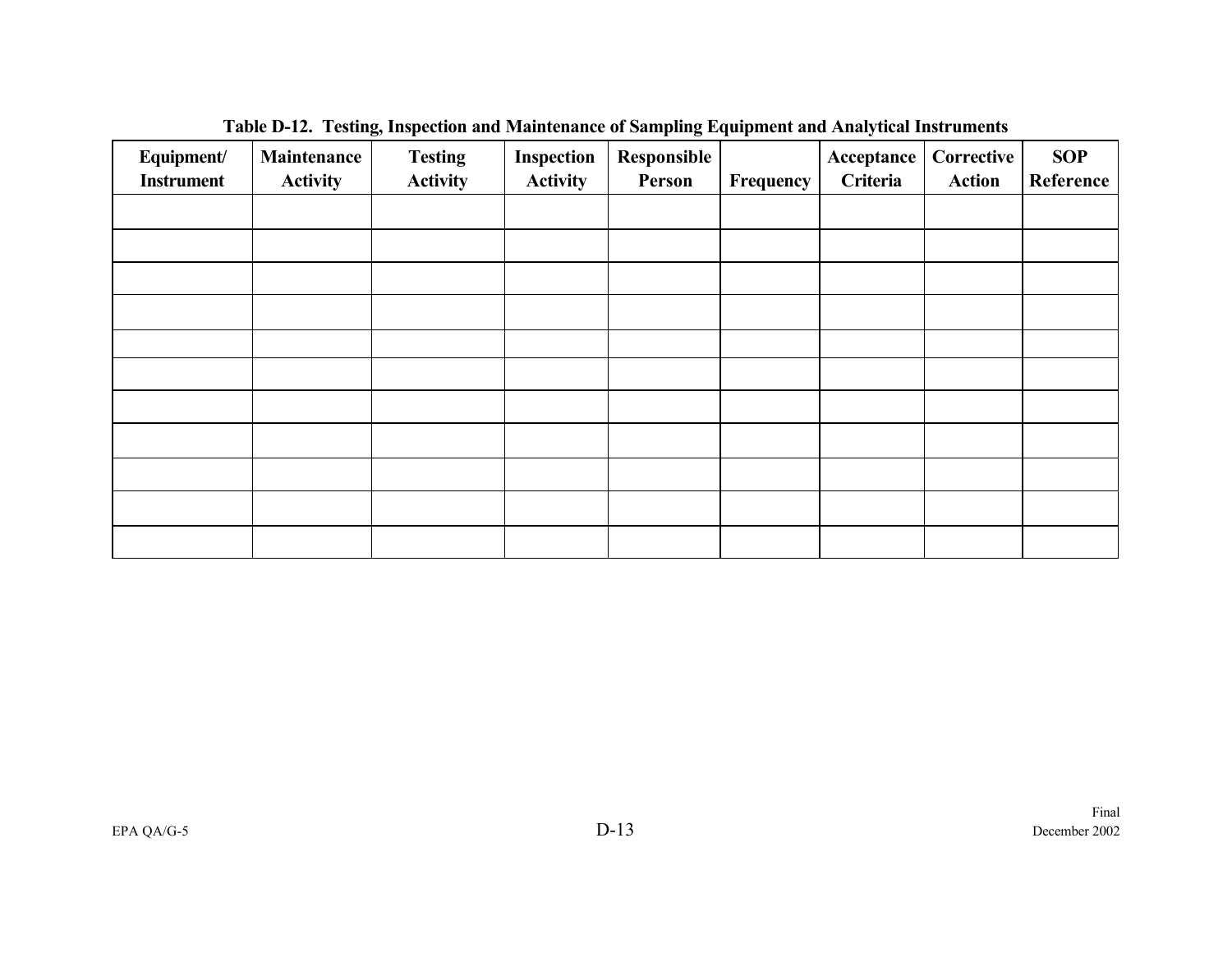| Equipment/<br><b>Instrument</b> | Maintenance<br><b>Activity</b> | <b>Testing</b><br><b>Activity</b> | Inspection<br><b>Activity</b> | Responsible<br>Person | Frequency | Acceptance<br>Criteria | Corrective<br><b>Action</b> | <b>SOP</b><br>Reference |
|---------------------------------|--------------------------------|-----------------------------------|-------------------------------|-----------------------|-----------|------------------------|-----------------------------|-------------------------|
|                                 |                                |                                   |                               |                       |           |                        |                             |                         |
|                                 |                                |                                   |                               |                       |           |                        |                             |                         |
|                                 |                                |                                   |                               |                       |           |                        |                             |                         |
|                                 |                                |                                   |                               |                       |           |                        |                             |                         |
|                                 |                                |                                   |                               |                       |           |                        |                             |                         |
|                                 |                                |                                   |                               |                       |           |                        |                             |                         |
|                                 |                                |                                   |                               |                       |           |                        |                             |                         |
|                                 |                                |                                   |                               |                       |           |                        |                             |                         |
|                                 |                                |                                   |                               |                       |           |                        |                             |                         |
|                                 |                                |                                   |                               |                       |           |                        |                             |                         |
|                                 |                                |                                   |                               |                       |           |                        |                             |                         |

**Table D-12. Testing, Inspection and Maintenance of Sampling Equipment and Analytical Instruments**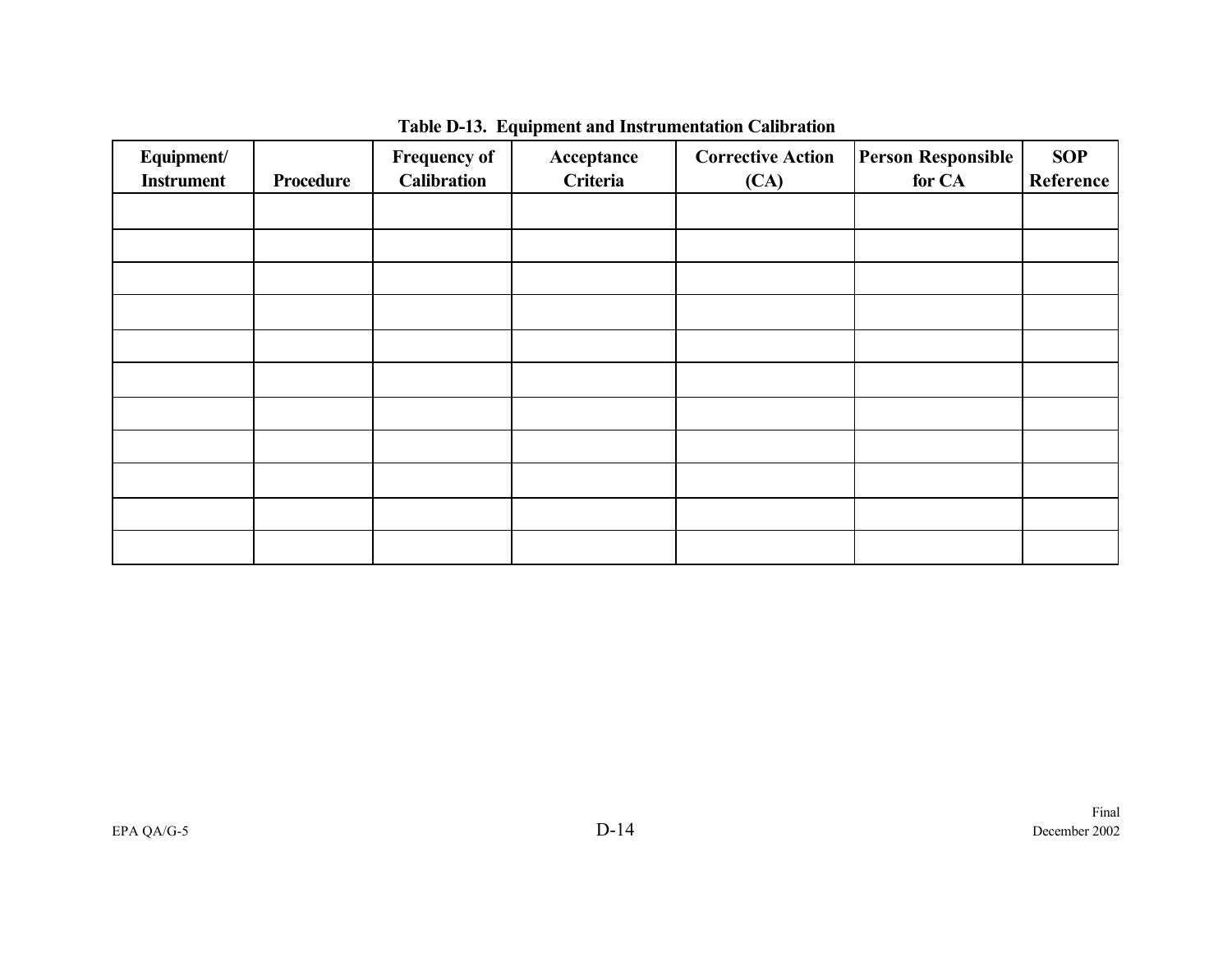| Equipment/<br><b>Instrument</b> | Procedure | <b>Frequency of</b><br><b>Calibration</b> | Acceptance<br>Criteria | <b>Corrective Action</b><br>(CA) | <b>Person Responsible</b><br>for CA | <b>SOP</b><br>Reference |
|---------------------------------|-----------|-------------------------------------------|------------------------|----------------------------------|-------------------------------------|-------------------------|
|                                 |           |                                           |                        |                                  |                                     |                         |
|                                 |           |                                           |                        |                                  |                                     |                         |
|                                 |           |                                           |                        |                                  |                                     |                         |
|                                 |           |                                           |                        |                                  |                                     |                         |
|                                 |           |                                           |                        |                                  |                                     |                         |
|                                 |           |                                           |                        |                                  |                                     |                         |
|                                 |           |                                           |                        |                                  |                                     |                         |
|                                 |           |                                           |                        |                                  |                                     |                         |
|                                 |           |                                           |                        |                                  |                                     |                         |
|                                 |           |                                           |                        |                                  |                                     |                         |
|                                 |           |                                           |                        |                                  |                                     |                         |

# **Table D-13. Equipment and Instrumentation Calibration**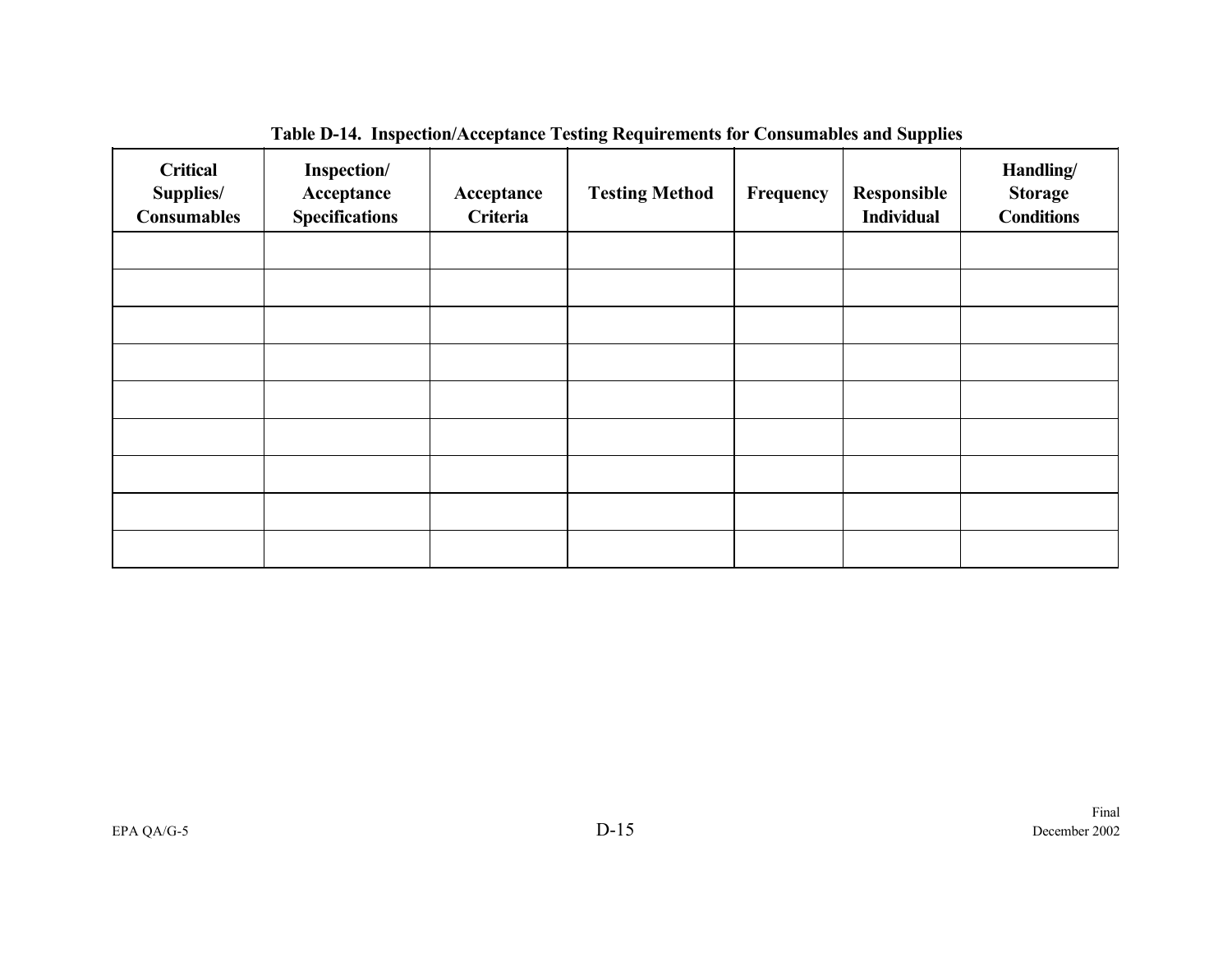| <b>Critical</b><br>Supplies/<br><b>Consumables</b> | Inspection/<br>Acceptance<br><b>Specifications</b> | Acceptance<br>Criteria | <b>Testing Method</b> | Frequency | Responsible<br><b>Individual</b> | Handling/<br><b>Storage</b><br><b>Conditions</b> |
|----------------------------------------------------|----------------------------------------------------|------------------------|-----------------------|-----------|----------------------------------|--------------------------------------------------|
|                                                    |                                                    |                        |                       |           |                                  |                                                  |
|                                                    |                                                    |                        |                       |           |                                  |                                                  |
|                                                    |                                                    |                        |                       |           |                                  |                                                  |
|                                                    |                                                    |                        |                       |           |                                  |                                                  |
|                                                    |                                                    |                        |                       |           |                                  |                                                  |
|                                                    |                                                    |                        |                       |           |                                  |                                                  |
|                                                    |                                                    |                        |                       |           |                                  |                                                  |
|                                                    |                                                    |                        |                       |           |                                  |                                                  |
|                                                    |                                                    |                        |                       |           |                                  |                                                  |

**Table D-14. Inspection/Acceptance Testing Requirements for Consumables and Supplies**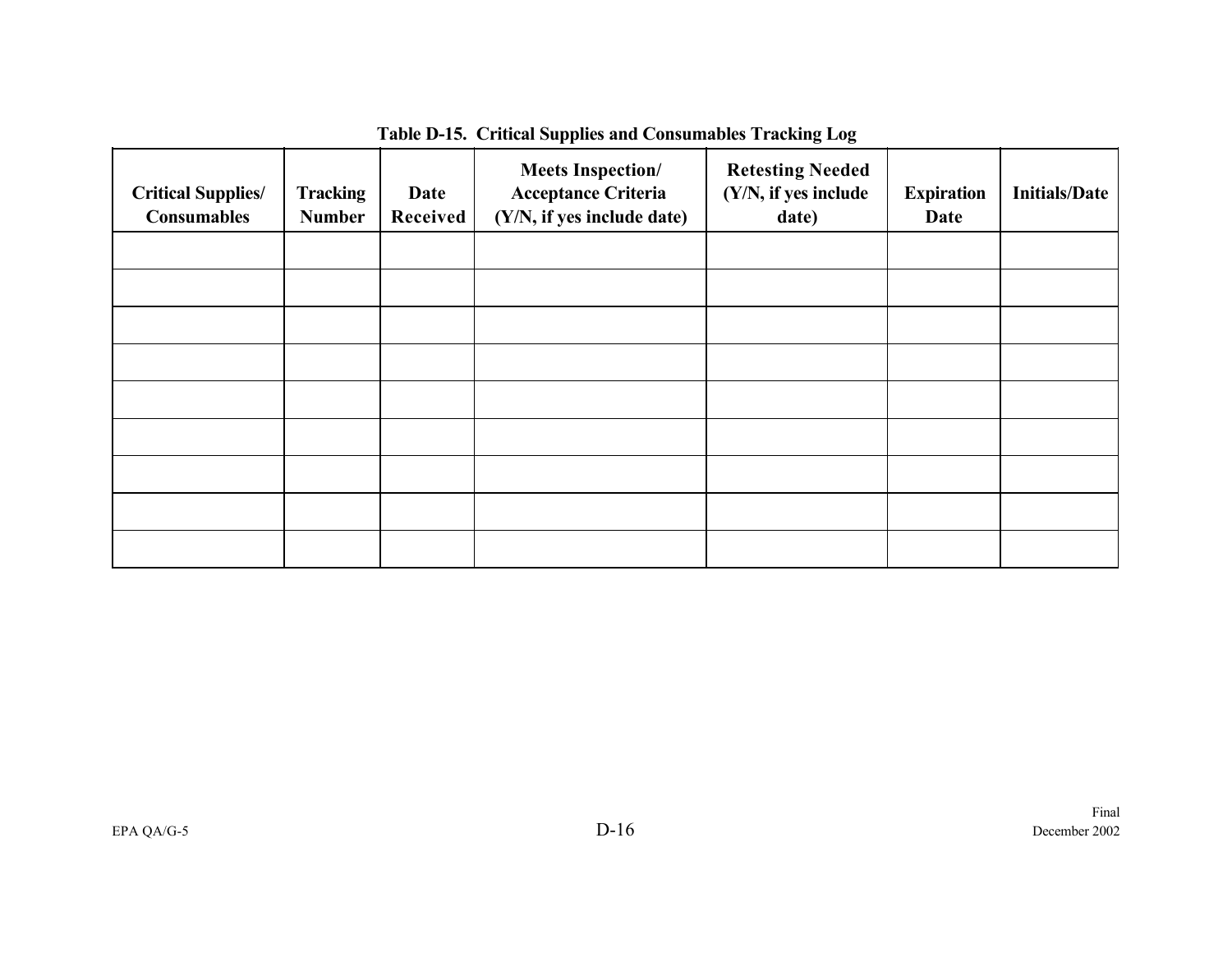| <b>Critical Supplies/</b><br><b>Consumables</b> | <b>Tracking</b><br><b>Number</b> | Date<br>Received | <b>Meets Inspection/</b><br><b>Acceptance Criteria</b><br>(Y/N, if yes include date) | <b>Retesting Needed</b><br>(Y/N, if yes include<br>date) | <b>Expiration</b><br>Date | <b>Initials/Date</b> |
|-------------------------------------------------|----------------------------------|------------------|--------------------------------------------------------------------------------------|----------------------------------------------------------|---------------------------|----------------------|
|                                                 |                                  |                  |                                                                                      |                                                          |                           |                      |
|                                                 |                                  |                  |                                                                                      |                                                          |                           |                      |
|                                                 |                                  |                  |                                                                                      |                                                          |                           |                      |
|                                                 |                                  |                  |                                                                                      |                                                          |                           |                      |
|                                                 |                                  |                  |                                                                                      |                                                          |                           |                      |
|                                                 |                                  |                  |                                                                                      |                                                          |                           |                      |
|                                                 |                                  |                  |                                                                                      |                                                          |                           |                      |
|                                                 |                                  |                  |                                                                                      |                                                          |                           |                      |
|                                                 |                                  |                  |                                                                                      |                                                          |                           |                      |

**Table D-15. Critical Supplies and Consumables Tracking Log**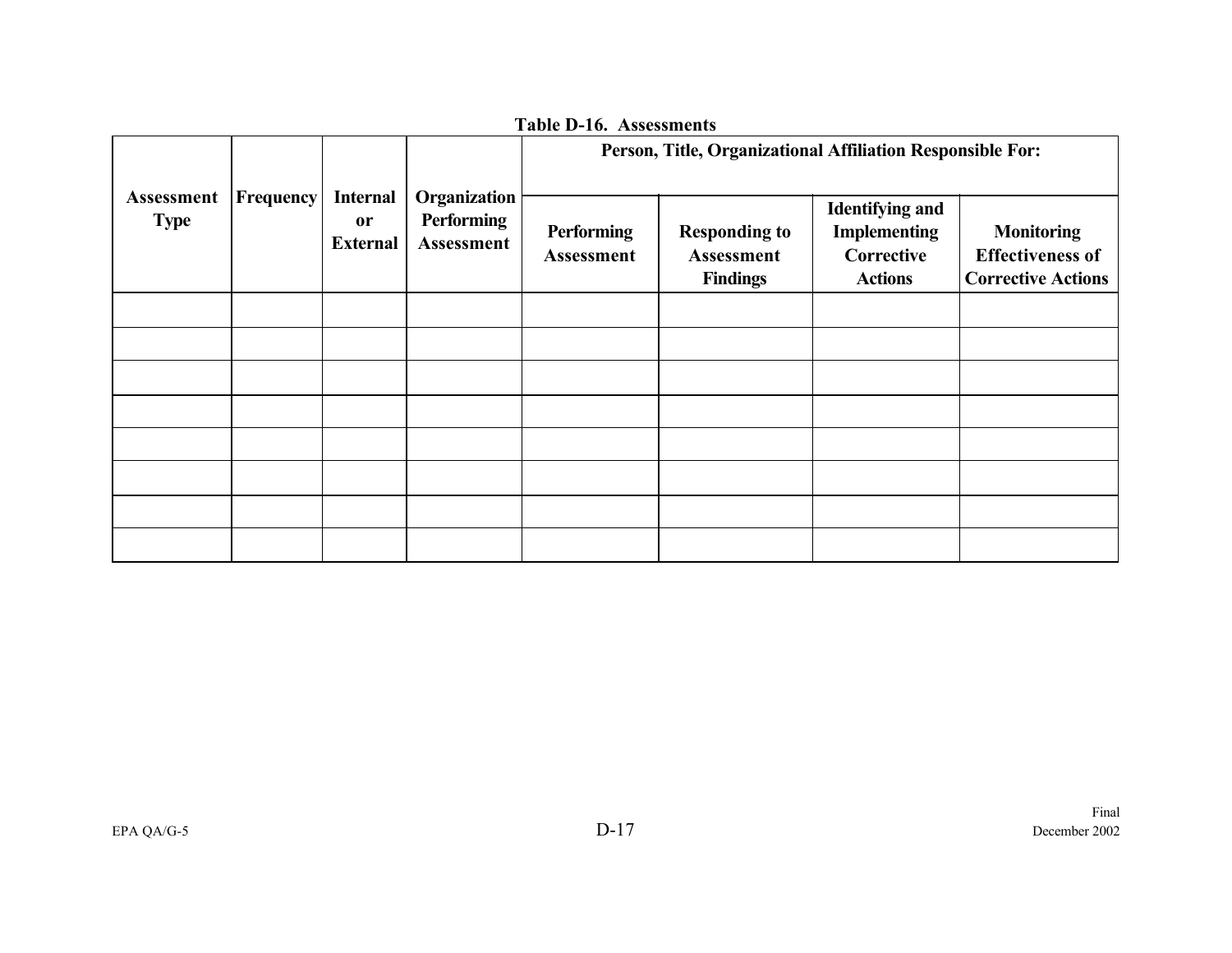|                           | Frequency | <b>Internal</b><br><b>or</b><br><b>External</b> | Organization<br><b>Performing</b><br>Assessment | Person, Title, Organizational Affiliation Responsible For: |                                                              |                                                                               |                                                                           |
|---------------------------|-----------|-------------------------------------------------|-------------------------------------------------|------------------------------------------------------------|--------------------------------------------------------------|-------------------------------------------------------------------------------|---------------------------------------------------------------------------|
| Assessment<br><b>Type</b> |           |                                                 |                                                 | <b>Performing</b><br><b>Assessment</b>                     | <b>Responding to</b><br><b>Assessment</b><br><b>Findings</b> | <b>Identifying and</b><br><b>Implementing</b><br>Corrective<br><b>Actions</b> | <b>Monitoring</b><br><b>Effectiveness of</b><br><b>Corrective Actions</b> |
|                           |           |                                                 |                                                 |                                                            |                                                              |                                                                               |                                                                           |
|                           |           |                                                 |                                                 |                                                            |                                                              |                                                                               |                                                                           |
|                           |           |                                                 |                                                 |                                                            |                                                              |                                                                               |                                                                           |
|                           |           |                                                 |                                                 |                                                            |                                                              |                                                                               |                                                                           |
|                           |           |                                                 |                                                 |                                                            |                                                              |                                                                               |                                                                           |
|                           |           |                                                 |                                                 |                                                            |                                                              |                                                                               |                                                                           |
|                           |           |                                                 |                                                 |                                                            |                                                              |                                                                               |                                                                           |
|                           |           |                                                 |                                                 |                                                            |                                                              |                                                                               |                                                                           |

**Table D-16. Assessments**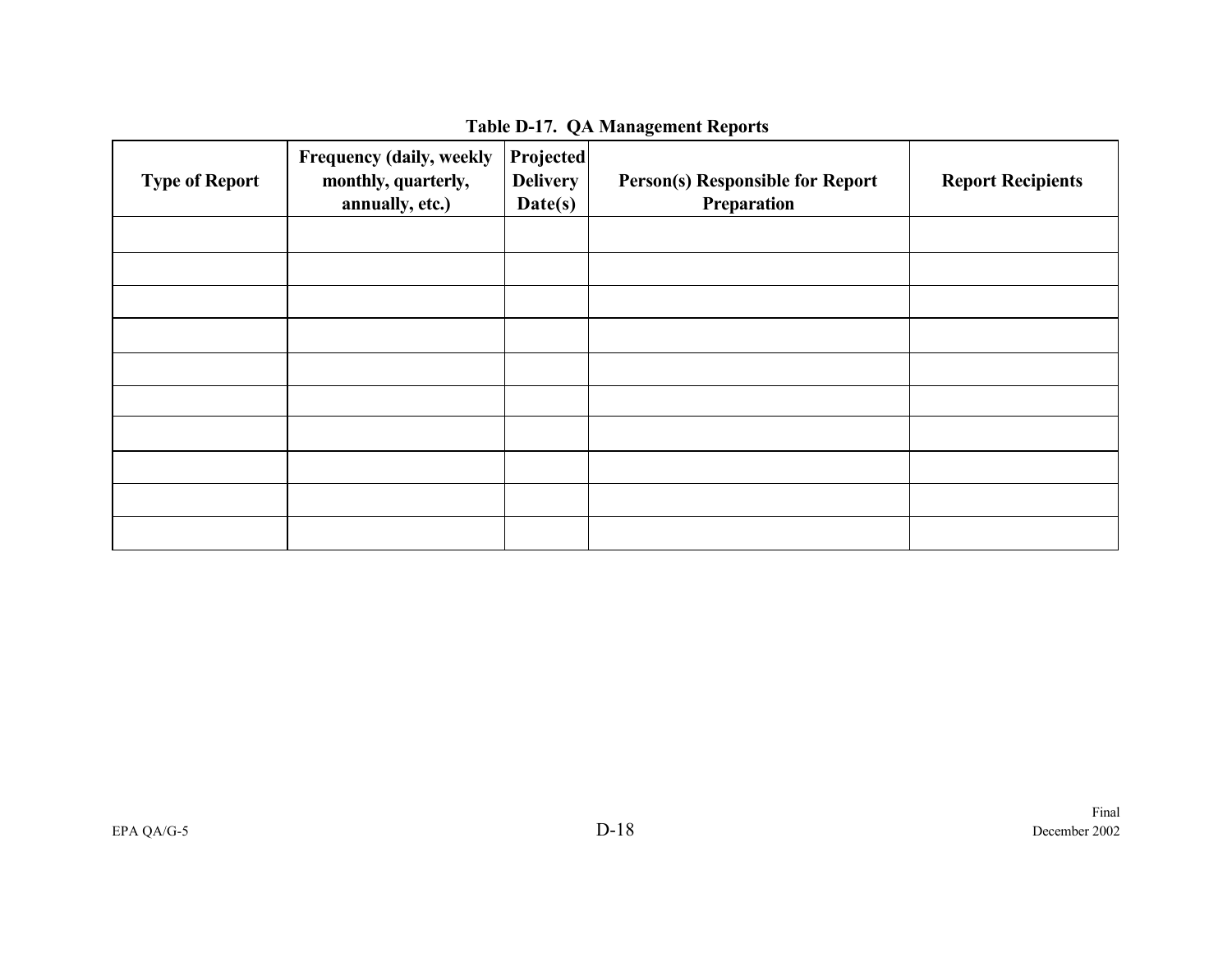| <b>Type of Report</b> | Frequency (daily, weekly<br>monthly, quarterly,<br>annually, etc.) | Projected<br><b>Delivery</b><br>Date(s) | <b>Person(s) Responsible for Report</b><br>Preparation | <b>Report Recipients</b> |
|-----------------------|--------------------------------------------------------------------|-----------------------------------------|--------------------------------------------------------|--------------------------|
|                       |                                                                    |                                         |                                                        |                          |
|                       |                                                                    |                                         |                                                        |                          |
|                       |                                                                    |                                         |                                                        |                          |
|                       |                                                                    |                                         |                                                        |                          |
|                       |                                                                    |                                         |                                                        |                          |
|                       |                                                                    |                                         |                                                        |                          |
|                       |                                                                    |                                         |                                                        |                          |
|                       |                                                                    |                                         |                                                        |                          |
|                       |                                                                    |                                         |                                                        |                          |
|                       |                                                                    |                                         |                                                        |                          |

**Table D-17. QA Management Reports**